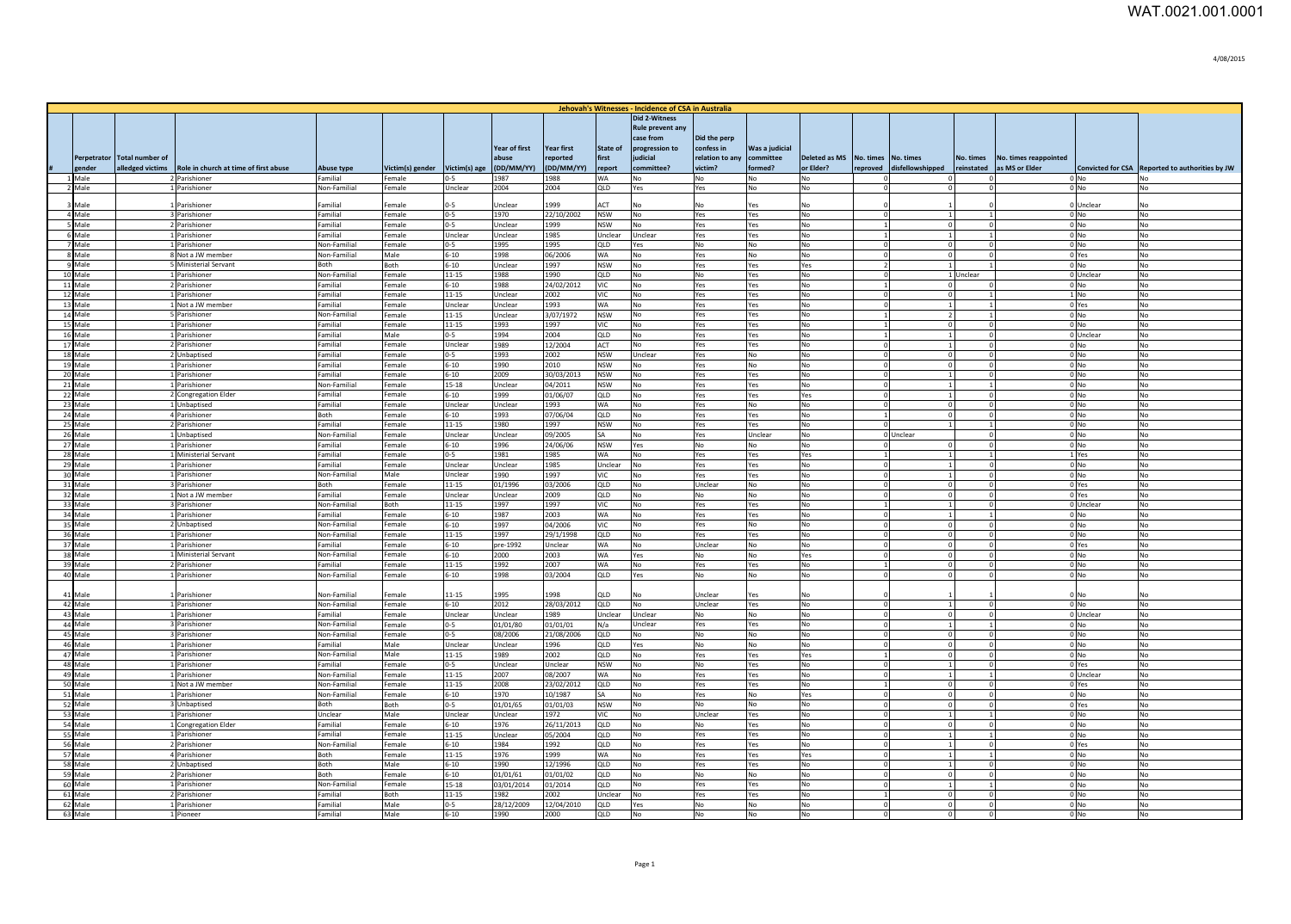|                    |                        |                                                        |                              |                  |                       |                    |                     |                              | Jehovah's Witnesses - Incidence of CSA in Australia |                            |                                   |                  |                          |                                |                      |                       |                           |                                                 |
|--------------------|------------------------|--------------------------------------------------------|------------------------------|------------------|-----------------------|--------------------|---------------------|------------------------------|-----------------------------------------------------|----------------------------|-----------------------------------|------------------|--------------------------|--------------------------------|----------------------|-----------------------|---------------------------|-------------------------------------------------|
|                    |                        |                                                        |                              |                  |                       |                    |                     |                              | Did 2-Witness                                       |                            |                                   |                  |                          |                                |                      |                       |                           |                                                 |
|                    |                        |                                                        |                              |                  |                       |                    |                     |                              | Rule prevent any                                    |                            |                                   |                  |                          |                                |                      |                       |                           |                                                 |
|                    |                        |                                                        |                              |                  |                       | Year of first      | <b>Year first</b>   | <b>State of</b>              | case from                                           | Did the perp<br>confess in | Was a judicial                    |                  |                          |                                |                      |                       |                           |                                                 |
| Perpetrator        | <b>Total number of</b> |                                                        |                              |                  |                       | abuse              | reported            | first                        | progression to<br>judicial                          | relation to any            | ommittee                          | Deleted as MS    | No. times                | No. times                      | No. times            | No. times reappointed |                           |                                                 |
| zender             |                        | alledged victims Role in church at time of first abuse | Abuse type                   | Victim(s) gender | Victim(s) ag          | (DD/MM/YY)         | (DD/MM/YY)          | report                       | committee?                                          | victim?                    | ormed?                            | or Elder?        | reproved                 | lisfellowshipped               | reinstated           | as MS or Elder        |                           | Convicted for CSA Reported to authorities by JW |
| 1 Male             |                        | 2 Parishioner                                          | Familial                     | Female           | $0 - 5$               | 1987               | 1988                | WA                           | No                                                  | <b>No</b>                  | No                                | No               |                          | $\Omega$                       |                      |                       | $0$ No                    | No                                              |
| 2 Male             |                        | 1 Parishioner                                          | Non-Familial                 | Female           | Unclear               | 2004               | 2004                | <b>QLD</b>                   | Yes                                                 | Yes                        | No                                | No.              |                          | $\Omega$                       |                      |                       | 0 <sub>No</sub>           | N <sub>o</sub>                                  |
| 3 Male             |                        | 1 Parishioner                                          | Familial                     | Female           | $0 - 5$               | Unclear            | 1999                | ACT                          | No                                                  | <b>No</b>                  | Yes                               | No               |                          |                                |                      |                       | 0 Unclear                 | No                                              |
| 4 Male             |                        | 3 Parishioner                                          | Familial                     | Female           | $0-5$                 | 1970               | 22/10/2002          | <b>NSW</b>                   | No                                                  | Yes                        | Yes                               | No               | $\Omega$                 | $\overline{1}$                 |                      |                       | $0$ No                    | No                                              |
| 5 Male             |                        | 2 Parishioner                                          | Familial                     | Female           | $0-5$                 | Unclear            | 1999                | <b>NSW</b>                   | No                                                  | Yes                        | Yes                               | lNo.             |                          | $\Omega$                       | $\Omega$             |                       | $0$ No                    | <b>No</b>                                       |
| $6$ Male<br>7 Male |                        | 1 Parishioner<br>1 Parishioner                         | Familial<br>Non-Familial     | Female<br>Female | Unclear<br>$0-5$      | Unclear<br>1995    | 1985<br>1995        | Unclear<br>QLD               | Unclear<br>Yes                                      | Yes<br>No                  | Yes<br>No                         | No<br>No         | $\Omega$                 | 1 <sup>1</sup><br>$\mathbf{0}$ | $\Omega$             |                       | $0$ No<br>$0$ No          | No<br>No                                        |
| 8 Male             |                        | 8 Not a JW member                                      | Non-Familial                 | Male             | $6 - 10$              | 1998               | 06/2006             | <b>WA</b>                    | No                                                  | Yes                        | No                                | No               | $\Omega$                 | $\mathbf{0}$                   | $\Omega$             |                       | 0 Yes                     | No                                              |
| 9 Male             |                        | 5 Ministerial Servant                                  | Both                         | Both             | $6 - 10$              | Unclear            | 1997                | <b>NSW</b>                   | No                                                  | Yes                        | Yes                               | Yes              |                          |                                |                      |                       | $0$ No                    | No                                              |
| 10 Male            |                        | 1 Parishioner                                          | Non-Familial                 | Female           | $11 - 15$             | 1988               | 1990                | QLD                          | No                                                  | No                         | Yes                               | No               |                          |                                | 1 Unclear            |                       | 0 Unclear                 | No                                              |
| 11 Male<br>12 Male |                        | 2 Parishioner<br>1 Parishioner                         | Familial<br>Familial         | Female<br>Female | $6 - 10$<br>$11 - 15$ | 1988<br>Unclear    | 24/02/2012<br>2002  | VIC<br>VIC.                  | No<br>No                                            | Yes<br>Yes                 | Yes<br>Yes                        | No<br>No         |                          | $\mathbf 0$<br>$\Omega$        |                      |                       | $0$ No<br>$1$ No          | No<br>N <sub>o</sub>                            |
| 13 Male            |                        | 1 Not a JW member                                      | Familial                     | Female           | Unclear               | Unclear            | 1993                | <b>WA</b>                    | N <sub>o</sub>                                      | Yes                        | Yes                               | N <sub>o</sub>   |                          | $\overline{1}$                 |                      |                       | 0 Yes                     | No                                              |
| 14 Male            |                        | 5 Parishioner                                          | Non-Familial                 | Female           | $11 - 15$             | Unclear            | 3/07/1972           | <b>NSW</b>                   | No                                                  | Yes                        | Yes                               | No               |                          | $\overline{2}$                 |                      |                       | $0$ No                    | No                                              |
| 15 Male            |                        | 1 Parishioner                                          | Familial                     | Female           | $11 - 15$             | 1993               | 1997                | VIC                          | No                                                  | Yes                        | Yes                               | No               |                          | $\mathbf{0}$                   | $\Omega$             |                       | $0$ No                    | No                                              |
| 16 Male<br>17 Male |                        | 1 Parishioner<br>2 Parishioner                         | Familial<br>Familial         | Male<br>Female   | $0 - 5$<br>Unclear    | 1994<br>1989       | 2004<br>12/2004     | QLD<br>ACT                   | No<br>No                                            | Yes<br>Yes                 | Yes<br>Yes                        | No<br>No         | $\Omega$                 | $\mathbf{1}$<br>$\mathbf{1}$   | $\Omega$<br>$\Omega$ |                       | 0 Unclear<br>$0$ No       | No<br>No                                        |
| 18 Male            |                        | 2 Unbaptised                                           | Familial                     | Female           | $0 - 5$               | 1993               | 2002                | <b>NSW</b>                   | Unclear                                             | Yes                        | No                                | No               | $\Omega$                 | $\mathbf{0}$                   | $\Omega$             |                       | $0$ No                    | No                                              |
| 19 Male            |                        | 1 Parishioner                                          | Familial                     | Female           | $6 - 10$              | 1990               | 2010                | <b>NSW</b>                   | No                                                  | Yes                        | No                                | No               |                          | $\Omega$                       |                      |                       | $0$ No                    | No                                              |
| 20 Male            |                        | 1 Parishioner                                          | Familial                     | Female           | $6 - 10$              | 2009               | 30/03/2013          | <b>NSW</b>                   | No                                                  | Yes                        | Yes                               | No               |                          | $\mathbf{1}$                   |                      |                       | $0$ No                    | <b>No</b>                                       |
| 21 Male<br>22 Male |                        | 1 Parishioner                                          | Non-Familial<br>Familial     | Female<br>Female | 15-18<br>$6 - 10$     | Unclear<br>1999    | 04/2011<br>01/06/07 | <b>NSW</b><br>QLD            | No<br>No                                            | Yes<br>Yes                 | Yes<br>Yes                        | lNo.<br>Yes      | $\Omega$<br>$\Omega$     | $\mathbf{1}$<br>$\overline{1}$ | $\Omega$             |                       | 0 <sub>No</sub><br>$0$ No | N <sub>o</sub><br>No                            |
| 23 Male            |                        | 2 Congregation Elder<br>1 Unbaptised                   | Familial                     | Female           | Unclear               | Unclear            | 1993                | <b>WA</b>                    | No                                                  | Yes                        | No                                | No               |                          | $\Omega$                       | $\Omega$             |                       | 0 <sub>No</sub>           | No                                              |
| 24 Male            |                        | 4 Parishioner                                          | Both                         | Female           | $6 - 10$              | 1993               | 07/06/04            | QLD                          | No                                                  | Yes                        | Yes                               | No               |                          | $\Omega$                       | $\Omega$             |                       | $0$ No                    | No                                              |
| 25 Male            |                        | 2 Parishioner                                          | Familial                     | Female           | $11 - 15$             | 1980               | 1997                | <b>NSW</b>                   | No                                                  | Yes                        | Yes                               | No               |                          | $1\vert$                       |                      |                       | $0$ No                    | No                                              |
| 26 Male            |                        | 1 Unbaptised                                           | Non-Familial                 | Female           | Unclear               | Unclear            | 09/2005             | <b>SA</b>                    | No                                                  | Yes                        | Unclear                           | No               |                          | 0 Unclear                      |                      |                       | $0$ No                    | No                                              |
| 27 Male<br>28 Male |                        | 1 Parishioner<br>1 Ministerial Servant                 | Familial<br>Familial         | Female<br>Female | $6 - 10$<br>$0 - 5$   | 1996<br>1981       | 24/06/06<br>1985    | <b>NSW</b><br><b>WA</b>      | Yes<br>No                                           | No<br>Yes                  | No<br>Yes                         | No<br>Yes        |                          | $\Omega$<br>$\mathbf{1}$       |                      |                       | $0$ No<br>1 Yes           | No<br>No.                                       |
| 29 Male            |                        | 1 Parishioner                                          | Familial                     | Female           | Unclear               | Unclear            | 1985                | Unclear                      | No                                                  | Yes                        | Yes                               | No               |                          | $\mathbf{1}$                   | $\mathbf 0$          |                       | 0 <sub>No</sub>           | No                                              |
| 30 Male            |                        | 1 Parishioner                                          | Non-Familial                 | Male             | Unclear               | 1990               | 1997                | <b>VIC</b>                   | No                                                  | Yes                        | Yes                               | No               |                          | $\mathbf{1}$                   | $\Omega$             |                       | $0$ No                    | N <sub>0</sub>                                  |
| 31 Male            |                        | 3 Parishioner                                          | Roth                         | Female           | $11 - 15$             | 01/1996            | 03/2006             | QLD                          | No                                                  | Unclear                    | No                                | No               | n                        | $^{\circ}$                     | $\Omega$             |                       | 0 Yes                     | No                                              |
| 32 Male<br>33 Male |                        | 1 Not a JW member<br>3 Parishioner                     | Familial<br>Non-Familial     | Female<br>Both   | Unclear<br>11-15      | Unclear<br>1997    | 2009<br>1997        | QLD<br>VIC                   | No<br>No                                            | No<br>Yes                  | No<br>Yes                         | No<br>No         | $\Omega$<br>$\mathbf{1}$ | $\mathbf{0}$<br>$1\vert$       | $\Omega$<br>$\Omega$ |                       | 0 Yes<br>0 Unclear        | No<br>No                                        |
| 34 Male            |                        | 1 Parishioner                                          | Familial                     | Female           | $6 - 10$              | 1987               | 2003                | <b>WA</b>                    | No                                                  | Yes                        | Yes                               | No               | $\Omega$                 | $1\vert$                       |                      |                       | 0 <sub>No</sub>           | No                                              |
| 35 Male            |                        | 2 Unbaptised                                           | Non-Familial                 | Female           | $6 - 10$              | 1997               | 04/2006             | VIC                          | No                                                  | Yes                        | No                                | No               | $\Omega$                 | $\Omega$                       | $\Omega$             |                       | $0$ No                    | No                                              |
| 36 Male            |                        | 1 Parishioner                                          | Non-Familial                 | Female           | $11 - 15$             | 1997               | 29/1/1998           | QLD                          | No                                                  | Yes                        | Yes                               | No               | $\Omega$                 | $\Omega$                       |                      |                       | $0$ No                    | No                                              |
| 37 Male<br>38 Male |                        | 1 Parishioner<br>1 Ministerial Servant                 | Familial<br>Non-Familial     | Female<br>Female | $6 - 10$<br>$6 - 10$  | pre-1992<br>2000   | Unclear<br>2003     | <b>WA</b><br><b>WA</b>       | No<br>Yes                                           | Unclear<br>IN <sub>O</sub> | IN <sub>O</sub><br>N <sub>0</sub> | No<br>Yes        | $\Omega$<br>$\Omega$     | $\Omega$<br>$\Omega$           | $\Omega$             |                       | 0 Yes<br>$0$ No           | No<br>N <sub>o</sub>                            |
| 39 Male            |                        | 2 Parishioner                                          | Familial                     | Female           | $11 - 15$             | 1992               | 2007                | <b>WA</b>                    | No                                                  | Yes                        | Yes                               | No               |                          | $\overline{0}$                 | $\Omega$             |                       | $0$ No                    | No                                              |
| 40 Male            |                        | 1 Parishioner                                          | Non-Familial                 | Female           | $6 - 10$              | 1998               | 03/2004             | QLD                          | Yes                                                 | No                         | No                                | No               |                          | $\Omega$                       | $\Omega$             |                       | $0$ No                    | No                                              |
|                    |                        |                                                        |                              |                  |                       |                    |                     |                              |                                                     |                            |                                   |                  |                          |                                |                      |                       |                           |                                                 |
| 41 Male<br>42 Male |                        | 1 Parishioner<br>1 Parishioner                         | Non-Familial<br>Non-Familial | Female<br>Female | 11-15<br>$6 - 10$     | 1995<br>2012       | 1998<br>28/03/2012  | QLD<br>QLD                   | No<br>No                                            | Unclear<br>Unclear         | Yes<br>Yes                        | No<br>No         | $\Omega$                 | $1\vert$                       |                      |                       | $0$ No<br>0 <sub>No</sub> | No<br>No                                        |
| 43 Male            |                        | 1 Parishioner                                          | Familial                     | Female           | Unclear               | Unclear            | 1989                | Unclear                      | Unclear                                             | No                         | IN <sub>O</sub>                   | No               |                          | $\Omega$                       |                      |                       | 0 Unclear                 | No                                              |
| 44 Male            |                        | 3 Parishioner                                          | Non-Familial                 | Female           | $0 - 5$               | 01/01/80           | 01/01/01            | N/a                          | Unclear                                             | Yes                        | Yes                               | No               |                          | $\mathbf{1}$                   |                      |                       | 0 <sub>No</sub>           | No                                              |
| 45 Male            |                        | 3 Parishioner                                          | Non-Familial                 | Female           | $0 - 5$               | 08/2006            | 21/08/2006          | <b>QLD</b>                   | No                                                  | <b>No</b>                  | No                                | No.              |                          | $\Omega$                       | $\Omega$             |                       | 0 <sub>No</sub>           | N <sub>o</sub>                                  |
| 46 Male<br>47 Male |                        | 1 Parishioner<br>1 Parishioner                         | Familial<br>Non-Familial     | Male<br>Male     | Unclear<br>11-15      | Unclear<br>1989    | 1996<br>2002        | QLD<br>QLD                   | Yes<br>No                                           | No<br>Yes                  | No<br>Yes                         | <b>No</b><br>Yes | $\Omega$                 | $\Omega$<br>$\Omega$           | $\Omega$<br>$\Omega$ |                       | $0$ No<br>0 <sub>No</sub> | <b>No</b><br>No                                 |
| 48 Male            |                        | 1 Parishioner                                          | Familial                     | Female           | $0 - 5$               | Unclear            | Unclear             | <b>NSW</b>                   | No                                                  | No                         | Yes                               | No               |                          | $\mathbf{1}$                   | $\mathbf 0$          |                       | 0 Yes                     | No                                              |
| 49 Male            |                        | 1 Parishioner                                          | Non-Familial                 | Female           | 11-15                 | 2007               | 08/2007             | <b>WA</b>                    | No                                                  | Yes                        | Yes                               | No               | $\Omega$                 | $1\vert$                       | 1                    |                       | 0 Unclear                 | No                                              |
| 50 Male            |                        | 1 Not a JW member                                      | Non-Familial                 | Female           | 11-15                 | 2008               | 23/02/2012          | QLD                          | No                                                  | Yes                        | Yes                               | No               |                          | $\overline{0}$                 | $\mathbf 0$          |                       | 0 Yes                     | No                                              |
| 51 Male<br>52 Male |                        | 1 Parishioner<br>3 Unbaptised                          | Non-Familial<br>Both         | Female<br>Both   | $6 - 10$<br>$0-5$     | 1970<br>01/01/65   | 10/1987<br>01/01/03 | lsa.<br><b>NSW</b>           | No<br>No                                            | Yes<br>No                  | No<br>No                          | Yes<br>No        | $\Omega$<br>$\Omega$     | $\Omega$<br>$\overline{0}$     |                      |                       | $0$ No<br>0 Yes           | No<br>No                                        |
| 53 Male            |                        | 1 Parishioner                                          | Unclear                      | Male             | Unclear               | Unclear            | 1972                | VIC                          | No                                                  | Unclear                    | Yes                               | No               | $\Omega$                 | $1\vert$                       |                      |                       | $0$ No                    | No                                              |
| 54 Male            |                        | 1 Congregation Elder                                   | Familial                     | Female           | $6 - 10$              | 1976               | 26/11/2013          | QLD                          | No                                                  | No                         | Yes                               | No               | $\Omega$                 | $\Omega$                       | $\Omega$             |                       | $0$ No                    | No                                              |
| 55 Male            |                        | 1 Parishioner                                          | Familial                     | Female           | 11-15                 | Unclear            | 05/2004             | QLD                          | No                                                  | Yes                        | Yes                               | <b>No</b>        | $\Omega$                 | 1 <sup>1</sup>                 |                      |                       | $0$ No                    | No                                              |
| 56 Male<br>57 Male |                        | 2 Parishioner<br>4 Parishioner                         | Non-Familial<br>Both         | Female<br>Female | $6 - 10$<br>11-15     | 1984<br>1976       | 1992<br>1999        | QLD<br>WA                    | No<br>No                                            | Yes<br>Yes                 | Yes<br>Yes                        | No<br>Yes        | $\Omega$<br>$\Omega$     | 1 <sup>1</sup><br>$\mathbf{1}$ | $\Omega$<br>1        |                       | $0$ Yes<br>$0$ No         | No<br>No                                        |
| 58 Male            |                        | 2 Unbaptised                                           | Both                         | Male             | $6 - 10$              | 1990               | 12/1996             | QLD                          | No                                                  | Yes                        | Yes                               | No               | $\Omega$                 | 1 <sup>1</sup>                 | $\Omega$             |                       | 0 <sub>No</sub>           | No                                              |
| 59 Male            |                        | 2 Parishioner                                          | Both                         | Female           | $6 - 10$              | 01/01/61           | 01/01/02            | QLD                          | No                                                  | No                         | No                                | No               |                          | $\mathbf{0}$                   |                      |                       | $0$ No                    | No                                              |
| 60 Male            |                        | 1 Parishioner                                          | Non-Familial                 | Female           | $15 - 18$             | 03/01/2014         | 01/2014             | QLD                          | No                                                  | Yes                        | Yes                               | No               |                          |                                |                      |                       | $0$ No                    | No                                              |
| 61 Male<br>62 Male |                        | 2 Parishioner<br>1 Parishioner                         | Familial<br>Familial         | Both<br>Male     | $11 - 15$<br>$0 - 5$  | 1982<br>28/12/2009 | 2002<br>12/04/2010  | <b>Jnclear</b><br><b>QLD</b> | No<br>Yes                                           | Yes<br><b>No</b>           | Yes<br>N <sub>0</sub>             | No<br>No         |                          | $\mathbf 0$<br>$\Omega$        |                      |                       | $0$ No<br>$0$ No          | No<br>No                                        |
| 63 Male            |                        | 1 Pioneer                                              | Familial                     | Male             | $6 - 10$              | 1990               | 2000                | QLD                          | <b>No</b>                                           | <b>No</b>                  | No                                | No               |                          | $\Omega$                       |                      |                       | $0$ No                    | No                                              |
|                    |                        |                                                        |                              |                  |                       |                    |                     |                              |                                                     |                            |                                   |                  |                          |                                |                      |                       |                           |                                                 |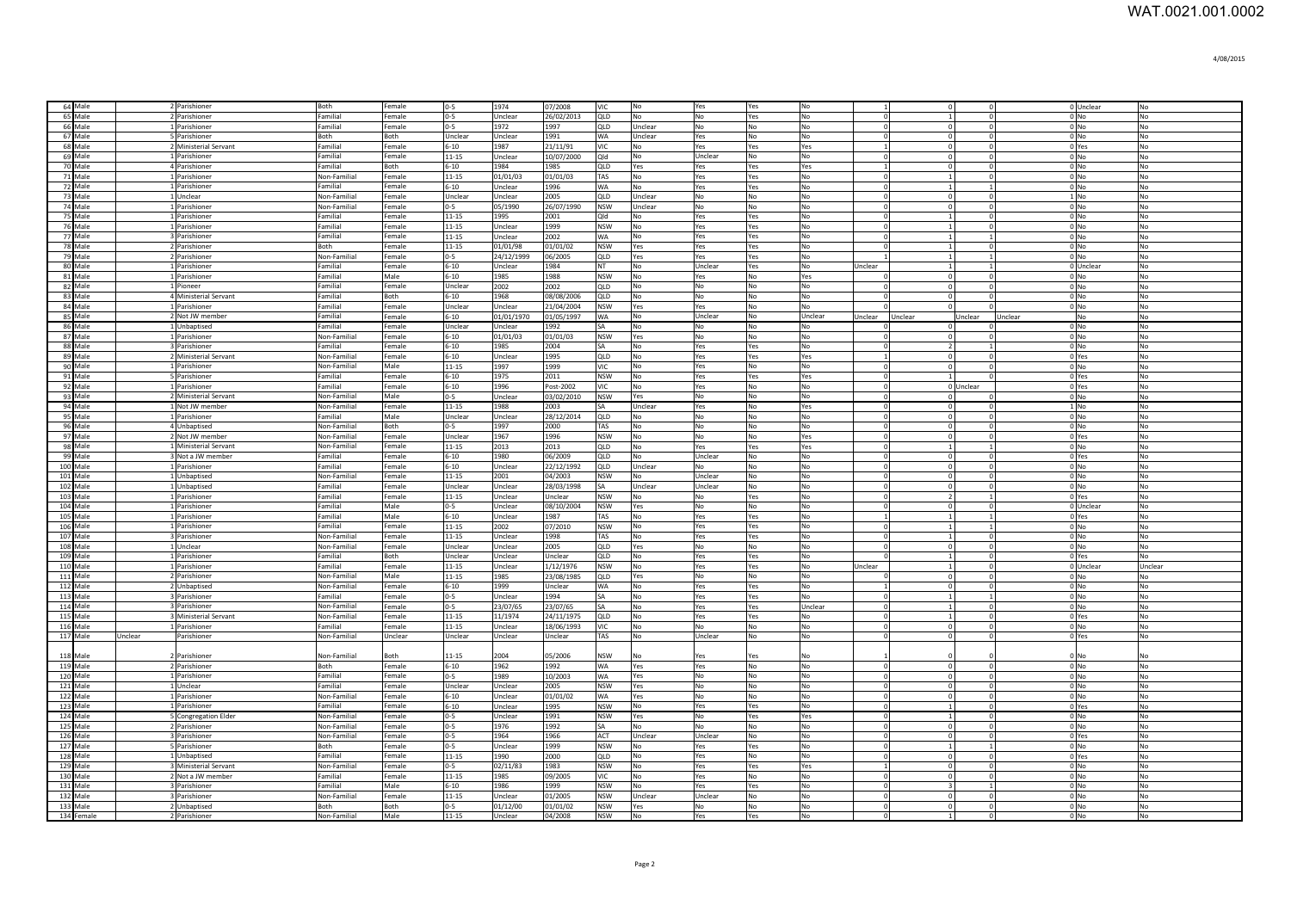| 64 Male            | 2 Parishioner                      | Both                         | Female           | $0-5$                | 1974            | 07/2008               | <b>VIC</b>        | No             | Yes            | Yes            | No             | 1                                | $\overline{0}$             |           |                  | 0 Unclear       | No             |
|--------------------|------------------------------------|------------------------------|------------------|----------------------|-----------------|-----------------------|-------------------|----------------|----------------|----------------|----------------|----------------------------------|----------------------------|-----------|------------------|-----------------|----------------|
| 65 Male            | 2 Parishioner                      | Familial                     | Female           | $0 - 5$              | Unclear         | $\sqrt{26/02/2013}$   | QLD               | No             | No             | Yes            | No             | $\overline{0}$                   | $\vert$ 1                  |           | $0$ No           |                 | No             |
| 66 Male            | 1 Parishioner                      | Familial                     | Female           | $0 - 5$              | 1972            | 1997                  | QLD               | Unclear        | No             | No             | No             | $\overline{0}$                   | $\overline{0}$             |           | $0$ No           |                 | No             |
| 67 Male            | 5 Parishioner                      | Both                         | Both             | Unclear              | Unclear         | 1991                  | <b>WA</b>         | Unclear        | Yes            | No             | No             | $\overline{0}$                   | $\overline{0}$             |           | $0$ No           |                 | No             |
| 68 Male            | 2 Ministerial Servant              | Familial                     | Female           | $6 - 10$             | 1987            | 21/11/91              | VIC               | No             | Yes            | Yes            | Yes            | $\overline{1}$                   | $\overline{0}$             |           |                  | 0 Yes           | No             |
| 69 Male            | 1 Parishioner                      | Familial                     | Female           | $11 - 15$            | Unclear         | 10/07/2000            | Qld               | No             | Unclear        | No             | No             | $\overline{0}$                   | $\overline{0}$             |           | $0$ No           |                 | No             |
| 70 Male            | 4 Parishioner                      | Familial                     | Both             | $6 - 10$             | 1984            | 1985                  | QLD               | Yes            | Yes            | Yes            | Yes            |                                  | $\Omega$                   |           | $0$ No           |                 | No             |
| 71 Male            | Parishioner                        | Non-Familial                 | Female           | 11-15                | 01/01/03        | 01/01/03              | TAS               | No             | Yes            | es /           | No             | $\Omega$                         |                            |           | $0$ No           |                 | No             |
| 72 Male            | Parishioner                        | Familial                     | Female           | $5 - 10$             | Jnclear         | 1996                  | WA                | No             | Yes            | es /           | No             | $\overline{0}$                   | $\mathbf{1}$               |           | $0$ No           |                 | <b>No</b>      |
| 73 Male            | Unclear                            | Non-Familial                 | Female           | <b>Jnclear</b>       | Jnclear         | 2005                  | QLD               | Unclear        | No             | No             | No             | $\overline{\mathbf{0}}$          | $\mathbf 0$                |           |                  | $1$ No          | No             |
| 74 Male            | Parishioner                        | Non-Familial                 | Female           | $3-5$                | 05/1990         | 26/07/1990            | <b>NSW</b>        | Unclear        | No             | No             | No             | $\overline{0}$                   | $\overline{0}$             |           | $0$ No           |                 | No             |
| 75 Male<br>76 Male | Parishioner<br>Parishioner         | Familial<br>Familial         | Female           | 11-15<br>$11 - 15$   | 1995<br>Jnclear | 2001<br>1999          | blQ<br><b>NSW</b> | No<br>No       | Yes            | Yes            | No<br>No       | $\overline{0}$                   | $\mathbf{1}$               |           | $0$ No           |                 | No<br>No       |
| 77 Male            | Parishioner                        | Familial                     | Female<br>Female | $11 - 15$            | Unclear         | 2002                  | <b>WA</b>         | N <sub>0</sub> | Yes<br>Yes     | Yes<br>Yes     | N <sub>0</sub> | $\overline{0}$<br>$\overline{0}$ | $\vert$ 1<br>$\vert$ 1     |           | $0$ No<br>$0$ No |                 | N <sub>o</sub> |
| 78 Male            | 2 Parishioner                      | <b>Both</b>                  | Female           | 11-15                | 01/01/98        | 01/01/02              | <b>NSW</b>        | <b>Yes</b>     | Yes            | Yes            | No             | $\overline{0}$                   | 1                          |           | $0$ No           |                 | N <sub>o</sub> |
| 79 Male            | 2 Parishioner                      | Non-Familial                 | Female           | $0 - 5$              | 24/12/1999      | 06/2005               | QLD               | <b>Yes</b>     | Yes            | Yes            | l No           | $\overline{1}$                   | $\mathbf{1}$               |           |                  | $0$ No          | No             |
| 80 Male            | 1 Parishioner                      | Familial                     | Female           | $6 - 10$             | Unclear         | 1984                  | INT.              | No.            | Unclear        | Yes            | No             | Unclear                          | $\mathbf{1}$               |           |                  | 0 Unclear       | No             |
| 81 Male            | 1 Parishioner                      | Familial                     | Male             | $6 - 10$             | 1985            | 1988                  | <b>NSW</b>        | No.            | Yes            | N <sub>O</sub> | Yes            | $^{\circ}$                       | $\overline{0}$             |           | $0$ No           |                 | No             |
| 82 Male            | 1 Pioneer                          | Familial                     | Female           | Unclear              | 2002            | 2002                  | QLD               | No             | No             | No             | No             | $\overline{0}$                   | $\overline{0}$             |           | $0$ No           |                 | No             |
| 83 Male            | 4 Ministerial Servant              | Familial                     | Both             | 6-10                 | 1968            | 08/08/2006            | QLD               | No             | No             | No             | No             | $\mathbf{0}$                     | $\overline{0}$             |           | $0$ No           |                 | No             |
| 84 Male            | 1 Parishioner                      | Familial                     | Female           | Unclear              | Unclear         | 21/04/2004            | <b>NSW</b>        | Yes            | Yes            | No             | No             |                                  | $\Omega$                   |           | $0$ No           |                 | No             |
| 85 Male            | 2 Not JW member                    | Familial                     | Female           | 5-10                 | 01/01/1970      | 01/05/1997            | WA                | No             | Unclear        | No             | Unclear        | Jnclear Unclear                  |                            | Unclear   | Unclear          | No              | No             |
| 86 Male            | 1 Unbaptised                       | Familial                     | Female           | <b>Unclear</b>       | Unclear         | 1992                  | ŝА                | No             | No             | No             | No             |                                  | $^{\circ}$                 |           |                  | 0 No            | No             |
| 87 Male            | 1 Parishioner                      | Non-Familial                 | Female           | $5 - 10$             | 01/01/03        | 01/01/03              | <b>NSW</b>        | Yes            | No             | No             | No             | $\overline{0}$                   | $\overline{0}$             |           | $0$ No           |                 | No             |
| 88 Male            | <b>Parishioner</b>                 | Familial                     | Female           | $6 - 10$             | 1985            | 2004                  | SA                | No             | Yes            | Yes            | No             | $\overline{0}$                   | $\overline{2}$             |           | $0$ No           |                 | No             |
| 89 Male            | 2 Ministerial Servant              | Non-Familial                 | Female           | $6 - 10$             | Unclear         | 1995                  | QLD               | No             | Yes            | Yes            | Yes            |                                  | $\mathbf 0$                |           |                  | 0 Yes           | No             |
| 90 Male            | <b>Parishioner</b>                 | Non-Familial                 | Male             | 11-15                | 1997            | 1999                  | VIC.              | No             | Yes            | No             | No             | $\Omega$                         | $\Omega$                   |           |                  | $0$ No          | No             |
| 91 Male            | <b>5</b> Parishioner               | Familial                     | Female           | $6 - 10$             | 1975            | 2011                  | <b>NSW</b>        | No             | Yes            | Yes            | Yes            | $\Omega$                         |                            |           |                  | 0 Yes           | No             |
| 92 Male            | <b>Parishioner</b>                 | Familial                     | Female           | $6 - 10$             | 1996            | Post-2002             | VIC.              | No             | Yes            | No             | No             | $\Omega$                         |                            | 0 Unclear |                  | 0 Yes           | No             |
| 93 Male            | 2 Ministerial Servant              | Non-Familial                 | Male             | ln-5                 | Unclear         | 03/02/2010            | <b>NSW</b>        | Yes            | No             | <b>No</b>      | No             | $\overline{0}$                   | $\overline{0}$             |           | $0$ No           |                 | No             |
| 94 Male            | 1 Not JW member                    | Non-Familial                 | Female           | 11-15                | 1988            | 2003                  | ٢Δ                | Unclear        | Yes            | No             | Yes            | $\Omega$                         | $\Omega$                   |           |                  | $1$ No          | N <sub>o</sub> |
| 95 Male            | 1 Parishioner                      | Familial                     | Male             | Unclear              | Unclear         | 28/12/2014            | QLD               | No             | No             | No             | No             | $\Omega$                         | $\Omega$                   |           | 0 <sub>No</sub>  |                 | N <sub>o</sub> |
| 96 Male<br>97 Male | 4 Unbaptised<br>2 Not JW member    | Non-Familial<br>Non-Familial | Both<br>Female   | $0 - 5$              | 1997            | 2000                  | TAS               | No             | No             | <b>No</b>      | No             | $\Omega$<br>$\Omega$             | $\Omega$                   |           | $0$ No           |                 | No             |
| 98 Male            |                                    | Non-Familial                 | Female           | Unclear              | 1967            | 1996                  | <b>NSW</b>        | No             | No             | No             | Yes            | $\Omega$                         | $\Omega$<br>$\overline{1}$ |           |                  | 0 Yes           | No             |
| 99 Male            | 1 Ministerial Servant              | Familial                     | Female           | $11 - 15$            | 2013            | 2013                  | QLD               | No<br>No       | Yes<br>Unclear | Yes<br>No      | Yes            | $\Omega$                         | $\circ$                    |           | 0 <sub>No</sub>  |                 | No             |
| 100 Male           | 3 Not a JW member<br>1 Parishioner | Familial                     | Female           | $6 - 10$<br>$6 - 10$ | 1980<br>Unclear | 06/2009<br>22/12/1992 | QLD<br>QLD        | Unclear        | N٥             | No             | No<br>No       | $\Omega$                         | $\mathbf 0$                |           | $0$ No           | 0 Yes           | No<br>No       |
| 101 Male           | 1 Unbaptised                       | Non-Familial                 | Female           | $11 - 15$            | 2001            | 04/2003               | <b>NSW</b>        | No             | Unclear        | No             | No             | $\overline{0}$                   | $\circ$                    |           | $0$ No           |                 | No             |
| 102 Male           | 1 Unbaptised                       | Familial                     | Female           | Unclear              | Unclear         | 28/03/1998            | <b>SA</b>         | Unclear        | Unclear        | No             | No             | $\overline{0}$                   | $\mathbf 0$                |           | $0$ No           |                 | No             |
| 103 Male           | 1 Parishioner                      | Familial                     | Female           | 11-15                | Unclear         | Unclear               | <b>NSW</b>        | No             | No             | Yes            | No             | $\overline{0}$                   | $\overline{2}$             |           |                  | 0 Yes           | No             |
| 104 Male           | 1 Parishioner                      | Familial                     | Male             | $0 - 5$              | Unclear         | 08/10/2004            | <b>NSW</b>        | Yes            | No             | No             | No             | $\overline{0}$                   | $\overline{0}$             | $\Omega$  |                  | 0 Unclear       | No             |
| 105 Male           | 1 Parishioner                      | Familial                     | Male             | $6 - 10$             | Unclear         | 1987                  | TAS               | No             | Yes            | Yes            | No             |                                  | $\mathbf{1}$               |           |                  | 0 Yes           | No             |
| 106 Male           | 1 Parishioner                      | Familial                     | Female           | $11 - 15$            | 2002            | 07/2010               | <b>NSW</b>        | No             | Yes            | Yes            | No             | $\overline{0}$                   | $\mathbf{1}$               |           |                  | $0$ No          | No             |
| 107 Male           | Parishioner                        | Non-Familial                 | Female           | $11 - 15$            | Jnclear         | 1998                  | TAS               | No             | Yes            | Yes            | No             | $\Omega$                         | $\mathbf{1}$               |           |                  | $0$ No          | No             |
| 108 Male           | 1 Unclear                          | Non-Familial                 | Female           | Unclear              | Inclear         | 2005                  | QLD               | Yes            | No             | No             | No             |                                  | $\overline{0}$             |           |                  | $0$ No          | No             |
| 109 Male           | Parishioner                        | Familial                     | Both             | <b>Jnclear</b>       | Inclear         | Unclear               | QLD               | No             | Yes            | Yes            | No             |                                  | $\mathbf{1}$               |           |                  | 0 Yes           | <b>No</b>      |
| 110 Male           | <b>Parishioner</b>                 | Familial                     | Female           | $11 - 15$            | Jnclear         | 1/12/1976             | <b>NSW</b>        | No             | Yes            | Yes            | No             | Jnclear                          | $\mathbf{1}$               |           |                  | 0 Unclear       | Unclear        |
| 111 Male           | 2 Parishioner                      | Non-Familial                 | Male             | $11 - 15$            | 1985            | 23/08/1985            | <b>QLD</b>        | Yes            | No             | No             | No             |                                  | $\overline{0}$             |           | $0$ No           |                 | No             |
| 112 Male           | 2 Unbaptised                       | Non-Familial                 | Female           | $6 - 10$             | 1999            | Unclear               | <b>WA</b>         | No             | Yes            | Yes            | No             | $\overline{1}$                   | $\Omega$                   |           | $0$ No           |                 | <b>No</b>      |
| 113 Male           | <b>Parishioner</b>                 | Familial                     | Female           | $0 - 5$              | Unclear         | 1994                  | ŝΑ                | No             | Yes            | Yes            | No             | $^{\circ}$                       | 1                          |           | $0$ No           |                 | No             |
| 114 Male           | 3 Parishioner                      | Non-Familial                 | Female           | 0-5                  | 23/07/65        | 23/07/65              | SΑ                | N <sub>o</sub> | Yes            | Yes            | Unclear        | $^{\circ}$                       | $\vert$ 1                  |           | 0 <sub>No</sub>  |                 | N <sub>o</sub> |
| 115 Male           | <b>3</b> Ministerial Servant       | Non-Familial                 | Female           | $11 - 15$            | 11/1974         | 24/11/1975            | QLD               | No             | Yes            | Yes            | No             | $\mathbf{0}$                     | 1                          |           |                  | 0 Yes           | N <sub>o</sub> |
| 116 Male           | 1 Parishioner                      | Familial                     | Female           | 11-15                | Unclear         | 18/06/1993            | <b>VIC</b>        | No             | No             | No             | No             | $\mathbf{0}$                     | $\overline{0}$             |           | $0$ No           |                 | No             |
| 117 Male           | Unclear<br>Parishioner             | Non-Familial                 | Unclear          | Unclear              | Unclear         | Unclear               | TAS               | No             | Unclear        | No             | No             | $\overline{\mathbf{0}}$          | $\mathbf 0$                |           |                  | 0 Yes           | No             |
| 118 Male           |                                    |                              | Both             | 11-15                | 2004            |                       |                   | No             |                | Yes            |                |                                  |                            |           | 0 <sub>Nc</sub>  |                 | No             |
| 119 Male           | Parishioner<br>2 Parishioner       | Non-Familial<br>Both         | Female           | $6 - 10$             | 1962            | 05/2006<br>1992       | NSW<br>WA         | Yes            | Yes<br>Yes     | No             | No<br>No       | $\overline{0}$                   | $\overline{0}$             | $\Omega$  | $0$ No           |                 | No             |
| 120 Male           | 1 Parishioner                      | Familial                     | Female           | $0 - 5$              | 1989            | 10/2003               | WA                | Yes            | No             | No             | No             | $\overline{0}$                   | $\overline{0}$             |           | $0$ No           |                 | No             |
| 121 Male           | 1 Unclear                          | Familial                     | Female           | Unclear              | Unclear         | 2005                  | <b>NSW</b>        | Yes            | No             | No             | No             | $\overline{0}$                   | $\overline{0}$             |           | $0$ No           |                 | <b>No</b>      |
| 122 Male           | 1 Parishioner                      | Non-Familial                 | Female           | $6 - 10$             | Unclear         | 01/01/02              | <b>WA</b>         | Yes            | No             | No             | No             | $\overline{0}$                   | $\overline{0}$             |           | $0$ No           |                 | <b>No</b>      |
| 123 Male           | 1 Parishioner                      | Familial                     | Female           | $6 - 10$             | Unclear         | 1995                  | <b>NSW</b>        | No             | Yes            | Yes            | No             | $\overline{0}$                   | $\mathbf{1}$               |           |                  | 0 Yes           | <b>No</b>      |
| 124 Male           | <b>S</b> Congregation Elder        | Non-Familial                 | Female           | $0 - 5$              | Unclear         | 1991                  | <b>NSW</b>        | Yes            | No             | Yes            | Yes            | $\overline{0}$                   | $\mathbf{1}$               |           | $0$ No           |                 | <b>No</b>      |
| 125 Male           | 2 Parishioner                      | Non-Familial                 | Female           | $0 - 5$              | 1976            | 1992                  | <b>SA</b>         | No             | No             | No             | No             | $\overline{0}$                   | $\overline{0}$             |           |                  | $0$ No          | No             |
| 126 Male           | 3 Parishioner                      | Non-Familial                 | Female           | $0 - 5$              | 1964            | 1966                  | ACT               | Unclear        | Unclear        | No             | No             | $\Omega$                         | $\Omega$                   |           |                  | 0 Yes           | No             |
| 127 Male           | <b>5</b> Parishioner               | Both                         | Female           | $0 - 5$              | Unclear         | 1999                  | <b>NSW</b>        | No             | Yes            | Yes            | No             | $\Omega$                         | $\mathbf{1}$               |           |                  | $0$ No          | No             |
| 128 Male           | 1 Unbaptised                       | Familial                     | Female           | 11-15                | 1990            | 2000                  | QLD               | No             | Yes            | No             | No             | $\Omega$                         | $\Omega$                   |           |                  | 0 Yes           | No             |
| 129 Male           | Ministerial Servant                | Non-Familial                 | Female           | $0-5$                | 02/11/83        | 1983                  | <b>NSW</b>        | N <sub>o</sub> | Yes            | Yes            | Yes            | $\overline{1}$                   | $\circ$                    |           | $0$ No           |                 | No             |
| 130 Male           | 2 Not a IW member                  | Familial                     | Female           | 11-15                | 1985            | 09/2005               | VIC.              | No             | Yes            | No             | No             | $\Omega$                         | $\Omega$                   |           |                  | 0 <sub>No</sub> | N <sub>o</sub> |
| 131 Male           | 3 Parishioner                      | Familial                     | Male             | $6 - 10$             | 1986            | 1999                  | <b>NSW</b>        | No             | Yes            | Yes            | No             | $\Omega$                         | $\overline{3}$             |           | 0 <sub>No</sub>  |                 | N <sub>o</sub> |
| 132 Male           | 3 Parishioner                      | Non-Familial                 | Female           | 11-15                | Unclear         | 01/2005               | <b>NSW</b>        | Unclear        | Unclear        | <b>No</b>      | No             | $\overline{0}$                   | $\overline{0}$             |           | $0$ No           |                 | No             |
| 133 Male           | 2 Unbaptised                       | Both                         | Both             | $0 - 5$              | 01/12/00        | 01/01/02              | <b>NSW</b>        | Yes            | N <sub>0</sub> | No             | N <sub>o</sub> | $\Omega$                         | $\Omega$                   |           |                  | $0$ No          | No             |
| 134 Female         | 2 Parishioner                      | Non-Familial                 | Male             | 11-15                | Unclear         | 04/2008               | <b>NSW</b>        | N <sub>o</sub> | Yes            | Yes            | <b>No</b>      | $\Omega$                         |                            |           |                  | $0$ No          | No             |
|                    |                                    |                              |                  |                      |                 |                       |                   |                |                |                |                |                                  |                            |           |                  |                 |                |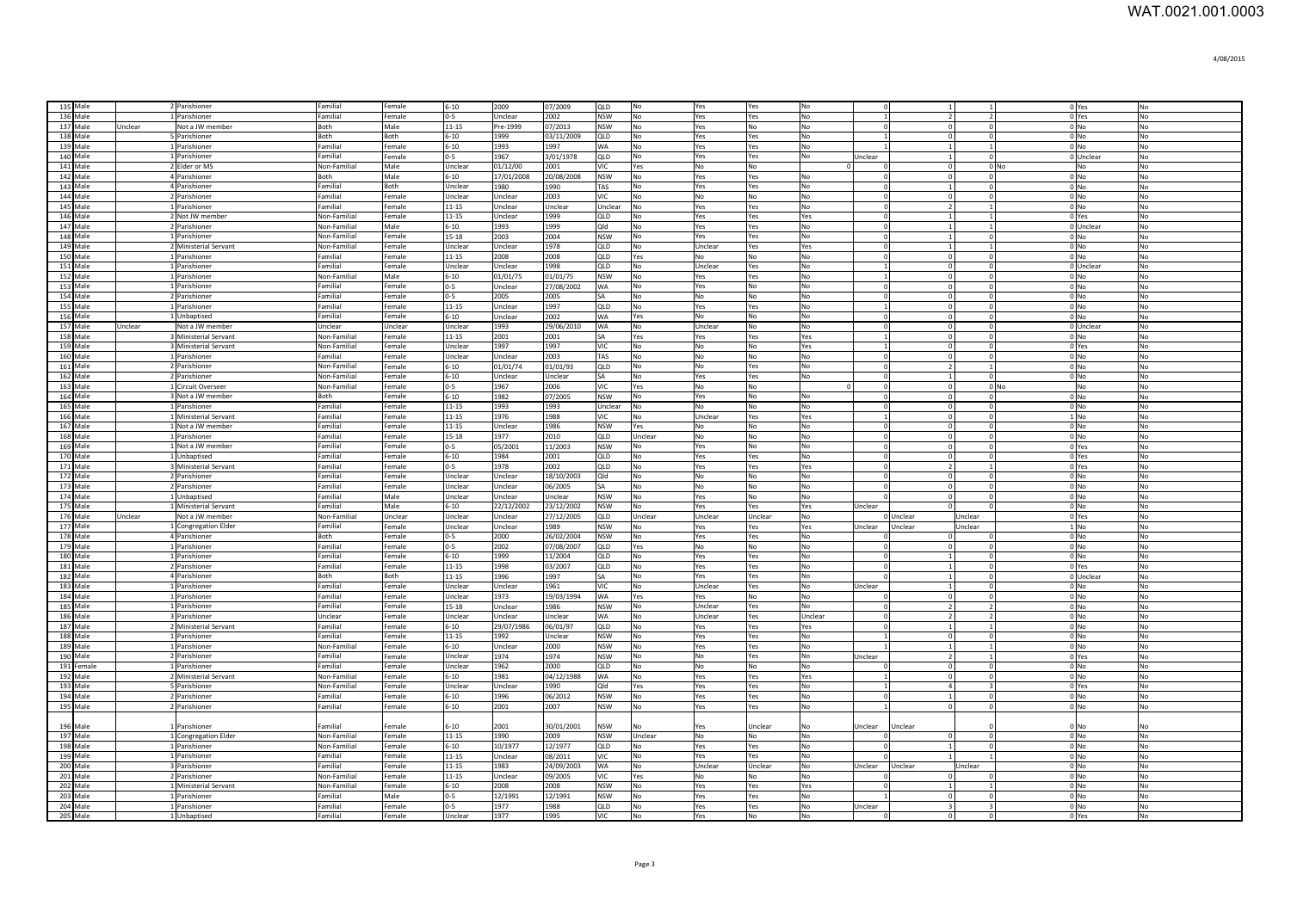| 135 Male   |         | 2 Parishioner         | Familial            | Female  | 6-10      | 2009       | 07/2009    | loup       | No             | Yes        | Yes            | <b>No</b>      |                |           |                              |                          | 0 Yes           | N <sub>0</sub> |
|------------|---------|-----------------------|---------------------|---------|-----------|------------|------------|------------|----------------|------------|----------------|----------------|----------------|-----------|------------------------------|--------------------------|-----------------|----------------|
| 136 Male   |         | 1 Parishioner         | Familial            | Female  | $0-5$     | Unclear    | 2002       | <b>NSW</b> | No             | Yes        | Yes            | lNo.           |                |           | $\overline{2}$               | $\overline{2}$           | 0 Yes           | No             |
| 137 Male   | Unclear | Not a JW member       | Both                | Male    | $11 - 15$ | Pre-1999   | 07/2013    | <b>NSW</b> | N <sub>o</sub> | Yes        | No             | <b>No</b>      |                |           | $\sqrt{2}$                   | $\Omega$                 | $0$ No          | No             |
| 138 Male   |         | 5 Parishioner         | <b>Both</b>         | Both    | $6 - 10$  | 1999       | 03/11/2009 | QLD        | No             | Yes        | Yes            | No             |                |           | $\sqrt{2}$                   | $\Omega$                 | 0 <sub>No</sub> | No             |
| 139 Male   |         | 1 Parishioner         | Familial            | Female  | $6 - 10$  | 1993       | 1997       | <b>WA</b>  | No             | Yes        | Yes            | No             |                |           | $\vert$ 1                    | 1                        | $0$ No          | No             |
| 140 Male   |         | 1 Parishioner         | Familial            | Female  | $n - 5$   | 1967       | 3/01/1978  | QLD        | <b>No</b>      | Yes        | Yes            | No             | Unclear        |           |                              | $\Omega$                 | 0 Unclear       | No             |
| 141 Male   |         | 2 Elder or MS         | Non-Familial        | Male    | Unclear   | 01/12/00   | 2001       | VIC        | Yes            | No         | No             |                |                |           | $\Omega$                     | $0$ No                   | No              | No             |
| 142 Male   |         | 4 Parishioner         | Both                | Male    | $6 - 10$  | 17/01/2008 | 20/08/2008 | <b>NSW</b> | No             | Yes        | Yes            | No             |                |           | $\Omega$                     |                          | $0$ No          | No             |
|            |         |                       |                     |         |           |            |            |            |                |            |                |                |                |           |                              |                          |                 |                |
| 143 Male   |         | 4 Parishioner         | Familial            | Both    | Unclear   | 1980       | 1990       | TAS        | No             | Yes        | Yes            | No             |                |           |                              |                          | $0$ No          | No             |
| 144 Male   |         | 2 Parishioner         | Familial            | Female  | Unclear   | Unclear    | 2003       | VIC        | No             | No         | No             | No             |                |           |                              |                          | 0 <sub>No</sub> | No             |
| 145 Male   |         | 1 Parishioner         | Familial            | Female  | $11 - 15$ | Unclear    | Unclear    | Unclear    | N <sub>o</sub> | Yes        | Yes            | <b>No</b>      |                |           |                              |                          | $0$ No          | No             |
| 146 Male   |         | 2 Not JW member       | Non-Familial        | Female  | 11-15     | Jnclear    | 1999       | QLD        | No             | Yes        | Yes            | Yes            |                |           |                              |                          | 0 Yes           | No             |
| 147 Male   |         | 2 Parishioner         | Non-Familial        | Male    | $6 - 10$  | 1993       | 1999       | blO        | No             | Yes        | Yes            | No             |                |           |                              |                          | 0 Unclear       | No             |
| 148 Male   |         | 1 Parishioner         | <b>Non-Familial</b> | Female  | 15-18     | 2003       | 2004       | <b>NSW</b> | No             | Yes        | Yes            | <b>No</b>      |                |           |                              |                          | 0 <sub>No</sub> | No             |
| 149 Male   |         | 2 Ministerial Servant | Non-Familial        | Female  | Unclear   | Unclear    | 1978       | QLD        | <b>No</b>      | Unclear    | Yes            | Yes            |                |           |                              |                          | 0 No            | No             |
| 150 Male   |         | 1 Parishioner         | Familial            | Female  | $11 - 15$ | 2008       | 2008       | <b>QLD</b> | Yes            | No.        | N <sub>0</sub> | No             |                |           |                              | $\Omega$                 | $0 \text{N}$    | <b>No</b>      |
| 151 Male   |         | 1 Parishioner         | Familial            | Female  | Unclear   | Unclear    | 1998       | <b>QLD</b> | N <sub>0</sub> | Unclear    | Yes            | <b>No</b>      |                |           |                              |                          | 0 Unclear       | N <sub>0</sub> |
| 152 Male   |         | 1 Parishioner         | Non-Familial        | Male    | $6 - 10$  | 01/01/75   | 01/01/75   | <b>NSW</b> | N <sub>o</sub> | Yes        | Yes            | <b>No</b>      |                |           |                              |                          | 0 <sub>No</sub> | <b>No</b>      |
| 153 Male   |         | 1 Parishioner         | Familial            | Female  | $0 - 5$   | Unclear    | 27/08/2002 | <b>WA</b>  | N <sub>O</sub> | Yes        | N <sub>o</sub> | N <sub>0</sub> |                |           |                              |                          | $0$ No          | No             |
| 154 Male   |         | 2 Parishioner         | Familial            | Female  | $0 - 5$   | 2005       | 2005       | <b>SA</b>  | No             | l No       | No             | No             |                |           |                              |                          | $0$ No          | No             |
| 155 Male   |         | 1 Parishioner         | Familial            | Female  | $11 - 15$ | Unclear    | 1997       | QLD        | No             | Yes        | Yes            | No             |                |           |                              |                          | $0$ No          | No             |
| 156 Male   |         | 1 Unbaptised          | Familial            | Female  | $6 - 10$  | Unclear    | 2002       | <b>WA</b>  | Yes            | No         | No             | No             |                |           | $\Omega$                     | 0                        | 0 No            | No             |
| 157 Male   | Unclear | Not a JW member       | Unclear             | Unclear | Unclear   | 1993       | 29/06/2010 | <b>WA</b>  | No             | Unclear    | No             | No             | $\Omega$       |           | $\Omega$                     | $\mathbf{0}$             | OUnclear        | No             |
| 158 Male   |         | 3 Ministerial Servant | Non-Familial        | Female  | 11-15     | 2001       | 2001       | l SA       | Yes            | Yes        | Yes            | Yes            | $\mathbf{1}$   |           | $\overline{0}$<br>$^{\circ}$ |                          | 0 <sub>No</sub> | No             |
| 159 Male   |         | 3 Ministerial Servant | Non-Familial        | Female  | Unclear   | 1997       | 1997       | <b>VIC</b> | No             | No         | No             | Yes            | $\overline{1}$ |           | $\overline{0}$               | $\mathbf 0$              | 0 Yes           | No             |
| 160 Male   |         | 1 Parishioner         | Familial            | Female  | Unclear   | Unclear    | 2003       | TAS        | No             | No         | No             | No             | $\Omega$       |           | $\overline{0}$               | $\mathbf{0}$             | 0 <sub>No</sub> | No             |
|            |         |                       |                     |         |           |            |            |            |                |            |                |                |                |           | $\overline{2}$               | 1 <sup>1</sup>           |                 |                |
| 161 Male   |         | 2 Parishioner         | Non-Familial        | Female  | $6 - 10$  | 01/01/74   | 01/01/93   | QLD        | No             | No         | Yes            | No             |                |           |                              |                          | $0$ No          | No             |
| 162 Male   |         | 2 Parishioner         | Non-Familial        | Female  | $6 - 10$  | Unclear    | Unclear    | <b>SA</b>  | No             | Yes        | Yes            | No             |                |           |                              | $\mathbf{0}$             | $0$ No          | No             |
| 163 Male   |         | 1 Circuit Overseer    | Non-Familial        | Female  | $0 - 5$   | 1967       | 2006       | lvıc.      | Yes            | No         | No             |                |                |           | $\Omega$                     | $0$ No                   | No              | No             |
| 164 Male   |         | 3 Not a JW member     | Both                | Female  | $6 - 10$  | 1982       | 07/2005    | <b>NSW</b> | No             | Yes        | No             | No             |                |           | $\Omega$                     | $\Omega$                 | $0$ No          | No             |
| 165 Male   |         | 1 Parishioner         | Familial            | Female  | $11 - 15$ | 1993       | 1993       | Unclear    | No             | No         | No             | No             |                |           | $\Omega$                     | $\Omega$                 | 0 <sub>No</sub> | No             |
| 166 Male   |         | 1 Ministerial Servant | Familial            | Female  | $11 - 15$ | 1976       | 1988       | VIC.       | N <sub>O</sub> | Unclear    | Yes            | Yes            |                |           | $\Omega$                     | $\Omega$                 | $1 \text{N}$    | No             |
| 167 Male   |         | 1 Not a JW member     | Familial            | Female  | $11 - 15$ | Unclear    | 1986       | <b>NSW</b> | Yes            | No         | No             | No             |                |           | $\Omega$                     | $\Omega$                 | 0 <sub>No</sub> | N <sub>o</sub> |
| 168 Male   |         | 1 Parishioner         | Familial            | Female  | $15 - 18$ | 1977       | 2010       | QLD        | Unclear        | No         | No             | No             | $\Omega$       |           | $\circ$                      | $\circ$                  | 0 <sub>No</sub> | No             |
| 169 Male   |         | 1 Not a JW member     | Familial            | Female  | $0 - 5$   | 05/2001    | 11/2003    | <b>NSW</b> | No             | Yes        | No             | No             |                |           | $\sqrt{2}$                   | $\Omega$                 | 0 Yes           | No             |
| 170 Male   |         | 1 Unbaptised          | Familial            | Female  | $6 - 10$  | 1984       | 2001       | QLD        | N <sub>O</sub> | Yes        | Yes            | lNo.           |                |           | $\sqrt{2}$                   | $\Omega$                 | 0 Yes           | No             |
| 171 Male   |         | 3 Ministerial Servant | Familial            | Female  | $0 - 5$   | 1978       | 2002       | loup.      | No             | Yes        | Yes            | Yes            | $\Omega$       |           | $\overline{2}$               | $\overline{1}$           | 0 Yes           | No             |
| 172 Male   |         | 2 Parishioner         | Familial            | Female  | Unclear   | Unclear    | 18/10/2003 | Qld        | No             | No         | No             | No             |                |           | $\Omega$                     | $\Omega$                 | $0$ No          | No             |
| 173 Male   |         | 2 Parishioner         | Familial            | Female  | Unclear   | Unclear    | 06/2005    | lsa.       | No             | No         | No             | No             |                |           | $\Omega$                     | $\Omega$                 | $0$ No          | No             |
| 174 Male   |         | 1 Unbaptised          | Familial            | Male    | Unclear   | Unclear    | Unclear    | <b>NSW</b> | No             | Yes        | No             | No             |                |           | $\Omega$                     | $\Omega$                 | $0$ No          | No             |
| 175 Male   |         | 1 Ministerial Servant | Familial            | Male    | $6 - 10$  | 22/12/2002 | 23/12/2002 | <b>NSW</b> | No             | Yes        | Yes            | Yes            | Unclear        |           | $\Omega$                     |                          | 0 No            | No             |
| 176 Male   | Unclear | Not a JW member       | Non-Familial        | Unclear | Unclear   | Unclear    | 27/12/2005 | QLD        | Unclear        | Unclear    | Unclear        | No             |                | 0 Unclear | Unclear                      |                          | 0 Yes           | No             |
| 177 Male   |         |                       | Familial            | Female  | Unclear   | Unclear    | 1989       | <b>NSW</b> | No             |            |                | Yes            | Unclear        | Unclear   | Unclear                      |                          |                 | No             |
|            |         | 1 Congregation Elder  |                     |         |           |            |            |            |                | Yes        | Yes            |                |                |           |                              |                          | $1$ No          |                |
| 178 Male   |         | 4 Parishioner         | Both                | Female  | $0 - 5$   | 2000       | 26/02/2004 | <b>NSW</b> | No             | Yes        | Yes            | No             |                |           |                              |                          | $0$ No          | No             |
| 179 Male   |         | 1 Parishioner         | Familial            | Female  | $0-5$     | 2002       | 07/08/2007 | QLD        | Yes            | No         | No             | No             |                |           |                              |                          | $0$ No          | No             |
| 180 Male   |         | 1 Parishioner         | Familial            | Female  | $6 - 10$  | 1999       | 11/2004    | QLD        | No             | Yes        | Yes            | No             |                |           |                              |                          | $0$ No          | No             |
| 181 Male   |         | 2 Parishioner         | Familial            | Female  | 11-15     | 1998       | 03/2007    | QLD        | No             | Yes        | Yes            | No             |                |           |                              |                          | 0 Yes           | No             |
| 182 Male   |         | 4 Parishioner         | Both                | Both    | $11 - 15$ | 1996       | 1997       | <b>SA</b>  | No             | Yes        | Yes            | No             |                |           |                              |                          | 0 Unclear       | No             |
| 183 Male   |         | 1 Parishioner         | Familial            | Female  | Unclear   | Unclear    | 1961       | VIC.       | No             | Unclear    | Yes            | No             | Unclear        |           |                              |                          | $0 \text{N}$    | N <sub>0</sub> |
| 184 Male   |         | 1 Parishioner         | Familial            | Female  | Unclear   | 1973       | 19/03/1994 | <b>WA</b>  | Yes            | Yes        | No             | <b>No</b>      |                |           |                              |                          | 0 <sub>No</sub> | N <sub>0</sub> |
| 185 Male   |         | 1 Parishioner         | Familial            | Female  | 15-18     | Unclear    | 1986       | <b>NSW</b> | <b>No</b>      | Unclear    | Yes            | No             |                |           |                              | $\mathcal{P}$            | $0$ No          | No             |
| 186 Male   |         | 3 Parishioner         | Unclear             | Female  | Unclear   | Unclear    | Unclear    | <b>WA</b>  | <b>No</b>      | Unclear    | Yes            | Unclear        |                |           |                              | $\overline{\phantom{a}}$ | 0 <sub>No</sub> | N <sub>o</sub> |
| 187 Male   |         | 2 Ministerial Servant | Familial            | Female  | $6 - 10$  | 29/07/1986 | 06/01/97   | loup.      | No             | Yes        | Yes            | Yes            |                |           | $\overline{1}$               |                          | $0$ No          | N <sub>o</sub> |
| 188 Male   |         | 1 Parishioner         | Familial            | Female  | 11-15     | 1992       | Unclear    | <b>NSW</b> | No             | Yes        | Yes            | No             |                |           | $\Omega$                     | $\mathbf{0}$             | 0 No            | No             |
| 189 Male   |         | 1 Parishioner         | Non-Familial        | Female  | $6 - 10$  | Unclear    | 2000       | <b>NSW</b> | No             | Yes        | Yes            | No             |                |           | $\mathbf{1}$                 | $\mathbf{1}$             | $0$ No          | <b>No</b>      |
| 190 Male   |         | 2 Parishioner         | Familial            | Female  | Unclear   | 1974       | 1974       | <b>NSW</b> | No             | No         | Yes            | No             | Unclear        |           | $\overline{2}$               | $\overline{1}$           | 0 Yes           | No             |
| 191 Female |         | 1 Parishioner         | Familial            | Female  | Unclear   | 1962       | 2000       | QLD        | No             | No         | No             | No             |                |           | $\overline{0}$               | $\mathbf 0$              | 0 No            | No             |
| 192 Male   |         | 2 Ministerial Servant | Non-Familial        | Female  | $6 - 10$  | 1981       | 04/12/1988 | <b>WA</b>  | No             | Yes        | Yes            | Yes            |                |           | $\Omega$                     | $\mathbf 0$              | $0$ No          | No             |
| 193 Male   |         | 5 Parishioner         | Non-Familial        | Female  | Unclear   | Unclear    | 1990       | Qld        | Yes            | Yes        | Yes            | No             |                |           | $\overline{4}$               | 3                        | 0 Yes           | No             |
|            |         |                       |                     |         |           |            |            |            |                |            |                |                |                |           |                              |                          |                 |                |
| 194 Male   |         | 2 Parishioner         | Familial            | Female  | $6 - 10$  | 1996       | 06/2012    | <b>NSW</b> | No             | Yes        | Yes            | No             |                |           |                              | $\mathbf 0$              | $0$ No          | No             |
| 195 Male   |         | 2 Parishioner         | Familial            | Female  | $6 - 10$  | 2001       | 2007       | <b>NSW</b> | No             | Yes        | Yes            | No             |                |           |                              | $\mathbf 0$              | $0$ No          | No             |
|            |         |                       |                     |         |           |            |            |            |                |            |                |                |                |           |                              |                          |                 |                |
| 196 Male   |         | 1 Parishioner         | Familial            | Female  | $6 - 10$  | 2001       | 30/01/2001 | <b>NSW</b> | No             | Yes        | Unclear        | No             | Unclear        | Unclear   |                              |                          | $0$ No          | N <sub>o</sub> |
| 197 Male   |         | 1 Congregation Elder  | Non-Familial        | Female  | 11-15     | 1990       | 2009       | <b>NSW</b> | Unclear        | No         | No             | No             |                |           | $\Omega$                     | $\mathbf{0}$             | $0$ No          | No             |
| 198 Male   |         | 1 Parishioner         | Non-Familial        | Female  | $6 - 10$  | 10/1977    | 12/1977    | loup       | No             | Yes        | Yes            | No             |                |           |                              | $\Omega$                 | 0 <sub>No</sub> | No             |
| 199 Male   |         | 1 Parishioner         | Familial            | Female  | $11 - 15$ | Unclear    | 08/2011    | VIC        | <b>No</b>      | Yes        | Yes            | No             |                |           |                              |                          | 0 <sub>No</sub> | No             |
| 200 Male   |         | 3 Parishioner         | Familial            | Female  | 11-15     | 1983       | 24/09/2003 | <b>WA</b>  | <b>No</b>      | Unclear    | Unclear        | No             | Unclear        | Unclear   | Unclear                      |                          | 0 <sub>No</sub> | No             |
| 201 Male   |         | 2 Parishioner         | Non-Familial        | Female  | 11-15     | Unclear    | 09/2005    | VIC.       | Yes            | No         | No             | No             |                |           |                              |                          | $0 \text{N}$    | N <sub>o</sub> |
| 202 Male   |         | 1 Ministerial Servant | Non-Familial        | Female  | 6-10      | 2008       | 2008       | <b>NSW</b> | N <sub>O</sub> | Yes        | Yes            | Yes            |                |           |                              |                          | 0 <sub>No</sub> | <b>No</b>      |
| 203 Male   |         | 1 Parishioner         | Familial            | Male    | $0-5$     | 12/1991    | 12/1991    | <b>NSW</b> | N <sub>o</sub> | <b>Yes</b> | Yes            | l No           |                |           | $\Omega$                     | $\Omega$                 | 0 <sub>No</sub> | No             |
| 204 Male   |         | 1 Parishioner         | Familial            | Female  | $0 - 5$   | 1977       | 1988       | lord.      | N <sub>O</sub> | Yes        | Yes            | N <sub>o</sub> | Unclear        |           |                              |                          | $0$ No          | No             |
| 205 Male   |         | 1 Unbaptised          | Familial            | Female  | Unclear   | 1977       | 1995       | lvic.      | No             | Yes        | No             | N <sub>o</sub> |                |           |                              |                          | 0 Yes           | No             |
|            |         |                       |                     |         |           |            |            |            |                |            |                |                |                |           |                              |                          |                 |                |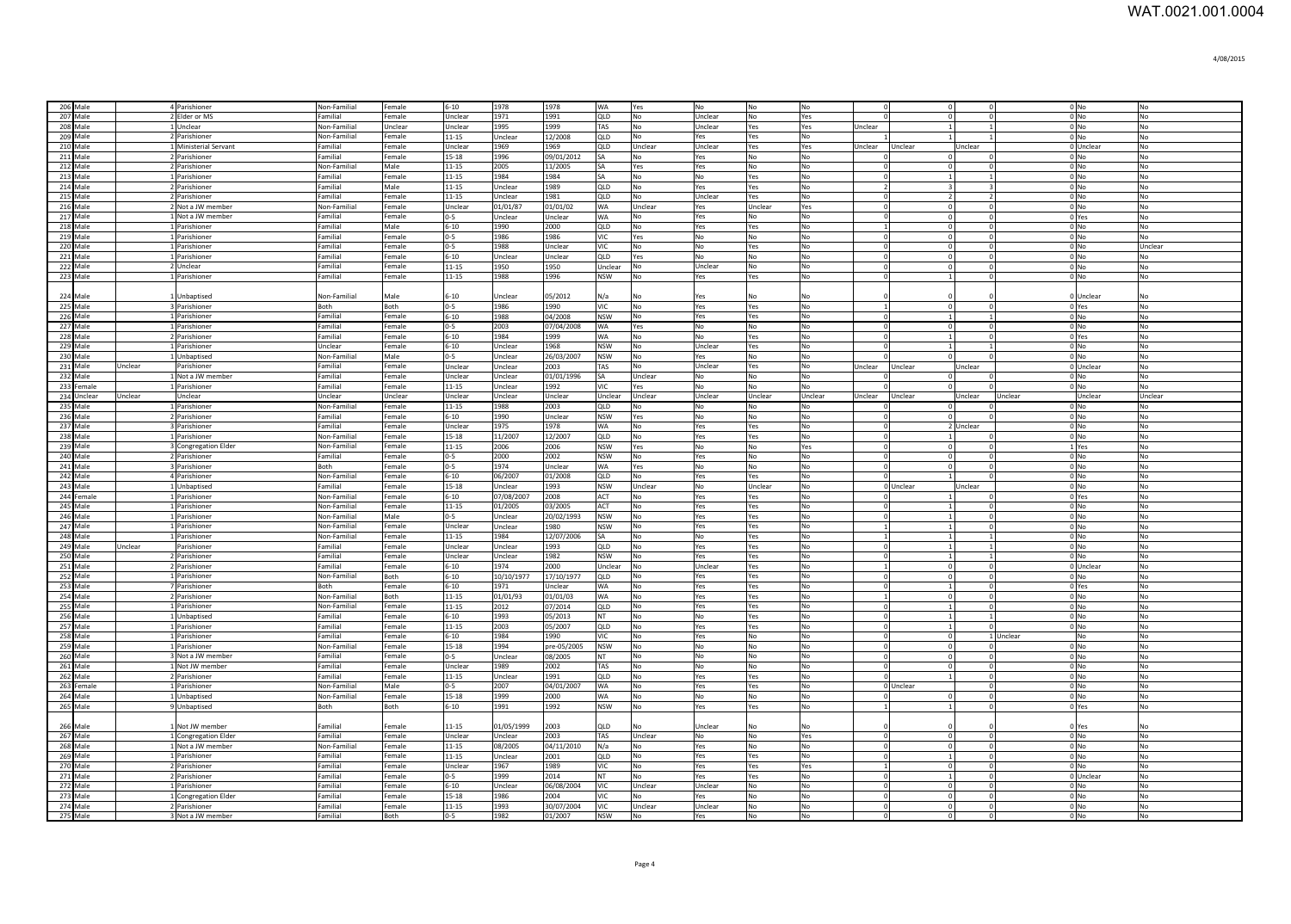| 206 Male             |         | 4 Parishioner                     | Non-Familial             | Female           | $6 - 10$               | 1978            | 1978               | <b>WA</b>                | Yes                   | l No                        | $\mathsf{No}$     | No                   |                      |                                  | $\Omega$                                             |           | 0 No                                 | N <sub>o</sub>                   |
|----------------------|---------|-----------------------------------|--------------------------|------------------|------------------------|-----------------|--------------------|--------------------------|-----------------------|-----------------------------|-------------------|----------------------|----------------------|----------------------------------|------------------------------------------------------|-----------|--------------------------------------|----------------------------------|
| 207 Male             |         | 2 Elder or MS                     | Familial                 | Female           | Unclear                | 1971            | 1991               | QLD                      | No                    | Unclear                     | No                | Yes                  |                      | $\overline{0}$                   | $\circ$                                              |           | $0$ No                               | No                               |
| 208 Male             |         | 1 Unclear                         | Non-Familial             | Unclear          | Unclear                | 1995            | 1999               | TAS                      | No                    | <b>Unclear</b>              | Yes               | Yes                  | Jnclear              |                                  | $\mathbf{1}$                                         |           | $0$ No                               | No                               |
| 209 Male             |         | 2 Parishioner                     | Non-Familial             | Female           | $11 - 15$              | Jnclear         | 12/2008            | QLD                      | No                    | Yes                         | Yes               | No                   |                      |                                  |                                                      |           | $0$ No                               | No                               |
| 210 Male             |         | 1 Ministerial Servant             | Familial                 | Female           | Unclear                | 1969            | 1969               | QLD                      | Unclear               | Unclear                     | Yes               | Yes                  | Jnclear              | Jnclear                          | Unclear                                              |           | 0 Unclear                            | No                               |
| 211 Male             |         | 2 Parishioner                     | Familial                 | Female           | 15-18                  | 1996            | 09/01/2012         | SA                       | No                    | Yes                         | <b>No</b>         | No                   |                      | $\overline{0}$                   |                                                      |           | $0$ No                               | No                               |
| 212 Male<br>213 Male |         | 2 Parishioner<br>1 Parishioner    | Non-Familial<br>Familial | Male<br>Female   | $11 - 15$<br>$11 - 15$ | 2005<br>1984    | 11/2005<br>1984    | SA<br><b>SA</b>          | Yes<br>N <sub>0</sub> | Yes<br><b>No</b>            | <b>No</b>         | <b>No</b><br>No      | $\Omega$             | $\overline{0}$                   | $^{\circ}$                                           |           | $0$ No<br>$0 \text{N}$               | N <sub>o</sub><br>N <sub>0</sub> |
| 214 Male             |         | 2 Parishioner                     | Familial                 | Male             | $11 - 15$              | Unclear         | 1989               | OLD.                     | <b>No</b>             | Yes                         | l Yes<br>Yes      | <b>No</b>            |                      | $\overline{1}$<br>$\overline{3}$ | $\mathbf{1}$<br>$\mathbf{3}$                         |           | $0$ <sub>No</sub>                    | N <sub>0</sub>                   |
| 215 Male             |         | 2 Parishioner                     | Familial                 | Female           | $11 - 15$              | Unclear         | 1981               | QLD                      | <b>No</b>             | Unclear                     | Yes               | No                   | -C                   |                                  | $\overline{2}$<br>2                                  |           | $0$ <sub>No</sub>                    | <b>No</b>                        |
| 216 Male             |         | 2 Not a JW member                 | Non-Familial             | Female           | Unclear                | 01/01/87        | 01/01/02           | <b>WA</b>                | Unclear               | Yes                         | Unclear           | Yes                  | -C                   | $\overline{0}$                   | $\Omega$                                             |           | $0$ <sub>No</sub>                    | N <sub>0</sub>                   |
| 217 Male             |         | 1 Not a JW member                 | Familial                 | Female           | $0 - 5$                | Unclear         | Unclear            | WA                       | N <sub>0</sub>        | Yes                         | l No              | No                   |                      |                                  | $\circ$<br>$\Omega$                                  |           | 0 Yes                                | N <sub>o</sub>                   |
| 218 Male             |         | 1 Parishioner                     | Familial                 | Male             | $6 - 10$               | 1990            | 2000               | QLD                      | No                    | Yes                         | Yes               | No                   |                      |                                  | $\circ$<br>$^{\circ}$                                |           | $0$ No                               | <b>No</b>                        |
| 219 Male             |         | 1 Parishioner                     | Familial                 | Female           | $0 - 5$                | 1986            | 1986               | VIC                      | Yes                   | No                          | No                | <b>No</b>            | -C                   | $\mathbf 0$                      | $^{\circ}$                                           |           | $0$ No                               | <b>No</b>                        |
| 220 Male             |         | 1 Parishioner                     | Familial                 | Female           | $0 - 5$                | 1988            | Unclear            | VIC                      | No                    | No                          | Yes               | No                   | $\Omega$             |                                  | $\overline{0}$<br>$^{\circ}$                         |           | $0$ No                               | Unclear                          |
| 221 Male             |         | 1 Parishioner                     | Familial                 | Female           | $6 - 10$               | Unclear         | Unclear            | QLD                      | Yes                   | No                          | No                | No                   | $\Omega$             |                                  | $\circ$<br>$\overline{0}$                            |           | $0$ No                               | No                               |
| 222 Male             |         | 2 Unclear                         | Familial                 | Female           | 11-15                  | 1950            | 1950               | Unclear                  | No                    | Unclear                     | No                | No                   | $\Omega$             |                                  | $\circ$<br>$\circ$                                   |           | $0$ No                               | No                               |
| 223 Male             |         | 1 Parishioner                     | Familial                 | Female           | 11-15                  | 1988            | 1996               | <b>NSW</b>               | No                    | Yes                         | Yes               | No                   | $\Omega$             | $\mathbf{1}$                     | $\Omega$                                             |           | $0$ No                               | No                               |
|                      |         |                                   |                          | Male             |                        |                 |                    |                          | No                    |                             | No                | No                   |                      |                                  |                                                      |           |                                      |                                  |
| 224 Male<br>225 Male |         | Unbaptised<br>3 Parishioner       | Non-Familial<br>Both     | Both             | $6 - 10$<br>$0 - 5$    | Unclear<br>1986 | 05/2012<br>1990    | N/a<br><b>VIC</b>        | No                    | Yes<br>Yes                  | Yes               | No                   | $\overline{1}$       | $\overline{0}$                   | $^{\circ}$                                           |           | 0 Unclear                            | No<br>No                         |
| 226 Male             |         | 1 Parishioner                     | Familial                 | Female           | $6 - 10$               | 1988            | 04/2008            | <b>NSW</b>               | No                    | Yes                         | Yes               | No                   | $\Omega$             | $\vert$ 1                        | $\mathbf{1}$                                         |           | 0 Yes<br>$0$ No                      | No                               |
| 227 Male             |         | 1 Parishioner                     | Familial                 | Female           | $0 - 5$                | 2003            | 07/04/2008         | <b>WA</b>                | Yes                   | No                          | No                | No                   | $\Omega$             |                                  | $\circ$<br>$\Omega$                                  |           | $0$ No                               | No                               |
| 228 Male             |         | 2 Parishioner                     | Familial                 | Female           | $6 - 10$               | 1984            | 1999               | <b>WA</b>                | No                    | <b>No</b>                   | Yes               | No                   | $\Omega$             | $\vert$ 1                        | $^{\circ}$                                           |           | 0 Yes                                | No                               |
| 229 Male             |         | 1 Parishioner                     | Unclear                  | Female           | $6 - 10$               | Jnclear         | 1968               | <b>NSW</b>               | No                    | Unclear                     | Yes               | No                   |                      |                                  |                                                      |           | $0$ No                               | No                               |
| 230 Male             |         | Unbaptised                        | Non-Familial             | Male             | $0 - 5$                | Jnclear         | 26/03/2007         | <b>NSW</b>               | No                    | Yes                         | No                | No                   |                      | $\Omega$                         | $\Omega$                                             |           | $0 $ No                              | No                               |
| 231 Male             | Jnclear | Parishioner                       | Familial                 | Female           | Unclear                | Jnclear         | 2003               | TAS                      | No                    | Unclear                     | Yes               | No                   | Unclear              | Unclear                          | Unclear                                              |           | 0 Unclear                            | No                               |
| 232 Male             |         | Not a JW member                   | Familial                 | Female           | Unclear                | Unclear         | 01/01/1996         | SA                       | Unclear               | No                          | No                | No                   |                      |                                  | $\Omega$                                             |           | 0 <sub>No</sub>                      | No                               |
| 233 Female           |         | Parishioner                       | Familial                 | Female           | $11 - 15$              | Unclear         | 1992               | VIC                      | Yes                   | No                          | <b>No</b>         | No                   |                      | $\Omega$                         | $\Omega$                                             |           | 0 <sub>No</sub>                      | N <sub>o</sub>                   |
| 234 Unclear          | Unclear | Unclear                           | Unclear                  | Unclear          | Unclear                | Unclear         | Unclear            | Unclear                  | Unclear               | Unclear                     | Unclear           | Unclear              | Unclear              | Unclear                          | Unclear                                              | Unclear   | <b>Unclear</b>                       | Unclear                          |
| 235 Male<br>236 Male |         | Parishioner<br>2 Parishioner      | Non-Familial<br>Familial | Female<br>Female | 11-15<br>$6 - 10$      | 1988<br>1990    | 2003               | QLD<br><b>NSW</b>        | No<br>Yes             | <b>No</b><br>N <sub>o</sub> | l No<br><b>No</b> | No<br>No             |                      | $\Omega$                         | $\Omega$<br>$\Omega$                                 |           | 0 <sub>N<sub>0</sub></sub><br>$0$ No | N <sub>o</sub><br>No             |
| 237 Male             |         | Parishioner                       | Familial                 | Female           | Unclear                | 1975            | Unclear<br>1978    | <b>WA</b>                | No                    | Yes                         | Yes               | No                   | $\sqrt{ }$           |                                  | 2 Unclear                                            |           | 0 <sub>No</sub>                      | No                               |
| 238 Male             |         | 1 Parishioner                     | Non-Familial             | Female           | 15-18                  | 11/2007         | 12/2007            | QLD                      | No                    | Yes                         | Yes               | No                   | $\Omega$             | $\vert$ 1                        |                                                      |           | $0$ No                               | No                               |
| 239 Male             |         | Congregation Elder                | Non-Familial             | Female           | 11-15                  | 2006            | 2006               | <b>NSW</b>               | Yes                   | No                          | No                | Yes                  |                      | $\overline{0}$                   | $\Omega$                                             |           | 1 Yes                                | No                               |
| 240 Male             |         | 2 Parishioner                     | Familial                 | Female           | $0 - 5$                | 2000            | 2002               | <b>NSW</b>               | <b>No</b>             | Yes                         | <b>No</b>         | <b>No</b>            |                      | $\overline{0}$                   | $\mathbf{0}$                                         |           | $0$ No                               | No                               |
| 241 Male             |         | Parishioner                       | Both                     | Female           | $0 - 5$                | 1974            | Unclear            | WA                       | Yes                   | No                          | <b>No</b>         | No                   |                      | $\overline{0}$                   | $\Omega$                                             |           | 0 <sub>No</sub>                      | No                               |
| 242 Male             |         | 4 Parishioner                     | Non-Familial             | Female           | $6 - 10$               | 06/2007         | 01/2008            | QLD                      | No                    | Yes                         | Yes               | No                   |                      |                                  |                                                      |           | 0 No                                 | No                               |
| 243 Male             |         | <b>Unbaptised</b>                 | Familial                 | Female           | 15-18                  | Jnclear         | 1993               | <b>NSW</b>               | Unclear               | No                          | Unclear           | No                   |                      | 0 Unclear                        | Unclear                                              |           | $0$ No                               | No                               |
| 244 Female           |         | Parishioner                       | Non-Familial             | Female           | $6 - 10$               | 07/08/2007      | 2008               | ACT                      | No                    | Yes                         | Yes               | No                   |                      |                                  |                                                      |           | 0 Yes                                | No                               |
| 245 Male             |         | Parishioner                       | Non-Familial             | Female           | $11 - 15$              | 01/2005         | 03/2005            | ACT                      | No                    | Yes                         | Yes               | No                   |                      |                                  | $^{\circ}$                                           |           | $0$ No                               | No                               |
| 246 Male             |         | <b>L</b> Parishioner              | Non-Familial             | Male             | $0 - 5$                | Jnclear         | 20/02/1993         | <b>NSW</b>               | No                    | Yes                         | Yes               | No                   |                      |                                  | $^{\circ}$<br>$\mathbf{1}$                           |           | $0$ No                               | No                               |
| 247 Male             |         | <b>Parishioner</b>                | Non-Familial             | Female           | Unclear                | Jnclear         | 1980               | <b>NSW</b>               | No                    | Yes                         | Yes               | No                   |                      |                                  | $\Omega$<br>$\vert$ 1                                |           | $0$ No                               | No                               |
| 248 Male<br>249 Male | Jnclear | <b>Parishioner</b><br>Parishioner | Non-Familial<br>Familial | Female<br>Female | $11 - 15$<br>Unclear   | 1984<br>Jnclear | 12/07/2006<br>1993 | SA<br>QLD                | No<br>No              | No<br>Yes                   | Yes<br>Yes        | No<br><b>No</b>      |                      |                                  | $\mathbf{1}$<br>$\vert$ 1<br>$\mathbf{1}$            |           | $0$ No                               | No<br>No                         |
| 250 Male             |         | 2 Parishioner                     | Familial                 | Female           | Unclear                | Unclear         | 1982               | NSW                      | No                    | Yes                         | Yes               | No                   | $\Omega$             | $\vert$ 1<br>$\overline{1}$      | $\overline{1}$                                       |           | $0$ No<br>$0$ No                     | N <sub>0</sub>                   |
| 251 Male             |         | 2 Parishioner                     | Familial                 | Female           | $6 - 10$               | 1974            | 2000               | Unclear                  | No                    | Unclear                     | Yes               | No                   |                      | $\overline{0}$                   | $\Omega$                                             |           | 0 Unclear                            | No                               |
| 252 Male             |         | 1 Parishioner                     | Non-Familial             | <b>Both</b>      | $6 - 10$               | 10/10/1977      | 17/10/1977         | QLD                      | No                    | Yes                         | Yes               | No                   | -C                   | $\mathbf 0$                      | $\Omega$                                             |           | $0$ No                               | No                               |
| 253 Male             |         | Parishioner                       | Both                     | Female           | $6 - 10$               | 1971            | Unclear            | <b>WA</b>                | No                    | Yes                         | Yes               | No                   | -C                   | $\vert$ 1                        | $\mathbf{0}$                                         |           | 0 Yes                                | No                               |
| 254 Male             |         | 2 Parishioner                     | Non-Familial             | Both             | $11 - 15$              | 01/01/93        | 01/01/03           | <b>WA</b>                | No                    | Yes                         | Yes               | No                   |                      | $\overline{0}$                   | $\Omega$                                             |           | 0 <sub>No</sub>                      | No                               |
| 255 Male             |         | 1 Parishioner                     | Non-Familial             | Female           | 11-15                  | 2012            | 07/2014            | OLD.                     | No                    | Yes                         | Yes               | No                   | -C                   | $\mathbf{1}$                     | $\Omega$                                             |           | $0$ No                               | N <sub>0</sub>                   |
| 256 Male             |         | 1 Unbaptised                      | Familial                 | Female           | $6 - 10$               | 1993            | 05/2013            | NT                       | <b>No</b>             | No                          | Yes               | <b>No</b>            | -C                   | $\vert$ 1                        | $\mathbf{1}$                                         |           | $0$ No                               | No                               |
| 257 Male             |         | 1 Parishioner                     | Familial                 | Female           | 11-15                  | 2003            | 05/2007            | QLD                      | No                    | Yes                         | Yes               | No                   | $\Omega$             |                                  | $\mathbf{1}$<br>$\Omega$                             |           | $0$ No                               | No                               |
| 258 Male             |         | 1 Parishioner                     | Familial                 | Female           | $6 - 10$               | 1984            | 1990               | VIC                      | <b>No</b>             | Yes                         | No                | No                   | $\Omega$             |                                  | $\overline{0}$                                       | 1 Unclear | <b>No</b>                            | No                               |
| 259 Male             |         | 1 Parishioner                     | Non-Familial             | Female           | 15-18                  | 1994            | pre-05/2005        | <b>NSW</b>               | No                    | No                          | No                | No                   | $\Omega$             |                                  | $\overline{0}$<br>$\circ$                            |           | 0 No                                 | No                               |
| 260 Male             |         | 3 Not a JW member                 | Familial                 | Female           | $0 - 5$                | Unclear         | 08/2005            | <b>NT</b>                | No                    | No                          | No                | No                   | $\Omega$<br>$\Omega$ |                                  | $\circ$<br>$\circ$                                   |           | 0 No                                 | No                               |
| 261 Male<br>262 Male |         | 1 Not JW member<br>2 Parishioner  | Familial<br>Familial     | Female<br>Female | Unclear<br>11-15       | 1989<br>Unclear | 2002<br>1991       | TAS<br>QLD               | No<br>No              | No<br>Yes                   | No<br>Yes         | No<br>No             | $\Omega$             |                                  | $\overline{0}$<br>$\circ$<br>$\circ$<br>$\mathbf{1}$ |           | $0$ No<br>$0$ No                     | No<br>No                         |
| 263 Female           |         | 1 Parishioner                     | Non-Familial             | Male             | $0-5$                  | 2007            | 04/01/2007         | <b>WA</b>                | No                    | Yes                         | Yes               | No                   |                      | 0 Unclear                        | $\circ$                                              |           | $0$ No                               | No                               |
| 264 Male             |         | 1 Unbaptised                      | Non-Familial             | Female           | 15-18                  | 1999            | 2000               | <b>WA</b>                | No                    | No                          | No                | No                   | $\Omega$             |                                  | $\circ$<br>$\circ$                                   |           | $0$ No                               | No                               |
| 265 Male             |         | 9 Unbaptised                      | Both                     | Both             | $6 - 10$               | 1991            | 1992               | <b>NSW</b>               | No                    | Yes                         | Yes               | No                   |                      |                                  | $\overline{1}$<br>$\Omega$                           |           | 0 Yes                                | No                               |
|                      |         |                                   |                          |                  |                        |                 |                    |                          |                       |                             |                   |                      |                      |                                  |                                                      |           |                                      |                                  |
| 266 Male             |         | Not JW member                     | Familial                 | Female           | $11 - 15$              | 01/05/1999      | 2003               | QLD                      | No                    | Unclear                     | No                | No                   |                      |                                  |                                                      |           | 0 Yes                                | No                               |
| 267 Male             |         | 1 Congregation Elder              | Familial                 | Female           | Unclear                | Unclear         | 2003               | TAS                      | Unclear               | No                          | No                | Yes                  |                      | $\Omega$                         | $\Omega$                                             |           | 0 <sub>No</sub>                      | No                               |
| 268 Male             |         | Not a JW member                   | Non-Familial             | Female           | $11 - 15$              | 08/2005         | 04/11/2010         | N/a                      | No                    | Yes                         | No                | No                   |                      | $\Omega$                         | $\Omega$                                             |           | 0 <sub>No</sub>                      | No                               |
| 269 Male             |         | 1 Parishioner                     | Familial                 | Female           | 11-15                  | Unclear         | 2001               | QLD                      | No                    | Yes                         | Yes               | No                   |                      | $\vert$ 1                        | $\Omega$                                             |           | 0 <sub>No</sub>                      | No                               |
| 270 Male             |         | 2 Parishioner                     | Familial                 | Female           | Unclear                | 1967            | 1989               | <b>VIC</b>               | <b>No</b>             | Yes                         | Yes               | Yes                  |                      |                                  | $\Omega$<br>$\Omega$                                 |           | 0 <sub>N<sub>0</sub></sub>           | N <sub>o</sub>                   |
| 271 Male             |         | 2 Parishioner                     | Familial                 | Female           | $0-5$                  | 1999            | 2014               | <b>NT</b>                | No                    | Yes                         | Yes               | No                   | $\Omega$             | $\vert$ 1                        | $\Omega$                                             |           | 0 Unclea                             | N <sub>o</sub>                   |
| 272 Male             |         | 1 Parishioner                     | Familial                 | Female           | $6 - 10$               | Unclear         | 06/08/2004         | <b>VIC</b>               | Unclear               | Unclear                     | <b>No</b>         | No                   | $\Omega$             | $\Omega$                         | $\Omega$                                             |           | 0 <sub>N<sub>0</sub></sub>           | No                               |
| 273 Male<br>274 Male |         | 1 Congregation Elder              | Familial                 | Female           | 15-18                  | 1986            | 2004               | <b>VIC</b>               | No                    | Yes                         | No                | <b>No</b>            | $\Omega$             |                                  | $\overline{0}$<br>$\Omega$                           |           | 0 <sub>N<sub>0</sub></sub>           | No                               |
|                      |         | 2 Parishioner                     | Familial                 | Female           | $11 - 15$              | 1993            | 30/07/2004         | <b>VIC</b><br><b>NSW</b> | Unclear<br>No         | Unclear<br>Yes              | No<br>No          | No<br>N <sub>o</sub> | $\Omega$             |                                  | $\overline{0}$<br>$\Omega$<br>$\sqrt{2}$             |           | $0$ No<br>0 <sub>No</sub>            | <b>No</b><br>No                  |
| 275 Male             |         | 3 Not a JW member                 | Familial                 | <b>Both</b>      | $n - 5$                | 1982            | 01/2007            |                          |                       |                             |                   |                      |                      |                                  |                                                      |           |                                      |                                  |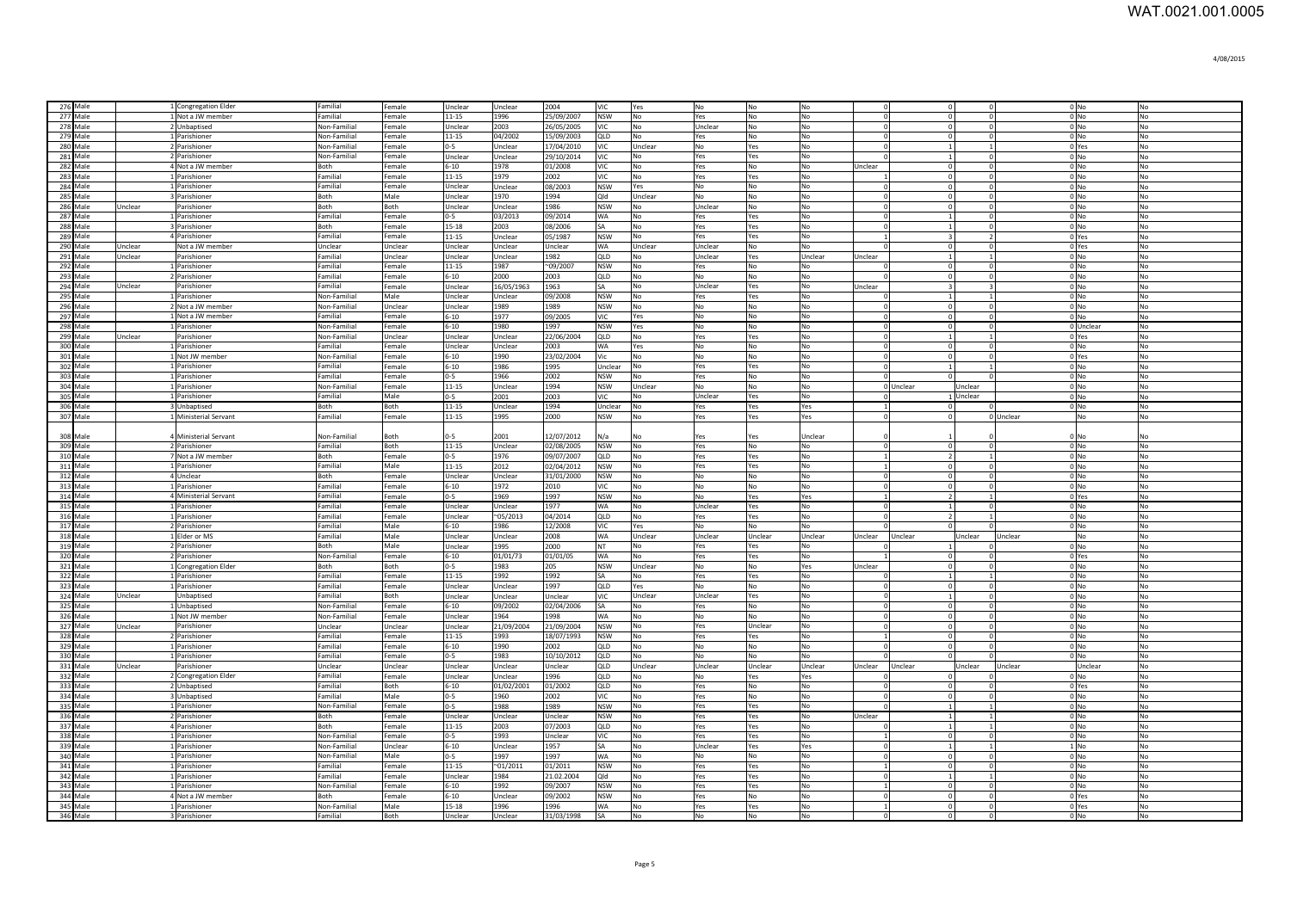| 276 Male |                      |                | 1 Congregation Elder                  | Familial                    | Female           | Unclear             | Unclear                  | 2004               | VIC.                     | Yes            | <b>No</b>      | <b>No</b>  | No             |                            | $\overline{0}$                   | 0                        |           | $0$ No                     | No                     |
|----------|----------------------|----------------|---------------------------------------|-----------------------------|------------------|---------------------|--------------------------|--------------------|--------------------------|----------------|----------------|------------|----------------|----------------------------|----------------------------------|--------------------------|-----------|----------------------------|------------------------|
| 277 Male |                      |                | 1 Not a JW member                     | Familial                    | Female           | 11-15               | 1996                     | 25/09/2007         | <b>NSW</b>               | <b>No</b>      | Yes            | <b>No</b>  | <b>No</b>      | $\Omega$                   | $\Omega$                         | $\Omega$                 |           | 0 <sub>No</sub>            | No                     |
|          | 278 Male             |                | 2 Unbaptised                          | Non-Familial                | Female           | Unclear             | 2003                     | 26/05/2005         | <b>VIC</b>               | <b>No</b>      | Unclear        | No         | <b>No</b>      | $\Omega$                   | $\overline{0}$                   | $\overline{0}$           |           | $0$ No                     | <b>No</b>              |
|          | 279 Male             |                | 1 Parishioner                         | Non-Familial                | Female           | 11-15               | 04/2002                  | 15/09/2003         | QLD                      | No             | Yes            | <b>No</b>  | <b>No</b>      | $\Omega$                   | $\circ$                          | $\Omega$                 |           | $0$ No                     | No                     |
|          | 280 Male             |                | 2 Parishioner                         | Non-Familial                | Female           | $0 - 5$             | Unclear                  | 17/04/2010         | <b>VIC</b>               | Unclear        | No             | Yes        | No             | $\Omega$                   | $\overline{1}$                   | $\overline{1}$           |           | 0 Yes                      | No                     |
|          | 281 Male             |                | 2 Parishioner                         | Non-Familial                | Female           | Unclear             | Unclear                  | 29/10/2014         | <b>VIC</b>               | $\mathsf{No}$  | Yes            | Yes        | $\mathsf{No}$  | $\Omega$                   | $\overline{1}$                   | $\circ$                  |           | $0$ No                     | No                     |
|          | 282 Male             |                | 4 Not a JW member                     | Both                        | Female           | $6 - 10$            | 1978                     | 01/2008            | <b>VIC</b>               | No             | Yes            | No         | No             | Unclear                    | $\mathbf{0}$                     | $\overline{0}$           |           | $0$ No                     | No                     |
|          | 283 Male             |                | 1 Parishioner                         | Familial                    | Female           | 11-15               | 1979                     | 2002               | VIC                      | No             | Yes            | Yes        | No             |                            | $\mathbf 0$                      | $\mathbf{0}$             |           | $0$ No                     | No                     |
|          | 284 Male             |                | 1 Parishioner                         | Familial                    | Female           | Unclear             | Unclear                  | 08/2003            | <b>NSW</b>               | Yes            | No             | No         | No             | $\Omega$                   | $\circ$                          | $\overline{0}$           |           | $0$ No                     | No                     |
|          | 285 Male             |                | 3 Parishioner                         | Both                        | Male             | Unclear             | 1970                     | 1994               | Qld                      | Unclear        | No             | No         | No             | $\Omega$                   | $\overline{0}$                   | $^{\circ}$               |           | $0$ No                     | No                     |
|          | 286 Male             | <b>Jnclea</b>  | Parishioner                           | Both                        | Both             | Unclear             | Jnclear                  | 1986               | <b>NSW</b>               | No             | Unclear        | No         | No             | $\Omega$                   | $\mathbf 0$                      | $^{\circ}$               |           | $0$ No                     | No                     |
|          | 287 Male<br>288 Male |                | 1 Parishioner                         | Familial                    | Female           | $-5$                | 03/2013                  | 09/2014            | WA<br>SA                 | No             | Yes            | Yes        | No             | $\Omega$<br>$\Omega$       | $\mathbf{1}$<br>$\vert$ 1        | $\Omega$<br>$\mathbf{0}$ |           | $0$ No                     | No                     |
|          | 289 Male             |                | 3 Parishioner<br>4 Parishioner        | Both<br>Familial            | Female<br>Female | 15-18<br>11-15      | 2003<br>Jnclear          | 08/2006<br>05/1987 | <b>NSW</b>               | No<br>No       | Yes<br>Yes     | Yes        | No<br>No       |                            | $\overline{\mathbf{3}}$          | $\overline{2}$           |           | $0$ No<br>0 Yes            | No<br>No               |
|          | 290 Male             | <b>Jnclear</b> | Not a JW member                       | Unclear                     | Unclear          | Unclear             | Jnclear                  | Unclear            | WA                       | Unclear        | Unclear        | Yes<br>No  | No             |                            | 0                                | $\Omega$                 |           | 0 Yes                      | No                     |
|          | 291 Male             | <b>Jnclear</b> | Parishioner                           | Familial                    | Unclear          | Unclear             | Jnclear                  | 1982               | QLD                      | No             | Unclear        | Yes        | Unclear        | Unclear                    | $\vert$ 1                        | $\mathbf{1}$             |           | $0$ No                     | No                     |
|          | 292 Male             |                | 1 Parishioner                         | Familial                    | Female           | $11 - 15$           | 1987                     | $-09/2007$         | <b>NSW</b>               | No             | Yes            | No         | N <sub>0</sub> |                            | $\overline{0}$                   | $\mathbf{0}$             |           | $0$ No                     | No                     |
|          | 293 Male             |                | 2 Parishioner                         | Familial                    | Female           | $6 - 10$            | 2000                     | 2003               | QLD                      | No             | No             | No         | No             | $\Omega$                   | $\overline{0}$                   | $\circ$                  |           | $0$ No                     | No                     |
|          | 294 Male             | Unclear        | Parishioner                           | Familial                    | Female           | <b>Jnclear</b>      | 16/05/1963               | 1963               | SA                       | No             | Unclear        | Yes        | <b>No</b>      | Unclear                    | $\overline{\mathbf{3}}$          | $\overline{3}$           |           | 0 <sub>N<sub>0</sub></sub> | No                     |
|          | 295 Male             |                | 1 Parishioner                         | Non-Familial                | Male             | Unclear             | Jnclear                  | 09/2008            | <b>NSW</b>               | <b>No</b>      | Yes            | Yes        | No             |                            | $\mathbf{1}$                     | <sup>1</sup>             |           | $0$ No                     | No                     |
|          | 296 Male             |                | 2 Not a JW member                     | Non-Familial                | Unclear          | <b>Jnclear</b>      | 1989                     | 1989               | <b>NSW</b>               | No             | No             | No         | No             | $^{\circ}$                 | $\overline{0}$                   | $\mathbf 0$              |           | 0 No                       | No                     |
|          | 297 Male             |                | 1 Not a JW member                     | Familial                    | Female           | $5 - 10$            | 1977                     | 09/2005            | VIC                      | Yes            | No             | No         | No             | $\Omega$                   | $\overline{0}$                   | $\circ$                  |           | 0 <sub>No</sub>            | No                     |
|          | 298 Male             |                | 1 Parishioner                         | Non-Familial                | Female           | $5 - 10$            | 1980                     | 1997               | <b>NSW</b>               | Yes            | No             | No         | No             | $\Omega$                   | $\overline{0}$                   | $\circ$                  |           | 0 Unclear                  | No                     |
|          | 299 Male             | Unclear        | Parishioner                           | Non-Familial                | Unclear          | <b>Jnclear</b>      | Jnclear                  | 22/06/2004         | QLD                      | No             | Yes            | Yes        | No             | $\Omega$                   | $\vert$ 1                        | <sup>1</sup>             |           | 0 Yes                      | No                     |
|          | 300 Male             |                | 1 Parishioner                         | Familial                    | Female           | Unclear             | Jnclear                  | 2003               | WA                       | Yes            | No             | No         | No             | $\Omega$                   | $\circ$                          | $\circ$                  |           | $0$ No                     | No                     |
|          | 301 Male             |                | 1 Not JW member                       | Non-Familial                | Female           | $6 - 10$            | 1990                     | 23/02/2004         | Vic                      | No             | No             | No         | No             | $\Omega$                   | $\circ$                          | $\mathbf{0}$             |           | 0 Yes                      | No                     |
|          | 302 Male             |                | 1 Parishioner                         | Familial                    | Female           | $6 - 10$            | 1986                     | 1995               | Unclear                  | No             | Yes            | Yes        | No             | $\Omega$                   | $\mathbf{1}$                     | $\mathbf{1}$             |           | 0 <sub>No</sub>            | No                     |
|          | 303 Male             |                | 1 Parishioner                         | Familial                    | Female           | $0 - 5$             | 1966                     | 2002               | <b>NSW</b>               | No             | Yes            | No         | No             | $\Omega$                   | $\Omega$                         |                          |           | $0 $ No                    | No                     |
|          | 304 Male             |                | 1 Parishioner                         | Non-Familial                | Female           | $11 - 15$           | Jnclear                  | 1994               | <b>NSW</b>               | Unclear        | No             | No         | No             |                            | 0 Unclear                        | Unclear                  |           | $0 $ No                    | No                     |
|          | 305 Male             |                | 1 Parishioner                         | Familial                    | Male             | $0 - 5$             | 2001                     | 2003               | VIC                      | No             | Unclear        | Yes        | No             | $\Omega$                   | $\Omega$                         | 1 Unclear                |           | 0 No                       | No                     |
|          | 306 Male<br>307 Male |                | 3 Unhantised<br>1 Ministerial Servant | Both<br>Familial            | Both<br>Female   | 11-15<br>$11 - 15$  | Unclear<br>1995          | 1994<br>2000       | Unclear<br><b>NSW</b>    | No<br>No       | Yes<br>Yes     | Yes<br>Yes | Yes<br>Yes     | $\Omega$                   | $\circ$                          |                          | 0 Unclear | $0 \text{N}$<br>lNo.       | <b>No</b><br><b>No</b> |
|          |                      |                |                                       |                             |                  |                     |                          |                    |                          |                |                |            |                |                            |                                  |                          |           |                            |                        |
|          | 308 Male             |                | 4 Ministerial Servant                 | Non-Familial                | <b>Both</b>      | $0 - 5$             | 2001                     | 12/07/2012         | N/a                      | No             | Yes            | Yes        | Unclear        |                            |                                  |                          |           | 0 <sub>N<sub>0</sub></sub> | N <sub>0</sub>         |
|          | 309 Male             |                | 2 Parishioner                         | Familial                    | Both             | $11 - 15$           | Unclear                  | 02/08/2005         | <b>NSW</b>               | <b>No</b>      | Yes            | <b>No</b>  | <b>No</b>      | $\Omega$                   | $\circ$                          | $\Omega$                 |           | 0 <sub>No</sub>            | No                     |
|          | 310 Male             |                | 7 Not a JW member                     | Both                        | Female           | $0 - 5$             | 1976                     | 09/07/2007         | QLD                      | No             | Yes            | Yes        | <b>No</b>      | $\overline{1}$             | $\overline{2}$                   | $\mathbf{1}$             |           | 0 <sub>No</sub>            | No                     |
|          | 311 Male             |                | 1 Parishioner                         | Familial                    | Male             | 11-15               | 2012                     | 02/04/2012         | <b>NSW</b>               | No             | Yes            | Yes        | No             | $\overline{1}$             | $\overline{0}$                   | $\overline{0}$           |           | 0 <sub>No</sub>            | N <sub>o</sub>         |
|          | 312 Male             |                | 4 Unclear                             | Both                        | Female           | Unclear             | Unclear                  | 31/01/2000         | <b>NSW</b>               | No             | No             | <b>No</b>  | No             | $\Omega$                   | $\overline{0}$                   | $\circ$                  |           | $0$ No                     | No                     |
|          | 313 Male             |                | 1 Parishioner                         | Familial                    | Female           | $6 - 10$            | 1972                     | 2010               | VIC                      | No             | No             | No         | No             | $\Omega$                   | 0                                | $\circ$                  |           | $0$ No                     | No                     |
|          | 314 Male             |                | 4 Ministerial Servant                 | Familial                    | Female           | 0-5                 | 1969                     | 1997               | <b>NSW</b>               | No             | No             | Yes        | Yes            | $\overline{1}$             | $\overline{2}$                   | $\overline{1}$           |           | 0 Yes                      | No                     |
|          | 315 Male             |                | 1 Parishioner                         | Familial                    | Female           | Unclear             | Unclear                  | 1977               | WA                       | No             | Unclear        | Yes        | No             | $\Omega$                   | $\overline{1}$                   | $\circ$                  |           | $0$ No                     | No                     |
|          | 316 Male             |                | 1 Parishioner                         | Familial                    | Female           | Unclear             | 05/2013                  | 04/2014            | QLD                      | No             | Yes            | Yes        | No             | $\Omega$                   | $\overline{2}$                   | $\mathbf{1}$             |           | $0$ No                     | No                     |
|          | 317 Male             |                | 2 Parishioner                         | Familial                    | Male             | $5 - 10$            | 1986                     | 12/2008            | VIC                      | Yes            | No             | No         | No             |                            | $\Omega$                         |                          |           | $0$ No                     | No                     |
|          | 318 Male             |                | 1 Elder or MS                         | Familial                    | Male             | Jnclear             | Jnclear                  | 2008               | <b>WA</b>                | Unclear        | Unclear        | Unclear    | Unclear        | <b>Jnclear</b>             | Unclear                          | Unclear                  | Unclear   | <b>No</b>                  | No                     |
|          | 319 Male             |                | 2 Parishioner                         | Both                        | Male             | Jnclear             | 1995                     | 2000               | <b>NT</b>                | No             | Yes            | Yes        | No             |                            |                                  |                          |           | $0 $ No                    | No                     |
|          | 320 Male             |                | 2 Parishioner                         | Non-Familial                | Female           | $5 - 10$            | 01/01/73                 | 01/01/05           | WA                       | No             | Yes            | Yes        | No             |                            | $\overline{0}$<br>$\overline{0}$ | $\Omega$                 |           | 0 Yes                      | N <sub>0</sub>         |
|          | 321 Male<br>322 Male |                | 1 Congregation Elder<br>1 Parishioner | Both<br>Familial            | Both<br>Female   | $3-5$<br>11-15      | 1983<br>1992             | 205<br>1992        | <b>NSW</b><br>SA         | Unclear<br>No  | No<br>Yes      | No<br>Yes  | Yes<br>No      | Unclear                    | $\mathbf{1}$                     | $\mathbf{1}$             |           | $0$ No<br>0 <sub>No</sub>  | No<br>N <sub>o</sub>   |
|          | 323 Male             |                | 1 Parishioner                         | Familial                    | Female           | Unclear             | Jnclear                  | 1997               | QLD                      | Yes            | No             | No         | No             |                            | $\overline{0}$                   | $\mathbf{0}$             |           | 0 <sub>No</sub>            | <b>No</b>              |
|          | 324 Male             | Unclear        | Unbantised                            | Familial                    | <b>Both</b>      | Unclear             | Jnclear                  | Unclear            | VIC.                     | Unclear        | Unclear        | Yes        | <b>No</b>      | $\Omega$                   | $\vert$ 1                        | $\circ$                  |           | 0 <sub>N<sub>0</sub></sub> | No                     |
|          | 325 Male             |                | 1 Unbantised                          |                             |                  |                     |                          | 02/04/2006         |                          |                |                |            |                |                            |                                  |                          |           |                            |                        |
| 326 Male |                      |                |                                       | Non-Familial                | Female           | $6 - 10$            | 09/2002                  |                    | SA                       | <b>No</b>      | Yes            | l No       | <b>No</b>      | $\Omega$                   | $\overline{0}$                   | $\circ$                  |           | 0 <sub>N<sub>0</sub></sub> | No                     |
|          |                      |                | 1 Not JW member                       | Non-Familial                | Female           | Unclear             | 1964                     | 1998               | <b>WA</b>                | No             | No             | No         | No             | $\Omega$                   | $\overline{0}$                   | $\circ$                  |           | 0 <sub>No</sub>            | No                     |
|          | 327 Male             | Unclear        | Parishioner                           | Unclear                     | Unclear          | Unclear             | 21/09/2004               | 21/09/2004         | <b>NSW</b>               | No             | Yes            | Unclear    | No             | $\Omega$                   | $\overline{0}$                   | $\circ$                  |           | $0$ No                     | No                     |
|          | 328 Male             |                | 2 Parishioner                         | Familial                    | Female           | 11-15               | 1993                     | 18/07/1993         | <b>NSW</b>               | No             | Yes            | Yes        | No             |                            | $\overline{0}$                   | $\mathbf{0}$             |           | $0$ No                     | No                     |
|          | 329 Male             |                | 1 Parishioner                         | Familial                    | Female           | $6 - 10$            | 1990                     | 2002               | QLD                      | No             | No             | No         | No             | $\Omega$                   | $\overline{0}$                   | $\mathbf{0}$             |           | $0$ No                     | No                     |
|          | 330 Male             |                | 1 Parishioner                         | Familial                    | Female           | $0 - 5$             | 1983                     | 10/10/2012         | QLD                      | No             | No             | No         | No             |                            | $\circ$                          |                          |           | 0 <sub>No</sub>            | No                     |
|          | 331 Male             | Unclear        | Parishioner                           | Unclear                     | Unclear          | Unclear             | Unclear                  | Unclear            | QLD                      | Unclear        | Unclear        | Unclear    | Unclear        | Unclear                    | Unclear                          | Unclear                  | Unclear   | Unclear                    | No                     |
|          | 332 Male             |                | 2 Congregation Elder                  | Familial                    | Female           | Unclear             | Unclear                  | 1996               | QLD                      | No             | No             | Yes        | Yes            |                            | $\overline{0}$                   |                          |           | 0 No                       | No                     |
|          | 333 Male             |                | 2 Unbaptised                          | Familial                    | Both             | $6 - 10$            | 01/02/2001               | 01/2002            | QLD                      | No             | Yes            | No         | No             |                            | $\Omega$                         |                          |           | 0 Yes                      | No                     |
|          | 334 Male             |                | 3 Unbaptised                          | Familial                    | Male             | $0 - 5$             | 1960                     | 2002               | VIC                      | No             | Yes            | No         | No             |                            | $\Omega$                         |                          |           | 0 <sub>No</sub>            | No                     |
|          | 335 Male             |                | 1 Parishioner                         | Non-Familial                | Female           | $0 - 5$             | 1988                     | 1989               | <b>NSW</b>               | No             | Yes            | Yes        | No             |                            | $\mathbf{1}$                     |                          |           | 0 No                       | No                     |
|          | 336 Male             |                | 2 Parishioner                         | Both                        | Female           | Unclear             | Unclear                  | Unclear            | <b>NSW</b>               | No             | Yes            | Yes        | No             | Unclear                    | $\overline{1}$                   |                          |           | $0$ No                     | No                     |
|          | 337 Male             |                | 4 Parishioner                         | <b>Both</b>                 | Female           | $11 - 15$           | 2003                     | 07/2003            | QLD                      | No             | Yes            | Yes        | No             |                            | $\overline{1}$                   |                          |           | 0 <sub>No</sub>            | No                     |
|          | 338 Male             |                | 1 Parishioner                         | Non-Familial                | Female           | $0-5$               | 1993                     | Unclear            | VIC                      | No             | Yes            | Yes        | No             | $\Omega$                   | $\overline{0}$                   | $\Omega$                 |           | 0 No                       | No                     |
|          | 339 Male             |                | 1 Parishioner                         | Non-Familial                | Unclear          | $6 - 10$            | Unclear                  | 1957               | SA                       | N <sub>o</sub> | Unclear        | Yes        | Yes            |                            | $\vert$ 1                        | $\mathbf{1}$             |           | 1 <sub>No</sub>            | No                     |
|          | 340 Male             |                | 1 Parishioner<br>1 Parishioner        | Non-Familial<br>Familial    | Male<br>Female   | $0-5$               | 1997                     | 1997               | <b>WA</b>                | <b>No</b>      | N <sub>0</sub> | lNo.       | <b>No</b>      | $\Omega$<br>$\overline{1}$ | $\circ$                          | $\Omega$<br>$\Omega$     |           | 0 <sub>No</sub>            | No                     |
|          | 341 Male             |                | 1 Parishioner                         | Familial                    |                  | 11-15               | $^{\sim}01/2011$<br>1984 | 01/2011            | <b>NSW</b>               | No             | Yes            | Yes        | <b>No</b>      | $\Omega$                   | $\circ$                          | $\mathbf{1}$             |           | 0 <sub>No</sub>            | No                     |
|          | 342 Male<br>343 Male |                |                                       |                             | Female<br>Female | Unclear<br>$6 - 10$ | 1992                     | 21.02.2004         | Qld                      | No             | Yes            | Yes        | No<br>No       | $\overline{1}$             | $\overline{1}$<br>$\circ$        | $\Omega$                 |           | $0$ No<br>0 <sub>No</sub>  | No<br>No               |
|          | 344 Male             |                | 1 Parishioner<br>4 Not a JW member    | Non-Familial<br><b>Both</b> | Female           | $6 - 10$            | Unclear                  | 09/2007<br>09/2002 | <b>NSW</b><br><b>NSW</b> | No<br>No       | Yes<br>Yes     | Yes<br>No  | No             | $\Omega$                   | 0                                | $\circ$                  |           | 0 Yes                      | No                     |
|          | 345 Male             |                | 1 Parishioner                         | Non-Familial                | Male             | 15-18               | 1996                     | 1996               | WA                       | $\mathsf{No}$  | Yes            | Yes        | $\mathsf{No}$  |                            | $\mathbf{0}$                     | $\mathbf{0}$             |           | 0 Yes                      | No                     |
| 346 Male |                      |                | 3 Parishioner                         | Familial                    | Both             | Unclear             | Unclear                  | 31/03/1998         | <b>SA</b>                | No             | No             | <b>No</b>  | No             | $\Omega$                   | $\Omega$                         | $\Omega$                 |           | 0 <sub>N<sub>0</sub></sub> | <b>No</b>              |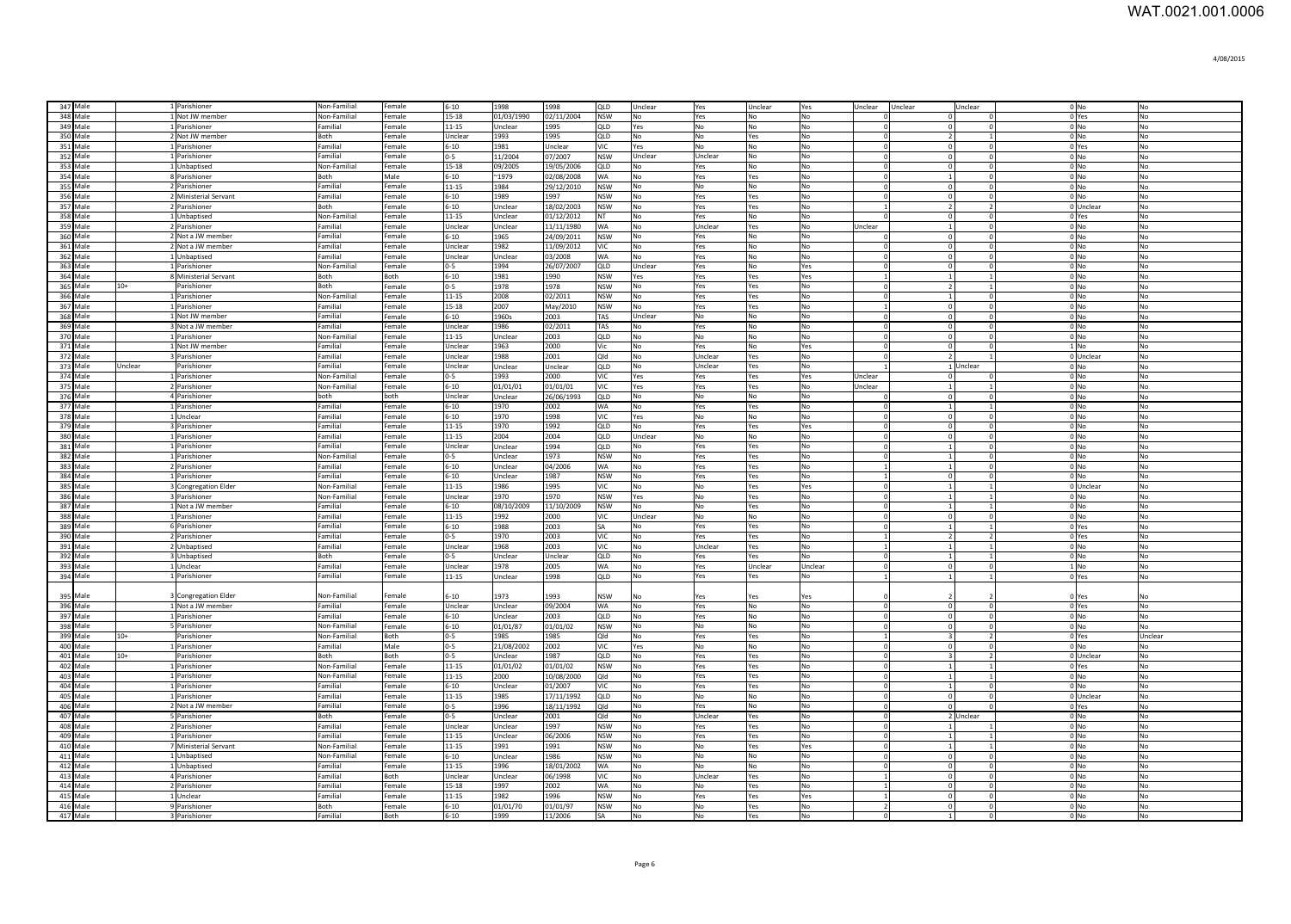| 347 Male             |         | 1 Parishioner                    | Non-Familial         | Female           | $6 - 10$             | 1998             | 1998                | QLD               | Unclear                     | Yes                   | Unclear         | Yes            | Unclear Unclear | Unclear                                                   |                          | 0 No                                                     | No                          |
|----------------------|---------|----------------------------------|----------------------|------------------|----------------------|------------------|---------------------|-------------------|-----------------------------|-----------------------|-----------------|----------------|-----------------|-----------------------------------------------------------|--------------------------|----------------------------------------------------------|-----------------------------|
| 348 Male             |         | 1 Not JW member                  | Non-Familial         | Female           | 15-18                | 01/03/1990       | 02/11/2004          | <b>NSW</b>        | No                          | Yes                   | No              | No             | $\overline{0}$  | $\overline{0}$                                            |                          | 0 Yes                                                    | No                          |
| 349 Male             |         | 1 Parishioner                    | Familial             | Female           | 11-15                | Unclear          | 1995                | QLD               | Yes                         | No                    | No              | No             | $\circ$         | $\overline{0}$                                            | 01                       | 0 No                                                     | No                          |
| 350 Male             |         | 2 Not JW member                  | Both                 | Female           | Unclear              | 1993             | 1995                | QLD               | No                          | No                    | Yes             | No             | $\Omega$        | $\overline{2}$                                            |                          | $0 \text{N}$                                             | No                          |
| 351 Male             |         | 1 Parishioner                    | Familial             | Female           | $6 - 10$             | 1981             | Unclear             | VIC               | Yes                         | No                    | <b>No</b>       | No             | $\circ$         | $\Omega$                                                  | $\Omega$                 | 0 Yes                                                    | No                          |
| 352 Male             |         | 1 Parishioner                    | Familial             | Female           | $0-5$                | 11/2004          | 07/2007             | <b>NSW</b>        | Unclear                     | Unclear               | No              | No             | $\mathbf{0}$    | $\Omega$                                                  |                          | 0 No                                                     | <b>No</b>                   |
| 353 Male             |         | 1 Unbaptised                     | Non-Familial         | Female           | 15-18                | 09/2005          | 19/05/2006          | <b>QLD</b>        | No                          | Yes                   | No              | No             | $\Omega$        | $\Omega$                                                  |                          | $0 \text{N}$                                             | N <sub>0</sub>              |
| 354 Male             |         | 8 Parishioner                    | Both                 | Male             | 6-10                 | $^{\sim}$ 1979   | 02/08/2008          | <b>WA</b>         | <b>No</b>                   | Yes                   | Yes             | No             | $\Omega$        | $\overline{1}$                                            | $\Omega$                 | $0 \text{N}$                                             | N <sub>O</sub>              |
| 355 Male             |         | 2 Parishioner                    | Familial             | Female           | 11-15                | 1984             | 29/12/2010          | <b>NSW</b>        | <b>No</b>                   | N <sub>0</sub>        | No              | No             | $\Omega$        | $\Omega$                                                  | $\Omega$                 | $0 \text{N}$                                             | N <sub>O</sub>              |
| 356 Male             |         | 2 Ministerial Servant            | Familial             | Female           | $6 - 10$             | 1989             | 1997                | <b>NSW</b>        | No                          | Yes                   | Yes             | No             | $\Omega$        | $\Omega$<br>$\Omega$                                      |                          | $0 \text{N}$                                             | N <sub>0</sub>              |
| 357 Male             |         | 2 Parishioner                    | <b>Roth</b>          | Female           | $6 - 10$             | Unclear          | 18/02/2003          | <b>NSW</b>        | No                          | Yes                   | Yes             | No             | $\overline{1}$  | $\overline{2}$                                            | $\mathcal{L}$            | 0 Unclear                                                | N <sub>o</sub>              |
| 358 Male             |         | 1 Unbaptised                     | Non-Familial         | Female           | 11-15                | Unclear          | 01/12/2012          | <b>NT</b>         | No                          | Yes                   | <b>No</b>       | No             | $\Omega$        | $\overline{0}$                                            | $^{\circ}$               | 0 Yes                                                    | N <sub>0</sub>              |
| 359 Male             |         | 2 Parishioner                    | Familial             | Female           | Unclear              | Unclear          | 11/11/1980          | <b>WA</b>         | No                          | Unclear               | Yes             | No             | Unclear         | $\overline{1}$<br>$\overline{0}$                          |                          | $0$ No                                                   | N <sub>o</sub>              |
| 360 Male             |         | 2 Not a JW member                | Familial             | Female           | $6 - 10$             | 1965             | 24/09/2011          | <b>NSW</b>        | No                          | Yes                   | No              | No             | $\Omega$        | 0 <br>$\Omega$                                            |                          | $0$ No                                                   | No                          |
| 361 Male             |         | 2 Not a JW member                | Familial             | Female           | Unclear              | 1982             | 11/09/2012          | VIC               | No                          | Yes                   | No              | No             | $\mathbf{0}$    | $\overline{0}$<br>$\mathbf{0}$                            |                          | $0$ No                                                   | No                          |
| 362 Male             |         | 1 Unbaptised                     | Familial             | Female           | Unclear              | Unclear          | 03/2008             | <b>WA</b>         | No                          | Yes                   | No              | No             | $\mathbf{0}$    | $\overline{0}$                                            | $\mathbf 0$              | $0$ No                                                   | No                          |
| 363 Male             |         | 1 Parishioner                    | Non-Familial         | Female           | $0 - 5$              | 1994             | 26/07/2007          | QLD               | Unclear                     | Yes                   | No              | Yes            | $\mathbf{0}$    | $\overline{0}$                                            | $\Omega$                 | $0$ No                                                   | No                          |
| 364 Male             | $10+$   | 8 Ministerial Servant            | Both                 | Both             | $6 - 10$             | 1981             | 1990                | <b>NSW</b>        | Yes                         | Yes                   | Yes             | Yes            | <sup>1</sup>    | $\mathbf{1}$                                              |                          | $0$ No                                                   | No                          |
| 365 Male             |         | Parishioner                      | Both                 | Female           | $0 - 5$              | 1978             | 978                 | <b>NSW</b>        | No                          | Yes                   | Yes             | No             | $\Omega$        | $\overline{2}$                                            |                          | 0 <sub>N<sub>0</sub></sub>                               | No                          |
| 366 Male             |         | 1 Parishioner                    | Non-Familial         | Female           | $11 - 15$            | 2008             | 02/2011             | <b>NSW</b>        | No                          | Yes                   | Yes             | No             | $\mathbf{0}$    | $\Omega$<br>1                                             |                          | 0 <sub>N<sub>0</sub></sub>                               | N <sub>0</sub>              |
| 367 Male<br>368 Male |         | 1 Parishioner<br>1 Not JW member | Familial<br>Familial | Female<br>Female | 15-18<br>$6 - 10$    | 2007<br>1960s    | May/2010<br>2003    | <b>NSW</b><br>TAS | <b>No</b><br>Unclear        | Yes<br>N <sub>0</sub> | Yes             | No<br>No       | 1               | $\Omega$<br>$\mathbf 0$<br>$\Omega$                       |                          | 0 <sub>N<sub>0</sub></sub><br>0 <sub>N<sub>0</sub></sub> | N <sub>0</sub><br><b>No</b> |
| 369 Male             |         | 3 Not a JW member                | Familial             | Female           | Unclear              | 1986             | 02/2011             | TAS               |                             |                       | No<br><b>No</b> | No             | $\overline{0}$  | $\overline{0}$<br>$\mathbf{0}$                            |                          | 0 <sub>N<sub>0</sub></sub>                               | N <sub>o</sub>              |
| 370 Male             |         | 1 Parishioner                    | Non-Familial         | Female           |                      | Unclear          |                     | QLD               | No                          | Yes                   |                 |                | 0               | $\mathbf 0$<br>$\Omega$                                   |                          | 0 <sub>No</sub>                                          |                             |
|                      |         |                                  | Familial             |                  | $11 - 15$<br>Unclear | 1963             | 2003<br>2000        |                   | No                          | No                    | No              | No             | 0               | $\overline{\mathbf{0}}$<br>$\overline{0}$<br>$\mathbf{0}$ |                          | $1$ No                                                   | No                          |
| 371 Male<br>372 Male |         | 1 Not JW member<br>3 Parishioner | Familial             | Female<br>Female | Unclear              | 1988             | 2001                | Vic<br>Qld        | No<br>No                    | Yes<br>Unclear        | No<br>Yes       | Yes<br>No      | 0 <br> 0        | $\overline{2}$                                            | $\mathbf{1}$             | 0 Unclear                                                | No<br>No                    |
| 373 Male             | Unclear | Parishioner                      | Familial             | Female           | Unclear              | Unclear          | Unclear             | QLD               | No                          | Unclear               |                 | No             | $\overline{1}$  | 1 Unclear                                                 |                          | $0$ No                                                   | No                          |
| 374 Male             |         | 1 Parishioner                    | Non-Familial         | Female           | $0-5$                | 1993             | 2000                | VIC               |                             |                       | Yes             |                | Unclear         | $\overline{0}$                                            | $\Omega$                 | $0$ No                                                   | No                          |
| 375 Male             |         | 2 Parishioner                    | Non-Familial         | Female           | $6 - 10$             | 01/01/01         | 01/01/01            | VIC.              | Yes<br>Yes                  | Yes<br>Yes            | Yes<br>Yes      | Yes<br>No      | Jnclear         |                                                           | $\mathbf{1}$             | $0 \text{N}$                                             | No                          |
| 376 Male             |         | 4 Parishioner                    | both                 | both             | Unclear              | Unclear          | 26/06/1993          | QLD               | No                          | No                    | No              | No             | $\Omega$        | $\Omega$                                                  | $\Omega$                 | 0 <sub>N<sub>0</sub></sub>                               | No                          |
| 377 Male             |         | 1 Parishioner                    | Familial             | Female           | $6 - 10$             | 1970             | 2002                | WA                | No                          | Yes                   | Yes             | No             | $\circ$         | $\overline{1}$                                            | $\mathbf{1}$             | $0$ No                                                   | No                          |
| 378 Male             |         | 1 Unclear                        | Familial             | Female           | $6 - 10$             | 1970             | 1998                | VIC.              | Yes                         | No                    | No              | No             | $\circ$         | $\Omega$                                                  | $\Omega$                 | $0 \text{N}$                                             | <b>No</b>                   |
| 379 Male             |         | 3 Parishioner                    | Familial             | Female           | 11-15                | 1970             | 1992                | <b>QLD</b>        | No                          | Yes                   | Yes             | Yes            | $\circ$         | $\Omega$                                                  | $\Omega$                 | $0 \text{N}$                                             | N <sub>0</sub>              |
| 380 Male             |         | 1 Parishioner                    | Familial             | Female           | 11-15                | 2004             | 2004                | QLD               | Unclear                     | No                    | No              | No             | $\overline{0}$  | $\overline{0}$                                            | $\Omega$                 | 0 <sub>No</sub>                                          | <b>No</b>                   |
| 381 Male             |         | 1 Parishioner                    | Familial             | Female           | Unclear              | Unclear          | 1994                | QLD               | No                          | Yes                   | Yes             | <b>No</b>      | $\Omega$        | $\overline{1}$<br>$\Omega$                                |                          | $0$ No                                                   | N <sub>o</sub>              |
| 382 Male             |         | 1 Parishioner                    | Non-Familial         | Female           | $0 - 5$              | Unclear          | 1973                | <b>NSW</b>        | No                          | Yes                   | Yes             | No             | $\Omega$        | $\overline{1}$<br>$\Omega$                                |                          | $0$ No                                                   | N <sub>o</sub>              |
| 383 Male             |         | 2 Parishioner                    | Familial             | Female           | $6 - 10$             | Unclear          | 04/2006             | <b>WA</b>         | No                          | Yes                   | Yes             | No             | $\overline{1}$  | $\overline{1}$<br>$\Omega$                                |                          | $0$ No                                                   | N <sub>0</sub>              |
| 384 Male             |         | 1 Parishioner                    | Familial             | Female           | $6 - 10$             | Unclear          | 1987                | <b>NSW</b>        | No                          | Yes                   | Yes             | No             | <sup>1</sup>    | $\mathbf 0$<br>$\overline{0}$                             |                          | $0$ No                                                   | N <sub>o</sub>              |
| 385 Male             |         | 3 Congregation Elder             | Non-Familial         | Female           | 11-15                | 1986             | 1995                | VIC               | No                          | No                    | Yes             | Yes            | $\mathbf 0$     | $\mathbf{1}$                                              | $\mathbf{1}$             | 0 Unclear                                                | No                          |
| 386 Male             |         | 3 Parishioner                    | Non-Familial         | Female           | Unclear              | 1970             | 1970                | <b>NSW</b>        | Yes                         | No                    | Yes             | No             | $\mathbf{0}$    | $\mathbf{1}$                                              | $\mathbf{1}$             | $0$ No                                                   | No                          |
| 387 Male             |         | 1 Not a JW member                | Familial             | Female           | $6 - 10$             | 08/10/2009       | 11/10/2009          | <b>NSW</b>        | <b>No</b>                   | No                    | Yes             | No             | $\mathbf{0}$    |                                                           | $\mathbf{1}$             | $0$ No                                                   | No                          |
| 388 Male             |         | 1 Parishioner                    | Familial             | Female           | $11 - 15$            | 1992             | 2000                | VIC.              | Unclear                     | No                    | No              | No             | $\mathbf{0}$    | $\overline{0}$                                            | $\Omega$                 | 0 <sub>No</sub>                                          | No                          |
| 389 Male             |         | 6 Parishioner                    | Familial             | Female           | $6 - 10$             | 1988             | 2003                | <b>SA</b>         | <b>No</b>                   | Yes                   | Yes             | No             | $\mathbf{0}$    | 1                                                         | $\mathbf{1}$             | 0 Yes                                                    | No                          |
| 390 Male             |         | 2 Parishioner                    | Familial             | Female           | $0 - 5$              | 1970             | 2003                | VIC               | No                          | Yes                   | Yes             | No             |                 | $\overline{2}$                                            | $\overline{2}$           | 0 Yes                                                    | N <sub>o</sub>              |
| 391 Male             |         | 2 Unbaptised                     | Familial             | Female           | Unclear              | 1968             | 2003                | VIC.              | <b>No</b>                   | Unclear               | Yes             | N <sub>0</sub> | $\overline{1}$  | $\overline{1}$                                            | $\mathbf{1}$             | 0 <sub>N<sub>0</sub></sub>                               | No                          |
| 392 Male             |         | 3 Unbaptised                     | Both                 | Female           | $0-5$                | Unclear          | Unclear             | QLD               | No.                         | Yes                   | Yes             | No             | $\overline{0}$  | 1                                                         | $\mathbf{1}$             | $0$ No                                                   | <b>No</b>                   |
| 393 Male             |         | 1 Unclear                        | Familial             | Female           | Unclear              | 1978             | 2005                | <b>WA</b>         | No.                         | Yes                   | Unclear         | Unclear        | $\circ$         | $\Omega$<br>$\overline{0}$                                |                          | $1 \text{N}$                                             | N <sub>0</sub>              |
| 394 Male             |         | 1 Parishioner                    | Familial             | Female           | 11-15                | Unclear          | 1998                | QLD               | No                          | Yes                   | Yes             | No             | $\overline{1}$  | 1                                                         | $\mathbf{1}$             | 0 Yes                                                    | <b>No</b>                   |
|                      |         |                                  |                      |                  |                      |                  |                     |                   |                             |                       |                 |                |                 |                                                           |                          |                                                          |                             |
| 395 Male             |         | 3 Congregation Elder             | Non-Familial         | Female           | $6 - 10$             | 1973             | 1993                | <b>NSW</b>        | No                          | Yes                   | Yes             | Yes            |                 |                                                           |                          | 0 Yes                                                    |                             |
| 396 Male             |         | 1 Not a JW member                | Familial             | Female           | Unclear              | Unclear          | 09/2004             | WA                | No                          | Yes                   | No              | No             | $\circ$         | $\mathbf 0$<br>$\mathbf{0}$                               |                          | 0 Yes                                                    | No                          |
| 397 Male             |         | 1 Parishioner                    | Familial             | Female           | $6 - 10$             | Unclear          | 2003                | QLD               | No                          | Yes                   | No              | No             | $\circ$         | $\overline{0}$<br>$\mathbf{0}$                            |                          | $0$ No                                                   | No                          |
| 398 Male             |         | 5 Parishioner                    | Non-Familial         | Female           | $6 - 10$             | 01/01/87         | 01/01/02            | <b>NSW</b>        | No                          | No                    | No              | No             | $\circ$         | $\mathbf{0}$<br>$\overline{0}$                            |                          | $0$ No                                                   | No                          |
| 399 Male             | $10+$   | Parishioner                      | Non-Familial         | Both             | $0-5$                | 1985             | 1985                | Old               | No                          | Yes                   | Yes             | No             | <sup>1</sup>    | $\overline{3}$                                            | $\overline{\phantom{a}}$ | 0 Yes                                                    | Unclear                     |
| 400 Male             |         | 1 Parishioner                    | Familial             | Male             | $0-5$                | 21/08/2002       | 2002                | VIC               | Yes                         | No                    | No              | No             | $\Omega$        | $\Omega$                                                  | $\Omega$                 | $0$ No                                                   | No                          |
| 401 Male             | $10+$   | Parishioner                      | Both                 | Both             | $0-5$                | Unclear          | 1987                | QLD               | No                          | Yes                   | Yes             | No             | $\circ$         | $\overline{3}$                                            | $\overline{\phantom{a}}$ | 0 Unclear                                                | No                          |
| 402 Male             |         | 1 Parishioner                    | Non-Familial         | Female           | 11-15                | 01/01/02         | 01/01/02            | <b>NSW</b>        | No                          | Yes                   | Yes             | No             | $\circ$         | $\overline{1}$                                            |                          | 0 Yes                                                    | N <sub>0</sub>              |
| 403 Male             |         | 1 Parishioner                    | Non-Familial         | Female           | 11-15                | 2000             | 10/08/2000          | Qld               | No                          | Yes                   | Yes             | No             | $\Omega$        | $\overline{1}$                                            |                          | 0 No                                                     | N <sub>0</sub>              |
| 404 Male             |         | 1 Parishioner                    | Familial             | Female           | $6 - 10$             | Unclear          | 01/2007             | VIC.              | No                          | Yes                   | Yes             | No             | $\circ$         | $\overline{1}$                                            | $\Omega$                 | $0 \text{N}$                                             | No                          |
| 405 Male             |         | 1 Parishioner                    | Familial             | Female           | $11 - 15$            | 1985             | 17/11/1992          | QLD               | No                          | <b>No</b>             | No              | No             | $\Omega$        | $\Omega$                                                  | $\Omega$                 | 0 Unclear                                                | N <sub>o</sub>              |
| 406 Male             |         | 2 Not a JW member                | Familial             | Female           | $0-5$                | 1996             | 18/11/1992          | Qld               | No                          | Yes                   | <b>No</b>       | No             | $\circ$         | $\Omega$                                                  |                          | 0 Yes                                                    | <b>No</b>                   |
| 407 Male             |         | 5 Parishioner                    | <b>Both</b>          | Female           | $0-5$                | Unclear          | 2001                | Qld               | No                          | Unclear               | Yes             | No             | $\circ$         | 2 Unclear                                                 |                          | $0$ No                                                   | N <sub>0</sub>              |
| 408 Male             |         | 2 Parishioner                    | Familial             | Female           | Unclear              | Unclear          | 1997                | <b>NSW</b>        | No                          | Yes                   | Yes             | No             | $\circ$         | $\overline{1}$                                            |                          | $0$ No                                                   | <b>No</b>                   |
| 409 Male             |         | 1 Parishioner                    | Familial             | Female           | 11-15                | Unclear          | 06/2006             | <b>NSW</b>        | No                          | Yes                   | Yes             | No             | $\circ$         | 1<br>$\overline{1}$                                       |                          | $0$ No                                                   | No                          |
| 410 Male             |         | 7 Ministerial Servant            | Non-Familial         | Female           | 11-15                | 1991             | 1991                | <b>NSW</b>        | No                          | No                    | Yes             | Yes            | $\circ$         | $\overline{1}$                                            | $\mathbf{1}$             | $0$ No                                                   | No                          |
| 411 Male             |         | 1 Unbaptised                     | Non-Familial         | Female           | $6 - 10$             | Unclear          | 1986                | <b>NSW</b>        | No                          | No                    | <b>No</b>       | No             | $\circ$         | $\overline{0}$<br>$\mathbf{0}$                            |                          | $0$ No                                                   | No                          |
| 412 Male             |         | 1 Unbaptised                     | Familial             | Female           | 11-15                | 1996             | 18/01/2002          | <b>WA</b>         | No                          | No                    | No              | No             | 0               | $\Omega$<br>$\Omega$                                      |                          | $0$ No                                                   | No                          |
| 413 Male             |         | 4 Parishioner                    | Familial             | Both             | Unclear              | Unclear          | 06/1998             | VIC.              | No                          | Unclear               | Yes             | No             |                 | $\Omega$                                                  | $\Omega$                 | $0 $ No                                                  | N <sub>o</sub>              |
|                      |         | 2 Parishioner                    | Familial             | Female           | 15-18                | 1997             | 2002                | NΑ                | <b>No</b>                   | No                    | res             | <b>No</b>      |                 | $\Omega$<br>$\overline{0}$                                |                          | 0 No                                                     | N <sub>o</sub>              |
| 414 Male             |         |                                  |                      |                  |                      |                  |                     |                   |                             |                       |                 |                |                 |                                                           |                          |                                                          |                             |
| 415 Male             |         | 1 Unclear                        | Familial             | Female           | $11 - 15$            | 1982             | 996                 | <b>NSW</b>        | No                          | Yes                   | es.             | Yes            |                 | $\Omega$                                                  | $\Omega$                 | 0 <sub>N<sub>0</sub></sub>                               | No                          |
| 416 Male<br>417 Male |         | 9 Parishioner<br>3 Parishioner   | Both<br>Familial     | Female<br>Both   | $6 - 10$<br>$6 - 10$ | 01/01/70<br>1999 | 01/01/97<br>11/2006 | <b>NSW</b>        | <b>No</b><br>N <sub>0</sub> | No<br>No              | res<br>Yes      | No<br>No       | $\overline{2}$  | $\Omega$<br>$\Omega$                                      |                          | 0 <sub>N<sub>0</sub></sub><br>$0$ No                     | N <sub>0</sub><br>No        |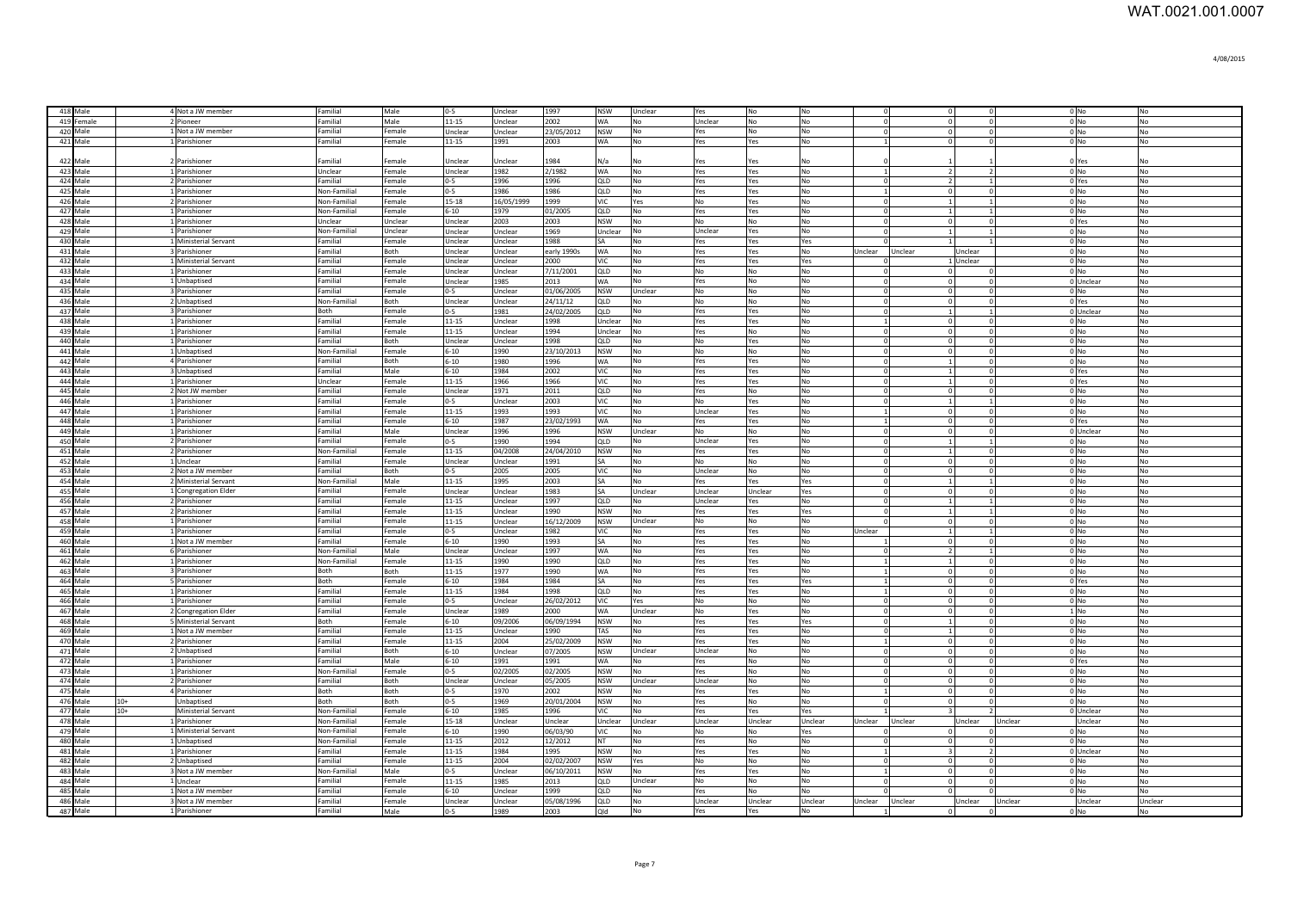| 4/08/2015 |
|-----------|
|-----------|

| 418 Male             | 4 Not a JW member                             | Familial                     | Male             | $0-5$                 | Unclear            | 1997            | <b>NSW</b>              | Unclear                     | Yes            | No             | No                    |                                |         |                                            |                      | $0$ No                     | No                          |
|----------------------|-----------------------------------------------|------------------------------|------------------|-----------------------|--------------------|-----------------|-------------------------|-----------------------------|----------------|----------------|-----------------------|--------------------------------|---------|--------------------------------------------|----------------------|----------------------------|-----------------------------|
| 419 Female           | 2 Pioneer                                     | Familial                     | Male             | 11-15                 | Unclear            | 2002            | <b>WA</b>               | No                          | Unclear        | No             | No                    | $\Omega$                       |         |                                            | $\Omega$             | $0$ No                     | No                          |
| 420 Male             | 1 Not a JW member                             | Familial                     | Female           | Unclear               | Unclear            | 23/05/2012      | <b>NSW</b>              | No                          | Yes            | No             | No                    | $\Omega$                       |         |                                            | $\Omega$             | 0 <sub>N<sub>O</sub></sub> | No                          |
| 421 Male             | 1 Parishioner                                 | Familial                     | Female           | 11-15                 | 1991               | 2003            | <b>WA</b>               | N <sub>o</sub>              | Yes            | Yes            | N <sub>o</sub>        |                                |         |                                            |                      | $0$ No                     | N <sub>0</sub>              |
|                      |                                               |                              |                  |                       |                    |                 |                         |                             |                |                |                       |                                |         |                                            |                      |                            |                             |
| 422 Male             | 2 Parishioner                                 | Familial                     | Female           | Unclear               | Unclear            | 1984            | N/a                     | No                          | Yes            | Yes            | l No                  |                                |         |                                            |                      | 0 Yes                      | No                          |
| 423 Male             | 1 Parishioner                                 | Unclear                      | Female           | Unclear               | 1982               | 2/1982          | <b>WA</b>               | No                          | Yes            | Yes            | No                    | $\mathbf{1}$                   |         | $\overline{2}$<br>$\overline{\phantom{a}}$ |                      | $0$ No                     | No                          |
| 424 Male             | 2 Parishioner                                 | Familial                     | Female           | $0 - 5$               | 1996               | 1996            | QLD                     | No                          | Yes            | Yes            | No                    | $\Omega$                       |         | $\overline{\phantom{a}}$                   |                      | 0 Yes                      | No                          |
| 425 Male             | 1 Parishioner                                 | Non-Familial                 | Female           | $0 - 5$               | 1986               | 1986            | QLD                     | No                          | Yes            | Yes            | No                    | $\overline{1}$                 |         | $\Omega$                                   | $\Omega$             | $0$ No                     | No                          |
| 426 Male<br>427 Male | 2 Parishioner<br>1 Parishioner                | Non-Familial<br>Non-Familial | Female<br>Female | 15-18<br>$6 - 10$     | 16/05/1999<br>1979 | 1999            | VIC<br>QLD              | Yes                         | No.            | Yes            | <b>No</b>             | $\Omega$<br>$\Omega$           |         |                                            |                      | $0$ No                     | <b>No</b><br>N <sub>o</sub> |
| 428 Male             | 1 Parishioner                                 | Unclear                      | Unclear          |                       | 2003               | 01/2005         | <b>NSW</b>              | No<br>No                    | Yes            | Yes            | No                    | $\Omega$                       |         |                                            | $\Omega$             | $0$ No                     | No                          |
| 429 Male             | 1 Parishioner                                 | Non-Familia                  | Unclear          | Unclear<br>Unclear    | Unclear            | 2003<br>1969    | Unclear                 | No                          | No.<br>Unclear | No<br>Yes      | No<br>No              | $\Omega$                       |         |                                            |                      | 0 Yes<br>$0$ No            | No                          |
| 430 Male             | 1 Ministerial Servant                         | Familial                     | Female           | Unclear               | Unclear            | 1988            | <b>SA</b>               | No                          | Yes            | Yes            | Yes                   |                                |         |                                            |                      | $0$ No                     | No                          |
| 431 Male             | 3 Parishioner                                 | Familial                     | Both             | Unclear               | Unclear            | early 1990s     | <b>WA</b>               | No                          | Yes            | Yes            | No                    | Unclear                        | Unclear | Unclear                                    |                      | $0$ No                     | No                          |
| 432 Male             | 1 Ministerial Servant                         | Familial                     | Female           | Jnclear               | Unclear            | 2000            | <b>VIC</b>              | No                          | Yes            | Yes            | Yes                   |                                |         | 1 Unclear                                  |                      | $0$ No                     | No                          |
| 433 Male             | 1 Parishioner                                 | Familial                     | Female           | Jnclear               | Unclear            | 7/11/2001       | QLD                     | No                          | No             | No             | No                    | $\Omega$                       |         |                                            |                      | 0 <sub>No</sub>            | No                          |
| 434 Male             | 1 Unbaptised                                  | Familial                     | Female           | Unclear               | 1985               | 2013            | WA                      | No                          | Yes            | No             | No                    |                                |         |                                            |                      | 0 Unclear                  | No                          |
| 435 Male             | 3 Parishioner                                 | Familial                     | Female           | $0 - 5$               | Unclear            | 01/06/2005      | <b>NSW</b>              | Unclear                     | N <sub>0</sub> | <b>No</b>      | <b>No</b>             | $\Omega$                       |         |                                            | $\Omega$             | 0 <sub>N<sub>o</sub></sub> | N <sub>o</sub>              |
| 436 Male             | 2 Unbaptised                                  | Non-Familial                 | <b>Both</b>      | Unclear               | Unclear            | 24/11/12        | QLD                     | No                          | <b>No</b>      | No             | No                    | $\Omega$                       |         | $\Omega$                                   | $\Omega$             | 0 Yes                      | No                          |
| 437 Male             | 3 Parishioner                                 | Both                         | Female           | $0 - 5$               | 1981               | 24/02/2005      | QLD                     | No                          | Yes            | Yes            | No                    | $\Omega$                       |         |                                            |                      | 0 Unclear                  | No                          |
| 438 Male             | 1 Parishioner                                 | Familial                     | Female           | 11-15                 | Unclear            | 1998            | Unclear                 | No                          | Yes            | Yes            | No                    | $\overline{1}$                 |         | $\Omega$                                   | $\Omega$             | $0$ No                     | No                          |
| 439 Male             | 1 Parishioner                                 | Familial                     | Female           | 11-15                 | Unclear            | 1994            | Unclear                 | No                          | Yes            | No             | No                    | $\Omega$                       |         | $\Omega$                                   | $\Omega$             | $0$ No                     | No                          |
| 440 Male             | 1 Parishioner                                 | Familial                     | Both             | Unclear               | Unclear            | 1998            | QLD                     | No                          | No             | Yes            | No                    | $\Omega$                       |         | $\Omega$                                   |                      | $0$ No                     | N <sub>o</sub>              |
| 441 Male             | 1 Unbaptised                                  | Non-Familial                 | Female           | $6 - 10$              | 1990               | 23/10/2013      | <b>NSW</b>              | No                          | No             | No             | <b>No</b>             | $\mathbf 0$                    |         |                                            |                      | $0$ No                     | <b>No</b>                   |
| 442 Male<br>443 Male | 4 Parishioner                                 | Familial<br>Familial         | Both             | $6 - 10$              | 1980<br>1984       | 1996            | <b>WA</b><br><b>VIC</b> | N <sub>0</sub><br><b>No</b> | Yes            | Yes            | No                    | $\Omega$<br>$\Omega$           |         |                                            | $\Omega$<br>$\Omega$ | $0$ No                     | No<br>N <sub>0</sub>        |
| 444 Male             | 3 Unbaptised<br>1 Parishioner                 | Unclear                      | Male<br>Female   | $6 - 10$<br>$11 - 15$ | 1966               | 2002<br>1966    | VIC                     | No                          | Yes<br>Yes     | Yes<br>Yes     | No<br>No              | $\overline{0}$                 |         |                                            | $\Omega$             | 0 Yes<br>0 Yes             | No                          |
| 445 Male             | 2 Not JW member                               | Familial                     | Female           | Unclear               | 1971               | 2011            | QLD                     | No                          | Yes            | No             | No                    | $\Omega$                       |         | $\Omega$                                   | $\Omega$             | $0$ No                     | No                          |
| 446 Male             | 1 Parishioner                                 | Familial                     | Female           | $0 - 5$               | Unclear            | 2003            | VIC                     | No                          | No             | Yes            | No                    | $\Omega$                       |         |                                            |                      | $0$ No                     | <b>No</b>                   |
| 447 Male             | 1 Parishioner                                 | Familial                     | Female           | 11-15                 | 1993               | 1993            | VIC                     | No                          | Unclear        | Yes            | No                    |                                |         |                                            |                      | $0$ No                     | No                          |
| 448 Male             | 1 Parishioner                                 | Familial                     | Female           | $6 - 10$              | 1987               | 23/02/1993      | <b>WA</b>               | No                          | Yes            | Yes            | No                    |                                |         |                                            |                      | 0 Yes                      | No                          |
| 449 Male             | 1 Parishioner                                 | Familial                     | Male             | Unclear               | 1996               | 1996            | <b>NSW</b>              | Unclear                     | No             | No             | No                    | $\mathbf 0$                    |         |                                            |                      | 0 Unclear                  | No                          |
| 450 Male             | 2 Parishioner                                 | Familial                     | Female           | $0 - 5$               | 1990               | 1994            | lord                    | N <sub>0</sub>              | Unclear        | Yes            | <b>No</b>             | $\Omega$                       |         |                                            |                      | 0 <sub>N<sub>O</sub></sub> | <b>No</b>                   |
| 451 Male             | 2 Parishioner                                 | Non-Familia                  | Female           | 11-15                 | 04/2008            | 24/04/2010      | <b>NSW</b>              | No                          | Yes            | Yes            | No                    | $\Omega$                       |         | $\Omega$                                   |                      | $0$ No                     | No                          |
| 452 Male             | 1 Unclear                                     | Familial                     | Female           | Unclear               | Unclear            | 1991            | SA                      | No                          | No.            | No             | No                    | $\mathbf{0}$                   |         | $\Omega$                                   | $\Omega$             | $0$ No                     | No                          |
| 453 Male             | 2 Not a JW member                             | Familial                     | Both             | $0 - 5$               | 2005               | 2005            | VIC                     | No                          | Unclear        | No             | No                    | $\mathbf{0}$                   |         | $\Omega$                                   | $\Omega$             | 0 <sub>No</sub>            | No                          |
| 454 Male<br>455 Male | 2 Ministerial Servant<br>1 Congregation Elder | Non-Familial<br>Familial     | Male<br>Female   | 11-15<br>Jnclear      | 1995<br>Unclear    | 2003<br>1983    | <b>SA</b><br><b>SA</b>  | No<br>Unclear               | Yes<br>Jnclear | Yes<br>Unclear | Yes<br>Yes            | $\mathbf{0}$<br>$\Omega$       |         |                                            |                      | $0$ No<br>$0$ No           | No<br>N <sub>o</sub>        |
| 456 Male             | 2 Parishioner                                 | Familial                     | Female           | $11 - 15$             | Unclear            | 997             | QLD                     | N <sub>O</sub>              | Unclear        | Yes            | lNo.                  | $\Omega$                       |         |                                            |                      | $0$ No                     | No                          |
| 457 Male             | 2 Parishioner                                 | Familial                     | Female           | $11 - 15$             | Unclear            | 1990            | <b>NSW</b>              | N <sub>0</sub>              | Yes            | Yes            | <b>Yes</b>            | $\Omega$                       |         |                                            |                      | $0$ No                     | No                          |
| 458 Male             | 1 Parishioner                                 | Familial                     | Female           | $11 - 15$             | Unclear            | 16/12/2009      | <b>NSW</b>              | Unclear                     | No             | N <sub>0</sub> | l No                  | $\Omega$                       |         | $\Omega$<br>$\Omega$                       |                      | $0$ No                     | N <sub>0</sub>              |
| 459 Male             | 1 Parishioner                                 | Familial                     | Female           | $0 - 5$               | Unclear            | 1982            | VIC                     | No                          | Yes            | Yes            | No                    | Unclear                        |         |                                            |                      | $0$ No                     | No                          |
| 460 Male             | 1 Not a JW member                             | Familial                     | Female           | $6 - 10$              | 1990               | 1993            | SA                      | No                          | Yes            | Yes            | No                    |                                |         | $\Omega$<br>$\Omega$                       |                      | $0$ No                     | No                          |
| 461 Male             | 6 Parishioner                                 | Non-Familial                 | Male             | Unclear               | Unclear            | 1997            | <b>WA</b>               | No                          | Yes            | Yes            | No                    | $\Omega$                       |         |                                            |                      | $0$ No                     | No                          |
| 462 Male             | 1 Parishioner                                 | Non-Familial                 | Female           | $11 - 15$             | 1990               | 1990            | QLD                     | No                          | Yes            | Yes            | No                    | $\mathbf{1}$                   |         |                                            |                      | $0$ No                     | No                          |
| 463 Male             | 3 Parishioner                                 | Both                         | Both             | $11 - 15$             | 1977               | 990             | WA                      | No                          | Yes            | Yes            | No                    |                                |         |                                            |                      | $0$ No                     | No                          |
| 464 Male<br>465 Male | <b>5</b> Parishioner                          | Both<br>Familial             | Female<br>Female | $6 - 10$<br>11-15     | 1984<br>1984       | 1984<br>1998    | SA<br>lord              | No<br>N <sub>O</sub>        | Yes            | Yes            | <b>Yes</b>            | $\mathbf{1}$<br>$\overline{1}$ |         | $\Omega$                                   | $\Omega$             | 0 Yes<br>$0$ No            | No<br><b>No</b>             |
| 466 Male             | 1 Parishioner<br>1 Parishioner                | Familial                     | Female           | $0 - 5$               | Unclear            | 26/02/2012      | VIC                     | Yes                         | Yes<br>No      | Yes            | No<br>No              | $\overline{0}$                 |         | $\Omega$                                   | $\Omega$             | $0$ No                     | No                          |
| 467 Male             | 2 Congregation Elder                          | Familial                     | Female           | Unclear               | 1989               | 2000            | <b>WA</b>               | Unclear                     | No             | No<br>Yes      | No                    | $\Omega$                       |         | $\Omega$                                   | $\Omega$             | $1$ No                     | No                          |
| 468 Male             | 5 Ministerial Servant                         | Both                         | Female           | $6 - 10$              | 09/2006            | 06/09/1994      | <b>NSW</b>              | No                          | Yes            | Yes            | Yes                   | $\mathbf{0}$                   |         | $\overline{1}$                             | $\Omega$             | $0$ No                     | No                          |
| 469 Male             | 1 Not a JW member                             | Familial                     | Female           | 11-15                 | Unclear            | 1990            | TAS                     | No                          | Yes            | Yes            | No                    | $\mathbf 0$                    |         |                                            | $\mathbf 0$          | $0$ No                     | No                          |
| 470 Male             | 2 Parishioner                                 | Familial                     | Female           | $11 - 15$             | 2004               | 25/02/2009      | <b>NSW</b>              | No                          | Yes            | Yes            | No                    | $\mathbf{1}$                   |         |                                            |                      | $0$ No                     | No                          |
| 471 Male             | 2 Unbaptised                                  | Familial                     | Both             | $6 - 10$              | Unclear            | )7/2005         | <b>NSW</b>              | Unclear                     | Unclear        | No             | <b>No</b>             | $\Omega$                       |         |                                            |                      | $0$ No                     | No                          |
| 472 Male             | 1 Parishioner                                 | Familial                     | Male             | $6 - 10$              | 1991               | 1991            | <b>WA</b>               | <b>No</b>                   | Yes            | No             | l No                  | $\Omega$                       |         | $\Omega$                                   | $\Omega$             | 0 Yes                      | No                          |
| 473 Male             | 1 Parishioner                                 | Non-Familial                 | Female           | $0-5$                 | 02/2005            | 02/2005         | <b>NSW</b>              | N <sub>O</sub>              | Yes            | lNo.           | No                    | $\Omega$                       |         | $\Omega$<br>$\Omega$                       |                      | $0$ No                     | <b>No</b>                   |
| 474 Male             | 2 Parishioner                                 | Familial                     | Both             | Unclear               | Unclear            | 05/2005         | <b>NSW</b>              | Unclear                     | Unclear        | No             | No                    | $\Omega$                       |         | $\Omega$                                   | $\Omega$             | $0$ No                     | No                          |
| 475 Male             | 4 Parishioner                                 | Both                         | Both             | $0 - 5$               | 1970               | 2002            | <b>NSW</b>              | No                          | Yes            | Yes            | No                    | $\mathbf{1}$                   |         | $\Omega$                                   |                      | $0$ No                     | No                          |
| 476 Male             | Unbaptised<br>$10+$                           | Both                         | Both             | $0 - 5$               | 1969               | 20/01/2004      | <b>NSW</b>              | No                          | Yes            | No             | No                    | $\Omega$                       |         |                                            |                      | $0$ No                     | No                          |
| 477 Male<br>478 Male | $10+$<br>Ministerial Servant<br>Parishioner   | Non-Familia<br>Non-Familial  | Female<br>Female | $6 - 10$<br>15-18     | 1985<br>Unclear    | 1996<br>Unclear | VIC<br>Unclear          | No<br>Unclear               | Yes<br>Unclear | Yes<br>Unclear | <b>Yes</b><br>Unclear | <b>Jnclear</b>                 | Unclear | Jnclear                                    | Unclear              | 0 Unclear<br>Unclear       | <b>No</b><br>No             |
| 479 Male             | <b>I</b> Ministerial Servant                  | Non-Familial                 | Female           | $6 - 10$              | 1990               | 06/03/90        | <b>VIC</b>              | No                          | N٥             | No             | <b>Yes</b>            |                                |         |                                            |                      | 0 <sub>No</sub>            | No                          |
| 480 Male             | 1 Unbaptised                                  | Non-Familial                 | Female           | 11-15                 | 2012               | 12/2012         | <b>NT</b>               | N <sub>0</sub>              | Yes            | <b>No</b>      | No                    | $\Omega$                       |         | $\Omega$                                   |                      | 0 <sub>N<sub>o</sub></sub> | <b>No</b>                   |
| 481 Male             | 1 Parishioner                                 | Familial                     | Female           | 11-15                 | 1984               | 1995            | <b>NSW</b>              | No                          | Yes            | Yes            | No                    | $\overline{1}$                 |         | $\overline{\mathbf{z}}$                    |                      | 0 Unclear                  | No                          |
| 482 Male             | 2 Unbaptised                                  | Familial                     | Female           | 11-15                 | 2004               | 02/02/2007      | <b>NSW</b>              | Yes                         | No             | No             | No                    | $\Omega$                       |         | $\Omega$<br>$\Omega$                       |                      | $0$ No                     | No                          |
| 483 Male             | <b>B</b> Not a JW member                      | Non-Familial                 | Male             | $0 - 5$               | Unclear            | 06/10/2011      | <b>NSW</b>              | No                          | Yes            | Yes            | No                    | $\overline{1}$                 |         | $\Omega$                                   | $\Omega$             | $0$ No                     | No                          |
| 484 Male             | 1 Unclear                                     | Familial                     | Female           | $11 - 15$             | 1985               | 2013            | QLD                     | Unclear                     | No.            | No             | No                    | $\Omega$                       |         |                                            |                      | $0$ No                     | No                          |
| 485 Male             | Not a JW member                               | Familial                     | Female           | $6 - 10$              | Unclear            | 999             | QLD                     | No                          | Yes            | <b>No</b>      | <b>No</b>             |                                |         |                                            |                      | $0$ No                     | No                          |
| 486 Male             | Not a JW member                               | Familial                     | Female           | Unclear               | Unclear            | 05/08/1996      | <b>QLD</b>              | No                          | Jnclear        | <b>Jnclear</b> | Unclear               | Jnclear                        | Unclear | Inclear                                    | Unclear              | Unclear                    | Unclear                     |
| 487 Male             | 1 Parishioner                                 | Familial                     | Male             | 0-5                   | 1989               | 2003            | Qld                     | No                          | Yes            | Yes            | l No                  |                                |         |                                            | $\Omega$             | 0 <sub>No</sub>            | <b>No</b>                   |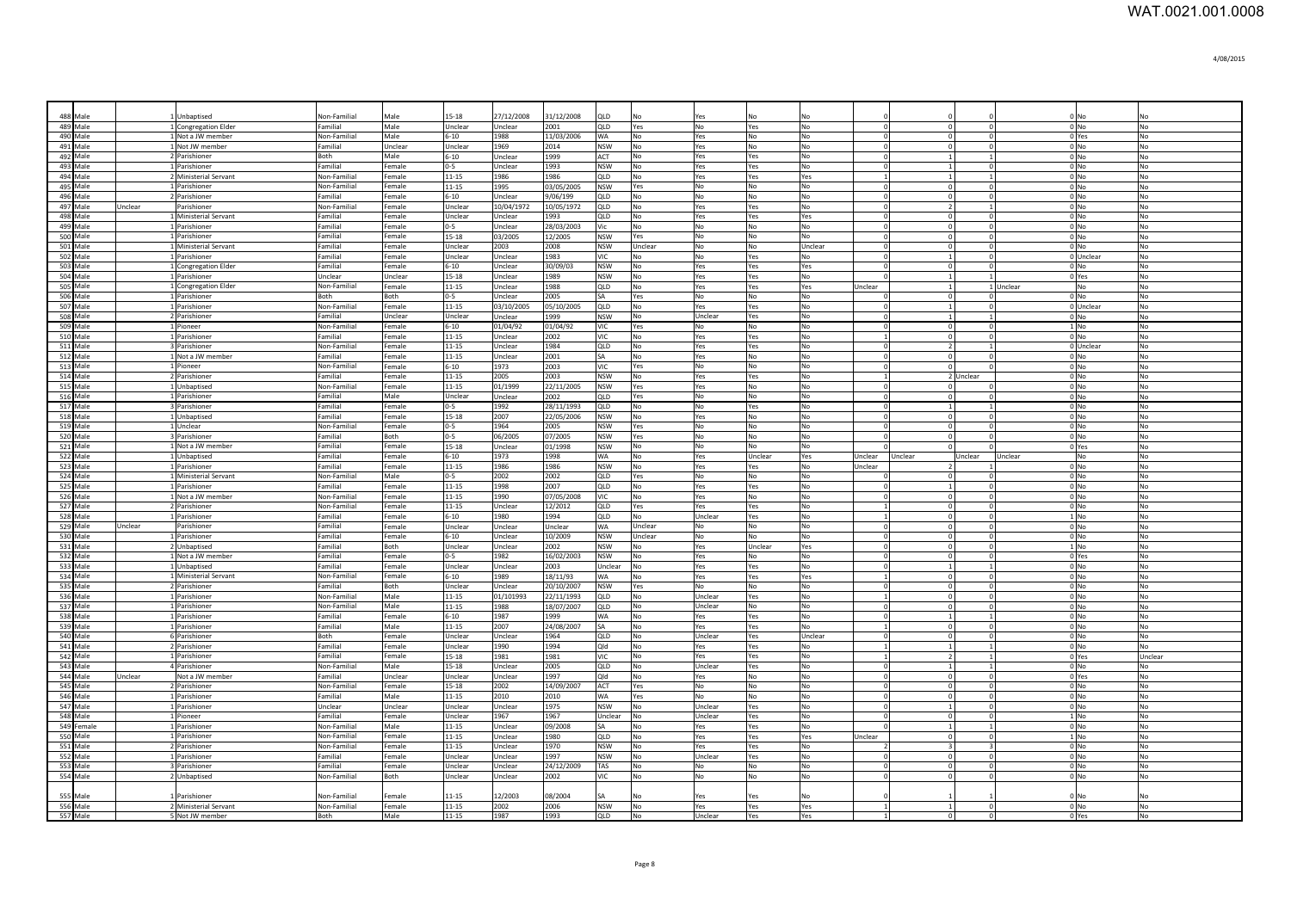| 488 Male             | 1 Unbaptised                           | Non-Familial                 | Male              | 15-18                      | 27/12/2008            | 31/12/2008             | QLD                      |                              | /es                | Nc             |                        |                                |                        |                      |           | 0 No                        |                      |
|----------------------|----------------------------------------|------------------------------|-------------------|----------------------------|-----------------------|------------------------|--------------------------|------------------------------|--------------------|----------------|------------------------|--------------------------------|------------------------|----------------------|-----------|-----------------------------|----------------------|
| 489 Male             | 1 Congregation Elder                   | Familial                     | Male              | Unclear                    | Jnclear               | 2001                   | QLD                      | Yes                          | No                 | Yes            | No                     | $\Omega$                       |                        | $\Omega$             |           | $0$ No                      | No                   |
| 490 Male<br>491 Male | 1 Not a JW member                      | Non-Familial                 | Male              | $5 - 10$                   | 1988                  | 11/03/2006             | <b>WA</b>                | No<br>N <sub>0</sub>         | Yes                | No             | <b>Nc</b><br><b>No</b> | $\Omega$<br>$\Omega$           |                        |                      |           | 0 Yes                       | No                   |
| 492 Male             | 1 Not JW member<br>2 Parishioner       | Familial<br>Both             | Unclear<br>Male   | Unclear<br>$6-10$          | 1969<br>Unclear       | 2014<br>1999           | <b>NSW</b><br>ACT        | <b>No</b>                    | Yes<br>Yes         | No<br>Yes      | <b>No</b>              | $\Omega$                       |                        | $\Omega$             |           | $0$ No<br>$0$ <sub>No</sub> | No<br>No             |
| 493 Male             | 1 Parishioner                          | Familial                     | Female            | $0 - 5$                    | Unclear               | 1993                   | <b>NSW</b>               | <b>No</b>                    | Yes                | Yes            | lNo.                   | $\Omega$                       |                        | $\Omega$             |           | 0 No                        | N <sub>0</sub>       |
| 494 Male             | 2 Ministerial Servant                  | Non-Familial                 | Female            | $11 - 15$                  | 1986                  | 1986                   | QLD                      | No                           | Yes                | Yes            | Yes                    | $\overline{1}$                 |                        |                      |           | 0 No                        | <b>No</b>            |
| 495 Male             | 1 Parishioner                          | Non-Familial                 | Female            | 11-15                      | 1995                  | 03/05/2005             | <b>NSW</b>               | Yes                          | No                 | No             | No                     | $\overline{0}$                 |                        | $\Omega$             |           | 0 No                        | No.                  |
| 496 Male             | 2 Parishioner                          | Familial                     | Female            | $6 - 10$                   | Unclear               | 9/06/199               | QLD                      | No                           | No                 | No             | No                     | $\Omega$                       |                        | $\Omega$             |           | 0 No                        | <b>No</b>            |
| 497 Male<br>Unclear  | Parishioner                            | Non-Familial                 | Female            | Unclear                    | 10/04/1972            | 10/05/1972             | QLD                      | No                           | Yes                | Yes            | No                     | $\mathbf{0}$                   |                        |                      |           | $0$ No                      | No                   |
| 498 Male             | 1 Ministerial Servant                  | Familial                     | Female            | Unclear                    | Unclear               | 1993                   | QLD                      | No                           | Yes                | Yes            | Yes                    | $\Omega$                       | $\Omega$               | $\Omega$             |           | $0$ No                      | No                   |
| 499 Male             | 1 Parishioner                          | Familial                     | Female            | $0 - 5$                    | Unclear               | 28/03/2003             | Vic                      | No                           | No                 | No             | No                     | $\Omega$                       |                        |                      |           | $0$ No                      | No                   |
| 500 Male             | 1 Parishioner                          | Familial                     | Female            | $15 - 18$                  | 03/2005               | 12/2005                | <b>NSW</b>               | Yes                          | No                 | No             | No                     | $^{\circ}$                     |                        |                      |           | $0$ No                      | No                   |
| 501 Male             | 1 Ministerial Servant                  | Familial                     | Female            | Unclear                    | 2003                  | 2008                   | <b>NSW</b>               | Unclear                      | No                 | No             | Unclear                | $\Omega$                       |                        |                      |           | $0$ No                      | No                   |
| 502 Male             | 1 Parishioner                          | Familial                     | Female            | Unclear                    | Unclear               | 1983                   | VIC                      | No                           | No                 | Yes            | l No                   | $\Omega$                       |                        |                      |           | 0 Unclear                   | No                   |
| 503 Male             | 1 Congregation Elder                   | Familial                     | Female            | $6 - 10$                   | Unclear               | 30/09/03               | <b>NSW</b>               | <b>No</b>                    | Yes                | Yes            | <b>Yes</b>             | $\Omega$                       |                        |                      |           | 0 <sub>No</sub>             | N <sub>0</sub>       |
| 504 Male             | 1 Parishioner                          | Unclear                      | Unclear           | $15 - 18$                  | Unclear               | 1989                   | <b>NSW</b>               | No                           | Yes                | Yes            | No                     |                                |                        |                      |           | 0 Yes                       | N <sub>0</sub>       |
| 505 Male<br>506 Male | 1 Congregation Elder<br>1 Parishioner  | Non-Familial<br>Both         | Female            | $11 - 15$                  | Unclear               | 1988                   | lord.<br>lsa             | <b>No</b>                    | Yes<br>No          | Yes<br>No      | Yes<br>No              | Unclear                        |                        |                      | 1 Unclear | N <sub>0</sub><br>$0$ No    | N <sub>0</sub>       |
| 507 Male             | 1 Parishioner                          | Non-Familial                 | Both<br>Female    | $0 - 5$                    | Unclear               | 2005                   | QLD                      | <b>Yes</b><br>N <sub>0</sub> | Yes                |                | No                     | $\overline{0}$                 |                        | $\Omega$             |           | 0 Unclear                   | <b>No</b>            |
| 508 Male             | 2 Parishioner                          | Familial                     | Unclear           | 11-15<br>Unclear           | 03/10/2005<br>Unclear | 05/10/2005<br>1999     | <b>NSW</b>               | No.                          | Unclear            | Yes<br>Yes     | No                     | $\overline{0}$                 |                        |                      |           | $0$ No                      | No<br><b>No</b>      |
| 509 Male             | 1 Pioneer                              | Non-Familial                 | Female            | $6 - 10$                   | 01/04/92              | 01/04/92               | VIC                      | Yes                          | No                 | No             | No                     | $\overline{0}$                 | $\sqrt{ }$             | $\Omega$             |           | $1$ No                      | No                   |
| 510 Male             | 1 Parishioner                          | Familial                     | Female            | $11 - 15$                  | Unclear               | 2002                   | VIC                      | No                           | Yes                | Yes            | No                     | $\overline{1}$                 | $\Omega$               |                      |           | $0$ No                      | No                   |
| 511 Male             | 3 Parishioner                          | Non-Familial                 | Female            | $11 - 15$                  | Jnclear               | 1984                   | QLD                      | No                           | Yes                | Yes            | No                     | $\overline{0}$                 |                        |                      |           | 0 Unclear                   | <b>No</b>            |
| 512 Male             | 1 Not a JW member                      | Familial                     | Female            | $11 - 15$                  | Jnclear               | 2001                   | SA                       | <b>No</b>                    | Yes                | No             | <b>No</b>              | $\Omega$                       |                        |                      |           | $0$ No                      | No                   |
| 513 Male             | 1 Pioneer                              | Non-Familial                 | Female            | $6 - 10$                   | 1973                  | 2003                   | VIC                      | Yes                          | No                 | No             | <b>No</b>              | $\overline{0}$                 |                        |                      |           | $0$ No                      | No                   |
| 514 Male             | 2 Parishioner                          | Familial                     | Female            | $11 - 15$                  | 2005                  | 2003                   | <b>NSW</b>               | N <sub>0</sub>               | Yes                | Yes            | No                     | $\overline{1}$                 |                        | 2 Unclear            |           | $0$ No                      | No                   |
| 515 Male             | 1 Unhantised                           | Non-Familial                 | Female            | $11 - 15$                  | 01/1999               | 22/11/2005             | <b>NSW</b>               | Yes                          | Yes                | N <sub>0</sub> | No                     | $\circ$                        | $\Omega$               |                      |           | $0$ No                      | N <sub>0</sub>       |
| 516 Male             | 1 Parishioner                          | Familial                     | Male              | Unclear                    | Unclear               | 2002                   | QLD                      | Yes                          | No                 | No             | No                     | $\mathbf{0}$                   | $\Omega$               | $\Omega$             |           | $0$ No                      | <b>No</b>            |
| 517 Male             | 3 Parishioner                          | Familial                     | Female            | $0 - 5$                    | 1992                  | 28/11/1993             | QLD                      | No                           | No                 | Yes            | No                     | $\mathbf{0}$                   |                        | $\overline{1}$       |           | $0$ No                      | N <sub>o</sub>       |
| 518 Male             | 1 Unbaptised                           | Familial<br>Non-Familia      | Female<br>Female  | 15-18                      | 2007                  | 22/05/2006             | <b>NSW</b>               | No                           | Yes                | No             | No                     | $\overline{0}$<br>$\Omega$     |                        | $^{\circ}$           |           | $0$ No                      | No                   |
| 519 Male<br>520 Male | 1 Unclear<br>3 Parishioner             | Familial                     | Both              | $0 - 5$<br>$0 - 5$         | 1964<br>06/2005       | 2005<br>07/2005        | <b>NSW</b><br><b>NSW</b> | Yes<br>Yes                   | No<br>No           | No<br>No       | No<br>No               | $\Omega$                       |                        | $\Omega$             |           | $0$ No<br>$0$ No            | No<br>No             |
| 521 Male             | 1 Not a JW member                      | Familial                     | Female            | 15-18                      | Unclear               | 01/1998                | <b>NSW</b>               | No                           | No                 | No             | No                     |                                |                        |                      |           | 0 Yes                       | No                   |
| 522 Male             | 1 Unbaptised                           | Familial                     | Female            | $5 - 10$                   | 1973                  | 1998                   | WA                       | No.                          | Yes                | Unclear        | Yes                    | Unclear                        | Unclear                | Jnclear              | Unclear   | No                          | N <sub>o</sub>       |
| 523 Male             | 1 Parishioner                          | Familial                     | Female            | 11-15                      | 1986                  | 1986                   | NSW                      | No                           | Yes                | Yes            | No                     | <b>Jnclear</b>                 |                        |                      |           | $0$ No                      | No                   |
| 524 Male             | 1 Ministerial Servant                  | Non-Familial                 | Male              | $0 - 5$                    | 2002                  | 2002                   | QLD                      | Yes                          | No                 | No             | No                     |                                |                        |                      |           | $0$ No                      | No                   |
| 525 Male             | 1 Parishioner                          | Familial                     | Female            | $11 - 15$                  | 1998                  | 2007                   | QLD                      | No.                          | Yes                | Yes            | No                     | $\Omega$                       |                        |                      |           | $0$ No                      | No                   |
| 526 Male             | 1 Not a IW member                      | Non-Familial                 | Female            | $11 - 15$                  | 1990                  | 07/05/2008             | <b>VIC</b>               | N <sub>0</sub>               | Yes                | N <sub>0</sub> | lNo.                   | $\Omega$                       |                        | $\Omega$             |           | 0 <sub>N<sub>O</sub></sub>  | <b>No</b>            |
| 527 Male             | 2 Parishioner                          | Non-Familial                 | Female            | $11 - 15$                  | Unclear               | 12/2012                | lord.                    | Yes                          | Yes                | Yes            | No                     | $\overline{1}$                 | $\Omega$               | $\Omega$             |           | 0 <sub>No</sub>             | N <sub>0</sub>       |
| 528 Male             | 1 Parishioner                          | Familial                     | Female            | $6 - 10$                   | 1980                  | 1994                   | lord.                    | No.                          | Unclear            | Yes            | No                     | $\overline{1}$                 | $\Omega$               | $\Omega$             |           | $1$ No                      | No                   |
| 529 Male<br>Unclear  | Parishioner                            | Familial                     | Female            | Unclear                    | Unclear               | Unclear                | <b>WA</b>                | Unclear                      | No                 | No             | No                     | $\mathbf{0}$                   | $\Omega$<br>$\sqrt{ }$ | $\Omega$<br>$\Omega$ |           | $0$ No                      | No                   |
| 530 Male<br>531 Male | 1 Parishioner<br>2 Unbaptised          | Familial                     | Female            | $6 - 10$                   | Unclear<br>Unclear    | 10/2009<br>2002        | <b>NSW</b><br><b>NSW</b> | Unclear                      | No                 | No             | No<br>Yes              | $\overline{0}$<br>$\mathbf{0}$ |                        |                      |           | $0$ No                      | No                   |
| 532 Male             |                                        |                              |                   |                            |                       |                        |                          |                              |                    |                |                        |                                |                        |                      |           |                             |                      |
|                      |                                        | Familial                     | Both              | Unclear                    |                       |                        |                          | No.                          | Yes                | Unclear        |                        |                                |                        | $\Omega$             |           | $1$ No                      | No                   |
|                      | 1 Not a JW member                      | Familial                     | Female            | $0 - 5$                    | 1982                  | 16/02/2003             | <b>NSW</b>               | No                           | Yes                | No             | No                     | $\mathbf{0}$                   |                        | $^{\circ}$           |           | 0 Yes                       | No                   |
| 533 Male             | 1 Unbaptised                           | Familial                     | Female            | Unclear                    | Jnclear               | 2003                   | Unclear                  | No<br>N <sub>0</sub>         | Yes                | Yes            | No                     | $\Omega$                       |                        |                      |           | $0$ No                      | No                   |
| 534 Male<br>535 Male | 1 Ministerial Servant<br>2 Parishioner | Non-Familial<br>Familial     | Female<br>Both    | $5 - 10$<br><b>Jnclear</b> | 1989<br>Unclear       | 18/11/93<br>20/10/2007 | WA<br><b>NSW</b>         | Yes                          | Yes<br>NΩ          | Yes<br>No      | Yes<br>No              | $\Omega$                       |                        |                      |           | $0$ No<br>$0$ No            | <b>No</b><br>No      |
| 536 Male             | 1 Parishioner                          | Non-Familial                 | Male              | $11 - 15$                  | 01/101993             | 22/11/1993             | <b>QLD</b>               | N <sub>0</sub>               | Unclear            | Yes            | <b>No</b>              | $\mathbf{1}$                   |                        |                      |           | $0$ <sub>No</sub>           | No                   |
| 537 Male             | 1 Parishioner                          | Non-Familial                 | Male              | 11-15                      | 1988                  | 18/07/2007             | QLD                      | N <sub>0</sub>               | Unclear            | No.            | l No                   | $\Omega$                       |                        | $\Omega$             |           | $0$ No                      | No                   |
| 538 Male             | 1 Parishioner                          | Familial                     | Female            | $6 - 10$                   | 1987                  | 1999                   | <b>WA</b>                | <b>No</b>                    | Yes                | Yes            | l No                   | $\Omega$                       |                        | $\mathbf{1}$         |           | 0 <sub>N<sub>0</sub></sub>  | No                   |
| 539 Male             | 1 Parishioner                          | Familial                     | Male              | 11-15                      | 2007                  | 24/08/2007             | <b>SA</b>                | No.                          | Yes                | Yes            | l No                   | -1                             | $\Omega$               | $^{\circ}$           |           | 0 <sub>No</sub>             | <b>No</b>            |
| 540 Male             | 6 Parishioner                          | Both                         | Female            | Unclear                    | Unclear               | 1964                   | QLD                      | No                           | Unclear            | Yes            | Unclear                | $\Omega$                       | - 0                    | $\Omega$             |           | 0 <sub>No</sub>             | <b>No</b>            |
| 541 Male             | 2 Parishioner                          | Familial                     | Female            | Unclear                    | 1990                  | 1994                   | Qld                      | No                           | Yes                | Yes            | No                     | $\mathbf{1}$                   |                        |                      |           | $0$ No                      | No                   |
| 542 Male             | 1 Parishioner                          | Familial                     | Female            | 15-18                      | 1981                  | 1981                   | VIC                      | No                           | Yes                | Yes            | No                     | $\mathbf{1}$                   |                        |                      |           | 0 Yes                       | Unclear              |
| 543 Male             | 4 Parishioner                          | Non-Familial                 | Male              | 15-18                      | Unclear               | 2005                   | QLD                      | No                           | Unclear            | Yes            | No                     | $\mathbf{0}$                   |                        |                      |           | $0$ No                      | <b>No</b>            |
| 544 Male<br>Unclear  | Not a JW member                        | Familial                     | Unclear           | Unclear                    | Unclear               | 1997                   | Qld                      | No                           | Yes                | No             | No                     | $\mathbf{0}$                   |                        | $\mathbf 0$          |           | 0 Yes                       | No                   |
| 545 Male             | 2 Parishioner                          | Non-Familial                 | Female            | 15-18                      | 2002                  | 14/09/2007             | ACT                      | Yes                          | No                 | No             | No                     | $\Omega$                       |                        |                      |           | $0$ No                      | No                   |
| 546 Male             | 1 Parishioner                          | Familial                     | Male              | $11 - 15$<br>Unclear       | 2010<br>Unclear       | 2010                   | WA                       | Yes                          | No                 | No             | No                     | $\Omega$<br>$\Omega$           |                        | $\Omega$<br>$\Omega$ |           | $0$ No                      | No<br>N <sub>0</sub> |
| 547 Male<br>548 Male | 1 Parishioner<br>1 Pioneer             | Unclear<br>Familial          | Unclear<br>Female | Unclear                    | 1967                  | 1975<br>1967           | <b>NSW</b><br>Unclear    | No<br>No                     | Unclear<br>Unclear | Yes<br>Yes     | No<br>l No             | $\Omega$                       |                        | $\Omega$             |           | 0 <sub>No</sub><br>$1$ No   | N <sub>0</sub>       |
| 549 Female           | 1 Parishioner                          | Non-Familial                 | Male              | 11-15                      | Unclear               | 09/2008                | lsa                      | <b>No</b>                    | Yes                | Yes            | <b>No</b>              |                                |                        |                      |           | $0$ No                      | N <sub>0</sub>       |
| 550 Male             | 1 Parishioner                          | Non-Familial                 | Female            | 11-15                      | Unclear               | 1980                   | QLD                      | No                           | Yes                | Yes            | Yes                    | Unclear                        |                        |                      |           | $1$ No                      | <b>No</b>            |
| 551 Male             | 2 Parishioner                          | Non-Familial                 | Female            | 11-15                      | Unclear               | 1970                   | <b>NSW</b>               | N <sub>0</sub>               | Yes                | Yes            | No                     |                                |                        |                      |           | $0$ No                      | N <sub>O</sub>       |
| 552 Male             | 1 Parishioner                          | Familial                     | Female            | Unclear                    | Unclear               | 1997                   | <b>NSW</b>               | No                           | Unclear            | Yes            | No                     | $\overline{0}$                 |                        | $\Omega$             |           | $0$ No                      | <b>No</b>            |
| 553 Male             | 3 Parishioner                          | Familial                     | Female            | Unclear                    | Unclear               | 24/12/2009             | TAS                      | No                           | No                 | No             | No                     | $\overline{0}$                 |                        | $\Omega$             |           | $0$ No                      | No                   |
| 554 Male             | 2 Unbaptised                           | Non-Familial                 | Both              | Unclear                    | Unclear               | 2002                   | VIC                      | No                           | No                 | No             | No                     | $\Omega$                       |                        |                      |           | $0$ No                      | No                   |
|                      |                                        |                              |                   |                            |                       |                        |                          |                              |                    |                |                        |                                |                        |                      |           |                             |                      |
| 555 Male             | 1 Parishioner<br>2 Ministerial Servant | Non-Familial<br>Non-Familial | Female<br>Female  | $11 - 15$                  | 2/2003                | 08/2004                |                          |                              | ⁄es                | Yes            |                        |                                |                        |                      |           |                             |                      |
| 556 Male<br>557 Male | 5 Not JW member                        | Both                         | Male              | $11 - 15$<br>11-15         | 2002<br>1987          | 2006<br>1993           | <b>NSW</b><br>QLD        | No<br>No                     | Yes<br>Unclear     | Yes<br>Yes     | Yes<br>Yes             |                                |                        |                      |           | $0$ No<br>0 Yes             | No<br>N <sub>0</sub> |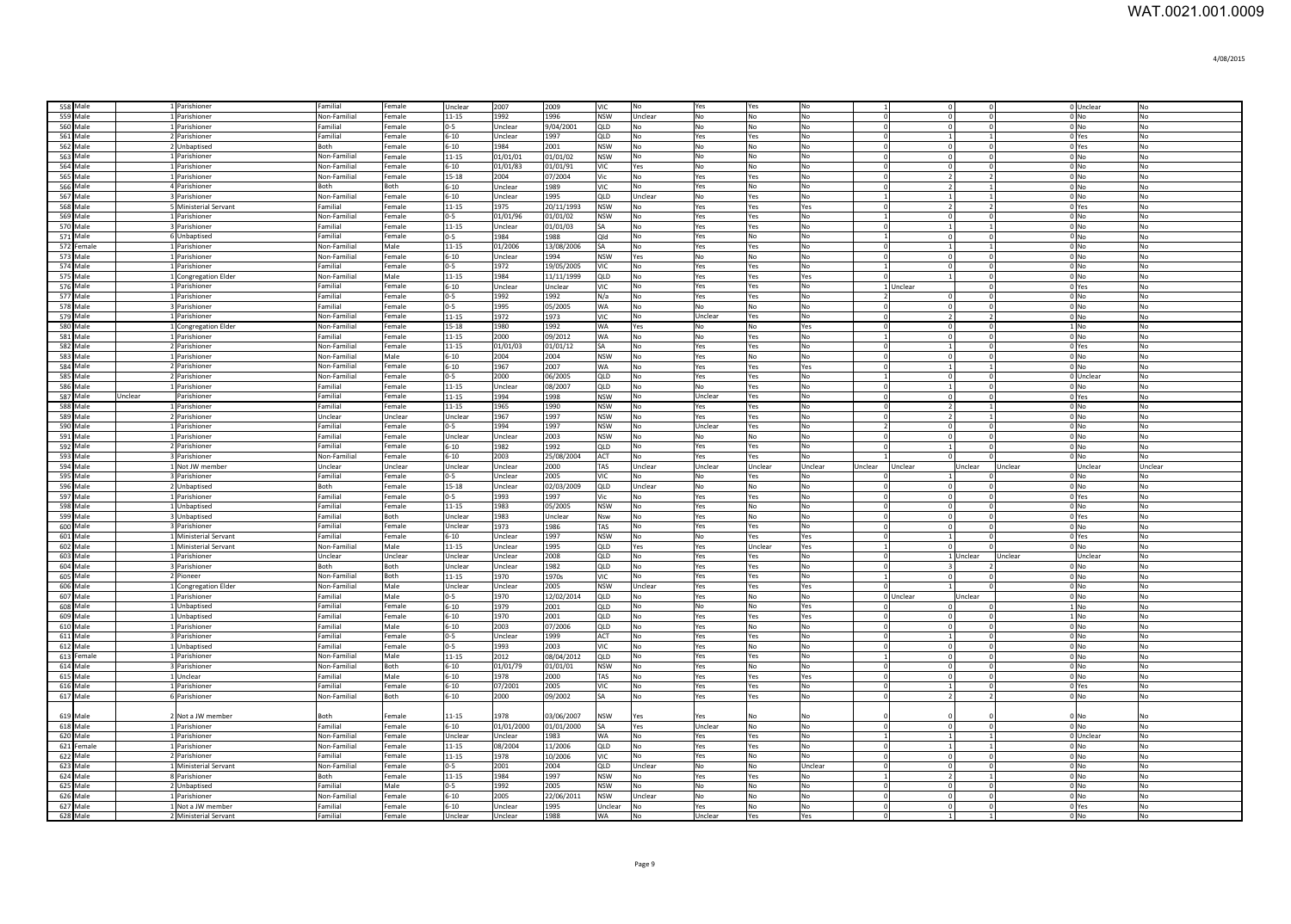| 558 Male             | 1 Parishioner                  | Familial                 | Female         | Unclear              | 2007               | 2009               | <b>VIC</b>         | No             | Yes                  | Yes            | No        |                      | $\overline{0}$  |                            |         | 0 Unclear                  | No                   |
|----------------------|--------------------------------|--------------------------|----------------|----------------------|--------------------|--------------------|--------------------|----------------|----------------------|----------------|-----------|----------------------|-----------------|----------------------------|---------|----------------------------|----------------------|
| 559 Male             | 1 Parishioner                  | Non-Familial             | Female         | $11 - 15$            | 1992               | 1996               | <b>NSW</b>         | Unclear        | No                   | No             | No        | $\Omega$             | $\Omega$        | $\Omega$                   |         | $0$ No                     | No                   |
| 560 Male             | 1 Parishioner                  | Familial                 | Female         | $0 - 5$              | Unclear            | 9/04/2001          | <b>QLD</b>         | No             | No                   | <b>No</b>      | No        | $\Omega$             | $\Omega$        | $\circ$                    |         | 0 <sub>N<sub>O</sub></sub> | No                   |
| 561 Male             | 2 Parishioner                  | Familial                 | Female         | $6 - 10$             | Unclear            | 1997               | QLD                | No             | Yes                  | Yes            | No        | $\Omega$             | $\vert$ 1       | $\mathbf{1}$               |         | 0 Yes                      | No                   |
| 562 Male             | 2 Unbaptised                   | Both                     | Female         | $6 - 10$             | 1984               | 2001               | <b>NSW</b>         | No             | No                   | N <sub>0</sub> | No        | $\Omega$             | $\Omega$        | $\Omega$                   |         | 0 Yes                      | No                   |
| 563 Male             | 1 Parishioner                  | Non-Familial             | Female         | $11 - 15$            | 01/01/01           | 01/01/02           | <b>NSW</b>         | No             | No                   | No             | No        | $\Omega$             | $\Omega$        | $\Omega$                   |         | $0$ No                     | No                   |
| 564 Male             | 1 Parishioner                  | Non-Familial             | Female         | $6 - 10$             | 01/01/83           | 01/01/91           | VIC                | Yes            | No                   | No             | No        | $\Omega$             | $\Omega$        | $\Omega$                   |         | $0$ No                     | No                   |
| 565 Male             | 1 Parishioner                  | Non-Familial             | Female         | 15-18                | 2004               | 07/2004            | Vic                | No             | Yes                  | Yes            | No        | $\cap$               | $\overline{2}$  | $\overline{2}$             |         | $0$ No                     | No                   |
| 566 Male             | 4 Parishioner                  | Both                     | Both           | $6 - 10$             | Unclear            | 1989               | <b>VIC</b>         | No             | Yes                  | No             | No        | $\Omega$             | $\overline{2}$  | $\overline{1}$             |         | 0 <sub>No</sub>            | No                   |
| 567 Male             | 3 Parishioner                  | Non-Familial             | Female         | $6 - 10$             | Unclear            | 1995               | QLD                | Unclear        | No                   | Yes            | No        | $\mathbf{1}$         | $\vert$ 1       | $\mathbf{1}$               |         | 0 <sub>No</sub>            | No                   |
| 568 Male             | 5 Ministerial Servant          | Familial                 | Female         | $11 - 15$            | 1975               | 20/11/1993         | <b>NSW</b>         | No             | Yes                  | Yes            | Yes       | $\Omega$             | $\overline{2}$  | $\overline{2}$             |         | 0 Yes                      | No                   |
| 569 Male             | 1 Parishioner                  | Non-Familial             | Female         | $0 - 5$              | 01/01/96           | 01/01/02           | <b>NSW</b>         | No             | Yes                  | Yes            | No        | $\overline{1}$       | $\overline{0}$  | $\overline{0}$             |         | $0$ No                     | No                   |
| 570 Male             | 3 Parishioner                  | Familial                 | Female         | $11 - 15$            | Unclear            | 01/01/03           | SA                 | No             | Yes                  | Yes            | No        | $\Omega$             | $\vert$ 1       |                            |         | $0$ No                     | No                   |
| 571 Male             |                                | amilial                  |                |                      | 1984               |                    | Qld                |                |                      |                |           |                      | $\overline{0}$  | $\Omega$                   |         |                            |                      |
| 572 Female           | 6 Unbaptised<br>1 Parishioner  | Non-Familial             | Female<br>Male | $0 - 5$<br>$11 - 15$ | 01/2006            | 1988<br>13/08/2006 | SA                 | No<br>No       | Yes<br>Yes           | No<br>Yes      | No<br>No  | $\Omega$             | $\mathbf{1}$    |                            |         | 0 <sub>No</sub><br>$0$ No  | No<br>No             |
|                      |                                |                          |                |                      |                    |                    |                    |                |                      |                |           | $\Omega$             |                 | $\mathbf{0}$               |         |                            |                      |
| 573 Male<br>574 Male | 1 Parishioner<br>1 Parishioner | Non-Familial<br>Familial | Female         | $6 - 10$<br>$0 - 5$  | Unclear<br>1972    | 1994<br>19/05/2005 | <b>NSW</b><br>VIC. | Yes            | No                   | No             | No        |                      | $\overline{0}$  | $\Omega$                   |         | $0$ No                     | No<br><b>No</b>      |
|                      |                                |                          | Female         |                      |                    |                    |                    | NΩ             | Yes                  | Yes            | No        |                      | $\Omega$        |                            |         | $0$ No                     |                      |
| 575 Male             | 1 Congregation Elder           | Non-Familial             | Male           | $11 - 15$            | 1984               | 11/11/1999         | OLD.               | No             | Yes                  | Yes            | Yes       |                      | $\vert$ 1       | $\Omega$                   |         | $0 \text{N}$               | N <sub>0</sub>       |
| 576 Male             | 1 Parishioner                  | Familial                 | Female         | $6 - 10$             | Unclear            | Unclear            | VIC.               | No             | Yes                  | Yes            | No        |                      | 1 Unclear       | $\overline{0}$             |         | 0 Yes                      | <b>No</b>            |
| 577 Male             | 1 Parishioner                  | Familial                 | Female         | $0 - 5$              | 1992               | 1992               | N/a                | No             | Yes                  | Yes            | No        | $\overline{2}$       | $\overline{0}$  | $\Omega$                   |         | $0$ No                     | No                   |
| 578 Male             | 3 Parishioner                  | Familial                 | Female         | $0 - 5$              | 1995               | 05/2005            | WA                 | No             | l No                 | No             | No        | $\Omega$             | $\overline{0}$  | $^{\circ}$                 |         | 0 <sub>No</sub>            | No                   |
| 579 Male             | 1 Parishioner                  | Non-Familial             | Female         | $11 - 15$            | 1972               | 1973               | VIC                | No             | Unclear              | Yes            | No        | $\Omega$             | $\overline{2}$  | $\overline{2}$             |         | 0 No                       | No                   |
| 580 Male             | 1 Congregation Elder           | Non-Familial             | Female         | 15-18                | 1980               | 1992               | WA                 | Yes            | No                   | No             | Yes       | $\Omega$             | $\mathbf 0$     | $^{\circ}$                 |         | $1$ No                     | No                   |
| 581 Male             | 1 Parishioner                  | Familial                 | Female         | 11-15                | 2000               | 09/2012            | WA                 | No             | No                   | Yes            | No        | $\overline{1}$       | $\mathbf 0$     | $\mathbf 0$                |         | $0$ No                     | No                   |
| 582 Male             | 2 Parishioner                  | Non-Familial             | Female         | 11-15                | 01/01/03           | 01/01/12           | SA                 | No             | Yes                  | Yes            | No        | $\Omega$             | $\mathbf{1}$    | $\mathbf 0$                |         | 0 Yes                      | No                   |
| 583 Male             | 1 Parishioner                  | Non-Familial             | Male           | $6 - 10$             | 2004               | 2004               | <b>NSW</b>         | No             | Yes                  | No             | No        | $\Omega$             | $\overline{0}$  | $\mathbf{0}$               |         | $0$ No                     | No                   |
| 584 Male             | 2 Parishioner                  | Non-Familial             | Female         | $6 - 10$             | 1967               | 2007               | WA                 | No             | Yes                  | Yes            | Yes       | $\Omega$             | $\vert$ 1       |                            |         | $0$ No                     | No                   |
| 585 Male             | 2 Parishioner                  | Non-Familial             | Female         | $0 - 5$              | 2000               | 06/2005            | QLD                | No             | Yes                  | Yes            | No        | $\overline{1}$       | $\Omega$        |                            |         | 0 Unclear                  | No                   |
| 586 Male             | 1 Parishioner                  | Familial                 | Female         | $11 - 15$            | Unclear            | 08/2007            | QLD                | No             | No                   | Yes            | No        | $\Omega$             | $\vert$ 1       |                            |         | 0 <sub>No</sub>            | No                   |
| 587 Male<br>Unclear  | Parishioner                    | Familial                 | Female         | $11 - 15$            | 1994               | 1998               | <b>NSW</b>         | No             | Unclear              | Yes            | No        | $\Omega$             | $\overline{0}$  | $\Omega$                   |         | 0 Yes                      | No                   |
| 588 Male             | 1 Parishioner                  | Familial                 | Female         | $11 - 15$            | 1965               | 1990               | <b>NSW</b>         | No             | Yes                  | Yes            | No        | $\Omega$             | $\overline{2}$  |                            |         | $0$ No                     | No                   |
| 589 Male             | 2 Parishioner                  | Unclear                  | Unclear        | Unclear              | 1967               | 1997               | <b>NSW</b>         | No             | Yes                  | Yes            | No        | $\Omega$             | $\overline{2}$  |                            |         | 0 <sub>No</sub>            | No                   |
| 590 Male             | 1 Parishioner                  | Familial                 | Female         | $0 - 5$              | 1994               | 1997               | <b>NSW</b>         | No             | Unclear              | Yes            | No        | $\overline{2}$       | $\Omega$        | $\Omega$                   |         | $0$ No                     | No                   |
| 591 Male             | 1 Parishioner                  | Familial                 | Female         | Unclear              | Unclear            | 2003               | <b>NSW</b>         | No             | No                   | No             | No        | $\sqrt{2}$           | $\sqrt{2}$      | $\Omega$                   |         | $0$ No                     | No                   |
| 592 Male             | 2 Parishioner                  | Familial                 | Female         | $6 - 10$             | 1982               | 1992               | QLD                | No             | Yes                  | Yes            | No        |                      | $\vert$ 1       |                            |         | $0$ No                     | No                   |
| 593 Male             | 3 Parishioner                  | Non-Familial             | Female         |                      |                    |                    |                    |                |                      |                |           |                      |                 |                            |         |                            |                      |
|                      |                                |                          |                |                      |                    |                    |                    | No             |                      | Yes            | No        |                      |                 |                            |         |                            |                      |
|                      |                                |                          |                | $6 - 10$             | 2003               | 25/08/2004         | ACT                | Unclear        | Yes                  |                | Unclear   |                      | Unclear         | Unclear                    | Unclear | $0$ No                     | No                   |
| 594 Male             | 1 Not JW member                | Unclear<br>Familial      | Unclear        | Unclear<br>$0 - 5$   | Unclear<br>Unclear | 2000<br>2005       | TAS<br>VIC         | No             | Unclear<br><b>No</b> | Unclear        | No        | Unclear              |                 |                            |         | Unclear<br>$0$ No          | Unclear<br><b>No</b> |
| 595 Male             | 3 Parishioner                  |                          | Female         |                      |                    |                    |                    |                |                      | Yes            |           |                      | $\overline{0}$  | $^{\circ}$                 |         |                            |                      |
| 596 Male             | 2 Unbaptised                   | Both                     | Female         | 15-18                | Unclear            | 02/03/2009         | QLD                | Unclear        | No                   | No             | No        | $\Omega$             |                 |                            |         | $0$ No                     | No                   |
| 597 Male             | 1 Parishioner                  | Familial                 | Female         | $0 - 5$              | 1993               | 1997               | Vic                | No             | Yes                  | Yes            | No        | $\Omega$             | $\overline{0}$  | $\overline{0}$<br>$\Omega$ |         | 0 Yes                      | No                   |
| 598 Male             | 1 Unbaptised                   | Familial                 | Female         | $11 - 15$            | 1983               | 05/2005            | <b>NSW</b>         | No             | Yes                  | No             | No        |                      | $\overline{0}$  | $\Omega$                   |         | $0$ No                     | No                   |
| 599 Male             | 3 Unbaptised                   | Familial                 | Both           | Jnclear              | 1983               | Unclear            | Nsw                | No             | Yes                  | <b>No</b>      | No        |                      | $\overline{0}$  |                            |         | 0 Yes                      | No                   |
| 600 Male             | 3 Parishioner                  | Familial                 | Female         | Jnclear              | 1973               | 1986               | TAS                | No             | Yes                  | Yes            | No        |                      | $\overline{0}$  |                            |         | $0$ No                     | No                   |
| 601 Male             | 1 Ministerial Servant          | Familial                 | emale          | $5 - 10$             | Unclear            | 1997               | <b>NSW</b>         | No             | No                   | Yes            | Yes       |                      | $\mathbf{1}$    |                            |         | 0 Yes                      | No                   |
| 602 Male             | 1 Ministerial Servant          | Non-Familial             | Male           | 11-15                | Unclear            | 1995               | QLD                | Yes            | Yes                  | Unclear        | Yes       |                      |                 |                            |         | $0$ No                     | No                   |
| 603 Male             | 1 Parishioner                  | Unclear                  | Unclear        | Jnclear              | Unclear            | 2008               | QLD                | No             | Yes                  | Yes            | No        | $\Omega$             |                 | 1 Unclear                  | Unclear | Unclear                    | No                   |
| 604 Male             | 3 Parishioner                  | Both                     | <b>Both</b>    | Jnclear              | Unclear            | 1982               | QLD                | No             | Yes                  | Yes            | No        | $\Omega$             |                 |                            |         | $0$ No                     | No                   |
| 605 Male             | 2 Pioneer                      | Non-Familial             | Both           | 11-15                | 1970               | 1970s              | VIC                | No             | Yes                  | Yes            | No        |                      | $\overline{0}$  |                            |         | 0 <sub>No</sub>            | No                   |
| 606 Male             | 1 Congregation Elder           | Non-Familial             | Male           | Unclear              | Unclear            | 2005               | <b>NSW</b>         | Unclear        | Yes                  | Yes            | Yes       |                      |                 |                            |         | $0$ No                     | No                   |
| 607 Male             | 1 Parishioner                  | Familial                 | Male           | $0 - 5$              | 1970               | 12/02/2014         | QLD                | No             | Yes                  | No             | <b>No</b> |                      | 0 Unclear       | Unclear                    |         | $0$ No                     | No                   |
| 608 Male             | 1 Unbaptised                   | Familial                 | Female         | $6 - 10$             | 1979               | 2001               | QLD                | No             | No                   | No             | Yes       | $\Omega$<br>$\Omega$ | 0               |                            |         | 1 No                       | No                   |
| 609 Male             | 1 Unbaptised                   | Familial                 | Female         | $6 - 10$             | 1970               | 2001               | QLD                | No             | Yes                  | Yes            | Yes       |                      | $\overline{0}$  | $\overline{0}$             |         | 1 No                       | No                   |
| 610 Male             | 1 Parishioner                  | Familial                 | Male           | $6 - 10$             | 2003               | 07/2006            | QLD                | No             | Yes                  | No             | No        | $\Omega$             | $\mathbf 0$     | $\overline{0}$             |         | 0 No                       | No                   |
| 611 Male             | 3 Parishioner                  | Familial                 | Female         | $0 - 5$              | Unclear            | 1999               | ACT                | No             | Yes                  | Yes            | No        | $\Omega$             | $\vert 1 \vert$ | $\Omega$                   |         | $0$ No                     | No                   |
| 612 Male             | 1 Unbaptised                   | Familial                 | Female         | $0 - 5$              | 1993               | 2003               | VIC                | No             | Yes                  | No             | No        | $\Omega$             | $\circ$         | $\Omega$                   |         | $0$ No                     | No                   |
| 613 Female           | 1 Parishioner                  | Non-Familial             | Male           | 11-15                | 2012               | 08/04/2012         | QLD                | No             | Yes                  | Yes            | No        | $\overline{1}$       | $\circ$         | $\Omega$                   |         | $0$ No                     | No                   |
| 614 Male             | 3 Parishioner                  | Non-Familial             | Both           | $6 - 10$             | 01/01/79           | 01/01/01           | <b>NSW</b>         | No             | Yes                  | No             | No        | $\Omega$             | 0               | $\Omega$                   |         | $0$ No                     | No                   |
| 615 Male             | 1 Unclear                      | Familial                 | Male           | $6 - 10$             | 1978               | 2000               | TAS                | No             | Yes                  | Yes            | Yes       | $\Omega$             | $\Omega$        |                            |         | 0 <sub>No</sub>            | No                   |
| 616 Male             | 1 Parishioner                  | Familial                 | Female         | $6 - 10$             | 07/2001            | 2005               | VIC                | No             | Yes                  | Yes            | No        | $\Omega$             | $\mathbf{1}$    | $\Omega$                   |         | 0 Yes                      | No                   |
| 617 Male             | 6 Parishioner                  | Non-Familial             | Both           | $6 - 10$             | 2000               | 09/2002            | SA                 | N <sub>0</sub> | Yes                  | Yes            | No        | $\Omega$             | $\overline{2}$  | $\overline{2}$             |         | $0$ No                     | No                   |
|                      |                                |                          |                |                      |                    |                    |                    |                |                      |                |           |                      |                 |                            |         |                            |                      |
| 619 Male             | 2 Not a JW member              | Both                     | Female         | $11 - 15$            | 1978               | 03/06/2007         | <b>NSW</b>         | Yes            | Yes                  | No             | No        |                      |                 |                            |         | $0$ No                     | No                   |
| 618 Male             | 1 Parishioner                  | Familial                 | Female         | $6 - 10$             | 01/01/2000         | 01/01/2000         | SA                 | Yes            | Unclear              | N <sub>0</sub> | No        | $\Omega$             | $\Omega$        | $\Omega$                   |         | 0 <sub>No</sub>            | No                   |
| 620 Male             | 1 Parishioner                  | Non-Familial             | Female         | Unclear              | Unclear            | 1983               | <b>WA</b>          | No             | Yes                  | Yes            | No        | $\overline{1}$       | $\vert$ 1       | $\mathbf{1}$               |         | 0 Unclear                  | N <sub>o</sub>       |
| 621 Female           | 1 Parishioner                  | Non-Familial             | Female         | 11-15                | 08/2004            | 11/2006            | QLD                | No             | Yes                  | Yes            | <b>No</b> | $\Omega$             | $\vert$ 1       | $\mathbf{1}$               |         | 0 <sub>No</sub>            | No                   |
| 622 Male             | 2 Parishioner                  | Familial                 | Female         | $11 - 15$            | 1978               | 10/2006            | <b>VIC</b>         | No             | Yes                  | No             | No        | $\Omega$             | $\Omega$        | $\circ$                    |         | 0 <sub>No</sub>            | No                   |
| 623 Male             | 1 Ministerial Servant          | Non-Familial             | Female         | 0-5                  | 2001               | 2004               | QLD                | Unclear        | No                   | N <sub>0</sub> | Unclear   | $\Omega$             | $\Omega$        | $\Omega$                   |         | 0 <sub>No</sub>            | No                   |
| 624 Male             | 8 Parishioner                  | Both                     | Female         | 11-15                | 1984               | 1997               | <b>NSW</b>         | No             | Yes                  | Yes            | No        |                      | $\overline{2}$  | $\overline{1}$             |         | $0$ No                     | No                   |
| 625 Male             | 2 Unbaptised                   | Familial                 | Male           | $0 - 5$              | 1992               | 2005               | <b>NSW</b>         | No             | No                   | No             | No        | $\Omega$             | $\overline{0}$  | $\circ$                    |         | $0$ No                     | No                   |
| 626 Male             | 1 Parishioner                  | Non-Familia              | Female         | $6 - 10$             | 2005               | 22/06/2011         | <b>NSW</b>         | Unclear        | No                   | No             | No        | $\Omega$             | $\overline{0}$  | $\mathbf 0$                |         | $0$ No                     | No                   |
| 627 Male             | 1 Not a JW member              | Familial                 | Female         | $6 - 10$             | Unclear            | 1995               | Unclear            | No             | Yes                  | No             | No        |                      | $\overline{0}$  | $\mathbf 0$                |         | 0 Yes                      | No                   |
| 628 Male             | 2 Ministerial Servant          | Familial                 | Female         | Unclear              | Unclear            | 1988               | <b>WA</b>          | No             | Unclear              | Yes            | Ye.       |                      |                 |                            |         | 0 <sub>No</sub>            | No                   |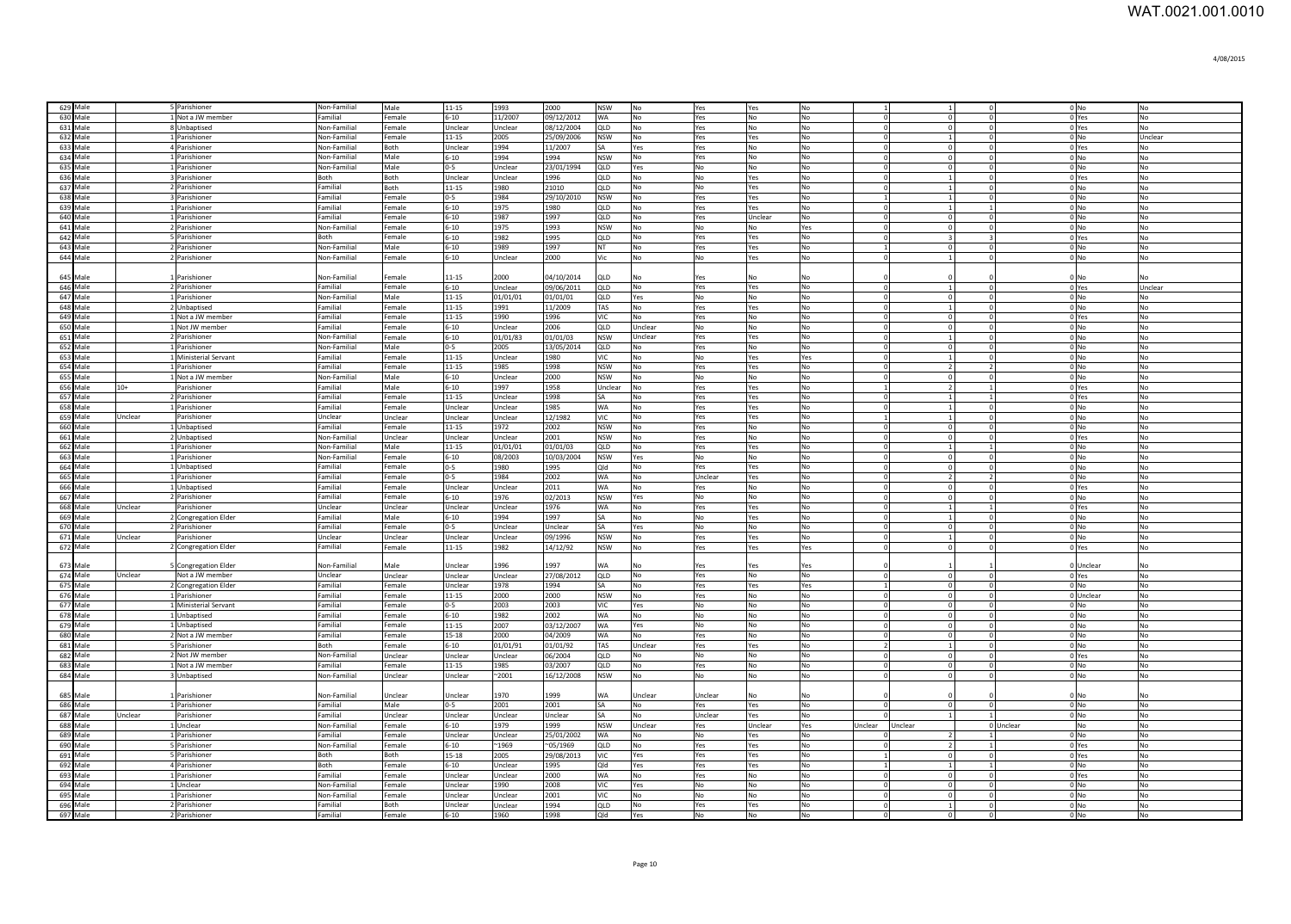| 629 Male<br>5 Parishioner<br>Non-Familial<br>Male<br>$11 - 15$<br>1993<br>2000<br>$0$ No<br><b>NSW</b><br><b>No</b><br>Yes<br>No<br>No<br>Yes<br>630 Male<br>1 Not a JW member<br>Familial<br>Female<br>11/2007<br>09/12/2012<br><b>WA</b><br><b>No</b><br><b>No</b><br>$\overline{N}$<br>$6 - 10$<br>Yes<br><b>No</b><br>$\Omega$<br>$\Omega$<br>0 Yes<br>$\Omega$<br>631 Male<br>8 Unbaptised<br>Unclear<br>08/12/2004<br>QLD<br><b>No</b><br>No<br><b>No</b><br>$\circ$<br>No<br>Non-Familial<br>Female<br>Unclear<br>Yes<br>$\Omega$<br>$\Omega$<br>0 Yes<br>1<br>0 <sub>No</sub><br>632 Male<br>11-15<br>2005<br>25/09/2006<br><b>NSW</b><br>$\Omega$<br>$\Omega$<br>Unclear<br>1 Parishioner<br>Non-Familial<br>Female<br>No<br>Yes<br>Yes<br><b>No</b><br>1994<br>$\circ$<br>$\circ$<br>0 Yes<br>633 Male<br>4 Parishioner<br>Unclear<br>11/2007<br>SA<br>Yes<br>No<br>$\Omega$<br>Non-Familial<br>Both<br>Yes<br><b>No</b><br><b>No</b><br>$\circ$<br>634 Male<br>$6 - 10$<br>1994<br>1994<br><b>NSW</b><br>No<br>$\Omega$<br>$\circ$<br>0 <sub>No</sub><br>No<br>1 Parishioner<br>Non-Familial<br>Male<br>No<br>Yes<br>No<br>635 Male<br>$0-5$<br>$\circ$<br>$0$ No<br>1 Parishioner<br>Non-Familial<br>Male<br>Unclear<br>23/01/1994<br>QLD<br>Yes<br>No<br>No<br>No<br>$\Omega$<br>$\circ$<br>No<br>0 Yes<br>636 Male<br>3 Parishioner<br>Both<br>Both<br>Unclear<br>Unclear<br>1996<br>QLD<br>No<br>No<br>Yes<br>No<br>$\Omega$<br>$\mathbf{1}$<br>$\overline{0}$<br>No<br>637 Male<br>2 Parishioner<br>Familial<br>Both<br>$11 - 15$<br>1980<br>21010<br>QLD<br>No<br>No<br>Yes<br>No<br>$\mathbf{1}$<br>$\mathbf{0}$<br>$0$ No<br>No<br>$\Omega$<br>638 Male<br>$0-5$<br>1984<br>29/10/2010<br><b>NSW</b><br>No<br>$0$ No<br>No<br>3 Parishioner<br>Familial<br>Female<br>No<br>Yes<br>Yes<br>$\vert$ 1<br>$\Omega$<br>$6 - 10$<br>1975<br>639 Male<br><b>Parishioner</b><br>Familial<br>Female<br>1980<br>QLD<br>No<br>Yes<br>Yes<br>No<br>$\mathbf{1}$<br>$0$ No<br>No<br>640 Male<br>Parishioner<br>Familial<br>Female<br>$6 - 10$<br>1987<br>1997<br>QLD<br>Unclear<br>$\overline{0}$<br>$\mathbf{0}$<br>$0$ No<br><b>No</b><br>Yes<br><b>No</b><br>N <sub>o</sub><br>641 Male<br>2 Parishioner<br>Non-Familial<br>$6 - 10$<br>1975<br>1993<br><b>NSW</b><br>No<br>Female<br>No<br>$\overline{0}$<br>$\Omega$<br>$0$ No<br>No<br>Yes<br>No<br>642 Male<br>Parishioner<br>Both<br>Female<br>$6 - 10$<br>1982<br>1995<br>QLD<br>No<br>Yes<br>Yes<br><b>No</b><br>No<br>0 Yes<br>$\epsilon$<br>643 Male<br>2 Parishioner<br>Male<br>Non-Familial<br>$6 - 10$<br>1989<br>1997<br>NT<br><b>No</b><br>Yes<br>No<br>Yes<br>$\circ$<br>$\Omega$<br>$01$ No<br>N <sub>0</sub><br>644 Male<br>Non-Familial<br>2 Parishioner<br>Female<br>$6 - 10$<br>2000<br>No<br>No<br>No<br>Unclear<br>Vic<br>Yes<br>$0$ No<br>No<br>$\vert$ 1<br>$\Omega$<br>$11 - 15$<br>2000<br>04/10/2014<br>645 Male<br>Parishioner<br>Non-Familial<br>Female<br><b>QLD</b><br>No<br>No<br>No<br>0 <sub>No</sub><br>Yes<br>$\Omega$<br>No<br>646 Male<br>$6 - 10$<br>09/06/2011<br>QLD<br>$\circ$<br>Unclear<br>2 Parishioner<br>Familial<br>Female<br>Unclear<br>No<br>Yes<br>Yes<br>No<br>$\Omega$<br>$\overline{1}$<br>0 Yes<br>647 Male<br>1 Parishioner<br>Non-Familial<br>Male<br>11-15<br>01/01/01<br>01/01/01<br>QLD<br>Yes<br>No<br>No<br>No<br>$^{\circ}$<br>$\circ$<br>$\circ$<br>0 No<br>No<br>648 Male<br>2 Unbaptised<br>Familial<br>Female<br>11-15<br>1991<br>11/2009<br>TAS<br>No<br>Yes<br>Yes<br>No<br>$\Omega$<br>$1\overline{ }$<br>$\circ$<br>$0$ No<br>No<br>649 Male<br>1 Not a JW member<br>Familial<br>Female<br>11-15<br>1990<br>1996<br>VIC<br>No<br>Yes<br>No<br>No<br>$\overline{0}$<br>$\mathbf{0}$<br>0 Yes<br>No<br>$\Omega$<br>650 Male<br>1 Not JW member<br>Familial<br>Female<br>$6 - 10$<br>2006<br>QLD<br>Unclear<br>No<br>No<br>No<br>$\circ$<br>Unclear<br>$\Omega$<br>$\Omega$<br>$0$ No<br>No<br>651 Male<br>2 Parishioner<br>Non-Familial<br>$6 - 10$<br>Unclear<br>Yes<br>No<br>Female<br>01/01/83<br>01/01/03<br><b>NSW</b><br>Yes<br>$\Omega$<br>$\vert$ 1<br>$\Omega$<br>0 <sub>No</sub><br>No<br>652 Male<br>1 Parishioner<br>Non-Familial<br>Male<br>$0 - 5$<br>2005<br>13/05/2014<br>QLD<br>No<br>Yes<br>No<br>No<br>$\overline{0}$<br>0 <sub>No</sub><br>No<br>$\Omega$<br>$\Omega$<br>653 Male<br>Ministerial Servant<br>Familial<br>Female<br>11-15<br>1980<br>VIC<br>No<br>No<br>Yes<br>Yes<br>Unclear<br>$\vert$ 1<br>$\Omega$<br>0 <sub>N<sub>0</sub></sub><br><b>No</b><br>654 Male<br>Parishioner<br>Familial<br>$11 - 15$<br>1985<br>1998<br><b>NSW</b><br>No<br>No<br>$\overline{2}$<br>0 <sub>No</sub><br>Female<br>Yes<br>Yes<br>$\mathcal{P}$<br><b>No</b><br>655 Male<br>Male<br>$6 - 10$<br>2000<br><b>NSW</b><br>No<br>No<br>$\circ$<br>0 <sub>No</sub><br>Not a JW member<br>Non-Familial<br>Unclear<br>l No<br>No<br>$\Omega$<br>N <sub>O</sub><br>656 Male<br>$6 - 10$<br>1997<br>1958<br>$\overline{2}$<br>0 Yes<br>No<br>Familial<br>Male<br>Unclear<br>No<br>Yes<br>Yes<br>No<br>$\mathbf{1}$<br>$10+$<br>Parishioner<br>$\overline{1}$<br>657 Male<br>11-15<br>1998<br>1<br>No<br>Parishioner<br>Female<br>Unclear<br><b>SA</b><br>Yes<br>Yes<br>No<br>$\sqrt{ }$<br>$\mathbf{1}$<br>0 Yes<br>Familial<br>No<br><b>WA</b><br>$\overline{1}$<br>658 Male<br>Unclear<br>1985<br>$\Omega$<br>$\Omega$<br>0 <sub>No</sub><br>No<br><b>Parishioner</b><br>Familial<br>Female<br>Unclear<br>No<br>Yes<br>Yes<br>No<br>659 Male<br>Unclear<br>12/1982<br>VIC<br>$\mathbf{1}$<br>$\circ$<br>$0$ No<br>Unclear<br>Yes<br>No<br>Unclear<br>Parishioner<br>Unclear<br>Unclear<br>No<br>Yes<br>No<br>$\overline{1}$<br>2002<br>$\overline{0}$<br>660 Male<br><b>NSW</b><br>$\overline{0}$<br>$0$ No<br>Unbaptised<br>Familial<br>Female<br>11-15<br>1972<br>No<br>Yes<br>No<br>No<br>$\Omega$<br>No<br>2001<br>$\circ$<br>661 Male<br>2 Unbaptised<br>Non-Familial<br>Unclear<br>Unclear<br>Unclear<br><b>NSW</b><br>No<br>Yes<br>No<br>No<br>$\overline{0}$<br>0 Yes<br>No<br>662 Male<br>1 Parishioner<br>Non-Familial<br>Male<br>$11 - 15$<br>01/01/01<br>01/01/03<br>QLD<br>No<br>Yes<br>Yes<br>No<br>$\Omega$<br>$\mathbf{1}$<br>$0$ No<br>No<br>$\mathbf{1}$<br>663 Male<br>1 Parishioner<br>Non-Familial<br>Female<br>$6 - 10$<br>08/2003<br>10/03/2004<br><b>NSW</b><br>Yes<br>No<br>No<br>No<br>$\overline{0}$<br>$\Omega$<br>$0$ No<br>No<br>664 Male<br>1 Unbaptised<br>Familial<br>Female<br>No<br>Yes<br>Yes<br>No<br>$0 - 5$<br>1980<br>1995<br>Qld<br>$\overline{0}$<br>$\Omega$<br>$0$ No<br>No<br>665 Male<br><b>L</b> Parishioner<br>Familial<br>Female<br>$0 - 5$<br>1984<br>2002<br>WA<br>No<br>Unclear<br>Yes<br>No<br>$\overline{2}$<br>$\overline{2}$<br>$0$ No<br>No<br>666 Male<br>Unbaptised<br>Familial<br>Female<br>Unclear<br>Unclear<br>2011<br><b>WA</b><br>No<br>No<br>No<br>$\Omega$<br>Yes<br>$\Omega$<br>0 Yes<br>N <sub>0</sub><br>- C<br>667 Male<br>2 Parishioner<br>Familial<br>Female<br>$6 - 10$<br>1976<br>02/2013<br><b>NSW</b><br>Yes<br>No<br>No<br>No<br>$\mathbf{0}$<br>$0$ No<br>$\mathbf 0$<br>N <sub>o</sub><br>$\epsilon$<br>668 Male<br>Unclear<br>Unclear<br>Unclear<br>Unclear<br>1976<br><b>WA</b><br>No<br>Yes<br>No<br>No<br>Unclear<br>Parishioner<br>Yes<br>$\mathbf{1}$<br>$\overline{1}$<br>0 Yes<br>$\Omega$<br>669 Male<br>Familial<br>$6 - 10$<br>1994<br>1997<br>No<br>N <sub>o</sub><br>Male<br>SА<br><b>No</b><br>No<br>$\mathbf{0}$<br>$0$ No<br>2 Congregation Elder<br>Yes<br>$\vert$ 1<br>$\Omega$<br>670 Male<br>Unclear<br>No<br>Familial<br>Female<br>$0 - 5$<br>Unclear<br>No<br>$\mathbf{0}$<br>$0$ No<br>No<br>2 Parishioner<br>SA<br>Yes<br>$\circ$<br>No<br>$\epsilon$<br>671 Male<br>09/1996<br><b>NSW</b><br>Unclear<br>Unclear<br>Yes<br>No<br>$\circ$<br>0 <sub>No</sub><br>No<br>Unclear<br>Parishioner<br>Unclear<br>Unclear<br><b>No</b><br>Yes<br>$\Omega$<br>$\mathbf{1}$<br>672 Male<br>Familial<br>11-15<br>1982<br>14/12/92<br><b>NSW</b><br>2 Congregation Elder<br>Female<br>No<br>Yes<br>Yes<br>Yes<br>$\Omega$<br>$\circ$<br>$\overline{0}$<br>0 Yes<br>No<br>1997<br>673 Male<br>Non-Familial<br>Male<br><b>Jnclear</b><br>1996<br><b>NA</b><br>0 Unclear<br><b>Congregation Elder</b><br>Yes<br>Yes<br>No<br>Yes<br>674 Male<br>Jnclear<br>Unclear<br>Unclear<br>Unclear<br>Unclear<br>27/08/2012<br>QLD<br>No<br>Yes<br>No<br>No<br>$\circ$<br>Not a JW member<br>$\overline{0}$<br>0 Yes<br>N <sub>o</sub><br>$\Omega$<br>675 Male<br>Unclear<br>1978<br>1994<br>2 Congregation Elder<br>Familial<br>Female<br>N <sub>0</sub><br>Yes<br>$\circ$<br>$\circ$<br>$0$ No<br>No<br>SA<br><b>Yes</b><br>Yes<br>676 Male<br>2000<br>2000<br><b>NSW</b><br>Familial<br>11-15<br>No<br>Yes<br>No<br>$\overline{0}$<br>$\mathbf{0}$<br>0 Unclear<br>No<br>1 Parishioner<br>Female<br><b>No</b><br>$\epsilon$<br>677 Male<br>2003<br>2003<br>$\Omega$<br>No<br>1 Ministerial Servant<br>Familial<br>$0 - 5$<br>VIC<br>No<br>No<br>$\circ$<br>0 No<br>Female<br>Yes<br><b>No</b><br>-C<br>No<br>678 Male<br>1 Unbaptised<br>Familial<br>No<br>$6 - 10$<br>1982<br>2002<br>WA<br>N <sub>0</sub><br><b>No</b><br>$\mathbf{0}$<br>Female<br>$\circ$<br>0 No<br>No<br>-C<br>679 Male<br>No<br>Familial<br>2007<br>No<br>1 Unbaptised<br>Female<br>11-15<br>03/12/2007<br>WA<br>Yes<br>No<br>$\circ$<br>$\circ$<br>$0$ No<br>No<br>$\overline{0}$<br>680 Male<br>2 Not a JW member<br>Familial<br>Female<br>15-18<br>2000<br>04/2009<br><b>WA</b><br><b>No</b><br>Yes<br>No<br>No<br>$\circ$<br>$\circ$<br>$0$ No<br>No<br>$\Omega$<br>681 Male<br>5 Parishioner<br>Both<br>Female<br>$6 - 10$<br>01/01/91<br>01/01/92<br>TAS<br>Unclear<br>Yes<br>Yes<br>No<br>$\mathbf{0}$<br>$0$ No<br>No<br>$\overline{2}$<br>$\vert$ 1<br>682 Male<br>2 Not JW member<br>Non-Familial<br>Unclear<br>06/2004<br>QLD<br>No<br>No<br>No<br>No<br>No<br>Unclear<br>Unclear<br>$\Omega$<br>$\overline{0}$<br>$^{\circ}$<br>0 Yes<br>683 Male<br>1 Not a JW member<br>Familial<br>$11 - 15$<br>1985<br>03/2007<br>QLD<br>No<br>Yes<br>No<br>No<br>$\circ$<br>$0$ No<br>No<br>Female<br>$\Omega$<br>$\Omega$<br>684 Male<br>3 Unbaptised<br>Non-Familial<br>Unclear<br>$^{\sim}2001$<br>16/12/2008<br><b>NSW</b><br>No<br>No<br>No<br>No<br>$\circ$<br>$0$ No<br>No<br>Unclear<br>$\mathbf{0}$<br>685 Male<br>Parishioner<br>Non-Familial<br>Unclear<br>Unclear<br>1970<br>1999<br>Unclear<br>Unclear<br><b>WA</b><br>No<br>0 No<br>No<br>No<br>2001<br>686 Male<br>1 Parishioner<br>Familial<br>Male<br>$0-5$<br>2001<br>SA<br>No<br>Yes<br>Yes<br>No<br>$\circ$<br>$\Omega$<br>0 <sub>No</sub><br>No<br>687 Male<br>Unclear<br>Parishioner<br>Familial<br>Unclear<br>Unclear<br>Unclear<br>SA<br>No<br>Unclear<br>Yes<br>No<br>0 <sub>No</sub><br>No<br>Unclear<br>$\vert$ 1<br>688 Male<br><b>Unclear</b><br>Non-Familial<br>$6 - 10$<br>1979<br>1999<br>Unclear<br>Yes<br>Female<br><b>NSW</b><br>Unclear<br>Yes<br>0 Unclear<br><b>No</b><br>No<br>Unclear<br>Unclear<br>689 Male<br>Familial<br>Unclear<br>25/01/2002<br>1 Parishioner<br>Unclear<br><b>WA</b><br>No<br>IN <sub>O</sub><br>Yes<br>No<br>$\overline{2}$<br>0 <sub>No</sub><br>No<br>Female<br>690 Male<br>Non-Familial<br>$6 - 10$<br>$-1969$<br>$^{\sim}05/1969$<br>QLD<br>No<br>$\overline{2}$<br>0 Yes<br>5 Parishioner<br>Female<br>No<br>Yes<br>Yes<br>No<br>15-18<br>29/08/2013<br>VIC<br>$\circ$<br>691 Male<br>Both<br>Both<br>2005<br>Yes<br>Yes<br>No<br>$\mathbf{0}$<br>0 Yes<br>No<br>5 Parishioner<br>Yes<br>Both<br>$6 - 10$<br>1995<br>Qld<br>$0$ No<br>No<br>692 Male<br>4 Parishioner<br>Female<br>Unclear<br>Yes<br>Yes<br>Yes<br>No<br>$\vert$ 1<br>$\mathbf{1}$<br>2000<br>WA<br>693 Male<br>1 Parishioner<br>Familial<br>Female<br>Unclear<br>Unclear<br>No<br>Yes<br>No<br>No<br>$\overline{0}$<br>$\Omega$<br>0 Yes<br>No<br>$\Omega$<br>694 Male<br>Unclear<br>Non-Familial<br>Female<br>Unclear<br>1990<br>2008<br>VIC<br>Yes<br>No<br>No<br>No<br>$\mathbf 0$<br>$\mathbf 0$<br>$0$ No<br>No<br>$\Omega$<br>695 Male<br>Parishioner<br>Non-Familial<br>Unclear<br>Unclear<br>2001<br>VIC<br>No<br>No<br>No<br>No<br>$\overline{0}$<br>$\Omega$<br>$0$ No<br>No<br>Female<br>$\Omega$<br>696 Male<br>2 Parishioner<br>Familial<br>Both<br>Unclear<br>1994<br>QLD<br>No<br>Yes<br>Yes<br>No<br>$0$ No<br>No<br>Jnclear<br>$\vert$ 1<br>$^{\circ}$<br>697 Male<br>1998<br><b>No</b><br>0 <sub>No</sub><br>No<br>2 Parishioner<br>Familial<br>Female<br>$6 - 10$<br>1960<br>Qld<br>Yes<br><b>No</b><br>No<br>$\Omega$ |  |  |  |  |  |  |  |  |  |  |
|--------------------------------------------------------------------------------------------------------------------------------------------------------------------------------------------------------------------------------------------------------------------------------------------------------------------------------------------------------------------------------------------------------------------------------------------------------------------------------------------------------------------------------------------------------------------------------------------------------------------------------------------------------------------------------------------------------------------------------------------------------------------------------------------------------------------------------------------------------------------------------------------------------------------------------------------------------------------------------------------------------------------------------------------------------------------------------------------------------------------------------------------------------------------------------------------------------------------------------------------------------------------------------------------------------------------------------------------------------------------------------------------------------------------------------------------------------------------------------------------------------------------------------------------------------------------------------------------------------------------------------------------------------------------------------------------------------------------------------------------------------------------------------------------------------------------------------------------------------------------------------------------------------------------------------------------------------------------------------------------------------------------------------------------------------------------------------------------------------------------------------------------------------------------------------------------------------------------------------------------------------------------------------------------------------------------------------------------------------------------------------------------------------------------------------------------------------------------------------------------------------------------------------------------------------------------------------------------------------------------------------------------------------------------------------------------------------------------------------------------------------------------------------------------------------------------------------------------------------------------------------------------------------------------------------------------------------------------------------------------------------------------------------------------------------------------------------------------------------------------------------------------------------------------------------------------------------------------------------------------------------------------------------------------------------------------------------------------------------------------------------------------------------------------------------------------------------------------------------------------------------------------------------------------------------------------------------------------------------------------------------------------------------------------------------------------------------------------------------------------------------------------------------------------------------------------------------------------------------------------------------------------------------------------------------------------------------------------------------------------------------------------------------------------------------------------------------------------------------------------------------------------------------------------------------------------------------------------------------------------------------------------------------------------------------------------------------------------------------------------------------------------------------------------------------------------------------------------------------------------------------------------------------------------------------------------------------------------------------------------------------------------------------------------------------------------------------------------------------------------------------------------------------------------------------------------------------------------------------------------------------------------------------------------------------------------------------------------------------------------------------------------------------------------------------------------------------------------------------------------------------------------------------------------------------------------------------------------------------------------------------------------------------------------------------------------------------------------------------------------------------------------------------------------------------------------------------------------------------------------------------------------------------------------------------------------------------------------------------------------------------------------------------------------------------------------------------------------------------------------------------------------------------------------------------------------------------------------------------------------------------------------------------------------------------------------------------------------------------------------------------------------------------------------------------------------------------------------------------------------------------------------------------------------------------------------------------------------------------------------------------------------------------------------------------------------------------------------------------------------------------------------------------------------------------------------------------------------------------------------------------------------------------------------------------------------------------------------------------------------------------------------------------------------------------------------------------------------------------------------------------------------------------------------------------------------------------------------------------------------------------------------------------------------------------------------------------------------------------------------------------------------------------------------------------------------------------------------------------------------------------------------------------------------------------------------------------------------------------------------------------------------------------------------------------------------------------------------------------------------------------------------------------------------------------------------------------------------------------------------------------------------------------------------------------------------------------------------------------------------------------------------------------------------------------------------------------------------------------------------------------------------------------------------------------------------------------------------------------------------------------------------------------------------------------------------------------------------------------------------------------------------------------------------------------------------------------------------------------------------------------------------------------------------------------------------------------------------------------------------------------------------------------------------------------------------------------------------------------------------------------------------------------------------------------------------------------------------------------------------------------------------------------------------------------------------------------------------------------------------------------------------------------------------------------------------------------------------------------------------------------------------------------------------------------------------------------------------------------------------------------------------------------------------------------------------------------------------------------------------------------------------------------------------------------------------------------------------------------------------------------------------------------------------------------------------------------------------------------------------------------------------------------------------------------------------------------------------------------------------------------------------------------------------------------------------------------------------------------------------------------------------------------------------------------------------------------------------------------------------------------------------------------------------------------------------------------------------------------------------------------------------------------------------------------------------------------------------------------------------------------------------------------------------------------------------------------------------------------------------------------------------------------------------------------------------------------------------------------------------------------------------------------------------------------------------------------------------------------------------------------------------------------------------------------------------------------------------------------------------------------------------------------------------------------------------------------------------------------------------------------------------------------------------------------------------------------------------------------------------------------------------------------------------------------------------------------------------------------------------------------------------------------------------------------------------------------------------------------------------------------------------------------------------------------------------------------------------------------------------------------------------------------------------------------------------------------------------------------------------------------------------------------------------------------------------------------------------------------------------------------------------------------------------------------------------------------------------------------------------------------------------------------------------------------------------------------------------------------------------------------------------------------------------------------------------------------------------------------------------------------------------------------------------------------------------------------------------------------------------------------------------------------------------------------------------------------------------------------------------------------------------------------------------------------------------------------------------------------------------------------------------------------------------------------------------------------------------------------------------------------------------------------------------------------------------------------------------------------------------------------------------------------------------------------------------------------------------------------------------------------------------------------------------------------------------------------------------------------------------------------------------------------|--|--|--|--|--|--|--|--|--|--|
|                                                                                                                                                                                                                                                                                                                                                                                                                                                                                                                                                                                                                                                                                                                                                                                                                                                                                                                                                                                                                                                                                                                                                                                                                                                                                                                                                                                                                                                                                                                                                                                                                                                                                                                                                                                                                                                                                                                                                                                                                                                                                                                                                                                                                                                                                                                                                                                                                                                                                                                                                                                                                                                                                                                                                                                                                                                                                                                                                                                                                                                                                                                                                                                                                                                                                                                                                                                                                                                                                                                                                                                                                                                                                                                                                                                                                                                                                                                                                                                                                                                                                                                                                                                                                                                                                                                                                                                                                                                                                                                                                                                                                                                                                                                                                                                                                                                                                                                                                                                                                                                                                                                                                                                                                                                                                                                                                                                                                                                                                                                                                                                                                                                                                                                                                                                                                                                                                                                                                                                                                                                                                                                                                                                                                                                                                                                                                                                                                                                                                                                                                                                                                                                                                                                                                                                                                                                                                                                                                                                                                                                                                                                                                                                                                                                                                                                                                                                                                                                                                                                                                                                                                                                                                                                                                                                                                                                                                                                                                                                                                                                                                                                                                                                                                                                                                                                                                                                                                                                                                                                                                                                                                                                                                                                                                                                                                                                                                                                                                                                                                                                                                                                                                                                                                                                                                                                                                                                                                                                                                                                                                                                                                                                                                                                                                                                                                                                                                                                                                                                                                                                                                                                                                                                                                                                                                                                                                                                                                                                                                                                                                                                                                                                                                                                                                                                                                                                                                                                                                                                                                                                                                                                                                                                                                                                                                                                                                                                                                                                                                                                                                                                                                                                                                                                                                                                                                                                                                                                                                                                                                                                                                                                                                                                                                                                                                                                                                                                                                                                                                                                                |  |  |  |  |  |  |  |  |  |  |
|                                                                                                                                                                                                                                                                                                                                                                                                                                                                                                                                                                                                                                                                                                                                                                                                                                                                                                                                                                                                                                                                                                                                                                                                                                                                                                                                                                                                                                                                                                                                                                                                                                                                                                                                                                                                                                                                                                                                                                                                                                                                                                                                                                                                                                                                                                                                                                                                                                                                                                                                                                                                                                                                                                                                                                                                                                                                                                                                                                                                                                                                                                                                                                                                                                                                                                                                                                                                                                                                                                                                                                                                                                                                                                                                                                                                                                                                                                                                                                                                                                                                                                                                                                                                                                                                                                                                                                                                                                                                                                                                                                                                                                                                                                                                                                                                                                                                                                                                                                                                                                                                                                                                                                                                                                                                                                                                                                                                                                                                                                                                                                                                                                                                                                                                                                                                                                                                                                                                                                                                                                                                                                                                                                                                                                                                                                                                                                                                                                                                                                                                                                                                                                                                                                                                                                                                                                                                                                                                                                                                                                                                                                                                                                                                                                                                                                                                                                                                                                                                                                                                                                                                                                                                                                                                                                                                                                                                                                                                                                                                                                                                                                                                                                                                                                                                                                                                                                                                                                                                                                                                                                                                                                                                                                                                                                                                                                                                                                                                                                                                                                                                                                                                                                                                                                                                                                                                                                                                                                                                                                                                                                                                                                                                                                                                                                                                                                                                                                                                                                                                                                                                                                                                                                                                                                                                                                                                                                                                                                                                                                                                                                                                                                                                                                                                                                                                                                                                                                                                                                                                                                                                                                                                                                                                                                                                                                                                                                                                                                                                                                                                                                                                                                                                                                                                                                                                                                                                                                                                                                                                                                                                                                                                                                                                                                                                                                                                                                                                                                                                                                                                |  |  |  |  |  |  |  |  |  |  |
|                                                                                                                                                                                                                                                                                                                                                                                                                                                                                                                                                                                                                                                                                                                                                                                                                                                                                                                                                                                                                                                                                                                                                                                                                                                                                                                                                                                                                                                                                                                                                                                                                                                                                                                                                                                                                                                                                                                                                                                                                                                                                                                                                                                                                                                                                                                                                                                                                                                                                                                                                                                                                                                                                                                                                                                                                                                                                                                                                                                                                                                                                                                                                                                                                                                                                                                                                                                                                                                                                                                                                                                                                                                                                                                                                                                                                                                                                                                                                                                                                                                                                                                                                                                                                                                                                                                                                                                                                                                                                                                                                                                                                                                                                                                                                                                                                                                                                                                                                                                                                                                                                                                                                                                                                                                                                                                                                                                                                                                                                                                                                                                                                                                                                                                                                                                                                                                                                                                                                                                                                                                                                                                                                                                                                                                                                                                                                                                                                                                                                                                                                                                                                                                                                                                                                                                                                                                                                                                                                                                                                                                                                                                                                                                                                                                                                                                                                                                                                                                                                                                                                                                                                                                                                                                                                                                                                                                                                                                                                                                                                                                                                                                                                                                                                                                                                                                                                                                                                                                                                                                                                                                                                                                                                                                                                                                                                                                                                                                                                                                                                                                                                                                                                                                                                                                                                                                                                                                                                                                                                                                                                                                                                                                                                                                                                                                                                                                                                                                                                                                                                                                                                                                                                                                                                                                                                                                                                                                                                                                                                                                                                                                                                                                                                                                                                                                                                                                                                                                                                                                                                                                                                                                                                                                                                                                                                                                                                                                                                                                                                                                                                                                                                                                                                                                                                                                                                                                                                                                                                                                                                                                                                                                                                                                                                                                                                                                                                                                                                                                                                                                                |  |  |  |  |  |  |  |  |  |  |
|                                                                                                                                                                                                                                                                                                                                                                                                                                                                                                                                                                                                                                                                                                                                                                                                                                                                                                                                                                                                                                                                                                                                                                                                                                                                                                                                                                                                                                                                                                                                                                                                                                                                                                                                                                                                                                                                                                                                                                                                                                                                                                                                                                                                                                                                                                                                                                                                                                                                                                                                                                                                                                                                                                                                                                                                                                                                                                                                                                                                                                                                                                                                                                                                                                                                                                                                                                                                                                                                                                                                                                                                                                                                                                                                                                                                                                                                                                                                                                                                                                                                                                                                                                                                                                                                                                                                                                                                                                                                                                                                                                                                                                                                                                                                                                                                                                                                                                                                                                                                                                                                                                                                                                                                                                                                                                                                                                                                                                                                                                                                                                                                                                                                                                                                                                                                                                                                                                                                                                                                                                                                                                                                                                                                                                                                                                                                                                                                                                                                                                                                                                                                                                                                                                                                                                                                                                                                                                                                                                                                                                                                                                                                                                                                                                                                                                                                                                                                                                                                                                                                                                                                                                                                                                                                                                                                                                                                                                                                                                                                                                                                                                                                                                                                                                                                                                                                                                                                                                                                                                                                                                                                                                                                                                                                                                                                                                                                                                                                                                                                                                                                                                                                                                                                                                                                                                                                                                                                                                                                                                                                                                                                                                                                                                                                                                                                                                                                                                                                                                                                                                                                                                                                                                                                                                                                                                                                                                                                                                                                                                                                                                                                                                                                                                                                                                                                                                                                                                                                                                                                                                                                                                                                                                                                                                                                                                                                                                                                                                                                                                                                                                                                                                                                                                                                                                                                                                                                                                                                                                                                                                                                                                                                                                                                                                                                                                                                                                                                                                                                                                                                |  |  |  |  |  |  |  |  |  |  |
|                                                                                                                                                                                                                                                                                                                                                                                                                                                                                                                                                                                                                                                                                                                                                                                                                                                                                                                                                                                                                                                                                                                                                                                                                                                                                                                                                                                                                                                                                                                                                                                                                                                                                                                                                                                                                                                                                                                                                                                                                                                                                                                                                                                                                                                                                                                                                                                                                                                                                                                                                                                                                                                                                                                                                                                                                                                                                                                                                                                                                                                                                                                                                                                                                                                                                                                                                                                                                                                                                                                                                                                                                                                                                                                                                                                                                                                                                                                                                                                                                                                                                                                                                                                                                                                                                                                                                                                                                                                                                                                                                                                                                                                                                                                                                                                                                                                                                                                                                                                                                                                                                                                                                                                                                                                                                                                                                                                                                                                                                                                                                                                                                                                                                                                                                                                                                                                                                                                                                                                                                                                                                                                                                                                                                                                                                                                                                                                                                                                                                                                                                                                                                                                                                                                                                                                                                                                                                                                                                                                                                                                                                                                                                                                                                                                                                                                                                                                                                                                                                                                                                                                                                                                                                                                                                                                                                                                                                                                                                                                                                                                                                                                                                                                                                                                                                                                                                                                                                                                                                                                                                                                                                                                                                                                                                                                                                                                                                                                                                                                                                                                                                                                                                                                                                                                                                                                                                                                                                                                                                                                                                                                                                                                                                                                                                                                                                                                                                                                                                                                                                                                                                                                                                                                                                                                                                                                                                                                                                                                                                                                                                                                                                                                                                                                                                                                                                                                                                                                                                                                                                                                                                                                                                                                                                                                                                                                                                                                                                                                                                                                                                                                                                                                                                                                                                                                                                                                                                                                                                                                                                                                                                                                                                                                                                                                                                                                                                                                                                                                                                                                                |  |  |  |  |  |  |  |  |  |  |
|                                                                                                                                                                                                                                                                                                                                                                                                                                                                                                                                                                                                                                                                                                                                                                                                                                                                                                                                                                                                                                                                                                                                                                                                                                                                                                                                                                                                                                                                                                                                                                                                                                                                                                                                                                                                                                                                                                                                                                                                                                                                                                                                                                                                                                                                                                                                                                                                                                                                                                                                                                                                                                                                                                                                                                                                                                                                                                                                                                                                                                                                                                                                                                                                                                                                                                                                                                                                                                                                                                                                                                                                                                                                                                                                                                                                                                                                                                                                                                                                                                                                                                                                                                                                                                                                                                                                                                                                                                                                                                                                                                                                                                                                                                                                                                                                                                                                                                                                                                                                                                                                                                                                                                                                                                                                                                                                                                                                                                                                                                                                                                                                                                                                                                                                                                                                                                                                                                                                                                                                                                                                                                                                                                                                                                                                                                                                                                                                                                                                                                                                                                                                                                                                                                                                                                                                                                                                                                                                                                                                                                                                                                                                                                                                                                                                                                                                                                                                                                                                                                                                                                                                                                                                                                                                                                                                                                                                                                                                                                                                                                                                                                                                                                                                                                                                                                                                                                                                                                                                                                                                                                                                                                                                                                                                                                                                                                                                                                                                                                                                                                                                                                                                                                                                                                                                                                                                                                                                                                                                                                                                                                                                                                                                                                                                                                                                                                                                                                                                                                                                                                                                                                                                                                                                                                                                                                                                                                                                                                                                                                                                                                                                                                                                                                                                                                                                                                                                                                                                                                                                                                                                                                                                                                                                                                                                                                                                                                                                                                                                                                                                                                                                                                                                                                                                                                                                                                                                                                                                                                                                                                                                                                                                                                                                                                                                                                                                                                                                                                                                                                                                |  |  |  |  |  |  |  |  |  |  |
|                                                                                                                                                                                                                                                                                                                                                                                                                                                                                                                                                                                                                                                                                                                                                                                                                                                                                                                                                                                                                                                                                                                                                                                                                                                                                                                                                                                                                                                                                                                                                                                                                                                                                                                                                                                                                                                                                                                                                                                                                                                                                                                                                                                                                                                                                                                                                                                                                                                                                                                                                                                                                                                                                                                                                                                                                                                                                                                                                                                                                                                                                                                                                                                                                                                                                                                                                                                                                                                                                                                                                                                                                                                                                                                                                                                                                                                                                                                                                                                                                                                                                                                                                                                                                                                                                                                                                                                                                                                                                                                                                                                                                                                                                                                                                                                                                                                                                                                                                                                                                                                                                                                                                                                                                                                                                                                                                                                                                                                                                                                                                                                                                                                                                                                                                                                                                                                                                                                                                                                                                                                                                                                                                                                                                                                                                                                                                                                                                                                                                                                                                                                                                                                                                                                                                                                                                                                                                                                                                                                                                                                                                                                                                                                                                                                                                                                                                                                                                                                                                                                                                                                                                                                                                                                                                                                                                                                                                                                                                                                                                                                                                                                                                                                                                                                                                                                                                                                                                                                                                                                                                                                                                                                                                                                                                                                                                                                                                                                                                                                                                                                                                                                                                                                                                                                                                                                                                                                                                                                                                                                                                                                                                                                                                                                                                                                                                                                                                                                                                                                                                                                                                                                                                                                                                                                                                                                                                                                                                                                                                                                                                                                                                                                                                                                                                                                                                                                                                                                                                                                                                                                                                                                                                                                                                                                                                                                                                                                                                                                                                                                                                                                                                                                                                                                                                                                                                                                                                                                                                                                                                                                                                                                                                                                                                                                                                                                                                                                                                                                                                                                                |  |  |  |  |  |  |  |  |  |  |
|                                                                                                                                                                                                                                                                                                                                                                                                                                                                                                                                                                                                                                                                                                                                                                                                                                                                                                                                                                                                                                                                                                                                                                                                                                                                                                                                                                                                                                                                                                                                                                                                                                                                                                                                                                                                                                                                                                                                                                                                                                                                                                                                                                                                                                                                                                                                                                                                                                                                                                                                                                                                                                                                                                                                                                                                                                                                                                                                                                                                                                                                                                                                                                                                                                                                                                                                                                                                                                                                                                                                                                                                                                                                                                                                                                                                                                                                                                                                                                                                                                                                                                                                                                                                                                                                                                                                                                                                                                                                                                                                                                                                                                                                                                                                                                                                                                                                                                                                                                                                                                                                                                                                                                                                                                                                                                                                                                                                                                                                                                                                                                                                                                                                                                                                                                                                                                                                                                                                                                                                                                                                                                                                                                                                                                                                                                                                                                                                                                                                                                                                                                                                                                                                                                                                                                                                                                                                                                                                                                                                                                                                                                                                                                                                                                                                                                                                                                                                                                                                                                                                                                                                                                                                                                                                                                                                                                                                                                                                                                                                                                                                                                                                                                                                                                                                                                                                                                                                                                                                                                                                                                                                                                                                                                                                                                                                                                                                                                                                                                                                                                                                                                                                                                                                                                                                                                                                                                                                                                                                                                                                                                                                                                                                                                                                                                                                                                                                                                                                                                                                                                                                                                                                                                                                                                                                                                                                                                                                                                                                                                                                                                                                                                                                                                                                                                                                                                                                                                                                                                                                                                                                                                                                                                                                                                                                                                                                                                                                                                                                                                                                                                                                                                                                                                                                                                                                                                                                                                                                                                                                                                                                                                                                                                                                                                                                                                                                                                                                                                                                                                                                |  |  |  |  |  |  |  |  |  |  |
|                                                                                                                                                                                                                                                                                                                                                                                                                                                                                                                                                                                                                                                                                                                                                                                                                                                                                                                                                                                                                                                                                                                                                                                                                                                                                                                                                                                                                                                                                                                                                                                                                                                                                                                                                                                                                                                                                                                                                                                                                                                                                                                                                                                                                                                                                                                                                                                                                                                                                                                                                                                                                                                                                                                                                                                                                                                                                                                                                                                                                                                                                                                                                                                                                                                                                                                                                                                                                                                                                                                                                                                                                                                                                                                                                                                                                                                                                                                                                                                                                                                                                                                                                                                                                                                                                                                                                                                                                                                                                                                                                                                                                                                                                                                                                                                                                                                                                                                                                                                                                                                                                                                                                                                                                                                                                                                                                                                                                                                                                                                                                                                                                                                                                                                                                                                                                                                                                                                                                                                                                                                                                                                                                                                                                                                                                                                                                                                                                                                                                                                                                                                                                                                                                                                                                                                                                                                                                                                                                                                                                                                                                                                                                                                                                                                                                                                                                                                                                                                                                                                                                                                                                                                                                                                                                                                                                                                                                                                                                                                                                                                                                                                                                                                                                                                                                                                                                                                                                                                                                                                                                                                                                                                                                                                                                                                                                                                                                                                                                                                                                                                                                                                                                                                                                                                                                                                                                                                                                                                                                                                                                                                                                                                                                                                                                                                                                                                                                                                                                                                                                                                                                                                                                                                                                                                                                                                                                                                                                                                                                                                                                                                                                                                                                                                                                                                                                                                                                                                                                                                                                                                                                                                                                                                                                                                                                                                                                                                                                                                                                                                                                                                                                                                                                                                                                                                                                                                                                                                                                                                                                                                                                                                                                                                                                                                                                                                                                                                                                                                                                                                                |  |  |  |  |  |  |  |  |  |  |
|                                                                                                                                                                                                                                                                                                                                                                                                                                                                                                                                                                                                                                                                                                                                                                                                                                                                                                                                                                                                                                                                                                                                                                                                                                                                                                                                                                                                                                                                                                                                                                                                                                                                                                                                                                                                                                                                                                                                                                                                                                                                                                                                                                                                                                                                                                                                                                                                                                                                                                                                                                                                                                                                                                                                                                                                                                                                                                                                                                                                                                                                                                                                                                                                                                                                                                                                                                                                                                                                                                                                                                                                                                                                                                                                                                                                                                                                                                                                                                                                                                                                                                                                                                                                                                                                                                                                                                                                                                                                                                                                                                                                                                                                                                                                                                                                                                                                                                                                                                                                                                                                                                                                                                                                                                                                                                                                                                                                                                                                                                                                                                                                                                                                                                                                                                                                                                                                                                                                                                                                                                                                                                                                                                                                                                                                                                                                                                                                                                                                                                                                                                                                                                                                                                                                                                                                                                                                                                                                                                                                                                                                                                                                                                                                                                                                                                                                                                                                                                                                                                                                                                                                                                                                                                                                                                                                                                                                                                                                                                                                                                                                                                                                                                                                                                                                                                                                                                                                                                                                                                                                                                                                                                                                                                                                                                                                                                                                                                                                                                                                                                                                                                                                                                                                                                                                                                                                                                                                                                                                                                                                                                                                                                                                                                                                                                                                                                                                                                                                                                                                                                                                                                                                                                                                                                                                                                                                                                                                                                                                                                                                                                                                                                                                                                                                                                                                                                                                                                                                                                                                                                                                                                                                                                                                                                                                                                                                                                                                                                                                                                                                                                                                                                                                                                                                                                                                                                                                                                                                                                                                                                                                                                                                                                                                                                                                                                                                                                                                                                                                                                                                |  |  |  |  |  |  |  |  |  |  |
|                                                                                                                                                                                                                                                                                                                                                                                                                                                                                                                                                                                                                                                                                                                                                                                                                                                                                                                                                                                                                                                                                                                                                                                                                                                                                                                                                                                                                                                                                                                                                                                                                                                                                                                                                                                                                                                                                                                                                                                                                                                                                                                                                                                                                                                                                                                                                                                                                                                                                                                                                                                                                                                                                                                                                                                                                                                                                                                                                                                                                                                                                                                                                                                                                                                                                                                                                                                                                                                                                                                                                                                                                                                                                                                                                                                                                                                                                                                                                                                                                                                                                                                                                                                                                                                                                                                                                                                                                                                                                                                                                                                                                                                                                                                                                                                                                                                                                                                                                                                                                                                                                                                                                                                                                                                                                                                                                                                                                                                                                                                                                                                                                                                                                                                                                                                                                                                                                                                                                                                                                                                                                                                                                                                                                                                                                                                                                                                                                                                                                                                                                                                                                                                                                                                                                                                                                                                                                                                                                                                                                                                                                                                                                                                                                                                                                                                                                                                                                                                                                                                                                                                                                                                                                                                                                                                                                                                                                                                                                                                                                                                                                                                                                                                                                                                                                                                                                                                                                                                                                                                                                                                                                                                                                                                                                                                                                                                                                                                                                                                                                                                                                                                                                                                                                                                                                                                                                                                                                                                                                                                                                                                                                                                                                                                                                                                                                                                                                                                                                                                                                                                                                                                                                                                                                                                                                                                                                                                                                                                                                                                                                                                                                                                                                                                                                                                                                                                                                                                                                                                                                                                                                                                                                                                                                                                                                                                                                                                                                                                                                                                                                                                                                                                                                                                                                                                                                                                                                                                                                                                                                                                                                                                                                                                                                                                                                                                                                                                                                                                                                                                                |  |  |  |  |  |  |  |  |  |  |
|                                                                                                                                                                                                                                                                                                                                                                                                                                                                                                                                                                                                                                                                                                                                                                                                                                                                                                                                                                                                                                                                                                                                                                                                                                                                                                                                                                                                                                                                                                                                                                                                                                                                                                                                                                                                                                                                                                                                                                                                                                                                                                                                                                                                                                                                                                                                                                                                                                                                                                                                                                                                                                                                                                                                                                                                                                                                                                                                                                                                                                                                                                                                                                                                                                                                                                                                                                                                                                                                                                                                                                                                                                                                                                                                                                                                                                                                                                                                                                                                                                                                                                                                                                                                                                                                                                                                                                                                                                                                                                                                                                                                                                                                                                                                                                                                                                                                                                                                                                                                                                                                                                                                                                                                                                                                                                                                                                                                                                                                                                                                                                                                                                                                                                                                                                                                                                                                                                                                                                                                                                                                                                                                                                                                                                                                                                                                                                                                                                                                                                                                                                                                                                                                                                                                                                                                                                                                                                                                                                                                                                                                                                                                                                                                                                                                                                                                                                                                                                                                                                                                                                                                                                                                                                                                                                                                                                                                                                                                                                                                                                                                                                                                                                                                                                                                                                                                                                                                                                                                                                                                                                                                                                                                                                                                                                                                                                                                                                                                                                                                                                                                                                                                                                                                                                                                                                                                                                                                                                                                                                                                                                                                                                                                                                                                                                                                                                                                                                                                                                                                                                                                                                                                                                                                                                                                                                                                                                                                                                                                                                                                                                                                                                                                                                                                                                                                                                                                                                                                                                                                                                                                                                                                                                                                                                                                                                                                                                                                                                                                                                                                                                                                                                                                                                                                                                                                                                                                                                                                                                                                                                                                                                                                                                                                                                                                                                                                                                                                                                                                                                                                |  |  |  |  |  |  |  |  |  |  |
|                                                                                                                                                                                                                                                                                                                                                                                                                                                                                                                                                                                                                                                                                                                                                                                                                                                                                                                                                                                                                                                                                                                                                                                                                                                                                                                                                                                                                                                                                                                                                                                                                                                                                                                                                                                                                                                                                                                                                                                                                                                                                                                                                                                                                                                                                                                                                                                                                                                                                                                                                                                                                                                                                                                                                                                                                                                                                                                                                                                                                                                                                                                                                                                                                                                                                                                                                                                                                                                                                                                                                                                                                                                                                                                                                                                                                                                                                                                                                                                                                                                                                                                                                                                                                                                                                                                                                                                                                                                                                                                                                                                                                                                                                                                                                                                                                                                                                                                                                                                                                                                                                                                                                                                                                                                                                                                                                                                                                                                                                                                                                                                                                                                                                                                                                                                                                                                                                                                                                                                                                                                                                                                                                                                                                                                                                                                                                                                                                                                                                                                                                                                                                                                                                                                                                                                                                                                                                                                                                                                                                                                                                                                                                                                                                                                                                                                                                                                                                                                                                                                                                                                                                                                                                                                                                                                                                                                                                                                                                                                                                                                                                                                                                                                                                                                                                                                                                                                                                                                                                                                                                                                                                                                                                                                                                                                                                                                                                                                                                                                                                                                                                                                                                                                                                                                                                                                                                                                                                                                                                                                                                                                                                                                                                                                                                                                                                                                                                                                                                                                                                                                                                                                                                                                                                                                                                                                                                                                                                                                                                                                                                                                                                                                                                                                                                                                                                                                                                                                                                                                                                                                                                                                                                                                                                                                                                                                                                                                                                                                                                                                                                                                                                                                                                                                                                                                                                                                                                                                                                                                                                                                                                                                                                                                                                                                                                                                                                                                                                                                                                                                                |  |  |  |  |  |  |  |  |  |  |
|                                                                                                                                                                                                                                                                                                                                                                                                                                                                                                                                                                                                                                                                                                                                                                                                                                                                                                                                                                                                                                                                                                                                                                                                                                                                                                                                                                                                                                                                                                                                                                                                                                                                                                                                                                                                                                                                                                                                                                                                                                                                                                                                                                                                                                                                                                                                                                                                                                                                                                                                                                                                                                                                                                                                                                                                                                                                                                                                                                                                                                                                                                                                                                                                                                                                                                                                                                                                                                                                                                                                                                                                                                                                                                                                                                                                                                                                                                                                                                                                                                                                                                                                                                                                                                                                                                                                                                                                                                                                                                                                                                                                                                                                                                                                                                                                                                                                                                                                                                                                                                                                                                                                                                                                                                                                                                                                                                                                                                                                                                                                                                                                                                                                                                                                                                                                                                                                                                                                                                                                                                                                                                                                                                                                                                                                                                                                                                                                                                                                                                                                                                                                                                                                                                                                                                                                                                                                                                                                                                                                                                                                                                                                                                                                                                                                                                                                                                                                                                                                                                                                                                                                                                                                                                                                                                                                                                                                                                                                                                                                                                                                                                                                                                                                                                                                                                                                                                                                                                                                                                                                                                                                                                                                                                                                                                                                                                                                                                                                                                                                                                                                                                                                                                                                                                                                                                                                                                                                                                                                                                                                                                                                                                                                                                                                                                                                                                                                                                                                                                                                                                                                                                                                                                                                                                                                                                                                                                                                                                                                                                                                                                                                                                                                                                                                                                                                                                                                                                                                                                                                                                                                                                                                                                                                                                                                                                                                                                                                                                                                                                                                                                                                                                                                                                                                                                                                                                                                                                                                                                                                                                                                                                                                                                                                                                                                                                                                                                                                                                                                                                                                |  |  |  |  |  |  |  |  |  |  |
|                                                                                                                                                                                                                                                                                                                                                                                                                                                                                                                                                                                                                                                                                                                                                                                                                                                                                                                                                                                                                                                                                                                                                                                                                                                                                                                                                                                                                                                                                                                                                                                                                                                                                                                                                                                                                                                                                                                                                                                                                                                                                                                                                                                                                                                                                                                                                                                                                                                                                                                                                                                                                                                                                                                                                                                                                                                                                                                                                                                                                                                                                                                                                                                                                                                                                                                                                                                                                                                                                                                                                                                                                                                                                                                                                                                                                                                                                                                                                                                                                                                                                                                                                                                                                                                                                                                                                                                                                                                                                                                                                                                                                                                                                                                                                                                                                                                                                                                                                                                                                                                                                                                                                                                                                                                                                                                                                                                                                                                                                                                                                                                                                                                                                                                                                                                                                                                                                                                                                                                                                                                                                                                                                                                                                                                                                                                                                                                                                                                                                                                                                                                                                                                                                                                                                                                                                                                                                                                                                                                                                                                                                                                                                                                                                                                                                                                                                                                                                                                                                                                                                                                                                                                                                                                                                                                                                                                                                                                                                                                                                                                                                                                                                                                                                                                                                                                                                                                                                                                                                                                                                                                                                                                                                                                                                                                                                                                                                                                                                                                                                                                                                                                                                                                                                                                                                                                                                                                                                                                                                                                                                                                                                                                                                                                                                                                                                                                                                                                                                                                                                                                                                                                                                                                                                                                                                                                                                                                                                                                                                                                                                                                                                                                                                                                                                                                                                                                                                                                                                                                                                                                                                                                                                                                                                                                                                                                                                                                                                                                                                                                                                                                                                                                                                                                                                                                                                                                                                                                                                                                                                                                                                                                                                                                                                                                                                                                                                                                                                                                                                                                                |  |  |  |  |  |  |  |  |  |  |
|                                                                                                                                                                                                                                                                                                                                                                                                                                                                                                                                                                                                                                                                                                                                                                                                                                                                                                                                                                                                                                                                                                                                                                                                                                                                                                                                                                                                                                                                                                                                                                                                                                                                                                                                                                                                                                                                                                                                                                                                                                                                                                                                                                                                                                                                                                                                                                                                                                                                                                                                                                                                                                                                                                                                                                                                                                                                                                                                                                                                                                                                                                                                                                                                                                                                                                                                                                                                                                                                                                                                                                                                                                                                                                                                                                                                                                                                                                                                                                                                                                                                                                                                                                                                                                                                                                                                                                                                                                                                                                                                                                                                                                                                                                                                                                                                                                                                                                                                                                                                                                                                                                                                                                                                                                                                                                                                                                                                                                                                                                                                                                                                                                                                                                                                                                                                                                                                                                                                                                                                                                                                                                                                                                                                                                                                                                                                                                                                                                                                                                                                                                                                                                                                                                                                                                                                                                                                                                                                                                                                                                                                                                                                                                                                                                                                                                                                                                                                                                                                                                                                                                                                                                                                                                                                                                                                                                                                                                                                                                                                                                                                                                                                                                                                                                                                                                                                                                                                                                                                                                                                                                                                                                                                                                                                                                                                                                                                                                                                                                                                                                                                                                                                                                                                                                                                                                                                                                                                                                                                                                                                                                                                                                                                                                                                                                                                                                                                                                                                                                                                                                                                                                                                                                                                                                                                                                                                                                                                                                                                                                                                                                                                                                                                                                                                                                                                                                                                                                                                                                                                                                                                                                                                                                                                                                                                                                                                                                                                                                                                                                                                                                                                                                                                                                                                                                                                                                                                                                                                                                                                                                                                                                                                                                                                                                                                                                                                                                                                                                                                                                                                |  |  |  |  |  |  |  |  |  |  |
|                                                                                                                                                                                                                                                                                                                                                                                                                                                                                                                                                                                                                                                                                                                                                                                                                                                                                                                                                                                                                                                                                                                                                                                                                                                                                                                                                                                                                                                                                                                                                                                                                                                                                                                                                                                                                                                                                                                                                                                                                                                                                                                                                                                                                                                                                                                                                                                                                                                                                                                                                                                                                                                                                                                                                                                                                                                                                                                                                                                                                                                                                                                                                                                                                                                                                                                                                                                                                                                                                                                                                                                                                                                                                                                                                                                                                                                                                                                                                                                                                                                                                                                                                                                                                                                                                                                                                                                                                                                                                                                                                                                                                                                                                                                                                                                                                                                                                                                                                                                                                                                                                                                                                                                                                                                                                                                                                                                                                                                                                                                                                                                                                                                                                                                                                                                                                                                                                                                                                                                                                                                                                                                                                                                                                                                                                                                                                                                                                                                                                                                                                                                                                                                                                                                                                                                                                                                                                                                                                                                                                                                                                                                                                                                                                                                                                                                                                                                                                                                                                                                                                                                                                                                                                                                                                                                                                                                                                                                                                                                                                                                                                                                                                                                                                                                                                                                                                                                                                                                                                                                                                                                                                                                                                                                                                                                                                                                                                                                                                                                                                                                                                                                                                                                                                                                                                                                                                                                                                                                                                                                                                                                                                                                                                                                                                                                                                                                                                                                                                                                                                                                                                                                                                                                                                                                                                                                                                                                                                                                                                                                                                                                                                                                                                                                                                                                                                                                                                                                                                                                                                                                                                                                                                                                                                                                                                                                                                                                                                                                                                                                                                                                                                                                                                                                                                                                                                                                                                                                                                                                                                                                                                                                                                                                                                                                                                                                                                                                                                                                                                                                                |  |  |  |  |  |  |  |  |  |  |
|                                                                                                                                                                                                                                                                                                                                                                                                                                                                                                                                                                                                                                                                                                                                                                                                                                                                                                                                                                                                                                                                                                                                                                                                                                                                                                                                                                                                                                                                                                                                                                                                                                                                                                                                                                                                                                                                                                                                                                                                                                                                                                                                                                                                                                                                                                                                                                                                                                                                                                                                                                                                                                                                                                                                                                                                                                                                                                                                                                                                                                                                                                                                                                                                                                                                                                                                                                                                                                                                                                                                                                                                                                                                                                                                                                                                                                                                                                                                                                                                                                                                                                                                                                                                                                                                                                                                                                                                                                                                                                                                                                                                                                                                                                                                                                                                                                                                                                                                                                                                                                                                                                                                                                                                                                                                                                                                                                                                                                                                                                                                                                                                                                                                                                                                                                                                                                                                                                                                                                                                                                                                                                                                                                                                                                                                                                                                                                                                                                                                                                                                                                                                                                                                                                                                                                                                                                                                                                                                                                                                                                                                                                                                                                                                                                                                                                                                                                                                                                                                                                                                                                                                                                                                                                                                                                                                                                                                                                                                                                                                                                                                                                                                                                                                                                                                                                                                                                                                                                                                                                                                                                                                                                                                                                                                                                                                                                                                                                                                                                                                                                                                                                                                                                                                                                                                                                                                                                                                                                                                                                                                                                                                                                                                                                                                                                                                                                                                                                                                                                                                                                                                                                                                                                                                                                                                                                                                                                                                                                                                                                                                                                                                                                                                                                                                                                                                                                                                                                                                                                                                                                                                                                                                                                                                                                                                                                                                                                                                                                                                                                                                                                                                                                                                                                                                                                                                                                                                                                                                                                                                                                                                                                                                                                                                                                                                                                                                                                                                                                                                                                                                |  |  |  |  |  |  |  |  |  |  |
|                                                                                                                                                                                                                                                                                                                                                                                                                                                                                                                                                                                                                                                                                                                                                                                                                                                                                                                                                                                                                                                                                                                                                                                                                                                                                                                                                                                                                                                                                                                                                                                                                                                                                                                                                                                                                                                                                                                                                                                                                                                                                                                                                                                                                                                                                                                                                                                                                                                                                                                                                                                                                                                                                                                                                                                                                                                                                                                                                                                                                                                                                                                                                                                                                                                                                                                                                                                                                                                                                                                                                                                                                                                                                                                                                                                                                                                                                                                                                                                                                                                                                                                                                                                                                                                                                                                                                                                                                                                                                                                                                                                                                                                                                                                                                                                                                                                                                                                                                                                                                                                                                                                                                                                                                                                                                                                                                                                                                                                                                                                                                                                                                                                                                                                                                                                                                                                                                                                                                                                                                                                                                                                                                                                                                                                                                                                                                                                                                                                                                                                                                                                                                                                                                                                                                                                                                                                                                                                                                                                                                                                                                                                                                                                                                                                                                                                                                                                                                                                                                                                                                                                                                                                                                                                                                                                                                                                                                                                                                                                                                                                                                                                                                                                                                                                                                                                                                                                                                                                                                                                                                                                                                                                                                                                                                                                                                                                                                                                                                                                                                                                                                                                                                                                                                                                                                                                                                                                                                                                                                                                                                                                                                                                                                                                                                                                                                                                                                                                                                                                                                                                                                                                                                                                                                                                                                                                                                                                                                                                                                                                                                                                                                                                                                                                                                                                                                                                                                                                                                                                                                                                                                                                                                                                                                                                                                                                                                                                                                                                                                                                                                                                                                                                                                                                                                                                                                                                                                                                                                                                                                                                                                                                                                                                                                                                                                                                                                                                                                                                                                                                                |  |  |  |  |  |  |  |  |  |  |
|                                                                                                                                                                                                                                                                                                                                                                                                                                                                                                                                                                                                                                                                                                                                                                                                                                                                                                                                                                                                                                                                                                                                                                                                                                                                                                                                                                                                                                                                                                                                                                                                                                                                                                                                                                                                                                                                                                                                                                                                                                                                                                                                                                                                                                                                                                                                                                                                                                                                                                                                                                                                                                                                                                                                                                                                                                                                                                                                                                                                                                                                                                                                                                                                                                                                                                                                                                                                                                                                                                                                                                                                                                                                                                                                                                                                                                                                                                                                                                                                                                                                                                                                                                                                                                                                                                                                                                                                                                                                                                                                                                                                                                                                                                                                                                                                                                                                                                                                                                                                                                                                                                                                                                                                                                                                                                                                                                                                                                                                                                                                                                                                                                                                                                                                                                                                                                                                                                                                                                                                                                                                                                                                                                                                                                                                                                                                                                                                                                                                                                                                                                                                                                                                                                                                                                                                                                                                                                                                                                                                                                                                                                                                                                                                                                                                                                                                                                                                                                                                                                                                                                                                                                                                                                                                                                                                                                                                                                                                                                                                                                                                                                                                                                                                                                                                                                                                                                                                                                                                                                                                                                                                                                                                                                                                                                                                                                                                                                                                                                                                                                                                                                                                                                                                                                                                                                                                                                                                                                                                                                                                                                                                                                                                                                                                                                                                                                                                                                                                                                                                                                                                                                                                                                                                                                                                                                                                                                                                                                                                                                                                                                                                                                                                                                                                                                                                                                                                                                                                                                                                                                                                                                                                                                                                                                                                                                                                                                                                                                                                                                                                                                                                                                                                                                                                                                                                                                                                                                                                                                                                                                                                                                                                                                                                                                                                                                                                                                                                                                                                                                                                |  |  |  |  |  |  |  |  |  |  |
|                                                                                                                                                                                                                                                                                                                                                                                                                                                                                                                                                                                                                                                                                                                                                                                                                                                                                                                                                                                                                                                                                                                                                                                                                                                                                                                                                                                                                                                                                                                                                                                                                                                                                                                                                                                                                                                                                                                                                                                                                                                                                                                                                                                                                                                                                                                                                                                                                                                                                                                                                                                                                                                                                                                                                                                                                                                                                                                                                                                                                                                                                                                                                                                                                                                                                                                                                                                                                                                                                                                                                                                                                                                                                                                                                                                                                                                                                                                                                                                                                                                                                                                                                                                                                                                                                                                                                                                                                                                                                                                                                                                                                                                                                                                                                                                                                                                                                                                                                                                                                                                                                                                                                                                                                                                                                                                                                                                                                                                                                                                                                                                                                                                                                                                                                                                                                                                                                                                                                                                                                                                                                                                                                                                                                                                                                                                                                                                                                                                                                                                                                                                                                                                                                                                                                                                                                                                                                                                                                                                                                                                                                                                                                                                                                                                                                                                                                                                                                                                                                                                                                                                                                                                                                                                                                                                                                                                                                                                                                                                                                                                                                                                                                                                                                                                                                                                                                                                                                                                                                                                                                                                                                                                                                                                                                                                                                                                                                                                                                                                                                                                                                                                                                                                                                                                                                                                                                                                                                                                                                                                                                                                                                                                                                                                                                                                                                                                                                                                                                                                                                                                                                                                                                                                                                                                                                                                                                                                                                                                                                                                                                                                                                                                                                                                                                                                                                                                                                                                                                                                                                                                                                                                                                                                                                                                                                                                                                                                                                                                                                                                                                                                                                                                                                                                                                                                                                                                                                                                                                                                                                                                                                                                                                                                                                                                                                                                                                                                                                                                                                                                                |  |  |  |  |  |  |  |  |  |  |
|                                                                                                                                                                                                                                                                                                                                                                                                                                                                                                                                                                                                                                                                                                                                                                                                                                                                                                                                                                                                                                                                                                                                                                                                                                                                                                                                                                                                                                                                                                                                                                                                                                                                                                                                                                                                                                                                                                                                                                                                                                                                                                                                                                                                                                                                                                                                                                                                                                                                                                                                                                                                                                                                                                                                                                                                                                                                                                                                                                                                                                                                                                                                                                                                                                                                                                                                                                                                                                                                                                                                                                                                                                                                                                                                                                                                                                                                                                                                                                                                                                                                                                                                                                                                                                                                                                                                                                                                                                                                                                                                                                                                                                                                                                                                                                                                                                                                                                                                                                                                                                                                                                                                                                                                                                                                                                                                                                                                                                                                                                                                                                                                                                                                                                                                                                                                                                                                                                                                                                                                                                                                                                                                                                                                                                                                                                                                                                                                                                                                                                                                                                                                                                                                                                                                                                                                                                                                                                                                                                                                                                                                                                                                                                                                                                                                                                                                                                                                                                                                                                                                                                                                                                                                                                                                                                                                                                                                                                                                                                                                                                                                                                                                                                                                                                                                                                                                                                                                                                                                                                                                                                                                                                                                                                                                                                                                                                                                                                                                                                                                                                                                                                                                                                                                                                                                                                                                                                                                                                                                                                                                                                                                                                                                                                                                                                                                                                                                                                                                                                                                                                                                                                                                                                                                                                                                                                                                                                                                                                                                                                                                                                                                                                                                                                                                                                                                                                                                                                                                                                                                                                                                                                                                                                                                                                                                                                                                                                                                                                                                                                                                                                                                                                                                                                                                                                                                                                                                                                                                                                                                                                                                                                                                                                                                                                                                                                                                                                                                                                                                                                                                |  |  |  |  |  |  |  |  |  |  |
|                                                                                                                                                                                                                                                                                                                                                                                                                                                                                                                                                                                                                                                                                                                                                                                                                                                                                                                                                                                                                                                                                                                                                                                                                                                                                                                                                                                                                                                                                                                                                                                                                                                                                                                                                                                                                                                                                                                                                                                                                                                                                                                                                                                                                                                                                                                                                                                                                                                                                                                                                                                                                                                                                                                                                                                                                                                                                                                                                                                                                                                                                                                                                                                                                                                                                                                                                                                                                                                                                                                                                                                                                                                                                                                                                                                                                                                                                                                                                                                                                                                                                                                                                                                                                                                                                                                                                                                                                                                                                                                                                                                                                                                                                                                                                                                                                                                                                                                                                                                                                                                                                                                                                                                                                                                                                                                                                                                                                                                                                                                                                                                                                                                                                                                                                                                                                                                                                                                                                                                                                                                                                                                                                                                                                                                                                                                                                                                                                                                                                                                                                                                                                                                                                                                                                                                                                                                                                                                                                                                                                                                                                                                                                                                                                                                                                                                                                                                                                                                                                                                                                                                                                                                                                                                                                                                                                                                                                                                                                                                                                                                                                                                                                                                                                                                                                                                                                                                                                                                                                                                                                                                                                                                                                                                                                                                                                                                                                                                                                                                                                                                                                                                                                                                                                                                                                                                                                                                                                                                                                                                                                                                                                                                                                                                                                                                                                                                                                                                                                                                                                                                                                                                                                                                                                                                                                                                                                                                                                                                                                                                                                                                                                                                                                                                                                                                                                                                                                                                                                                                                                                                                                                                                                                                                                                                                                                                                                                                                                                                                                                                                                                                                                                                                                                                                                                                                                                                                                                                                                                                                                                                                                                                                                                                                                                                                                                                                                                                                                                                                                                                                |  |  |  |  |  |  |  |  |  |  |
|                                                                                                                                                                                                                                                                                                                                                                                                                                                                                                                                                                                                                                                                                                                                                                                                                                                                                                                                                                                                                                                                                                                                                                                                                                                                                                                                                                                                                                                                                                                                                                                                                                                                                                                                                                                                                                                                                                                                                                                                                                                                                                                                                                                                                                                                                                                                                                                                                                                                                                                                                                                                                                                                                                                                                                                                                                                                                                                                                                                                                                                                                                                                                                                                                                                                                                                                                                                                                                                                                                                                                                                                                                                                                                                                                                                                                                                                                                                                                                                                                                                                                                                                                                                                                                                                                                                                                                                                                                                                                                                                                                                                                                                                                                                                                                                                                                                                                                                                                                                                                                                                                                                                                                                                                                                                                                                                                                                                                                                                                                                                                                                                                                                                                                                                                                                                                                                                                                                                                                                                                                                                                                                                                                                                                                                                                                                                                                                                                                                                                                                                                                                                                                                                                                                                                                                                                                                                                                                                                                                                                                                                                                                                                                                                                                                                                                                                                                                                                                                                                                                                                                                                                                                                                                                                                                                                                                                                                                                                                                                                                                                                                                                                                                                                                                                                                                                                                                                                                                                                                                                                                                                                                                                                                                                                                                                                                                                                                                                                                                                                                                                                                                                                                                                                                                                                                                                                                                                                                                                                                                                                                                                                                                                                                                                                                                                                                                                                                                                                                                                                                                                                                                                                                                                                                                                                                                                                                                                                                                                                                                                                                                                                                                                                                                                                                                                                                                                                                                                                                                                                                                                                                                                                                                                                                                                                                                                                                                                                                                                                                                                                                                                                                                                                                                                                                                                                                                                                                                                                                                                                                                                                                                                                                                                                                                                                                                                                                                                                                                                                                                                                |  |  |  |  |  |  |  |  |  |  |
|                                                                                                                                                                                                                                                                                                                                                                                                                                                                                                                                                                                                                                                                                                                                                                                                                                                                                                                                                                                                                                                                                                                                                                                                                                                                                                                                                                                                                                                                                                                                                                                                                                                                                                                                                                                                                                                                                                                                                                                                                                                                                                                                                                                                                                                                                                                                                                                                                                                                                                                                                                                                                                                                                                                                                                                                                                                                                                                                                                                                                                                                                                                                                                                                                                                                                                                                                                                                                                                                                                                                                                                                                                                                                                                                                                                                                                                                                                                                                                                                                                                                                                                                                                                                                                                                                                                                                                                                                                                                                                                                                                                                                                                                                                                                                                                                                                                                                                                                                                                                                                                                                                                                                                                                                                                                                                                                                                                                                                                                                                                                                                                                                                                                                                                                                                                                                                                                                                                                                                                                                                                                                                                                                                                                                                                                                                                                                                                                                                                                                                                                                                                                                                                                                                                                                                                                                                                                                                                                                                                                                                                                                                                                                                                                                                                                                                                                                                                                                                                                                                                                                                                                                                                                                                                                                                                                                                                                                                                                                                                                                                                                                                                                                                                                                                                                                                                                                                                                                                                                                                                                                                                                                                                                                                                                                                                                                                                                                                                                                                                                                                                                                                                                                                                                                                                                                                                                                                                                                                                                                                                                                                                                                                                                                                                                                                                                                                                                                                                                                                                                                                                                                                                                                                                                                                                                                                                                                                                                                                                                                                                                                                                                                                                                                                                                                                                                                                                                                                                                                                                                                                                                                                                                                                                                                                                                                                                                                                                                                                                                                                                                                                                                                                                                                                                                                                                                                                                                                                                                                                                                                                                                                                                                                                                                                                                                                                                                                                                                                                                                                                                                |  |  |  |  |  |  |  |  |  |  |
|                                                                                                                                                                                                                                                                                                                                                                                                                                                                                                                                                                                                                                                                                                                                                                                                                                                                                                                                                                                                                                                                                                                                                                                                                                                                                                                                                                                                                                                                                                                                                                                                                                                                                                                                                                                                                                                                                                                                                                                                                                                                                                                                                                                                                                                                                                                                                                                                                                                                                                                                                                                                                                                                                                                                                                                                                                                                                                                                                                                                                                                                                                                                                                                                                                                                                                                                                                                                                                                                                                                                                                                                                                                                                                                                                                                                                                                                                                                                                                                                                                                                                                                                                                                                                                                                                                                                                                                                                                                                                                                                                                                                                                                                                                                                                                                                                                                                                                                                                                                                                                                                                                                                                                                                                                                                                                                                                                                                                                                                                                                                                                                                                                                                                                                                                                                                                                                                                                                                                                                                                                                                                                                                                                                                                                                                                                                                                                                                                                                                                                                                                                                                                                                                                                                                                                                                                                                                                                                                                                                                                                                                                                                                                                                                                                                                                                                                                                                                                                                                                                                                                                                                                                                                                                                                                                                                                                                                                                                                                                                                                                                                                                                                                                                                                                                                                                                                                                                                                                                                                                                                                                                                                                                                                                                                                                                                                                                                                                                                                                                                                                                                                                                                                                                                                                                                                                                                                                                                                                                                                                                                                                                                                                                                                                                                                                                                                                                                                                                                                                                                                                                                                                                                                                                                                                                                                                                                                                                                                                                                                                                                                                                                                                                                                                                                                                                                                                                                                                                                                                                                                                                                                                                                                                                                                                                                                                                                                                                                                                                                                                                                                                                                                                                                                                                                                                                                                                                                                                                                                                                                                                                                                                                                                                                                                                                                                                                                                                                                                                                                                                                                |  |  |  |  |  |  |  |  |  |  |
|                                                                                                                                                                                                                                                                                                                                                                                                                                                                                                                                                                                                                                                                                                                                                                                                                                                                                                                                                                                                                                                                                                                                                                                                                                                                                                                                                                                                                                                                                                                                                                                                                                                                                                                                                                                                                                                                                                                                                                                                                                                                                                                                                                                                                                                                                                                                                                                                                                                                                                                                                                                                                                                                                                                                                                                                                                                                                                                                                                                                                                                                                                                                                                                                                                                                                                                                                                                                                                                                                                                                                                                                                                                                                                                                                                                                                                                                                                                                                                                                                                                                                                                                                                                                                                                                                                                                                                                                                                                                                                                                                                                                                                                                                                                                                                                                                                                                                                                                                                                                                                                                                                                                                                                                                                                                                                                                                                                                                                                                                                                                                                                                                                                                                                                                                                                                                                                                                                                                                                                                                                                                                                                                                                                                                                                                                                                                                                                                                                                                                                                                                                                                                                                                                                                                                                                                                                                                                                                                                                                                                                                                                                                                                                                                                                                                                                                                                                                                                                                                                                                                                                                                                                                                                                                                                                                                                                                                                                                                                                                                                                                                                                                                                                                                                                                                                                                                                                                                                                                                                                                                                                                                                                                                                                                                                                                                                                                                                                                                                                                                                                                                                                                                                                                                                                                                                                                                                                                                                                                                                                                                                                                                                                                                                                                                                                                                                                                                                                                                                                                                                                                                                                                                                                                                                                                                                                                                                                                                                                                                                                                                                                                                                                                                                                                                                                                                                                                                                                                                                                                                                                                                                                                                                                                                                                                                                                                                                                                                                                                                                                                                                                                                                                                                                                                                                                                                                                                                                                                                                                                                                                                                                                                                                                                                                                                                                                                                                                                                                                                                                                                                |  |  |  |  |  |  |  |  |  |  |
|                                                                                                                                                                                                                                                                                                                                                                                                                                                                                                                                                                                                                                                                                                                                                                                                                                                                                                                                                                                                                                                                                                                                                                                                                                                                                                                                                                                                                                                                                                                                                                                                                                                                                                                                                                                                                                                                                                                                                                                                                                                                                                                                                                                                                                                                                                                                                                                                                                                                                                                                                                                                                                                                                                                                                                                                                                                                                                                                                                                                                                                                                                                                                                                                                                                                                                                                                                                                                                                                                                                                                                                                                                                                                                                                                                                                                                                                                                                                                                                                                                                                                                                                                                                                                                                                                                                                                                                                                                                                                                                                                                                                                                                                                                                                                                                                                                                                                                                                                                                                                                                                                                                                                                                                                                                                                                                                                                                                                                                                                                                                                                                                                                                                                                                                                                                                                                                                                                                                                                                                                                                                                                                                                                                                                                                                                                                                                                                                                                                                                                                                                                                                                                                                                                                                                                                                                                                                                                                                                                                                                                                                                                                                                                                                                                                                                                                                                                                                                                                                                                                                                                                                                                                                                                                                                                                                                                                                                                                                                                                                                                                                                                                                                                                                                                                                                                                                                                                                                                                                                                                                                                                                                                                                                                                                                                                                                                                                                                                                                                                                                                                                                                                                                                                                                                                                                                                                                                                                                                                                                                                                                                                                                                                                                                                                                                                                                                                                                                                                                                                                                                                                                                                                                                                                                                                                                                                                                                                                                                                                                                                                                                                                                                                                                                                                                                                                                                                                                                                                                                                                                                                                                                                                                                                                                                                                                                                                                                                                                                                                                                                                                                                                                                                                                                                                                                                                                                                                                                                                                                                                                                                                                                                                                                                                                                                                                                                                                                                                                                                                                                                                |  |  |  |  |  |  |  |  |  |  |
|                                                                                                                                                                                                                                                                                                                                                                                                                                                                                                                                                                                                                                                                                                                                                                                                                                                                                                                                                                                                                                                                                                                                                                                                                                                                                                                                                                                                                                                                                                                                                                                                                                                                                                                                                                                                                                                                                                                                                                                                                                                                                                                                                                                                                                                                                                                                                                                                                                                                                                                                                                                                                                                                                                                                                                                                                                                                                                                                                                                                                                                                                                                                                                                                                                                                                                                                                                                                                                                                                                                                                                                                                                                                                                                                                                                                                                                                                                                                                                                                                                                                                                                                                                                                                                                                                                                                                                                                                                                                                                                                                                                                                                                                                                                                                                                                                                                                                                                                                                                                                                                                                                                                                                                                                                                                                                                                                                                                                                                                                                                                                                                                                                                                                                                                                                                                                                                                                                                                                                                                                                                                                                                                                                                                                                                                                                                                                                                                                                                                                                                                                                                                                                                                                                                                                                                                                                                                                                                                                                                                                                                                                                                                                                                                                                                                                                                                                                                                                                                                                                                                                                                                                                                                                                                                                                                                                                                                                                                                                                                                                                                                                                                                                                                                                                                                                                                                                                                                                                                                                                                                                                                                                                                                                                                                                                                                                                                                                                                                                                                                                                                                                                                                                                                                                                                                                                                                                                                                                                                                                                                                                                                                                                                                                                                                                                                                                                                                                                                                                                                                                                                                                                                                                                                                                                                                                                                                                                                                                                                                                                                                                                                                                                                                                                                                                                                                                                                                                                                                                                                                                                                                                                                                                                                                                                                                                                                                                                                                                                                                                                                                                                                                                                                                                                                                                                                                                                                                                                                                                                                                                                                                                                                                                                                                                                                                                                                                                                                                                                                                                                                                |  |  |  |  |  |  |  |  |  |  |
|                                                                                                                                                                                                                                                                                                                                                                                                                                                                                                                                                                                                                                                                                                                                                                                                                                                                                                                                                                                                                                                                                                                                                                                                                                                                                                                                                                                                                                                                                                                                                                                                                                                                                                                                                                                                                                                                                                                                                                                                                                                                                                                                                                                                                                                                                                                                                                                                                                                                                                                                                                                                                                                                                                                                                                                                                                                                                                                                                                                                                                                                                                                                                                                                                                                                                                                                                                                                                                                                                                                                                                                                                                                                                                                                                                                                                                                                                                                                                                                                                                                                                                                                                                                                                                                                                                                                                                                                                                                                                                                                                                                                                                                                                                                                                                                                                                                                                                                                                                                                                                                                                                                                                                                                                                                                                                                                                                                                                                                                                                                                                                                                                                                                                                                                                                                                                                                                                                                                                                                                                                                                                                                                                                                                                                                                                                                                                                                                                                                                                                                                                                                                                                                                                                                                                                                                                                                                                                                                                                                                                                                                                                                                                                                                                                                                                                                                                                                                                                                                                                                                                                                                                                                                                                                                                                                                                                                                                                                                                                                                                                                                                                                                                                                                                                                                                                                                                                                                                                                                                                                                                                                                                                                                                                                                                                                                                                                                                                                                                                                                                                                                                                                                                                                                                                                                                                                                                                                                                                                                                                                                                                                                                                                                                                                                                                                                                                                                                                                                                                                                                                                                                                                                                                                                                                                                                                                                                                                                                                                                                                                                                                                                                                                                                                                                                                                                                                                                                                                                                                                                                                                                                                                                                                                                                                                                                                                                                                                                                                                                                                                                                                                                                                                                                                                                                                                                                                                                                                                                                                                                                                                                                                                                                                                                                                                                                                                                                                                                                                                                                                                                |  |  |  |  |  |  |  |  |  |  |
|                                                                                                                                                                                                                                                                                                                                                                                                                                                                                                                                                                                                                                                                                                                                                                                                                                                                                                                                                                                                                                                                                                                                                                                                                                                                                                                                                                                                                                                                                                                                                                                                                                                                                                                                                                                                                                                                                                                                                                                                                                                                                                                                                                                                                                                                                                                                                                                                                                                                                                                                                                                                                                                                                                                                                                                                                                                                                                                                                                                                                                                                                                                                                                                                                                                                                                                                                                                                                                                                                                                                                                                                                                                                                                                                                                                                                                                                                                                                                                                                                                                                                                                                                                                                                                                                                                                                                                                                                                                                                                                                                                                                                                                                                                                                                                                                                                                                                                                                                                                                                                                                                                                                                                                                                                                                                                                                                                                                                                                                                                                                                                                                                                                                                                                                                                                                                                                                                                                                                                                                                                                                                                                                                                                                                                                                                                                                                                                                                                                                                                                                                                                                                                                                                                                                                                                                                                                                                                                                                                                                                                                                                                                                                                                                                                                                                                                                                                                                                                                                                                                                                                                                                                                                                                                                                                                                                                                                                                                                                                                                                                                                                                                                                                                                                                                                                                                                                                                                                                                                                                                                                                                                                                                                                                                                                                                                                                                                                                                                                                                                                                                                                                                                                                                                                                                                                                                                                                                                                                                                                                                                                                                                                                                                                                                                                                                                                                                                                                                                                                                                                                                                                                                                                                                                                                                                                                                                                                                                                                                                                                                                                                                                                                                                                                                                                                                                                                                                                                                                                                                                                                                                                                                                                                                                                                                                                                                                                                                                                                                                                                                                                                                                                                                                                                                                                                                                                                                                                                                                                                                                                                                                                                                                                                                                                                                                                                                                                                                                                                                                                                                                |  |  |  |  |  |  |  |  |  |  |
|                                                                                                                                                                                                                                                                                                                                                                                                                                                                                                                                                                                                                                                                                                                                                                                                                                                                                                                                                                                                                                                                                                                                                                                                                                                                                                                                                                                                                                                                                                                                                                                                                                                                                                                                                                                                                                                                                                                                                                                                                                                                                                                                                                                                                                                                                                                                                                                                                                                                                                                                                                                                                                                                                                                                                                                                                                                                                                                                                                                                                                                                                                                                                                                                                                                                                                                                                                                                                                                                                                                                                                                                                                                                                                                                                                                                                                                                                                                                                                                                                                                                                                                                                                                                                                                                                                                                                                                                                                                                                                                                                                                                                                                                                                                                                                                                                                                                                                                                                                                                                                                                                                                                                                                                                                                                                                                                                                                                                                                                                                                                                                                                                                                                                                                                                                                                                                                                                                                                                                                                                                                                                                                                                                                                                                                                                                                                                                                                                                                                                                                                                                                                                                                                                                                                                                                                                                                                                                                                                                                                                                                                                                                                                                                                                                                                                                                                                                                                                                                                                                                                                                                                                                                                                                                                                                                                                                                                                                                                                                                                                                                                                                                                                                                                                                                                                                                                                                                                                                                                                                                                                                                                                                                                                                                                                                                                                                                                                                                                                                                                                                                                                                                                                                                                                                                                                                                                                                                                                                                                                                                                                                                                                                                                                                                                                                                                                                                                                                                                                                                                                                                                                                                                                                                                                                                                                                                                                                                                                                                                                                                                                                                                                                                                                                                                                                                                                                                                                                                                                                                                                                                                                                                                                                                                                                                                                                                                                                                                                                                                                                                                                                                                                                                                                                                                                                                                                                                                                                                                                                                                                                                                                                                                                                                                                                                                                                                                                                                                                                                                                                                                |  |  |  |  |  |  |  |  |  |  |
|                                                                                                                                                                                                                                                                                                                                                                                                                                                                                                                                                                                                                                                                                                                                                                                                                                                                                                                                                                                                                                                                                                                                                                                                                                                                                                                                                                                                                                                                                                                                                                                                                                                                                                                                                                                                                                                                                                                                                                                                                                                                                                                                                                                                                                                                                                                                                                                                                                                                                                                                                                                                                                                                                                                                                                                                                                                                                                                                                                                                                                                                                                                                                                                                                                                                                                                                                                                                                                                                                                                                                                                                                                                                                                                                                                                                                                                                                                                                                                                                                                                                                                                                                                                                                                                                                                                                                                                                                                                                                                                                                                                                                                                                                                                                                                                                                                                                                                                                                                                                                                                                                                                                                                                                                                                                                                                                                                                                                                                                                                                                                                                                                                                                                                                                                                                                                                                                                                                                                                                                                                                                                                                                                                                                                                                                                                                                                                                                                                                                                                                                                                                                                                                                                                                                                                                                                                                                                                                                                                                                                                                                                                                                                                                                                                                                                                                                                                                                                                                                                                                                                                                                                                                                                                                                                                                                                                                                                                                                                                                                                                                                                                                                                                                                                                                                                                                                                                                                                                                                                                                                                                                                                                                                                                                                                                                                                                                                                                                                                                                                                                                                                                                                                                                                                                                                                                                                                                                                                                                                                                                                                                                                                                                                                                                                                                                                                                                                                                                                                                                                                                                                                                                                                                                                                                                                                                                                                                                                                                                                                                                                                                                                                                                                                                                                                                                                                                                                                                                                                                                                                                                                                                                                                                                                                                                                                                                                                                                                                                                                                                                                                                                                                                                                                                                                                                                                                                                                                                                                                                                                                                                                                                                                                                                                                                                                                                                                                                                                                                                                                                                                |  |  |  |  |  |  |  |  |  |  |
|                                                                                                                                                                                                                                                                                                                                                                                                                                                                                                                                                                                                                                                                                                                                                                                                                                                                                                                                                                                                                                                                                                                                                                                                                                                                                                                                                                                                                                                                                                                                                                                                                                                                                                                                                                                                                                                                                                                                                                                                                                                                                                                                                                                                                                                                                                                                                                                                                                                                                                                                                                                                                                                                                                                                                                                                                                                                                                                                                                                                                                                                                                                                                                                                                                                                                                                                                                                                                                                                                                                                                                                                                                                                                                                                                                                                                                                                                                                                                                                                                                                                                                                                                                                                                                                                                                                                                                                                                                                                                                                                                                                                                                                                                                                                                                                                                                                                                                                                                                                                                                                                                                                                                                                                                                                                                                                                                                                                                                                                                                                                                                                                                                                                                                                                                                                                                                                                                                                                                                                                                                                                                                                                                                                                                                                                                                                                                                                                                                                                                                                                                                                                                                                                                                                                                                                                                                                                                                                                                                                                                                                                                                                                                                                                                                                                                                                                                                                                                                                                                                                                                                                                                                                                                                                                                                                                                                                                                                                                                                                                                                                                                                                                                                                                                                                                                                                                                                                                                                                                                                                                                                                                                                                                                                                                                                                                                                                                                                                                                                                                                                                                                                                                                                                                                                                                                                                                                                                                                                                                                                                                                                                                                                                                                                                                                                                                                                                                                                                                                                                                                                                                                                                                                                                                                                                                                                                                                                                                                                                                                                                                                                                                                                                                                                                                                                                                                                                                                                                                                                                                                                                                                                                                                                                                                                                                                                                                                                                                                                                                                                                                                                                                                                                                                                                                                                                                                                                                                                                                                                                                                                                                                                                                                                                                                                                                                                                                                                                                                                                                                                                                |  |  |  |  |  |  |  |  |  |  |
|                                                                                                                                                                                                                                                                                                                                                                                                                                                                                                                                                                                                                                                                                                                                                                                                                                                                                                                                                                                                                                                                                                                                                                                                                                                                                                                                                                                                                                                                                                                                                                                                                                                                                                                                                                                                                                                                                                                                                                                                                                                                                                                                                                                                                                                                                                                                                                                                                                                                                                                                                                                                                                                                                                                                                                                                                                                                                                                                                                                                                                                                                                                                                                                                                                                                                                                                                                                                                                                                                                                                                                                                                                                                                                                                                                                                                                                                                                                                                                                                                                                                                                                                                                                                                                                                                                                                                                                                                                                                                                                                                                                                                                                                                                                                                                                                                                                                                                                                                                                                                                                                                                                                                                                                                                                                                                                                                                                                                                                                                                                                                                                                                                                                                                                                                                                                                                                                                                                                                                                                                                                                                                                                                                                                                                                                                                                                                                                                                                                                                                                                                                                                                                                                                                                                                                                                                                                                                                                                                                                                                                                                                                                                                                                                                                                                                                                                                                                                                                                                                                                                                                                                                                                                                                                                                                                                                                                                                                                                                                                                                                                                                                                                                                                                                                                                                                                                                                                                                                                                                                                                                                                                                                                                                                                                                                                                                                                                                                                                                                                                                                                                                                                                                                                                                                                                                                                                                                                                                                                                                                                                                                                                                                                                                                                                                                                                                                                                                                                                                                                                                                                                                                                                                                                                                                                                                                                                                                                                                                                                                                                                                                                                                                                                                                                                                                                                                                                                                                                                                                                                                                                                                                                                                                                                                                                                                                                                                                                                                                                                                                                                                                                                                                                                                                                                                                                                                                                                                                                                                                                                                                                                                                                                                                                                                                                                                                                                                                                                                                                                                                                                |  |  |  |  |  |  |  |  |  |  |
|                                                                                                                                                                                                                                                                                                                                                                                                                                                                                                                                                                                                                                                                                                                                                                                                                                                                                                                                                                                                                                                                                                                                                                                                                                                                                                                                                                                                                                                                                                                                                                                                                                                                                                                                                                                                                                                                                                                                                                                                                                                                                                                                                                                                                                                                                                                                                                                                                                                                                                                                                                                                                                                                                                                                                                                                                                                                                                                                                                                                                                                                                                                                                                                                                                                                                                                                                                                                                                                                                                                                                                                                                                                                                                                                                                                                                                                                                                                                                                                                                                                                                                                                                                                                                                                                                                                                                                                                                                                                                                                                                                                                                                                                                                                                                                                                                                                                                                                                                                                                                                                                                                                                                                                                                                                                                                                                                                                                                                                                                                                                                                                                                                                                                                                                                                                                                                                                                                                                                                                                                                                                                                                                                                                                                                                                                                                                                                                                                                                                                                                                                                                                                                                                                                                                                                                                                                                                                                                                                                                                                                                                                                                                                                                                                                                                                                                                                                                                                                                                                                                                                                                                                                                                                                                                                                                                                                                                                                                                                                                                                                                                                                                                                                                                                                                                                                                                                                                                                                                                                                                                                                                                                                                                                                                                                                                                                                                                                                                                                                                                                                                                                                                                                                                                                                                                                                                                                                                                                                                                                                                                                                                                                                                                                                                                                                                                                                                                                                                                                                                                                                                                                                                                                                                                                                                                                                                                                                                                                                                                                                                                                                                                                                                                                                                                                                                                                                                                                                                                                                                                                                                                                                                                                                                                                                                                                                                                                                                                                                                                                                                                                                                                                                                                                                                                                                                                                                                                                                                                                                                                                                                                                                                                                                                                                                                                                                                                                                                                                                                                                                                                |  |  |  |  |  |  |  |  |  |  |
|                                                                                                                                                                                                                                                                                                                                                                                                                                                                                                                                                                                                                                                                                                                                                                                                                                                                                                                                                                                                                                                                                                                                                                                                                                                                                                                                                                                                                                                                                                                                                                                                                                                                                                                                                                                                                                                                                                                                                                                                                                                                                                                                                                                                                                                                                                                                                                                                                                                                                                                                                                                                                                                                                                                                                                                                                                                                                                                                                                                                                                                                                                                                                                                                                                                                                                                                                                                                                                                                                                                                                                                                                                                                                                                                                                                                                                                                                                                                                                                                                                                                                                                                                                                                                                                                                                                                                                                                                                                                                                                                                                                                                                                                                                                                                                                                                                                                                                                                                                                                                                                                                                                                                                                                                                                                                                                                                                                                                                                                                                                                                                                                                                                                                                                                                                                                                                                                                                                                                                                                                                                                                                                                                                                                                                                                                                                                                                                                                                                                                                                                                                                                                                                                                                                                                                                                                                                                                                                                                                                                                                                                                                                                                                                                                                                                                                                                                                                                                                                                                                                                                                                                                                                                                                                                                                                                                                                                                                                                                                                                                                                                                                                                                                                                                                                                                                                                                                                                                                                                                                                                                                                                                                                                                                                                                                                                                                                                                                                                                                                                                                                                                                                                                                                                                                                                                                                                                                                                                                                                                                                                                                                                                                                                                                                                                                                                                                                                                                                                                                                                                                                                                                                                                                                                                                                                                                                                                                                                                                                                                                                                                                                                                                                                                                                                                                                                                                                                                                                                                                                                                                                                                                                                                                                                                                                                                                                                                                                                                                                                                                                                                                                                                                                                                                                                                                                                                                                                                                                                                                                                                                                                                                                                                                                                                                                                                                                                                                                                                                                                                                                                |  |  |  |  |  |  |  |  |  |  |
|                                                                                                                                                                                                                                                                                                                                                                                                                                                                                                                                                                                                                                                                                                                                                                                                                                                                                                                                                                                                                                                                                                                                                                                                                                                                                                                                                                                                                                                                                                                                                                                                                                                                                                                                                                                                                                                                                                                                                                                                                                                                                                                                                                                                                                                                                                                                                                                                                                                                                                                                                                                                                                                                                                                                                                                                                                                                                                                                                                                                                                                                                                                                                                                                                                                                                                                                                                                                                                                                                                                                                                                                                                                                                                                                                                                                                                                                                                                                                                                                                                                                                                                                                                                                                                                                                                                                                                                                                                                                                                                                                                                                                                                                                                                                                                                                                                                                                                                                                                                                                                                                                                                                                                                                                                                                                                                                                                                                                                                                                                                                                                                                                                                                                                                                                                                                                                                                                                                                                                                                                                                                                                                                                                                                                                                                                                                                                                                                                                                                                                                                                                                                                                                                                                                                                                                                                                                                                                                                                                                                                                                                                                                                                                                                                                                                                                                                                                                                                                                                                                                                                                                                                                                                                                                                                                                                                                                                                                                                                                                                                                                                                                                                                                                                                                                                                                                                                                                                                                                                                                                                                                                                                                                                                                                                                                                                                                                                                                                                                                                                                                                                                                                                                                                                                                                                                                                                                                                                                                                                                                                                                                                                                                                                                                                                                                                                                                                                                                                                                                                                                                                                                                                                                                                                                                                                                                                                                                                                                                                                                                                                                                                                                                                                                                                                                                                                                                                                                                                                                                                                                                                                                                                                                                                                                                                                                                                                                                                                                                                                                                                                                                                                                                                                                                                                                                                                                                                                                                                                                                                                                                                                                                                                                                                                                                                                                                                                                                                                                                                                                                                                |  |  |  |  |  |  |  |  |  |  |
|                                                                                                                                                                                                                                                                                                                                                                                                                                                                                                                                                                                                                                                                                                                                                                                                                                                                                                                                                                                                                                                                                                                                                                                                                                                                                                                                                                                                                                                                                                                                                                                                                                                                                                                                                                                                                                                                                                                                                                                                                                                                                                                                                                                                                                                                                                                                                                                                                                                                                                                                                                                                                                                                                                                                                                                                                                                                                                                                                                                                                                                                                                                                                                                                                                                                                                                                                                                                                                                                                                                                                                                                                                                                                                                                                                                                                                                                                                                                                                                                                                                                                                                                                                                                                                                                                                                                                                                                                                                                                                                                                                                                                                                                                                                                                                                                                                                                                                                                                                                                                                                                                                                                                                                                                                                                                                                                                                                                                                                                                                                                                                                                                                                                                                                                                                                                                                                                                                                                                                                                                                                                                                                                                                                                                                                                                                                                                                                                                                                                                                                                                                                                                                                                                                                                                                                                                                                                                                                                                                                                                                                                                                                                                                                                                                                                                                                                                                                                                                                                                                                                                                                                                                                                                                                                                                                                                                                                                                                                                                                                                                                                                                                                                                                                                                                                                                                                                                                                                                                                                                                                                                                                                                                                                                                                                                                                                                                                                                                                                                                                                                                                                                                                                                                                                                                                                                                                                                                                                                                                                                                                                                                                                                                                                                                                                                                                                                                                                                                                                                                                                                                                                                                                                                                                                                                                                                                                                                                                                                                                                                                                                                                                                                                                                                                                                                                                                                                                                                                                                                                                                                                                                                                                                                                                                                                                                                                                                                                                                                                                                                                                                                                                                                                                                                                                                                                                                                                                                                                                                                                                                                                                                                                                                                                                                                                                                                                                                                                                                                                                                                                                |  |  |  |  |  |  |  |  |  |  |
|                                                                                                                                                                                                                                                                                                                                                                                                                                                                                                                                                                                                                                                                                                                                                                                                                                                                                                                                                                                                                                                                                                                                                                                                                                                                                                                                                                                                                                                                                                                                                                                                                                                                                                                                                                                                                                                                                                                                                                                                                                                                                                                                                                                                                                                                                                                                                                                                                                                                                                                                                                                                                                                                                                                                                                                                                                                                                                                                                                                                                                                                                                                                                                                                                                                                                                                                                                                                                                                                                                                                                                                                                                                                                                                                                                                                                                                                                                                                                                                                                                                                                                                                                                                                                                                                                                                                                                                                                                                                                                                                                                                                                                                                                                                                                                                                                                                                                                                                                                                                                                                                                                                                                                                                                                                                                                                                                                                                                                                                                                                                                                                                                                                                                                                                                                                                                                                                                                                                                                                                                                                                                                                                                                                                                                                                                                                                                                                                                                                                                                                                                                                                                                                                                                                                                                                                                                                                                                                                                                                                                                                                                                                                                                                                                                                                                                                                                                                                                                                                                                                                                                                                                                                                                                                                                                                                                                                                                                                                                                                                                                                                                                                                                                                                                                                                                                                                                                                                                                                                                                                                                                                                                                                                                                                                                                                                                                                                                                                                                                                                                                                                                                                                                                                                                                                                                                                                                                                                                                                                                                                                                                                                                                                                                                                                                                                                                                                                                                                                                                                                                                                                                                                                                                                                                                                                                                                                                                                                                                                                                                                                                                                                                                                                                                                                                                                                                                                                                                                                                                                                                                                                                                                                                                                                                                                                                                                                                                                                                                                                                                                                                                                                                                                                                                                                                                                                                                                                                                                                                                                                                                                                                                                                                                                                                                                                                                                                                                                                                                                                                                                                |  |  |  |  |  |  |  |  |  |  |
|                                                                                                                                                                                                                                                                                                                                                                                                                                                                                                                                                                                                                                                                                                                                                                                                                                                                                                                                                                                                                                                                                                                                                                                                                                                                                                                                                                                                                                                                                                                                                                                                                                                                                                                                                                                                                                                                                                                                                                                                                                                                                                                                                                                                                                                                                                                                                                                                                                                                                                                                                                                                                                                                                                                                                                                                                                                                                                                                                                                                                                                                                                                                                                                                                                                                                                                                                                                                                                                                                                                                                                                                                                                                                                                                                                                                                                                                                                                                                                                                                                                                                                                                                                                                                                                                                                                                                                                                                                                                                                                                                                                                                                                                                                                                                                                                                                                                                                                                                                                                                                                                                                                                                                                                                                                                                                                                                                                                                                                                                                                                                                                                                                                                                                                                                                                                                                                                                                                                                                                                                                                                                                                                                                                                                                                                                                                                                                                                                                                                                                                                                                                                                                                                                                                                                                                                                                                                                                                                                                                                                                                                                                                                                                                                                                                                                                                                                                                                                                                                                                                                                                                                                                                                                                                                                                                                                                                                                                                                                                                                                                                                                                                                                                                                                                                                                                                                                                                                                                                                                                                                                                                                                                                                                                                                                                                                                                                                                                                                                                                                                                                                                                                                                                                                                                                                                                                                                                                                                                                                                                                                                                                                                                                                                                                                                                                                                                                                                                                                                                                                                                                                                                                                                                                                                                                                                                                                                                                                                                                                                                                                                                                                                                                                                                                                                                                                                                                                                                                                                                                                                                                                                                                                                                                                                                                                                                                                                                                                                                                                                                                                                                                                                                                                                                                                                                                                                                                                                                                                                                                                                                                                                                                                                                                                                                                                                                                                                                                                                                                                                                                                |  |  |  |  |  |  |  |  |  |  |
|                                                                                                                                                                                                                                                                                                                                                                                                                                                                                                                                                                                                                                                                                                                                                                                                                                                                                                                                                                                                                                                                                                                                                                                                                                                                                                                                                                                                                                                                                                                                                                                                                                                                                                                                                                                                                                                                                                                                                                                                                                                                                                                                                                                                                                                                                                                                                                                                                                                                                                                                                                                                                                                                                                                                                                                                                                                                                                                                                                                                                                                                                                                                                                                                                                                                                                                                                                                                                                                                                                                                                                                                                                                                                                                                                                                                                                                                                                                                                                                                                                                                                                                                                                                                                                                                                                                                                                                                                                                                                                                                                                                                                                                                                                                                                                                                                                                                                                                                                                                                                                                                                                                                                                                                                                                                                                                                                                                                                                                                                                                                                                                                                                                                                                                                                                                                                                                                                                                                                                                                                                                                                                                                                                                                                                                                                                                                                                                                                                                                                                                                                                                                                                                                                                                                                                                                                                                                                                                                                                                                                                                                                                                                                                                                                                                                                                                                                                                                                                                                                                                                                                                                                                                                                                                                                                                                                                                                                                                                                                                                                                                                                                                                                                                                                                                                                                                                                                                                                                                                                                                                                                                                                                                                                                                                                                                                                                                                                                                                                                                                                                                                                                                                                                                                                                                                                                                                                                                                                                                                                                                                                                                                                                                                                                                                                                                                                                                                                                                                                                                                                                                                                                                                                                                                                                                                                                                                                                                                                                                                                                                                                                                                                                                                                                                                                                                                                                                                                                                                                                                                                                                                                                                                                                                                                                                                                                                                                                                                                                                                                                                                                                                                                                                                                                                                                                                                                                                                                                                                                                                                                                                                                                                                                                                                                                                                                                                                                                                                                                                                                                                                |  |  |  |  |  |  |  |  |  |  |
|                                                                                                                                                                                                                                                                                                                                                                                                                                                                                                                                                                                                                                                                                                                                                                                                                                                                                                                                                                                                                                                                                                                                                                                                                                                                                                                                                                                                                                                                                                                                                                                                                                                                                                                                                                                                                                                                                                                                                                                                                                                                                                                                                                                                                                                                                                                                                                                                                                                                                                                                                                                                                                                                                                                                                                                                                                                                                                                                                                                                                                                                                                                                                                                                                                                                                                                                                                                                                                                                                                                                                                                                                                                                                                                                                                                                                                                                                                                                                                                                                                                                                                                                                                                                                                                                                                                                                                                                                                                                                                                                                                                                                                                                                                                                                                                                                                                                                                                                                                                                                                                                                                                                                                                                                                                                                                                                                                                                                                                                                                                                                                                                                                                                                                                                                                                                                                                                                                                                                                                                                                                                                                                                                                                                                                                                                                                                                                                                                                                                                                                                                                                                                                                                                                                                                                                                                                                                                                                                                                                                                                                                                                                                                                                                                                                                                                                                                                                                                                                                                                                                                                                                                                                                                                                                                                                                                                                                                                                                                                                                                                                                                                                                                                                                                                                                                                                                                                                                                                                                                                                                                                                                                                                                                                                                                                                                                                                                                                                                                                                                                                                                                                                                                                                                                                                                                                                                                                                                                                                                                                                                                                                                                                                                                                                                                                                                                                                                                                                                                                                                                                                                                                                                                                                                                                                                                                                                                                                                                                                                                                                                                                                                                                                                                                                                                                                                                                                                                                                                                                                                                                                                                                                                                                                                                                                                                                                                                                                                                                                                                                                                                                                                                                                                                                                                                                                                                                                                                                                                                                                                                                                                                                                                                                                                                                                                                                                                                                                                                                                                                                                                |  |  |  |  |  |  |  |  |  |  |
|                                                                                                                                                                                                                                                                                                                                                                                                                                                                                                                                                                                                                                                                                                                                                                                                                                                                                                                                                                                                                                                                                                                                                                                                                                                                                                                                                                                                                                                                                                                                                                                                                                                                                                                                                                                                                                                                                                                                                                                                                                                                                                                                                                                                                                                                                                                                                                                                                                                                                                                                                                                                                                                                                                                                                                                                                                                                                                                                                                                                                                                                                                                                                                                                                                                                                                                                                                                                                                                                                                                                                                                                                                                                                                                                                                                                                                                                                                                                                                                                                                                                                                                                                                                                                                                                                                                                                                                                                                                                                                                                                                                                                                                                                                                                                                                                                                                                                                                                                                                                                                                                                                                                                                                                                                                                                                                                                                                                                                                                                                                                                                                                                                                                                                                                                                                                                                                                                                                                                                                                                                                                                                                                                                                                                                                                                                                                                                                                                                                                                                                                                                                                                                                                                                                                                                                                                                                                                                                                                                                                                                                                                                                                                                                                                                                                                                                                                                                                                                                                                                                                                                                                                                                                                                                                                                                                                                                                                                                                                                                                                                                                                                                                                                                                                                                                                                                                                                                                                                                                                                                                                                                                                                                                                                                                                                                                                                                                                                                                                                                                                                                                                                                                                                                                                                                                                                                                                                                                                                                                                                                                                                                                                                                                                                                                                                                                                                                                                                                                                                                                                                                                                                                                                                                                                                                                                                                                                                                                                                                                                                                                                                                                                                                                                                                                                                                                                                                                                                                                                                                                                                                                                                                                                                                                                                                                                                                                                                                                                                                                                                                                                                                                                                                                                                                                                                                                                                                                                                                                                                                                                                                                                                                                                                                                                                                                                                                                                                                                                                                                                                                                |  |  |  |  |  |  |  |  |  |  |
|                                                                                                                                                                                                                                                                                                                                                                                                                                                                                                                                                                                                                                                                                                                                                                                                                                                                                                                                                                                                                                                                                                                                                                                                                                                                                                                                                                                                                                                                                                                                                                                                                                                                                                                                                                                                                                                                                                                                                                                                                                                                                                                                                                                                                                                                                                                                                                                                                                                                                                                                                                                                                                                                                                                                                                                                                                                                                                                                                                                                                                                                                                                                                                                                                                                                                                                                                                                                                                                                                                                                                                                                                                                                                                                                                                                                                                                                                                                                                                                                                                                                                                                                                                                                                                                                                                                                                                                                                                                                                                                                                                                                                                                                                                                                                                                                                                                                                                                                                                                                                                                                                                                                                                                                                                                                                                                                                                                                                                                                                                                                                                                                                                                                                                                                                                                                                                                                                                                                                                                                                                                                                                                                                                                                                                                                                                                                                                                                                                                                                                                                                                                                                                                                                                                                                                                                                                                                                                                                                                                                                                                                                                                                                                                                                                                                                                                                                                                                                                                                                                                                                                                                                                                                                                                                                                                                                                                                                                                                                                                                                                                                                                                                                                                                                                                                                                                                                                                                                                                                                                                                                                                                                                                                                                                                                                                                                                                                                                                                                                                                                                                                                                                                                                                                                                                                                                                                                                                                                                                                                                                                                                                                                                                                                                                                                                                                                                                                                                                                                                                                                                                                                                                                                                                                                                                                                                                                                                                                                                                                                                                                                                                                                                                                                                                                                                                                                                                                                                                                                                                                                                                                                                                                                                                                                                                                                                                                                                                                                                                                                                                                                                                                                                                                                                                                                                                                                                                                                                                                                                                                                                                                                                                                                                                                                                                                                                                                                                                                                                                                                                                                |  |  |  |  |  |  |  |  |  |  |
|                                                                                                                                                                                                                                                                                                                                                                                                                                                                                                                                                                                                                                                                                                                                                                                                                                                                                                                                                                                                                                                                                                                                                                                                                                                                                                                                                                                                                                                                                                                                                                                                                                                                                                                                                                                                                                                                                                                                                                                                                                                                                                                                                                                                                                                                                                                                                                                                                                                                                                                                                                                                                                                                                                                                                                                                                                                                                                                                                                                                                                                                                                                                                                                                                                                                                                                                                                                                                                                                                                                                                                                                                                                                                                                                                                                                                                                                                                                                                                                                                                                                                                                                                                                                                                                                                                                                                                                                                                                                                                                                                                                                                                                                                                                                                                                                                                                                                                                                                                                                                                                                                                                                                                                                                                                                                                                                                                                                                                                                                                                                                                                                                                                                                                                                                                                                                                                                                                                                                                                                                                                                                                                                                                                                                                                                                                                                                                                                                                                                                                                                                                                                                                                                                                                                                                                                                                                                                                                                                                                                                                                                                                                                                                                                                                                                                                                                                                                                                                                                                                                                                                                                                                                                                                                                                                                                                                                                                                                                                                                                                                                                                                                                                                                                                                                                                                                                                                                                                                                                                                                                                                                                                                                                                                                                                                                                                                                                                                                                                                                                                                                                                                                                                                                                                                                                                                                                                                                                                                                                                                                                                                                                                                                                                                                                                                                                                                                                                                                                                                                                                                                                                                                                                                                                                                                                                                                                                                                                                                                                                                                                                                                                                                                                                                                                                                                                                                                                                                                                                                                                                                                                                                                                                                                                                                                                                                                                                                                                                                                                                                                                                                                                                                                                                                                                                                                                                                                                                                                                                                                                                                                                                                                                                                                                                                                                                                                                                                                                                                                                                                                                |  |  |  |  |  |  |  |  |  |  |
|                                                                                                                                                                                                                                                                                                                                                                                                                                                                                                                                                                                                                                                                                                                                                                                                                                                                                                                                                                                                                                                                                                                                                                                                                                                                                                                                                                                                                                                                                                                                                                                                                                                                                                                                                                                                                                                                                                                                                                                                                                                                                                                                                                                                                                                                                                                                                                                                                                                                                                                                                                                                                                                                                                                                                                                                                                                                                                                                                                                                                                                                                                                                                                                                                                                                                                                                                                                                                                                                                                                                                                                                                                                                                                                                                                                                                                                                                                                                                                                                                                                                                                                                                                                                                                                                                                                                                                                                                                                                                                                                                                                                                                                                                                                                                                                                                                                                                                                                                                                                                                                                                                                                                                                                                                                                                                                                                                                                                                                                                                                                                                                                                                                                                                                                                                                                                                                                                                                                                                                                                                                                                                                                                                                                                                                                                                                                                                                                                                                                                                                                                                                                                                                                                                                                                                                                                                                                                                                                                                                                                                                                                                                                                                                                                                                                                                                                                                                                                                                                                                                                                                                                                                                                                                                                                                                                                                                                                                                                                                                                                                                                                                                                                                                                                                                                                                                                                                                                                                                                                                                                                                                                                                                                                                                                                                                                                                                                                                                                                                                                                                                                                                                                                                                                                                                                                                                                                                                                                                                                                                                                                                                                                                                                                                                                                                                                                                                                                                                                                                                                                                                                                                                                                                                                                                                                                                                                                                                                                                                                                                                                                                                                                                                                                                                                                                                                                                                                                                                                                                                                                                                                                                                                                                                                                                                                                                                                                                                                                                                                                                                                                                                                                                                                                                                                                                                                                                                                                                                                                                                                                                                                                                                                                                                                                                                                                                                                                                                                                                                                                                                                |  |  |  |  |  |  |  |  |  |  |
|                                                                                                                                                                                                                                                                                                                                                                                                                                                                                                                                                                                                                                                                                                                                                                                                                                                                                                                                                                                                                                                                                                                                                                                                                                                                                                                                                                                                                                                                                                                                                                                                                                                                                                                                                                                                                                                                                                                                                                                                                                                                                                                                                                                                                                                                                                                                                                                                                                                                                                                                                                                                                                                                                                                                                                                                                                                                                                                                                                                                                                                                                                                                                                                                                                                                                                                                                                                                                                                                                                                                                                                                                                                                                                                                                                                                                                                                                                                                                                                                                                                                                                                                                                                                                                                                                                                                                                                                                                                                                                                                                                                                                                                                                                                                                                                                                                                                                                                                                                                                                                                                                                                                                                                                                                                                                                                                                                                                                                                                                                                                                                                                                                                                                                                                                                                                                                                                                                                                                                                                                                                                                                                                                                                                                                                                                                                                                                                                                                                                                                                                                                                                                                                                                                                                                                                                                                                                                                                                                                                                                                                                                                                                                                                                                                                                                                                                                                                                                                                                                                                                                                                                                                                                                                                                                                                                                                                                                                                                                                                                                                                                                                                                                                                                                                                                                                                                                                                                                                                                                                                                                                                                                                                                                                                                                                                                                                                                                                                                                                                                                                                                                                                                                                                                                                                                                                                                                                                                                                                                                                                                                                                                                                                                                                                                                                                                                                                                                                                                                                                                                                                                                                                                                                                                                                                                                                                                                                                                                                                                                                                                                                                                                                                                                                                                                                                                                                                                                                                                                                                                                                                                                                                                                                                                                                                                                                                                                                                                                                                                                                                                                                                                                                                                                                                                                                                                                                                                                                                                                                                                                                                                                                                                                                                                                                                                                                                                                                                                                                                                                                                                |  |  |  |  |  |  |  |  |  |  |
|                                                                                                                                                                                                                                                                                                                                                                                                                                                                                                                                                                                                                                                                                                                                                                                                                                                                                                                                                                                                                                                                                                                                                                                                                                                                                                                                                                                                                                                                                                                                                                                                                                                                                                                                                                                                                                                                                                                                                                                                                                                                                                                                                                                                                                                                                                                                                                                                                                                                                                                                                                                                                                                                                                                                                                                                                                                                                                                                                                                                                                                                                                                                                                                                                                                                                                                                                                                                                                                                                                                                                                                                                                                                                                                                                                                                                                                                                                                                                                                                                                                                                                                                                                                                                                                                                                                                                                                                                                                                                                                                                                                                                                                                                                                                                                                                                                                                                                                                                                                                                                                                                                                                                                                                                                                                                                                                                                                                                                                                                                                                                                                                                                                                                                                                                                                                                                                                                                                                                                                                                                                                                                                                                                                                                                                                                                                                                                                                                                                                                                                                                                                                                                                                                                                                                                                                                                                                                                                                                                                                                                                                                                                                                                                                                                                                                                                                                                                                                                                                                                                                                                                                                                                                                                                                                                                                                                                                                                                                                                                                                                                                                                                                                                                                                                                                                                                                                                                                                                                                                                                                                                                                                                                                                                                                                                                                                                                                                                                                                                                                                                                                                                                                                                                                                                                                                                                                                                                                                                                                                                                                                                                                                                                                                                                                                                                                                                                                                                                                                                                                                                                                                                                                                                                                                                                                                                                                                                                                                                                                                                                                                                                                                                                                                                                                                                                                                                                                                                                                                                                                                                                                                                                                                                                                                                                                                                                                                                                                                                                                                                                                                                                                                                                                                                                                                                                                                                                                                                                                                                                                                                                                                                                                                                                                                                                                                                                                                                                                                                                                                                                                |  |  |  |  |  |  |  |  |  |  |
|                                                                                                                                                                                                                                                                                                                                                                                                                                                                                                                                                                                                                                                                                                                                                                                                                                                                                                                                                                                                                                                                                                                                                                                                                                                                                                                                                                                                                                                                                                                                                                                                                                                                                                                                                                                                                                                                                                                                                                                                                                                                                                                                                                                                                                                                                                                                                                                                                                                                                                                                                                                                                                                                                                                                                                                                                                                                                                                                                                                                                                                                                                                                                                                                                                                                                                                                                                                                                                                                                                                                                                                                                                                                                                                                                                                                                                                                                                                                                                                                                                                                                                                                                                                                                                                                                                                                                                                                                                                                                                                                                                                                                                                                                                                                                                                                                                                                                                                                                                                                                                                                                                                                                                                                                                                                                                                                                                                                                                                                                                                                                                                                                                                                                                                                                                                                                                                                                                                                                                                                                                                                                                                                                                                                                                                                                                                                                                                                                                                                                                                                                                                                                                                                                                                                                                                                                                                                                                                                                                                                                                                                                                                                                                                                                                                                                                                                                                                                                                                                                                                                                                                                                                                                                                                                                                                                                                                                                                                                                                                                                                                                                                                                                                                                                                                                                                                                                                                                                                                                                                                                                                                                                                                                                                                                                                                                                                                                                                                                                                                                                                                                                                                                                                                                                                                                                                                                                                                                                                                                                                                                                                                                                                                                                                                                                                                                                                                                                                                                                                                                                                                                                                                                                                                                                                                                                                                                                                                                                                                                                                                                                                                                                                                                                                                                                                                                                                                                                                                                                                                                                                                                                                                                                                                                                                                                                                                                                                                                                                                                                                                                                                                                                                                                                                                                                                                                                                                                                                                                                                                                                                                                                                                                                                                                                                                                                                                                                                                                                                                                                                                                |  |  |  |  |  |  |  |  |  |  |
|                                                                                                                                                                                                                                                                                                                                                                                                                                                                                                                                                                                                                                                                                                                                                                                                                                                                                                                                                                                                                                                                                                                                                                                                                                                                                                                                                                                                                                                                                                                                                                                                                                                                                                                                                                                                                                                                                                                                                                                                                                                                                                                                                                                                                                                                                                                                                                                                                                                                                                                                                                                                                                                                                                                                                                                                                                                                                                                                                                                                                                                                                                                                                                                                                                                                                                                                                                                                                                                                                                                                                                                                                                                                                                                                                                                                                                                                                                                                                                                                                                                                                                                                                                                                                                                                                                                                                                                                                                                                                                                                                                                                                                                                                                                                                                                                                                                                                                                                                                                                                                                                                                                                                                                                                                                                                                                                                                                                                                                                                                                                                                                                                                                                                                                                                                                                                                                                                                                                                                                                                                                                                                                                                                                                                                                                                                                                                                                                                                                                                                                                                                                                                                                                                                                                                                                                                                                                                                                                                                                                                                                                                                                                                                                                                                                                                                                                                                                                                                                                                                                                                                                                                                                                                                                                                                                                                                                                                                                                                                                                                                                                                                                                                                                                                                                                                                                                                                                                                                                                                                                                                                                                                                                                                                                                                                                                                                                                                                                                                                                                                                                                                                                                                                                                                                                                                                                                                                                                                                                                                                                                                                                                                                                                                                                                                                                                                                                                                                                                                                                                                                                                                                                                                                                                                                                                                                                                                                                                                                                                                                                                                                                                                                                                                                                                                                                                                                                                                                                                                                                                                                                                                                                                                                                                                                                                                                                                                                                                                                                                                                                                                                                                                                                                                                                                                                                                                                                                                                                                                                                                                                                                                                                                                                                                                                                                                                                                                                                                                                                                                                                                |  |  |  |  |  |  |  |  |  |  |
|                                                                                                                                                                                                                                                                                                                                                                                                                                                                                                                                                                                                                                                                                                                                                                                                                                                                                                                                                                                                                                                                                                                                                                                                                                                                                                                                                                                                                                                                                                                                                                                                                                                                                                                                                                                                                                                                                                                                                                                                                                                                                                                                                                                                                                                                                                                                                                                                                                                                                                                                                                                                                                                                                                                                                                                                                                                                                                                                                                                                                                                                                                                                                                                                                                                                                                                                                                                                                                                                                                                                                                                                                                                                                                                                                                                                                                                                                                                                                                                                                                                                                                                                                                                                                                                                                                                                                                                                                                                                                                                                                                                                                                                                                                                                                                                                                                                                                                                                                                                                                                                                                                                                                                                                                                                                                                                                                                                                                                                                                                                                                                                                                                                                                                                                                                                                                                                                                                                                                                                                                                                                                                                                                                                                                                                                                                                                                                                                                                                                                                                                                                                                                                                                                                                                                                                                                                                                                                                                                                                                                                                                                                                                                                                                                                                                                                                                                                                                                                                                                                                                                                                                                                                                                                                                                                                                                                                                                                                                                                                                                                                                                                                                                                                                                                                                                                                                                                                                                                                                                                                                                                                                                                                                                                                                                                                                                                                                                                                                                                                                                                                                                                                                                                                                                                                                                                                                                                                                                                                                                                                                                                                                                                                                                                                                                                                                                                                                                                                                                                                                                                                                                                                                                                                                                                                                                                                                                                                                                                                                                                                                                                                                                                                                                                                                                                                                                                                                                                                                                                                                                                                                                                                                                                                                                                                                                                                                                                                                                                                                                                                                                                                                                                                                                                                                                                                                                                                                                                                                                                                                                                                                                                                                                                                                                                                                                                                                                                                                                                                                                                                                |  |  |  |  |  |  |  |  |  |  |
|                                                                                                                                                                                                                                                                                                                                                                                                                                                                                                                                                                                                                                                                                                                                                                                                                                                                                                                                                                                                                                                                                                                                                                                                                                                                                                                                                                                                                                                                                                                                                                                                                                                                                                                                                                                                                                                                                                                                                                                                                                                                                                                                                                                                                                                                                                                                                                                                                                                                                                                                                                                                                                                                                                                                                                                                                                                                                                                                                                                                                                                                                                                                                                                                                                                                                                                                                                                                                                                                                                                                                                                                                                                                                                                                                                                                                                                                                                                                                                                                                                                                                                                                                                                                                                                                                                                                                                                                                                                                                                                                                                                                                                                                                                                                                                                                                                                                                                                                                                                                                                                                                                                                                                                                                                                                                                                                                                                                                                                                                                                                                                                                                                                                                                                                                                                                                                                                                                                                                                                                                                                                                                                                                                                                                                                                                                                                                                                                                                                                                                                                                                                                                                                                                                                                                                                                                                                                                                                                                                                                                                                                                                                                                                                                                                                                                                                                                                                                                                                                                                                                                                                                                                                                                                                                                                                                                                                                                                                                                                                                                                                                                                                                                                                                                                                                                                                                                                                                                                                                                                                                                                                                                                                                                                                                                                                                                                                                                                                                                                                                                                                                                                                                                                                                                                                                                                                                                                                                                                                                                                                                                                                                                                                                                                                                                                                                                                                                                                                                                                                                                                                                                                                                                                                                                                                                                                                                                                                                                                                                                                                                                                                                                                                                                                                                                                                                                                                                                                                                                                                                                                                                                                                                                                                                                                                                                                                                                                                                                                                                                                                                                                                                                                                                                                                                                                                                                                                                                                                                                                                                                                                                                                                                                                                                                                                                                                                                                                                                                                                                                                                                |  |  |  |  |  |  |  |  |  |  |
|                                                                                                                                                                                                                                                                                                                                                                                                                                                                                                                                                                                                                                                                                                                                                                                                                                                                                                                                                                                                                                                                                                                                                                                                                                                                                                                                                                                                                                                                                                                                                                                                                                                                                                                                                                                                                                                                                                                                                                                                                                                                                                                                                                                                                                                                                                                                                                                                                                                                                                                                                                                                                                                                                                                                                                                                                                                                                                                                                                                                                                                                                                                                                                                                                                                                                                                                                                                                                                                                                                                                                                                                                                                                                                                                                                                                                                                                                                                                                                                                                                                                                                                                                                                                                                                                                                                                                                                                                                                                                                                                                                                                                                                                                                                                                                                                                                                                                                                                                                                                                                                                                                                                                                                                                                                                                                                                                                                                                                                                                                                                                                                                                                                                                                                                                                                                                                                                                                                                                                                                                                                                                                                                                                                                                                                                                                                                                                                                                                                                                                                                                                                                                                                                                                                                                                                                                                                                                                                                                                                                                                                                                                                                                                                                                                                                                                                                                                                                                                                                                                                                                                                                                                                                                                                                                                                                                                                                                                                                                                                                                                                                                                                                                                                                                                                                                                                                                                                                                                                                                                                                                                                                                                                                                                                                                                                                                                                                                                                                                                                                                                                                                                                                                                                                                                                                                                                                                                                                                                                                                                                                                                                                                                                                                                                                                                                                                                                                                                                                                                                                                                                                                                                                                                                                                                                                                                                                                                                                                                                                                                                                                                                                                                                                                                                                                                                                                                                                                                                                                                                                                                                                                                                                                                                                                                                                                                                                                                                                                                                                                                                                                                                                                                                                                                                                                                                                                                                                                                                                                                                                                                                                                                                                                                                                                                                                                                                                                                                                                                                                                                                                |  |  |  |  |  |  |  |  |  |  |
|                                                                                                                                                                                                                                                                                                                                                                                                                                                                                                                                                                                                                                                                                                                                                                                                                                                                                                                                                                                                                                                                                                                                                                                                                                                                                                                                                                                                                                                                                                                                                                                                                                                                                                                                                                                                                                                                                                                                                                                                                                                                                                                                                                                                                                                                                                                                                                                                                                                                                                                                                                                                                                                                                                                                                                                                                                                                                                                                                                                                                                                                                                                                                                                                                                                                                                                                                                                                                                                                                                                                                                                                                                                                                                                                                                                                                                                                                                                                                                                                                                                                                                                                                                                                                                                                                                                                                                                                                                                                                                                                                                                                                                                                                                                                                                                                                                                                                                                                                                                                                                                                                                                                                                                                                                                                                                                                                                                                                                                                                                                                                                                                                                                                                                                                                                                                                                                                                                                                                                                                                                                                                                                                                                                                                                                                                                                                                                                                                                                                                                                                                                                                                                                                                                                                                                                                                                                                                                                                                                                                                                                                                                                                                                                                                                                                                                                                                                                                                                                                                                                                                                                                                                                                                                                                                                                                                                                                                                                                                                                                                                                                                                                                                                                                                                                                                                                                                                                                                                                                                                                                                                                                                                                                                                                                                                                                                                                                                                                                                                                                                                                                                                                                                                                                                                                                                                                                                                                                                                                                                                                                                                                                                                                                                                                                                                                                                                                                                                                                                                                                                                                                                                                                                                                                                                                                                                                                                                                                                                                                                                                                                                                                                                                                                                                                                                                                                                                                                                                                                                                                                                                                                                                                                                                                                                                                                                                                                                                                                                                                                                                                                                                                                                                                                                                                                                                                                                                                                                                                                                                                                                                                                                                                                                                                                                                                                                                                                                                                                                                                                                                                |  |  |  |  |  |  |  |  |  |  |
|                                                                                                                                                                                                                                                                                                                                                                                                                                                                                                                                                                                                                                                                                                                                                                                                                                                                                                                                                                                                                                                                                                                                                                                                                                                                                                                                                                                                                                                                                                                                                                                                                                                                                                                                                                                                                                                                                                                                                                                                                                                                                                                                                                                                                                                                                                                                                                                                                                                                                                                                                                                                                                                                                                                                                                                                                                                                                                                                                                                                                                                                                                                                                                                                                                                                                                                                                                                                                                                                                                                                                                                                                                                                                                                                                                                                                                                                                                                                                                                                                                                                                                                                                                                                                                                                                                                                                                                                                                                                                                                                                                                                                                                                                                                                                                                                                                                                                                                                                                                                                                                                                                                                                                                                                                                                                                                                                                                                                                                                                                                                                                                                                                                                                                                                                                                                                                                                                                                                                                                                                                                                                                                                                                                                                                                                                                                                                                                                                                                                                                                                                                                                                                                                                                                                                                                                                                                                                                                                                                                                                                                                                                                                                                                                                                                                                                                                                                                                                                                                                                                                                                                                                                                                                                                                                                                                                                                                                                                                                                                                                                                                                                                                                                                                                                                                                                                                                                                                                                                                                                                                                                                                                                                                                                                                                                                                                                                                                                                                                                                                                                                                                                                                                                                                                                                                                                                                                                                                                                                                                                                                                                                                                                                                                                                                                                                                                                                                                                                                                                                                                                                                                                                                                                                                                                                                                                                                                                                                                                                                                                                                                                                                                                                                                                                                                                                                                                                                                                                                                                                                                                                                                                                                                                                                                                                                                                                                                                                                                                                                                                                                                                                                                                                                                                                                                                                                                                                                                                                                                                                                                                                                                                                                                                                                                                                                                                                                                                                                                                                                                                                                |  |  |  |  |  |  |  |  |  |  |
|                                                                                                                                                                                                                                                                                                                                                                                                                                                                                                                                                                                                                                                                                                                                                                                                                                                                                                                                                                                                                                                                                                                                                                                                                                                                                                                                                                                                                                                                                                                                                                                                                                                                                                                                                                                                                                                                                                                                                                                                                                                                                                                                                                                                                                                                                                                                                                                                                                                                                                                                                                                                                                                                                                                                                                                                                                                                                                                                                                                                                                                                                                                                                                                                                                                                                                                                                                                                                                                                                                                                                                                                                                                                                                                                                                                                                                                                                                                                                                                                                                                                                                                                                                                                                                                                                                                                                                                                                                                                                                                                                                                                                                                                                                                                                                                                                                                                                                                                                                                                                                                                                                                                                                                                                                                                                                                                                                                                                                                                                                                                                                                                                                                                                                                                                                                                                                                                                                                                                                                                                                                                                                                                                                                                                                                                                                                                                                                                                                                                                                                                                                                                                                                                                                                                                                                                                                                                                                                                                                                                                                                                                                                                                                                                                                                                                                                                                                                                                                                                                                                                                                                                                                                                                                                                                                                                                                                                                                                                                                                                                                                                                                                                                                                                                                                                                                                                                                                                                                                                                                                                                                                                                                                                                                                                                                                                                                                                                                                                                                                                                                                                                                                                                                                                                                                                                                                                                                                                                                                                                                                                                                                                                                                                                                                                                                                                                                                                                                                                                                                                                                                                                                                                                                                                                                                                                                                                                                                                                                                                                                                                                                                                                                                                                                                                                                                                                                                                                                                                                                                                                                                                                                                                                                                                                                                                                                                                                                                                                                                                                                                                                                                                                                                                                                                                                                                                                                                                                                                                                                                                                                                                                                                                                                                                                                                                                                                                                                                                                                                                                                                                |  |  |  |  |  |  |  |  |  |  |
|                                                                                                                                                                                                                                                                                                                                                                                                                                                                                                                                                                                                                                                                                                                                                                                                                                                                                                                                                                                                                                                                                                                                                                                                                                                                                                                                                                                                                                                                                                                                                                                                                                                                                                                                                                                                                                                                                                                                                                                                                                                                                                                                                                                                                                                                                                                                                                                                                                                                                                                                                                                                                                                                                                                                                                                                                                                                                                                                                                                                                                                                                                                                                                                                                                                                                                                                                                                                                                                                                                                                                                                                                                                                                                                                                                                                                                                                                                                                                                                                                                                                                                                                                                                                                                                                                                                                                                                                                                                                                                                                                                                                                                                                                                                                                                                                                                                                                                                                                                                                                                                                                                                                                                                                                                                                                                                                                                                                                                                                                                                                                                                                                                                                                                                                                                                                                                                                                                                                                                                                                                                                                                                                                                                                                                                                                                                                                                                                                                                                                                                                                                                                                                                                                                                                                                                                                                                                                                                                                                                                                                                                                                                                                                                                                                                                                                                                                                                                                                                                                                                                                                                                                                                                                                                                                                                                                                                                                                                                                                                                                                                                                                                                                                                                                                                                                                                                                                                                                                                                                                                                                                                                                                                                                                                                                                                                                                                                                                                                                                                                                                                                                                                                                                                                                                                                                                                                                                                                                                                                                                                                                                                                                                                                                                                                                                                                                                                                                                                                                                                                                                                                                                                                                                                                                                                                                                                                                                                                                                                                                                                                                                                                                                                                                                                                                                                                                                                                                                                                                                                                                                                                                                                                                                                                                                                                                                                                                                                                                                                                                                                                                                                                                                                                                                                                                                                                                                                                                                                                                                                                                                                                                                                                                                                                                                                                                                                                                                                                                                                                                                                                |  |  |  |  |  |  |  |  |  |  |
|                                                                                                                                                                                                                                                                                                                                                                                                                                                                                                                                                                                                                                                                                                                                                                                                                                                                                                                                                                                                                                                                                                                                                                                                                                                                                                                                                                                                                                                                                                                                                                                                                                                                                                                                                                                                                                                                                                                                                                                                                                                                                                                                                                                                                                                                                                                                                                                                                                                                                                                                                                                                                                                                                                                                                                                                                                                                                                                                                                                                                                                                                                                                                                                                                                                                                                                                                                                                                                                                                                                                                                                                                                                                                                                                                                                                                                                                                                                                                                                                                                                                                                                                                                                                                                                                                                                                                                                                                                                                                                                                                                                                                                                                                                                                                                                                                                                                                                                                                                                                                                                                                                                                                                                                                                                                                                                                                                                                                                                                                                                                                                                                                                                                                                                                                                                                                                                                                                                                                                                                                                                                                                                                                                                                                                                                                                                                                                                                                                                                                                                                                                                                                                                                                                                                                                                                                                                                                                                                                                                                                                                                                                                                                                                                                                                                                                                                                                                                                                                                                                                                                                                                                                                                                                                                                                                                                                                                                                                                                                                                                                                                                                                                                                                                                                                                                                                                                                                                                                                                                                                                                                                                                                                                                                                                                                                                                                                                                                                                                                                                                                                                                                                                                                                                                                                                                                                                                                                                                                                                                                                                                                                                                                                                                                                                                                                                                                                                                                                                                                                                                                                                                                                                                                                                                                                                                                                                                                                                                                                                                                                                                                                                                                                                                                                                                                                                                                                                                                                                                                                                                                                                                                                                                                                                                                                                                                                                                                                                                                                                                                                                                                                                                                                                                                                                                                                                                                                                                                                                                                                                                                                                                                                                                                                                                                                                                                                                                                                                                                                                                                                                |  |  |  |  |  |  |  |  |  |  |
|                                                                                                                                                                                                                                                                                                                                                                                                                                                                                                                                                                                                                                                                                                                                                                                                                                                                                                                                                                                                                                                                                                                                                                                                                                                                                                                                                                                                                                                                                                                                                                                                                                                                                                                                                                                                                                                                                                                                                                                                                                                                                                                                                                                                                                                                                                                                                                                                                                                                                                                                                                                                                                                                                                                                                                                                                                                                                                                                                                                                                                                                                                                                                                                                                                                                                                                                                                                                                                                                                                                                                                                                                                                                                                                                                                                                                                                                                                                                                                                                                                                                                                                                                                                                                                                                                                                                                                                                                                                                                                                                                                                                                                                                                                                                                                                                                                                                                                                                                                                                                                                                                                                                                                                                                                                                                                                                                                                                                                                                                                                                                                                                                                                                                                                                                                                                                                                                                                                                                                                                                                                                                                                                                                                                                                                                                                                                                                                                                                                                                                                                                                                                                                                                                                                                                                                                                                                                                                                                                                                                                                                                                                                                                                                                                                                                                                                                                                                                                                                                                                                                                                                                                                                                                                                                                                                                                                                                                                                                                                                                                                                                                                                                                                                                                                                                                                                                                                                                                                                                                                                                                                                                                                                                                                                                                                                                                                                                                                                                                                                                                                                                                                                                                                                                                                                                                                                                                                                                                                                                                                                                                                                                                                                                                                                                                                                                                                                                                                                                                                                                                                                                                                                                                                                                                                                                                                                                                                                                                                                                                                                                                                                                                                                                                                                                                                                                                                                                                                                                                                                                                                                                                                                                                                                                                                                                                                                                                                                                                                                                                                                                                                                                                                                                                                                                                                                                                                                                                                                                                                                                                                                                                                                                                                                                                                                                                                                                                                                                                                                                                                                                |  |  |  |  |  |  |  |  |  |  |
|                                                                                                                                                                                                                                                                                                                                                                                                                                                                                                                                                                                                                                                                                                                                                                                                                                                                                                                                                                                                                                                                                                                                                                                                                                                                                                                                                                                                                                                                                                                                                                                                                                                                                                                                                                                                                                                                                                                                                                                                                                                                                                                                                                                                                                                                                                                                                                                                                                                                                                                                                                                                                                                                                                                                                                                                                                                                                                                                                                                                                                                                                                                                                                                                                                                                                                                                                                                                                                                                                                                                                                                                                                                                                                                                                                                                                                                                                                                                                                                                                                                                                                                                                                                                                                                                                                                                                                                                                                                                                                                                                                                                                                                                                                                                                                                                                                                                                                                                                                                                                                                                                                                                                                                                                                                                                                                                                                                                                                                                                                                                                                                                                                                                                                                                                                                                                                                                                                                                                                                                                                                                                                                                                                                                                                                                                                                                                                                                                                                                                                                                                                                                                                                                                                                                                                                                                                                                                                                                                                                                                                                                                                                                                                                                                                                                                                                                                                                                                                                                                                                                                                                                                                                                                                                                                                                                                                                                                                                                                                                                                                                                                                                                                                                                                                                                                                                                                                                                                                                                                                                                                                                                                                                                                                                                                                                                                                                                                                                                                                                                                                                                                                                                                                                                                                                                                                                                                                                                                                                                                                                                                                                                                                                                                                                                                                                                                                                                                                                                                                                                                                                                                                                                                                                                                                                                                                                                                                                                                                                                                                                                                                                                                                                                                                                                                                                                                                                                                                                                                                                                                                                                                                                                                                                                                                                                                                                                                                                                                                                                                                                                                                                                                                                                                                                                                                                                                                                                                                                                                                                                                                                                                                                                                                                                                                                                                                                                                                                                                                                                                                                                |  |  |  |  |  |  |  |  |  |  |
|                                                                                                                                                                                                                                                                                                                                                                                                                                                                                                                                                                                                                                                                                                                                                                                                                                                                                                                                                                                                                                                                                                                                                                                                                                                                                                                                                                                                                                                                                                                                                                                                                                                                                                                                                                                                                                                                                                                                                                                                                                                                                                                                                                                                                                                                                                                                                                                                                                                                                                                                                                                                                                                                                                                                                                                                                                                                                                                                                                                                                                                                                                                                                                                                                                                                                                                                                                                                                                                                                                                                                                                                                                                                                                                                                                                                                                                                                                                                                                                                                                                                                                                                                                                                                                                                                                                                                                                                                                                                                                                                                                                                                                                                                                                                                                                                                                                                                                                                                                                                                                                                                                                                                                                                                                                                                                                                                                                                                                                                                                                                                                                                                                                                                                                                                                                                                                                                                                                                                                                                                                                                                                                                                                                                                                                                                                                                                                                                                                                                                                                                                                                                                                                                                                                                                                                                                                                                                                                                                                                                                                                                                                                                                                                                                                                                                                                                                                                                                                                                                                                                                                                                                                                                                                                                                                                                                                                                                                                                                                                                                                                                                                                                                                                                                                                                                                                                                                                                                                                                                                                                                                                                                                                                                                                                                                                                                                                                                                                                                                                                                                                                                                                                                                                                                                                                                                                                                                                                                                                                                                                                                                                                                                                                                                                                                                                                                                                                                                                                                                                                                                                                                                                                                                                                                                                                                                                                                                                                                                                                                                                                                                                                                                                                                                                                                                                                                                                                                                                                                                                                                                                                                                                                                                                                                                                                                                                                                                                                                                                                                                                                                                                                                                                                                                                                                                                                                                                                                                                                                                                                                                                                                                                                                                                                                                                                                                                                                                                                                                                                                                                                |  |  |  |  |  |  |  |  |  |  |
|                                                                                                                                                                                                                                                                                                                                                                                                                                                                                                                                                                                                                                                                                                                                                                                                                                                                                                                                                                                                                                                                                                                                                                                                                                                                                                                                                                                                                                                                                                                                                                                                                                                                                                                                                                                                                                                                                                                                                                                                                                                                                                                                                                                                                                                                                                                                                                                                                                                                                                                                                                                                                                                                                                                                                                                                                                                                                                                                                                                                                                                                                                                                                                                                                                                                                                                                                                                                                                                                                                                                                                                                                                                                                                                                                                                                                                                                                                                                                                                                                                                                                                                                                                                                                                                                                                                                                                                                                                                                                                                                                                                                                                                                                                                                                                                                                                                                                                                                                                                                                                                                                                                                                                                                                                                                                                                                                                                                                                                                                                                                                                                                                                                                                                                                                                                                                                                                                                                                                                                                                                                                                                                                                                                                                                                                                                                                                                                                                                                                                                                                                                                                                                                                                                                                                                                                                                                                                                                                                                                                                                                                                                                                                                                                                                                                                                                                                                                                                                                                                                                                                                                                                                                                                                                                                                                                                                                                                                                                                                                                                                                                                                                                                                                                                                                                                                                                                                                                                                                                                                                                                                                                                                                                                                                                                                                                                                                                                                                                                                                                                                                                                                                                                                                                                                                                                                                                                                                                                                                                                                                                                                                                                                                                                                                                                                                                                                                                                                                                                                                                                                                                                                                                                                                                                                                                                                                                                                                                                                                                                                                                                                                                                                                                                                                                                                                                                                                                                                                                                                                                                                                                                                                                                                                                                                                                                                                                                                                                                                                                                                                                                                                                                                                                                                                                                                                                                                                                                                                                                                                                                                                                                                                                                                                                                                                                                                                                                                                                                                                                                                                                |  |  |  |  |  |  |  |  |  |  |
|                                                                                                                                                                                                                                                                                                                                                                                                                                                                                                                                                                                                                                                                                                                                                                                                                                                                                                                                                                                                                                                                                                                                                                                                                                                                                                                                                                                                                                                                                                                                                                                                                                                                                                                                                                                                                                                                                                                                                                                                                                                                                                                                                                                                                                                                                                                                                                                                                                                                                                                                                                                                                                                                                                                                                                                                                                                                                                                                                                                                                                                                                                                                                                                                                                                                                                                                                                                                                                                                                                                                                                                                                                                                                                                                                                                                                                                                                                                                                                                                                                                                                                                                                                                                                                                                                                                                                                                                                                                                                                                                                                                                                                                                                                                                                                                                                                                                                                                                                                                                                                                                                                                                                                                                                                                                                                                                                                                                                                                                                                                                                                                                                                                                                                                                                                                                                                                                                                                                                                                                                                                                                                                                                                                                                                                                                                                                                                                                                                                                                                                                                                                                                                                                                                                                                                                                                                                                                                                                                                                                                                                                                                                                                                                                                                                                                                                                                                                                                                                                                                                                                                                                                                                                                                                                                                                                                                                                                                                                                                                                                                                                                                                                                                                                                                                                                                                                                                                                                                                                                                                                                                                                                                                                                                                                                                                                                                                                                                                                                                                                                                                                                                                                                                                                                                                                                                                                                                                                                                                                                                                                                                                                                                                                                                                                                                                                                                                                                                                                                                                                                                                                                                                                                                                                                                                                                                                                                                                                                                                                                                                                                                                                                                                                                                                                                                                                                                                                                                                                                                                                                                                                                                                                                                                                                                                                                                                                                                                                                                                                                                                                                                                                                                                                                                                                                                                                                                                                                                                                                                                                                                                                                                                                                                                                                                                                                                                                                                                                                                                                                                                                |  |  |  |  |  |  |  |  |  |  |
|                                                                                                                                                                                                                                                                                                                                                                                                                                                                                                                                                                                                                                                                                                                                                                                                                                                                                                                                                                                                                                                                                                                                                                                                                                                                                                                                                                                                                                                                                                                                                                                                                                                                                                                                                                                                                                                                                                                                                                                                                                                                                                                                                                                                                                                                                                                                                                                                                                                                                                                                                                                                                                                                                                                                                                                                                                                                                                                                                                                                                                                                                                                                                                                                                                                                                                                                                                                                                                                                                                                                                                                                                                                                                                                                                                                                                                                                                                                                                                                                                                                                                                                                                                                                                                                                                                                                                                                                                                                                                                                                                                                                                                                                                                                                                                                                                                                                                                                                                                                                                                                                                                                                                                                                                                                                                                                                                                                                                                                                                                                                                                                                                                                                                                                                                                                                                                                                                                                                                                                                                                                                                                                                                                                                                                                                                                                                                                                                                                                                                                                                                                                                                                                                                                                                                                                                                                                                                                                                                                                                                                                                                                                                                                                                                                                                                                                                                                                                                                                                                                                                                                                                                                                                                                                                                                                                                                                                                                                                                                                                                                                                                                                                                                                                                                                                                                                                                                                                                                                                                                                                                                                                                                                                                                                                                                                                                                                                                                                                                                                                                                                                                                                                                                                                                                                                                                                                                                                                                                                                                                                                                                                                                                                                                                                                                                                                                                                                                                                                                                                                                                                                                                                                                                                                                                                                                                                                                                                                                                                                                                                                                                                                                                                                                                                                                                                                                                                                                                                                                                                                                                                                                                                                                                                                                                                                                                                                                                                                                                                                                                                                                                                                                                                                                                                                                                                                                                                                                                                                                                                                                                                                                                                                                                                                                                                                                                                                                                                                                                                                                                                                |  |  |  |  |  |  |  |  |  |  |
|                                                                                                                                                                                                                                                                                                                                                                                                                                                                                                                                                                                                                                                                                                                                                                                                                                                                                                                                                                                                                                                                                                                                                                                                                                                                                                                                                                                                                                                                                                                                                                                                                                                                                                                                                                                                                                                                                                                                                                                                                                                                                                                                                                                                                                                                                                                                                                                                                                                                                                                                                                                                                                                                                                                                                                                                                                                                                                                                                                                                                                                                                                                                                                                                                                                                                                                                                                                                                                                                                                                                                                                                                                                                                                                                                                                                                                                                                                                                                                                                                                                                                                                                                                                                                                                                                                                                                                                                                                                                                                                                                                                                                                                                                                                                                                                                                                                                                                                                                                                                                                                                                                                                                                                                                                                                                                                                                                                                                                                                                                                                                                                                                                                                                                                                                                                                                                                                                                                                                                                                                                                                                                                                                                                                                                                                                                                                                                                                                                                                                                                                                                                                                                                                                                                                                                                                                                                                                                                                                                                                                                                                                                                                                                                                                                                                                                                                                                                                                                                                                                                                                                                                                                                                                                                                                                                                                                                                                                                                                                                                                                                                                                                                                                                                                                                                                                                                                                                                                                                                                                                                                                                                                                                                                                                                                                                                                                                                                                                                                                                                                                                                                                                                                                                                                                                                                                                                                                                                                                                                                                                                                                                                                                                                                                                                                                                                                                                                                                                                                                                                                                                                                                                                                                                                                                                                                                                                                                                                                                                                                                                                                                                                                                                                                                                                                                                                                                                                                                                                                                                                                                                                                                                                                                                                                                                                                                                                                                                                                                                                                                                                                                                                                                                                                                                                                                                                                                                                                                                                                                                                                                                                                                                                                                                                                                                                                                                                                                                                                                                                                                                                |  |  |  |  |  |  |  |  |  |  |
|                                                                                                                                                                                                                                                                                                                                                                                                                                                                                                                                                                                                                                                                                                                                                                                                                                                                                                                                                                                                                                                                                                                                                                                                                                                                                                                                                                                                                                                                                                                                                                                                                                                                                                                                                                                                                                                                                                                                                                                                                                                                                                                                                                                                                                                                                                                                                                                                                                                                                                                                                                                                                                                                                                                                                                                                                                                                                                                                                                                                                                                                                                                                                                                                                                                                                                                                                                                                                                                                                                                                                                                                                                                                                                                                                                                                                                                                                                                                                                                                                                                                                                                                                                                                                                                                                                                                                                                                                                                                                                                                                                                                                                                                                                                                                                                                                                                                                                                                                                                                                                                                                                                                                                                                                                                                                                                                                                                                                                                                                                                                                                                                                                                                                                                                                                                                                                                                                                                                                                                                                                                                                                                                                                                                                                                                                                                                                                                                                                                                                                                                                                                                                                                                                                                                                                                                                                                                                                                                                                                                                                                                                                                                                                                                                                                                                                                                                                                                                                                                                                                                                                                                                                                                                                                                                                                                                                                                                                                                                                                                                                                                                                                                                                                                                                                                                                                                                                                                                                                                                                                                                                                                                                                                                                                                                                                                                                                                                                                                                                                                                                                                                                                                                                                                                                                                                                                                                                                                                                                                                                                                                                                                                                                                                                                                                                                                                                                                                                                                                                                                                                                                                                                                                                                                                                                                                                                                                                                                                                                                                                                                                                                                                                                                                                                                                                                                                                                                                                                                                                                                                                                                                                                                                                                                                                                                                                                                                                                                                                                                                                                                                                                                                                                                                                                                                                                                                                                                                                                                                                                                                                                                                                                                                                                                                                                                                                                                                                                                                                                                                                                                |  |  |  |  |  |  |  |  |  |  |
|                                                                                                                                                                                                                                                                                                                                                                                                                                                                                                                                                                                                                                                                                                                                                                                                                                                                                                                                                                                                                                                                                                                                                                                                                                                                                                                                                                                                                                                                                                                                                                                                                                                                                                                                                                                                                                                                                                                                                                                                                                                                                                                                                                                                                                                                                                                                                                                                                                                                                                                                                                                                                                                                                                                                                                                                                                                                                                                                                                                                                                                                                                                                                                                                                                                                                                                                                                                                                                                                                                                                                                                                                                                                                                                                                                                                                                                                                                                                                                                                                                                                                                                                                                                                                                                                                                                                                                                                                                                                                                                                                                                                                                                                                                                                                                                                                                                                                                                                                                                                                                                                                                                                                                                                                                                                                                                                                                                                                                                                                                                                                                                                                                                                                                                                                                                                                                                                                                                                                                                                                                                                                                                                                                                                                                                                                                                                                                                                                                                                                                                                                                                                                                                                                                                                                                                                                                                                                                                                                                                                                                                                                                                                                                                                                                                                                                                                                                                                                                                                                                                                                                                                                                                                                                                                                                                                                                                                                                                                                                                                                                                                                                                                                                                                                                                                                                                                                                                                                                                                                                                                                                                                                                                                                                                                                                                                                                                                                                                                                                                                                                                                                                                                                                                                                                                                                                                                                                                                                                                                                                                                                                                                                                                                                                                                                                                                                                                                                                                                                                                                                                                                                                                                                                                                                                                                                                                                                                                                                                                                                                                                                                                                                                                                                                                                                                                                                                                                                                                                                                                                                                                                                                                                                                                                                                                                                                                                                                                                                                                                                                                                                                                                                                                                                                                                                                                                                                                                                                                                                                                                                                                                                                                                                                                                                                                                                                                                                                                                                                                                                                                                |  |  |  |  |  |  |  |  |  |  |
|                                                                                                                                                                                                                                                                                                                                                                                                                                                                                                                                                                                                                                                                                                                                                                                                                                                                                                                                                                                                                                                                                                                                                                                                                                                                                                                                                                                                                                                                                                                                                                                                                                                                                                                                                                                                                                                                                                                                                                                                                                                                                                                                                                                                                                                                                                                                                                                                                                                                                                                                                                                                                                                                                                                                                                                                                                                                                                                                                                                                                                                                                                                                                                                                                                                                                                                                                                                                                                                                                                                                                                                                                                                                                                                                                                                                                                                                                                                                                                                                                                                                                                                                                                                                                                                                                                                                                                                                                                                                                                                                                                                                                                                                                                                                                                                                                                                                                                                                                                                                                                                                                                                                                                                                                                                                                                                                                                                                                                                                                                                                                                                                                                                                                                                                                                                                                                                                                                                                                                                                                                                                                                                                                                                                                                                                                                                                                                                                                                                                                                                                                                                                                                                                                                                                                                                                                                                                                                                                                                                                                                                                                                                                                                                                                                                                                                                                                                                                                                                                                                                                                                                                                                                                                                                                                                                                                                                                                                                                                                                                                                                                                                                                                                                                                                                                                                                                                                                                                                                                                                                                                                                                                                                                                                                                                                                                                                                                                                                                                                                                                                                                                                                                                                                                                                                                                                                                                                                                                                                                                                                                                                                                                                                                                                                                                                                                                                                                                                                                                                                                                                                                                                                                                                                                                                                                                                                                                                                                                                                                                                                                                                                                                                                                                                                                                                                                                                                                                                                                                                                                                                                                                                                                                                                                                                                                                                                                                                                                                                                                                                                                                                                                                                                                                                                                                                                                                                                                                                                                                                                                                                                                                                                                                                                                                                                                                                                                                                                                                                                                                                                                |  |  |  |  |  |  |  |  |  |  |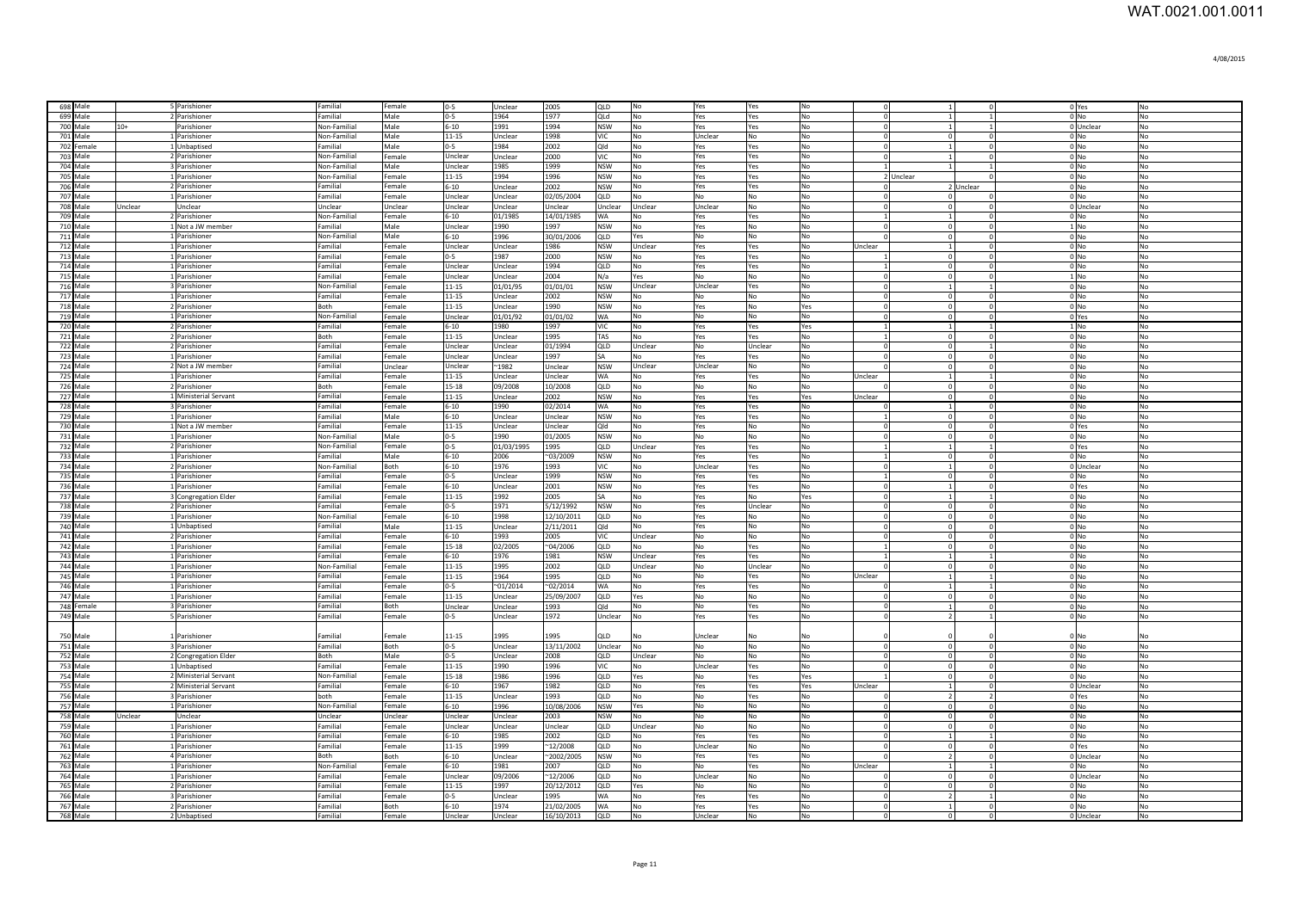| 698 Male             |         | 5 Parishioner                         | Familial             | Female           | $0-5$               | Unclear          | 2005                     | <b>OLD</b>        | No             | Yes            | Yes                   | No             | $\mathbf{0}$             |           |                            | $\Omega$                | 0 Yes                      | N <sub>o</sub>       |
|----------------------|---------|---------------------------------------|----------------------|------------------|---------------------|------------------|--------------------------|-------------------|----------------|----------------|-----------------------|----------------|--------------------------|-----------|----------------------------|-------------------------|----------------------------|----------------------|
| 699 Male             |         | 2 Parishioner                         | Familial             | Male             | $0 - 5$             | 1964             | 1977                     | QLd               | No             | Yes            | Yes                   | No             | $\overline{0}$           |           | $\overline{1}$             | $\overline{1}$          | 0 <sub>No</sub>            | N <sub>o</sub>       |
| 700 Male<br>$10+$    |         | Parishioner                           | Non-Familial         | Male             | $6 - 10$            | 1991             | 1994                     | <b>NSW</b>        | No             | Yes            | Yes                   | No             | $\overline{0}$           |           | $\overline{1}$             | $\lceil \cdot \rceil$   | 0 Unclear                  | N <sub>o</sub>       |
| 701 Male             |         | 1 Parishioner                         | Non-Familial         | Male             | 11-15               | Unclear          | 1998                     | VIC               | No             | Unclear        | <b>No</b>             | No             | $\overline{0}$           |           | $\circ$                    | $\Omega$                | $0$ No                     | No                   |
| 702 Female           |         | 1 Unbaptised                          | Familial             | Male             | $0 - 5$             | 1984             | 2002                     | Qld               | No             | Yes            | Yes                   | No             | $\overline{0}$           |           | $\overline{1}$             | $\circ$                 | $0$ No                     | No                   |
| 703 Male             |         | 2 Parishioner                         | Non-Familial         | Female           | Unclear             | Unclear          | 2000                     | VIC               | No             | Yes            | Yes                   | No             | $\Omega$                 |           | $\overline{1}$             | $\circ$                 | $0$ No                     | No                   |
| 704 Male             |         | 3 Parishioner                         | Non-Familial         | Male             | Unclear             | 1985             | 1999                     | <b>NSW</b>        | No             | Yes            | Yes                   | No             |                          |           | $\mathbf{1}$               |                         | $0$ No                     | No                   |
| 705 Male             |         | 1 Parishioner                         | Non-Familial         | Female           | 11-15               | 1994             | 1996                     | <b>NSW</b>        | No             | Yes            | Yes                   | No             |                          | 2 Unclear |                            | $\Omega$                | $0$ No                     | N <sub>o</sub>       |
| 706 Male             |         | 2 Parishioner                         | Familial             | Female           | $6 - 10$            | Unclear          | 2002                     | <b>NSW</b>        | No             | Yes            | Yes                   | No             | $\mathbf{0}$             |           | 2 Unclear                  |                         | $0$ No                     | No                   |
| 707 Male             |         | 1 Parishioner                         | Familial             | Female           | Unclear             | Unclear          | 02/05/2004               | QLD               | No             | No             | No                    | No             | $\mathbf{0}$             |           | $\overline{0}$             |                         | $0$ No                     | No                   |
| 708 Male             | Jnclear | Unclear                               | Jnclear              | Unclear          | Jnclear             | Unclear          | <b>Jnclear</b>           | Jnclear           | Unclear        | Unclear        | No                    | No             | $\Omega$                 |           | $\mathbf 0$                | $\Omega$                | 0 Unclear                  | N <sub>0</sub>       |
| 709 Male             |         | 2 Parishioner                         | <b>Non-Familial</b>  | Female           | $6 - 10$            | 01/1985          | 14/01/1985               | WA                | No             | Yes            | Yes                   | No             |                          |           | $\overline{1}$             | $\mathbf{0}$            | $0$ No                     | No                   |
| 710 Male             |         | 1 Not a JW member                     | Familial             | Male             | Jnclear             | 1990             | 1997                     | NSW               | No             | Yes            | No                    | No             | $\mathbf{0}$             |           | $\circ$                    | $\mathbf{0}$            | 1 No                       | No                   |
| 711 Male             |         | 1 Parishioner                         | Non-Familial         | Male             | $6 - 10$            | 1996             | 30/01/2006               | QLD               | Yes            | No             | N <sub>0</sub>        | No             | $\Omega$                 |           | 0                          | $\Omega$                | 0 <sub>N<sub>0</sub></sub> | No                   |
| 712 Male             |         | 1 Parishioner                         | Familial             | Female           | Unclear             | Unclear          | 1986                     | <b>NSW</b>        | Unclear        | Yes            | Yes                   | <b>No</b>      | Unclear                  |           | 1                          | $\Omega$                | 0 <sub>N<sub>0</sub></sub> | N <sub>o</sub>       |
| 713 Male             |         | 1 Parishioner                         | Familial             | Female           | $0 - 5$             | 1987             | 2000                     | <b>NSW</b>        | No             | Yes            | Yes                   | No             |                          |           | $\circ$                    | $\circ$                 | $0$ No                     | No                   |
| 714 Male             |         | 1 Parishioner                         | Familial             | Female           | Unclear             | Unclear          | 1994                     | QLD               | No             | Yes            | Yes                   | No             | -1                       |           | $\circ$                    | $\circ$                 | 0 <sub>No</sub>            | No                   |
| 715 Male             |         | 1 Parishioner                         | Familial             | Female           | Unclear             | Unclear          | 2004                     | N/a               | Yes            | No             | No                    | No             | $\overline{0}$           |           | $\overline{0}$             | $\circ$                 | $1$ No                     | No                   |
| 716 Male             |         | 3 Parishioner                         | Non-Familial         | Female           | 11-15               | 01/01/95         | 01/01/01                 | <b>NSW</b>        | Unclear        | Unclear        | Yes                   | No             | $\overline{0}$           |           | $\mathbf{1}$               | $\mathbf{1}$            | $0$ No                     | No                   |
| 717 Male             |         | 1 Parishioner                         | Familial             | Female           | $11 - 15$           | Unclear          | 2002                     | <b>NSW</b>        | No             | No             | No                    | No             | $\mathbf{0}$             |           | $\overline{0}$             | $\mathbf{0}$            | $0$ No                     | No                   |
| 718 Male             |         | 2 Parishioner                         | Both                 | Female           | $11 - 15$           | Unclear          | 1990                     | <b>NSW</b>        | No             | Yes            | No                    | Yes            | $\mathbf{0}$             |           | $\overline{0}$             | $\circ$                 | $0$ No                     | No                   |
| 719 Male             |         | 1 Parishioner                         | Non-Familial         | Female           | Unclear             | 01/01/92         | 01/01/02                 | WA                | No             | No             | No                    | No             | 0                        |           | $\mathbf 0$                | $\circ$                 | 0 Yes                      | No                   |
| 720 Male             |         | 2 Parishioner                         | Familial             | Female           | $6 - 10$            | 1980             | 1997                     | VIC               | No             | Yes            | Yes                   | Yes            | <sup>1</sup>             |           | 1                          | $\mathbf{1}$            | 1 No                       | No                   |
| 721 Male             |         | 2 Parishioner                         | Both                 | Female           | $11 - 15$           | Unclear          | 1995                     | TAS               | No             | Yes            | Yes                   | No             | $\overline{1}$           |           | $\overline{0}$             | $\circ$                 | $0$ No                     | <b>No</b>            |
| 722 Male             |         | 2 Parishioner                         | Familial             | Female           | Jnclear             | Unclear          | 01/1994                  | QLD               | Unclear        | No             | Unclear               | No             | $\mathbf{0}$             |           | $\mathbf 0$                | $\mathbf{1}$            | 0 No                       | No                   |
| 723 Male             |         | 1 Parishioner                         | Familial             | Female           | Jnclear             | Unclear          | 1997                     | ŚΑ                | No             | Yes            | Yes                   | No             | $\Omega$                 |           | $\overline{0}$             | $\Omega$                | $0$ No                     | No                   |
| 724 Male             |         | 2 Not a JW member                     | Familial             | Unclear          | Jnclear             | $-1982$          | Unclear                  | <b>NSW</b>        | Unclear        | Unclear        | No                    | No             | $\Omega$                 |           | $\overline{0}$             | $\mathfrak{o}$          | $0$ No                     | No                   |
| 725 Male             |         | 1 Parishioner                         | Familial             | Female           | $11 - 15$           | Unclear          | Unclear                  | WA                | No             | Yes            | Yes                   | No             | Unclear                  |           | 1                          | 1 <sup>1</sup>          | 0 No                       | No                   |
| 726 Male             |         | 2 Parishioner                         | <b>Both</b>          | Female           | $15 - 18$           | 09/2008          | 10/2008                  | QLD               | No             | N <sub>0</sub> | N <sub>0</sub>        | <b>No</b>      |                          |           | $\Omega$                   | $\circ$                 | $0 \text{N}$               | <b>No</b>            |
| 727 Male             |         | 1 Ministerial Servant                 | Familial             | Female           | 11-15               | Unclear          | 2002                     | <b>NSW</b>        | No             | Yes            | Yes                   | Yes            | Unclear                  |           | $\circ$                    | $\circ$                 | 0 <sub>N<sub>0</sub></sub> | No                   |
| 728 Male             |         | 3 Parishioner                         | Familial             | Female           | $6 - 10$            | 1990             | 02/2014                  | <b>WA</b>         | No             | Yes            | Yes                   | No             | $\Omega$                 |           | $\overline{1}$             | $\overline{0}$          | 0 <sub>N<sub>0</sub></sub> | No                   |
| 729 Male             |         | 1 Parishioner                         | Familial             | Male             | $6 - 10$            | Unclear          | Unclear                  | <b>NSW</b>        | N <sub>o</sub> | Yes            | Yes                   | No             | $\overline{1}$           |           | $\circ$                    | $\overline{0}$          | 0 <sub>No</sub>            | N <sub>o</sub>       |
| 730 Male             |         | 1 Not a JW member                     | Familial             | Female           | 11-15               | Unclear          | Unclear                  | Qld               | No             | Yes            | <b>No</b>             | No             | $\Omega$                 |           | $\overline{0}$             | $\mathbf{0}$            | 0 Yes                      | No                   |
| 731 Male             |         | 1 Parishioner                         | Non-Familial         | Male             | $0 - 5$             | 1990             | 01/2005                  | <b>NSW</b>        | No             | No             | No                    | No             | $\Omega$                 |           | $\overline{0}$             | $\overline{0}$          | $0$ No                     | No                   |
| 732 Male             |         | 2 Parishioner                         | Non-Familial         | Female           | $0 - 5$             | 01/03/1995       | 1995                     | QLD               | Unclear        | Yes            | Yes                   | No             | $\overline{1}$           |           | $\overline{1}$             | $\overline{1}$          | 0 Yes                      | No                   |
| 733 Male             |         | 1 Parishioner                         | Familial             | Male             | $6 - 10$            | 2006             | $^{\sim}03/2009$         | <b>NSW</b>        | No             | Yes            | Yes                   | No             |                          |           | $\mathbf 0$                | $\mathbf{0}$            | $0$ No                     | No                   |
| 734 Male             |         | 2 Parishioner                         | Non-Familial         | Both             | $6 - 10$            | 1976             | 1993                     | VIC               | No             | Unclear        | Yes                   | No             | $\Omega$                 |           | $\mathbf{1}$               | $\circ$                 | 0 Unclear                  | No                   |
| 735 Male             |         | 1 Parishioner                         | Familial             | Female           | $0 - 5$             | Unclear          | 1999                     | <b>NSW</b>        | No             | Yes            | Yes                   | No             | $\overline{1}$           |           | $\overline{0}$             | $\mathbf{0}$            | $0$ No                     | No                   |
| 736 Male             |         | 1 Parishioner                         | Familial             | Female           | $6 - 10$            | Unclear          | 2001                     | <b>NSW</b>        | No             | Yes            | Yes                   | No             | $\mathbf{0}$             |           | $\mathbf{1}$               | $\mathbf{0}$            | 0 Yes                      | No                   |
| 737 Male             |         | 3 Congregation Elder                  | Familial             | Female           | $11 - 15$           | 1992             | 2005                     | SΑ                | No             | Yes            | No                    | Yes            | $\Omega$                 |           | $\,$ 1                     | $\mathbf{1}$            | 0 <sub>N<sub>0</sub></sub> | No                   |
| 738 Male             |         | 2 Parishioner                         | Familial             | Female           | $0 - 5$             | 1971             | 5/12/1992                | <b>NSW</b>        | No             | Yes            | Unclear               | No             | $\mathbf{0}$             |           | $\circ$                    | $\mathbf{0}$            | $0$ No                     | No                   |
| 739 Male             |         | 1 Parishioner                         | Non-Familial         | Female           | $6 - 10$            | 1998             | 12/10/2011               | QLD               | No             | Yes            | No                    | No             | $\mathbf{0}$             |           | $\circ$                    | $\mathbf{0}$            | $0$ No                     | N <sub>o</sub>       |
| 740 Male             |         | 1 Unbaptised                          | Familial             | Male             | $11 - 15$           | Unclear          | 2/11/2011                | Old               | No             | Yes            | No                    | <b>No</b>      | $\mathbf{0}$             |           | 0                          | $\Omega$                | $0$ No                     | No                   |
| 741 Male             |         | 2 Parishioner                         | Familial             | Female           | $6 - 10$            | 1993             | 2005                     | VIC.              | Unclear        | No             | No                    | <b>No</b>      | $\mathbf{0}$             |           | $\circ$                    | $\mathbf{0}$            | $0$ No                     | No                   |
| 742 Male             |         | 1 Parishioner                         | Familial             | Female           | $15 - 18$           | 02/2005          | $^{\sim}04/2006$         | QLD               | No             | No             | Yes                   | No             | -1                       |           | $\circ$                    | $\mathbf{0}$            | $0$ No                     | No                   |
| 743 Male             |         | 1 Parishioner                         | Familial             | Female           | $6 - 10$            | 1976             | 1981                     | <b>NSW</b>        | Unclear        | Yes            | Yes                   | N <sub>o</sub> | -1                       |           | $\vert$ 1                  | $\mathbf{1}$            | 0 <sub>N<sub>0</sub></sub> | No                   |
| 744 Male             |         | 1 Parishioner                         | Non-Familial         | Female           | 11-15               | 1995             | 2002                     | QLD               | Unclear        | No             | Unclear               | No             | $\Omega$                 |           | $\overline{0}$             | $\mathbf{0}$            | $0$ No                     | No                   |
| 745 Male             |         | 1 Parishioner                         | Familial             | Female           | 11-15               | 1964             | 1995                     | QLD               | No             | No             | Yes                   | No             | Jnclear                  |           | 1                          | $\mathbf{1}$            | $0$ No                     | No                   |
| 746 Male             |         | 1 Parishioner                         | Familial             | Female           | $0 - 5$             | $^{\sim}01/2014$ | $^{\sim}02/2014$         | WA                | No             | Yes            | Yes                   | No             |                          |           | -1                         | $\mathbf{1}$            | $0$ No                     | No                   |
| 747 Male             |         | 1 Parishioner                         | Familial             | Female           | 11-15               | Unclear          | 25/09/2007               | QLD               | Yes            | No             | No                    | No             | $\mathbf{0}$             |           | $\overline{0}$             | $\mathbf{0}$            | $0$ No                     | No                   |
| 748 Female           |         | 3 Parishioner                         | Familial             | Both             | Unclear             | Unclear          | 1993                     | Qld               | No             | No             | Yes                   | No             | $\mathbf 0$              |           | -1                         | $\circ$<br>$\mathbf{1}$ | $0$ No                     | No                   |
| 749 Male             |         | 5 Parishioner                         | Familial             | Female           | $0 - 5$             | Unclear          | 1972                     | Unclear           | No             | Yes            | Yes                   | No             | $\overline{0}$           |           | $\overline{2}$             |                         | $0$ No                     | No                   |
|                      |         |                                       |                      |                  |                     |                  |                          |                   |                |                |                       |                |                          |           |                            |                         |                            |                      |
| 750 Male<br>751 Male |         | 1 Parishioner                         | Familial             | Female           | 11-15               | 1995             | 1995<br>13/11/2002       | סוכ               | No<br>No       | Unclear        | No.                   | No<br>No       | $\Omega$                 |           | $\Omega$                   | $\Omega$                | 0 No<br>$0$ No             | No                   |
|                      |         | 3 Parishioner                         | Familial             | Both             | $0 - 5$             | Unclear          |                          | Unclear           |                | No<br>No       | No                    |                | $\Omega$                 |           | $\Omega$                   | $\Omega$                |                            | No                   |
| 752 Male             |         | 2 Congregation Elder                  | Both<br>Familial     | Male             | $0-5$               | Unclear          | 2008                     | QLD<br>/IC        | Unclear        |                | No                    | No<br>No       | $\Omega$                 |           |                            | $\mathbf 0$             | $0$ No                     | No                   |
| 753 Male<br>754 Male |         | 1 Unbaptised<br>2 Ministerial Servant | Non-Familial         | Female<br>Female | 11-15<br>15-18      | 1990<br>1986     | 1996<br>1996             | <b>OLD</b>        | No<br>Yes      | Unclear<br>No  | Yes                   |                |                          |           | $\overline{0}$<br>$\Omega$ | $\Omega$                | 0 No<br>$0 \text{N}$       | No<br><b>No</b>      |
| <b>755 Male</b>      |         | 2 Ministerial Servant                 | Familial             | Female           | $6-10$              | 1967             | 1982                     | QID               | No             |                | Yes                   | Yes            | Unclear                  |           | $\overline{1}$             | $\Omega$                | 0 Unclear                  | <b>No</b>            |
| 756 Male             |         | 3 Parishioner                         | hoth                 | Female           | $11 - 15$           | Unclear          | 1993                     |                   | No             | Yes<br>No      | Yes<br>Yes            | Yes<br>No      |                          |           | $\overline{2}$             | $\overline{2}$          |                            | <b>No</b>            |
|                      |         | 1 Parishioner                         | Non-Familial         | Female           | $6 - 10$            | 1996             | 10/08/2006               | QLD<br><b>NSW</b> | Yes            | N <sub>0</sub> | No                    | No             | $\Omega$                 |           | $\overline{0}$             | $\Omega$                | 0 Yes<br>$0 \text{N}$      | <b>No</b>            |
|                      |         |                                       | Unclear              | Unclear          | Unclear             | Unclear          | 2003                     | <b>NSW</b>        | No             | <b>No</b>      | No                    | No             | $\Omega$                 |           | $\overline{0}$             | $\Omega$                | $0 \text{N}$               | N <sub>o</sub>       |
| 757 Male             |         |                                       |                      |                  |                     |                  |                          |                   |                | No             | No                    | No             | $\overline{0}$           |           |                            |                         |                            | N <sub>0</sub>       |
| 758 Male             | Unclear | Unclear                               |                      |                  |                     |                  |                          |                   |                |                |                       |                |                          |           |                            |                         |                            |                      |
| 759 Male             |         | 1 Parishioner                         | Familial             | Female           | Unclear             | Unclear          | Unclear                  | QLD               | Unclear        |                |                       |                |                          |           | $\mathbf 0$                | $\Omega$                | $0$ No                     |                      |
| 760 Male             |         | 1 Parishioner                         | Familial             | Female           | $6 - 10$            | 1985             | 2002                     | QLD               | No             | Yes            | Yes                   | No             | $\Omega$                 |           | $\overline{1}$             | $\overline{1}$          | $0$ No                     | No                   |
| 761 Male             |         | 1 Parishioner                         | Familial             | Female           | 11-15               | 1999             | ~12/2008                 | QLD               | No             | Unclear        | No                    | No             | $\mathbf{0}$             |           | 0                          | $\circ$                 | 0 Yes                      | No                   |
| 762 Male             |         | 4 Parishioner                         | Both                 | Both             | $6 - 10$            | Unclear          | $^{\sim}2002/2005$       | <b>NSW</b>        | No             | Yes            | Yes                   | No             | $\Omega$                 |           | $\overline{2}$             | $\circ$                 | 0 Unclear                  | No                   |
| 763 Male             |         | 1 Parishioner                         | Non-Familial         | Female           | $6 - 10$            | 1981             | 2007                     | QLD               | No             | No             | Yes                   | No             | Unclear                  |           | $\mathbf{1}$               | $\overline{1}$          | $0$ No                     | No                   |
| 764 Male             |         | 1 Parishioner                         | Familial             | Female           | Unclear             | 09/2006          | ~12/2006                 | QLD               | No             | Unclear        | No                    | No             |                          |           | $\overline{0}$             | $\mathbf{0}$            | 0 Unclear                  | No                   |
| 765 Male             |         | 2 Parishioner                         | Familial             | Female           | $11 - 15$           | 1997             | 20/12/2012               | QLD               | Yes            | N٥             | No                    | No             | $\Omega$                 |           | $\mathbf 0$                | $\Omega$                | 0 <sub>N<sub>0</sub></sub> | No                   |
| 766 Male             |         | 3 Parishioner                         | Familial             | Female           | $0 - 5$             | Unclear          | 1995                     | WA                | No             | Yes            | Yes                   | No             | $\mathbf{0}$             |           | $\overline{2}$             |                         | $0 $ No                    | No                   |
| 767 Male<br>768 Male |         | 2 Parishioner<br>2 Unbaptised         | Familial<br>Familial | Both<br>Female   | $6 - 10$<br>Unclear | 1974<br>Unclear  | 21/02/2005<br>16/10/2013 | WA<br><b>QLD</b>  | No<br>No       | Yes<br>Unclear | Yes<br>N <sub>0</sub> | No<br>No       | $\mathbf{0}$<br>$\Omega$ |           | $\mathbf{1}$<br>$\Omega$   | $\mathbf 0$<br>$\Omega$ | $0 $ No<br>0 Unclear       | No<br>N <sub>o</sub> |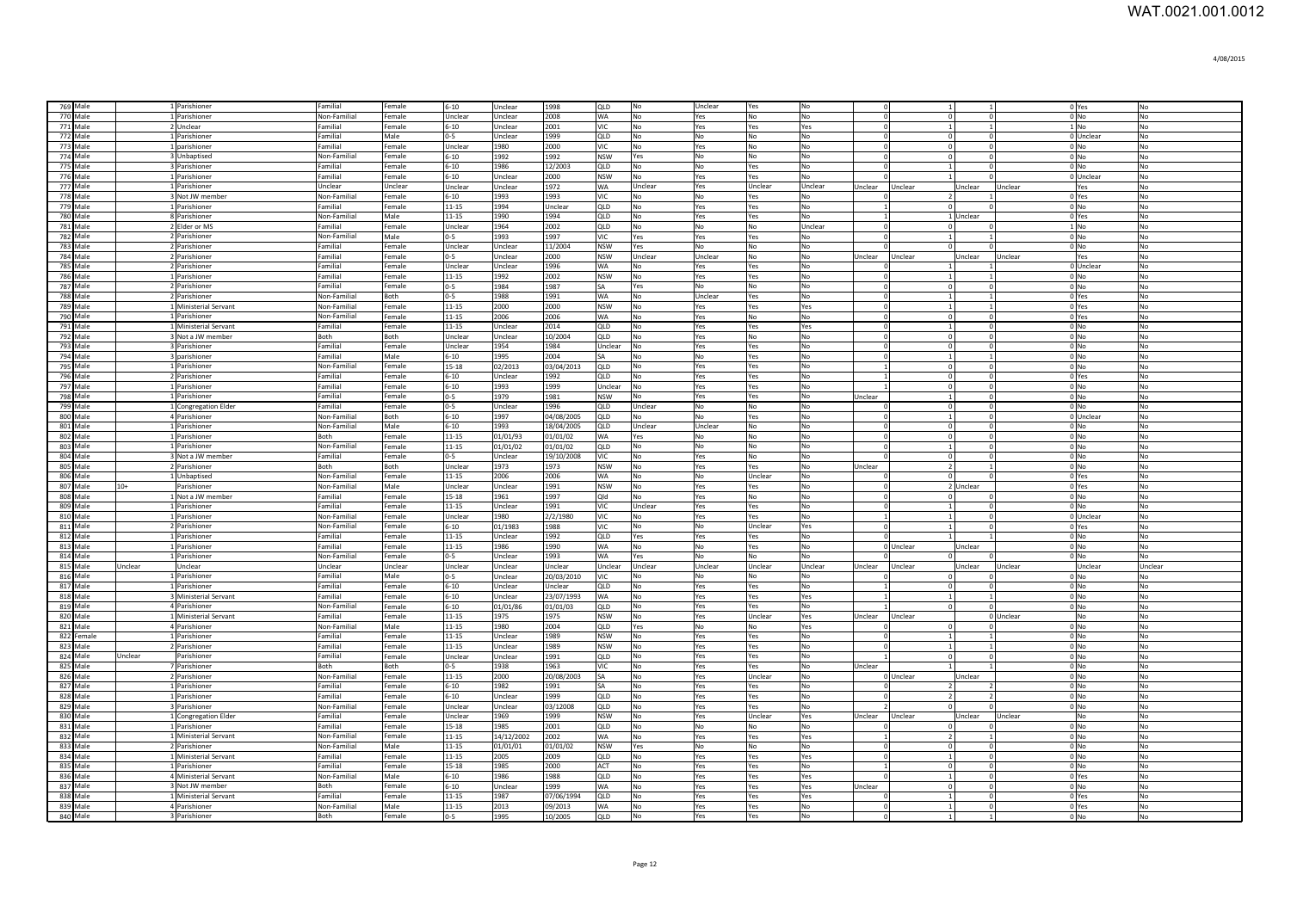| 769 Male             |                | 1 Parishioner                            | Familial                 | Female           | $6 - 10$               | Unclear            | 1998               | QLD               | No              | Unclear         | Yes            | No         |                            | $\vert$ 1                 |                        |           | 0 Yes                      | No             |
|----------------------|----------------|------------------------------------------|--------------------------|------------------|------------------------|--------------------|--------------------|-------------------|-----------------|-----------------|----------------|------------|----------------------------|---------------------------|------------------------|-----------|----------------------------|----------------|
| 770 Male             |                | 1 Parishioner                            | Non-Familial             | Female           | Unclear                | Unclear            | 2008               | <b>WA</b>         | No              | Yes             | <b>No</b>      | No         | $\Omega$                   | $\circ$                   | $\Omega$               |           | 0 <sub>N<sub>O</sub></sub> | <b>No</b>      |
| <b>771 Male</b>      |                | 2 Unclear                                | Familia                  | Female           | $6 - 10$               | Unclear            | 2001               | <b>VIC</b>        | No              | Yes             | Yes            | Yes        | $\Omega$                   | $\vert$ 1                 | $\overline{1}$         |           | $1$ No                     | <b>No</b>      |
| 772 Male             |                | 1 Parishioner                            | Familial                 | Male             | $0-5$                  | Unclear            | 1999               | QLD               | No              | <b>No</b>       | <b>No</b>      | No         | $\Omega$                   | $\circ$                   | $\Omega$               |           | $0$ Unclear                | No             |
| 773 Male             |                | 1 parishioner                            | Familial                 | Female           | Unclear                | 1980               | 2000               | VIC               | No              | Yes             | No             | <b>No</b>  | $\Omega$                   | $\circ$                   | $\Omega$               |           | 0 <sub>No</sub>            | No             |
| 774 Male             |                | 3 Unbaptised                             | Non-Familial             | Female           | $6 - 10$               | 1992               | 1992               | <b>NSW</b>        | Yes             | No              | <b>No</b>      | <b>No</b>  | $\Omega$                   | $\circ$                   | $\Omega$               |           | $0$ No                     | No             |
| 775 Male             |                | 3 Parishioner                            | Familial                 | Female           | $6 - 10$               | 1986               | 12/2003            | QLD               | No              | No              | Yes            | No         |                            | $\vert$ 1                 | $\Omega$               |           | 0 <sub>No</sub>            | No             |
| 776 Male             |                | 1 Parishioner                            | Familial                 | Female           | $6 - 10$               | Unclear            | 2000               | <b>NSW</b>        | No              | Yes             | Yes            | No         |                            |                           |                        |           | 0 Unclear                  | No             |
| 777 Male             |                | 1 Parishioner                            | Unclear                  | Unclear          | Unclear                | Unclear            | 1972               | WA                | Unclear         | Yes             | Unclear        | Unclear    | Unclear                    | Unclear                   | Unclear                | Unclear   | Yes                        | No             |
| 778 Male             |                | 3 Not JW membe                           | Non-Familial             | Female           | $6 - 10$               | 1993               | 1993               | VIC               | No              | No              | Yes            | No         |                            |                           |                        |           | 0 Yes                      | No             |
| 779 Male<br>780 Male |                | 1 Parishioner<br>8 Parishioner           | Familial<br>Non-Familial | Female<br>Male   | $11 - 15$<br>$11 - 15$ | 1994<br>1990       | Unclear<br>1994    | QLD<br>QLD        | No<br>No        | Yes<br>Yes      | Yes<br>Yes     | No<br>No   |                            | $\overline{0}$            | 1 Unclear              |           | $0$ No<br>0 Yes            | No<br>No       |
| 781 Male             |                | 2 Elder or MS                            | Familial                 | Female           | Unclear                | 1964               | 2002               | QLD               | No              | No              | No             | Unclear    |                            | $\overline{0}$            |                        |           | $1 $ No                    | No             |
| 782 Male             |                | 2 Parishioner                            | Non-Familial             | Male             | $0 - 5$                | 1993               | 1997               | VIC               | Yes             | Yes             | Yes            | No         |                            | $\mathbf{1}$              |                        |           | $0$ No                     | N <sub>o</sub> |
| 783 Male             |                | 2 Parishioner                            | Familial                 | Female           | Unclear                | Unclear            | 11/2004            | <b>NSW</b>        | Yes             | No              | l No           | No         |                            | $\Omega$                  | $\Omega$               |           | $01$ No                    | N <sub>0</sub> |
| 784 Male             |                | 2 Parishioner                            | Familial                 | Female           | $0 - 5$                | <b>Jnclear</b>     | 2000               | <b>NSW</b>        | Unclear         | Unclear         | No             | No         | Jnclear                    | Unclear                   | Unclear                | Unclear   | Yes                        | No             |
| 785 Male             |                | 2 Parishioner                            | Familial                 | Female           | Unclear                | <b>Jnclear</b>     | 1996               | <b>WA</b>         | N <sub>0</sub>  | Yes             | Yes            | No         |                            | $\overline{1}$            |                        |           | OUnclear                   | No             |
| <b>786 Male</b>      |                | 1 Parishioner                            | Familial                 | Female           | $11 - 15$              | 1992               | 2002               | <b>NSW</b>        | N <sub>0</sub>  | Yes             | l Yes          | No         | $\Omega$                   | $\vert$ 1                 |                        |           | $0$ No                     | No             |
| 787 Male             |                | 2 Parishioner                            | Familial                 | Female           | $0 - 5$                | 1984               | 1987               | SA                | Yes             | IN <sub>O</sub> | <b>No</b>      | No         | -C                         | $\overline{0}$            | $\Omega$               |           | $0$ No                     | No             |
| 788 Male             |                | 2 Parishioner                            | Non-Familial             | Both             | $0 - 5$                | 1988               | 1991               | WA                | <b>No</b>       | Unclear         | Yes            | <b>No</b>  | $\epsilon$                 | $\mathbf{1}$              | $\mathbf{1}$           |           | 0 Yes                      | No             |
| 789 Male             |                | 1 Ministerial Servant                    | Non-Familial             | Female           | $11 - 15$              | 2000               | 2000               | <b>NSW</b>        | No              | Yes             | Yes            | Yes        | $\overline{0}$             | $\vert$ 1                 | 1                      |           | 0 Yes                      | No             |
| 790 Male             |                | 1 Parishioner                            | Non-Familial             | Female           | 11-15                  | 2006               | 2006               | <b>WA</b>         | <b>No</b>       | Yes             | No             | No         | $\Omega$                   | $\circ$                   | $\overline{0}$         |           | 0 Yes                      | No             |
| 791 Male             |                | 1 Ministerial Servant                    | Familial                 | Female           | $11 - 15$              | Unclear            | 2014               | QLD               | No              | Yes             | Yes            | Yes        | $\Omega$                   | $1\overline{ }$           | $\overline{0}$         |           | 0 No                       | No             |
| 792 Male             |                | 3 Not a JW member                        | Both                     | Both             | Unclear                | Unclear            | 10/2004            | QLD               | No              | Yes             | No             | No         | $\Omega$                   | $\overline{0}$            | $\overline{0}$         |           | 0 No                       | No             |
| 793 Male             |                | 3 Parishioner                            | Familial                 | Female           | Unclear                | 1954               | 1984               | Unclear           | No              | Yes             | Yes            | No         | $\Omega$                   | $\circ$                   | $\Omega$               |           | $0$ No                     | No             |
| 794 Male             |                | 3 parishioner                            | Familial                 | Male             | $6 - 10$               | 1995               | 2004               | SA                | No              | No              | Yes            | No         | $\Omega$<br>$\overline{1}$ | $1\overline{ }$           |                        |           | $0$ No                     | No             |
| 795 Male<br>796 Male |                | 1 Parishioner<br>2 Parishioner           | Non-Familial<br>Familial | Female<br>Female | $15 - 18$<br>$6 - 10$  | 02/2013<br>Unclear | 03/04/2013<br>1992 | QLD<br>QLD        | No<br>No        | Yes<br>Yes      | Yes<br>Yes     | No<br>No   | $\overline{1}$             | $\circ$<br>$\circ$        | $^{\circ}$<br>$\Omega$ |           | $0$ No<br>0 Yes            | No<br>No       |
| 797 Male             |                | 1 Parishioner                            | Familial                 | Female           | $6 - 10$               | 1993               | 1999               | Unclear           | No              | Yes             | Yes            | No         |                            | $\circ$                   | $\Omega$               |           | 0 <sub>No</sub>            | No             |
| 798 Male             |                | 1 Parishioner                            | Familial                 | Female           | $0-5$                  | 1979               | 1981               | <b>NSW</b>        | No              | Yes             | Yes            | No         | Unclear                    | $\mathbf{1}$              | $\Omega$               |           | 0 <sub>No</sub>            | No             |
| 799 Male             |                | 1 Congregation Elder                     | Familial                 | Female           | $0-5$                  | Unclear            | 1996               | <b>QLD</b>        | Unclear         | <b>No</b>       | <b>No</b>      | <b>No</b>  |                            | $\circ$                   | $\Omega$               |           | 0 <sub>No</sub>            | N <sub>o</sub> |
| 800 Male             |                | 4 Parishioner                            | Non-Familial             | Both             | $6 - 10$               | 1997               | 04/08/2005         | <b>QLD</b>        | No.             | No              | Yes            | No         | $\Omega$                   | $\mathbf{1}$              | $\Omega$               |           | 0 Unclear                  | No             |
| 801 Male             |                | Parishioner                              | Non-Familial             | Male             | $6 - 10$               | 1993               | 18/04/2005         | QLD               | Unclear         | Unclear         | <b>No</b>      | No         | $\Omega$                   | $\Omega$                  | $\Omega$               |           | 0 <sub>No</sub>            | No             |
| 802 Male             |                | Parishioner                              | Both                     | Female           | 11-15                  | 01/01/93           | 01/01/02           | <b>WA</b>         | Yes             | No              | <b>No</b>      | No         | $\sqrt{ }$                 | $\overline{0}$            | $\Omega$               |           | $0$ No                     | No             |
| 803 Male             |                | <b>Parishioner</b>                       | Non-Familial             | Female           | 11-15                  | 01/01/02           | 01/01/02           | QLD               | No              | No              | <b>No</b>      | No         |                            | $\vert$ 1                 | $\Omega$               |           | $0$ No                     | No             |
| 804 Male             |                | Not a JW member                          | Familial                 | Female           | $0-5$                  | Unclear            | 19/10/2008         | VIC               | <b>No</b>       | Yes             | No             | <b>No</b>  |                            | $\overline{0}$            | $^{\circ}$             |           | 0 No                       | No             |
| 805 Male             |                | 2 Parishioner                            | Both                     | Both             | Unclear                | 1973               | 1973               | <b>NSW</b>        | <b>No</b>       | Yes             | Yes            | No         | Unclear                    | $\overline{2}$            | $\mathbf{1}$           |           | $0$ No                     | No             |
| 806 Male             |                | <b>Unbaptised</b>                        | Non-Familial             | Female           | 11-15                  | 2006               | 2006               | WA                | No              | No              | Unclear        | No         |                            | $\Omega$                  | $\Omega$               |           | 0 Yes                      | No             |
| 807 Male             | $10+$          | Parishioner                              | Non-Familial             | Male             | Unclear                | Unclear            | 1991               | <b>NSW</b>        | No              | Yes             | Yes            | No         | -C                         |                           | 2 Unclear              |           | 0 Yes                      | No             |
| 808 Male             |                | Not a JW member                          | Familial                 | Female           | 15-18                  | 1961               | 1997               | Qld               | No              | Yes             | No             | No         |                            | $\mathbf 0$               | $\mathbf{0}$           |           | $0$ No                     | No             |
| 809 Male<br>810 Male |                | Parishioner<br>Parishioner               | Familial<br>Non-Familial | Female           | 11-15<br>Unclear       | Unclear<br>1980    | 1991<br>2/2/1980   | VIC<br><b>VIC</b> | Unclear         | Yes<br>Yes      | Yes            | No<br>No   |                            | $\vert$ 1<br>$\vert$ 1    | $\circ$                |           | $0$ No<br>0 Unclear        | No<br>No       |
| 811 Male             |                | 2 Parishioner                            | Non-Familial             | Female<br>Female | $6 - 10$               | 01/1983            | 1988               | VIC.              | No<br>No        | No              | Yes<br>Unclear | Yes        |                            |                           | $\Omega$               |           | 0 Yes                      | No             |
| 812 Male             |                | <b>Parishioner</b>                       | Familial                 | Female           | $11 - 15$              | Unclear            | 1992               | QLD               | Yes             | Yes             | Yes            | No         |                            |                           |                        |           | $0$ No                     | No             |
| 813 Male             |                | Parishioner                              | Familial                 | Female           | $11 - 15$              | 1986               | 1990               | WA                | No              | No              | Yes            | No         |                            | 0 Unclear                 | Unclear                |           | $0$ No                     | No             |
| 814 Male             |                | Parishioner                              | Non-Familial             | Female           | $0 - 5$                | Jnclear            | 1993               | WA                | Yes             | lNo.            | No             | No         |                            |                           |                        |           | 0 No                       | <b>No</b>      |
| 815 Male             | <b>Inclear</b> | Unclear                                  | Unclear                  | Unclear          | Unclear                | <b>Jnclear</b>     | Unclear            | <b>Inclear</b>    | Unclear         | Unclear         | Unclear        | Unclear    | Jnclear                    | Unclear                   | Unclear                | Unclear   | Unclear                    | Unclear        |
| 816 Male             |                | Parishioner                              | Familial                 | Male             | $0 - 5$                | <b>Inclear</b>     | 20/03/2010         | VIC.              | No              | No              | No             | No         |                            | $\overline{0}$            |                        |           | $0 \text{N}$               | No.            |
| 817 Male             |                | Parishioner                              | Familial                 | Female           | $6 - 10$               | <b>Inclear</b>     | Unclear            | QLD               | No              | Yes             | Yes            | <b>No</b>  |                            | $\Omega$                  | $\Omega$               |           | 0 <sub>No</sub>            | <b>No</b>      |
| 818 Male             |                | Ministerial Servant                      | Familial                 | Female           | $6 - 10$               | <b>Jnclear</b>     | 23/07/1993         | <b>WA</b>         | No              | Yes             | <b>Yes</b>     | Yes        |                            | $\vert$ 1                 | $\mathbf{1}$           |           | 0 <sub>N<sub>0</sub></sub> | <b>No</b>      |
| 819 Male             |                | 4 Parishioner                            | Non-Familial             | Female           | $6 - 10$               | 01/01/86           | 01/01/03           | QLD               | No              | Yes             | Yes            | No         |                            | $\overline{0}$            | $\Omega$               |           | $0$ No                     | N <sub>0</sub> |
| 820 Male             |                | 1 Ministerial Servant                    | Familial                 | Female           | 11-15                  | 1975               | 1975               | NSW               | <b>No</b>       | Yes             | Unclear        | Yes        | Jnclear                    | Unclear                   |                        | 0 Unclear | <b>INo</b>                 | No             |
| 821 Male             |                | 4 Parishioner                            | Non-Familial<br>Familial | Male<br>Female   | 11-15                  | 1980               | 2004               | QLD               | Yes             | No              | No             | Yes        |                            | $\overline{0}$            | $\Omega$               |           | 0 <sub>No</sub>            | No             |
| 822 Female           |                | 1 Parishioner                            |                          |                  | 11-15                  | Unclear            | 1989               | <b>NSW</b>        | No              | Yes             | Yes            | No         |                            | $\vert$ 1                 | 1                      |           | $0$ No                     | No             |
| 823 Male<br>824 Male | Unclear        | 2 Parishioner<br>Parishioner             | Familial<br>Familial     | Female<br>Female | 11-15<br>Unclear       | Unclear<br>Unclear | 1989<br>1991       | <b>NSW</b><br>QLD | No<br>No        | Yes<br>Yes      | Yes<br>Yes     | No<br>No   |                            | $\vert$ 1<br>$\circ$      | 1<br>$\Omega$          |           | $0$ No<br>$0$ No           | No<br>No       |
| 825 Male             |                | 7 Parishioner                            | Both                     | Both             | $0-5$                  | 1938               | 1963               | VIC               | No              | Yes             | Yes            | No         | Unclear                    | $\vert$ 1                 |                        |           | $0$ No                     | No             |
| 826 Male             |                | 2 Parishioner                            | Non-Familial             | Female           | 11-15                  | 2000               | 20/08/2003         | SA                | No              | Yes             | Unclear        | No         |                            | 0 Unclear                 | Unclear                |           | $0$ No                     | No             |
| 827 Male             |                | 1 Parishioner                            | Familial                 | Female           | $6 - 10$               | 1982               | 1991               | <b>SA</b>         | No              | Yes             | Yes            | No         | $\Omega$                   | $\overline{2}$            |                        |           | $0$ No                     | No             |
| 828 Male             |                | 1 Parishioner                            | Familial                 | Female           | $6 - 10$               | Unclear            | 1999               | QLD               | No              | Yes             | Yes            | No         |                            | $\overline{2}$            |                        |           | 0 <sub>No</sub>            | No             |
| 829 Male             |                | 3 Parishioner                            | Non-Familial             | Female           | Unclear                | Unclear            | 03/12008           | QLD               | No              | Yes             | Yes            | No         |                            | $\Omega$                  |                        |           | 0 <sub>No</sub>            | No             |
| 830 Male             |                | 1 Congregation Elder                     | Familial                 | Female           | Unclear                | 1969               | 1999               | <b>NSW</b>        | No              | Yes             | Unclear        | Yes        | Unclear                    | Unclear                   | Unclear                | Unclear   | <b>No</b>                  | No             |
| 831 Male             |                | 1 Parishioner                            | Familial                 | Female           | $15 - 18$              | 1985               | 2001               | <b>OLD</b>        | No              | No              | No             | No         |                            | $\Omega$                  |                        |           | 0 <sub>N<sub>0</sub></sub> | N <sub>o</sub> |
| 832 Male             |                | 1 Ministerial Servant                    | Non-Familial             | Female           | $11 - 15$              | 14/12/2002         | 2002               | <b>WA</b>         | No              | Yes             | Yes            | Yes        |                            | $\overline{2}$            |                        |           | 0 <sub>N<sub>0</sub></sub> | No             |
| 833 Male             |                | 2 Parishioner                            | Non-Familial             | Male             | $11 - 15$              | 01/01/01           | 01/01/02           | <b>NSW</b>        | Yes             | IN <sub>O</sub> | <b>No</b>      | No         | $\Omega$                   | $\circ$                   | $\Omega$               |           | $0$ No                     | No             |
| 834 Male             |                | 1 Ministerial Servant                    | Familial                 | Female           | 11-15                  | 2005               | 2009               | <b>QLD</b>        | No              | Yes             | Yes            | Yes        | $\Omega$                   | $\mathbf{1}$              | $\Omega$               |           | 0 <sub>N<sub>O</sub></sub> | No             |
| 835 Male             |                | 1 Parishioner                            | Familial                 | Female           | 15-18                  | 1985               | 2000<br>1988       | ACT               | No              | Yes             | Yes            | No         | $\overline{1}$             | $\circ$<br>$\overline{1}$ | $\Omega$<br>$\Omega$   |           | 0 <sub>N<sub>O</sub></sub> | No             |
| 836 Male<br>837 Male |                | 4 Ministerial Servant                    | Non-Familial<br>Both     | Male<br>Female   | $6 - 10$<br>$6 - 10$   | 1986<br>Unclear    | 1999               | QLD<br><b>WA</b>  | No<br><b>No</b> | Yes             | Yes            | Yes        | Unclear                    | $\circ$                   | $\circ$                |           | 0 Yes<br>$0$ No            | No<br>No       |
| 838 Male             |                | 3 Not JW member<br>1 Ministerial Servant | Familial                 | Female           | 11-15                  | 1987               | 07/06/1994         | QLD               | No              | Yes<br>Yes      | Yes<br>Yes     | Yes<br>Yes |                            | $\mathbf{1}$              | $\circ$                |           | 0 Yes                      | No             |
| 839 Male             |                | 4 Parishioner                            | Non-Familial             | Male             | 11-15                  | 2013               | 09/2013            | <b>WA</b>         | No              | Yes             | Yes            | No         | $\Omega$                   | $\mathbf{1}$              | $\circ$                |           | 0 Yes                      | No             |
| 840 Male             |                | 3 Parishioner                            | <b>Both</b>              | Female           | $0 - 5$                | 1995               | 10/2005            | QLD               | No              | Yes             | <b>Yes</b>     | <b>No</b>  | $\Omega$                   | $\lceil$                  | $\overline{1}$         |           | $0$ No                     | <b>No</b>      |
|                      |                |                                          |                          |                  |                        |                    |                    |                   |                 |                 |                |            |                            |                           |                        |           |                            |                |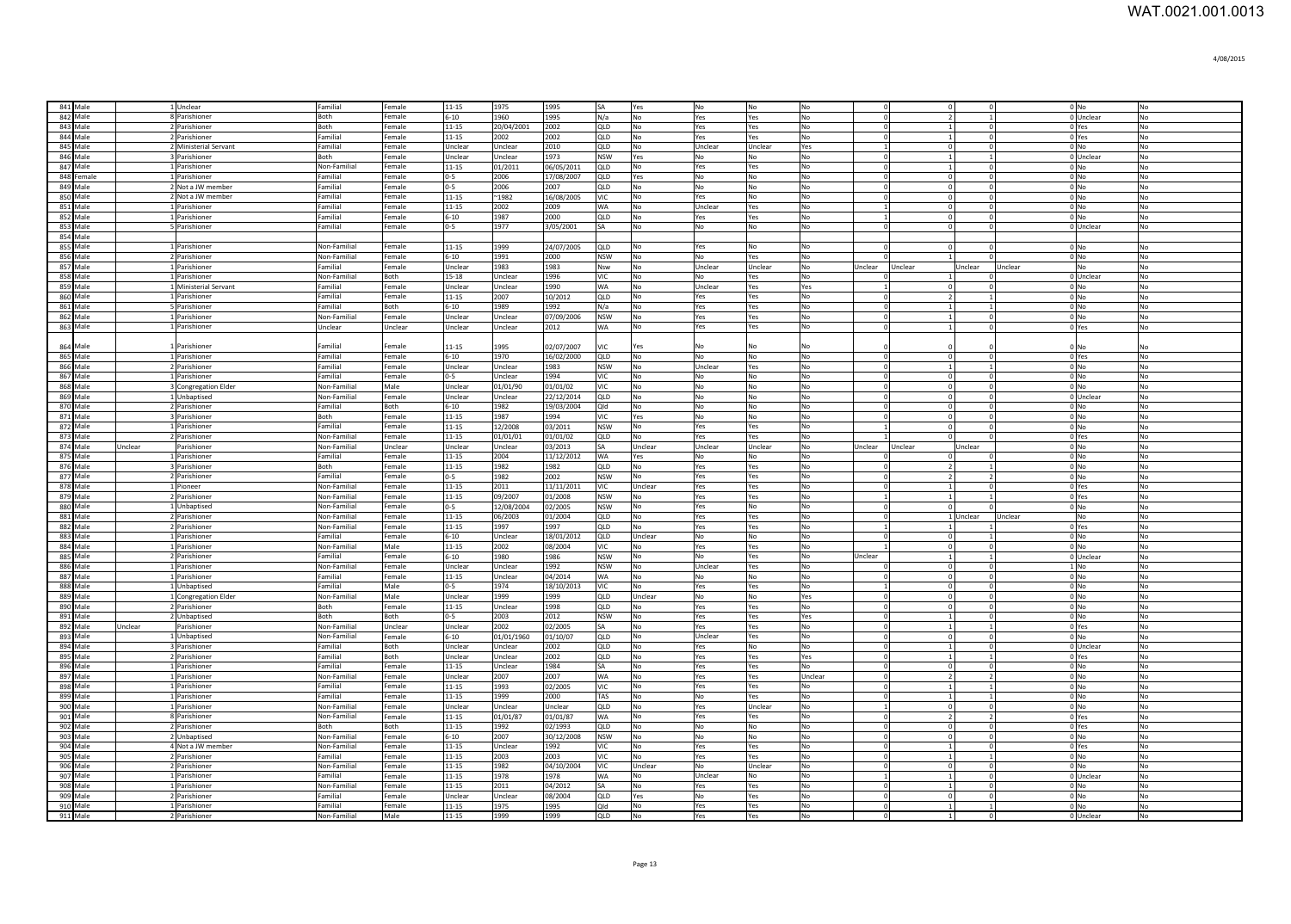| 841 Male             |         | 1 Unclear                              | Familial                 | Female           | 11-15                | 1975            | 1995            |                   | Yes            | No             | No                   | No              |                            | $\Omega$                         |                           | 0 <sub>No</sub>            | No                   |
|----------------------|---------|----------------------------------------|--------------------------|------------------|----------------------|-----------------|-----------------|-------------------|----------------|----------------|----------------------|-----------------|----------------------------|----------------------------------|---------------------------|----------------------------|----------------------|
| 842 Male             |         | 8 Parishioner                          | Both                     | Female           | $6 - 10$             | 1960            | 1995            | N/a               | No             | Yes            | Yes                  | No              | $\Omega$                   | $\overline{2}$                   |                           | 0 Unclear                  | No                   |
| 843 Male             |         | 2 Parishioner                          | Both                     | Female           | 11-15                | 20/04/2001      | 2002            | QLD               | No             | Yes            | Yes                  | <b>No</b>       | $\Omega$                   | $\overline{1}$                   | $\Omega$                  | 0 Yes                      | No                   |
| 844 Male<br>845 Male |         | 2 Parishioner                          | Familia<br>Familial      | Female           | $11 - 15$            | 2002<br>Unclear | 2002            | QLD               | No             | Yes<br>Unclear | Yes                  | No              | $\Omega$<br>$\overline{1}$ | $\mathbf{1}$<br>$\circ$          | $\Omega$<br>$\circ$       | 0 Yes<br>$0$ <sub>No</sub> | No                   |
| 846 Male             |         | 2 Ministerial Servant<br>3 Parishioner | Both                     | Female<br>Female | Unclear<br>Unclear   | Unclear         | 2010<br>1973    | QLD<br><b>NSW</b> | No<br>Yes      | No             | Unclear<br><b>No</b> | Yes<br>No       | $\Omega$                   | $\mathbf{1}$                     | $\overline{1}$            | 0 Unclear                  | No<br>No             |
| 847 Male             |         | 1 Parishioner                          | Non-Familial             | Female           | 11-15                | 01/2011         | 06/05/2011      | QLD               | No             | Yes            | Yes                  | No              | $\Omega$                   | $\mathbf{1}$                     | $\overline{0}$            | $0$ No                     | No                   |
| 848 Female           |         | 1 Parishioner                          | Familial                 | Female           | $0-5$                | 2006            | 17/08/2007      | QLD               | Yes            | No             | No                   | No              | $\Omega$                   | $\overline{0}$                   | $\Omega$                  | $0$ No                     | No                   |
| 849 Male             |         | 2 Not a JW member                      | Familial                 | Female           | $0-5$                | 2006            | 2007            | QLD               | No             | No             | No                   | No              | $\Omega$                   | $\overline{0}$                   | $\mathbf{0}$              | $0$ No                     | No                   |
| 850 Male             |         | 2 Not a JW member                      | Familial                 | Female           | 11-15                | $^{\sim}$ 1982  | 16/08/2005      | VIC               | No             | Yes            | <b>No</b>            | No              | $\Omega$                   | $\mathbf 0$                      | $^{\circ}$                | 0 No                       | No                   |
| 851 Male             |         | 1 Parishioner                          | Familial                 | Female           | 11-15                | 2002            | 2009            | WA                | No             | Unclear        | Yes                  | No              |                            | $\overline{0}$                   | $\Omega$                  | $0$ No                     | No                   |
| 852 Male             |         | 1 Parishioner                          | Familial                 | Female           | $6 - 10$             | 1987            | 2000            | QLD               | No             | Yes            | Yes                  | No              |                            | $\overline{0}$                   | $\Omega$                  | $0$ No                     | No                   |
| 853 Male             |         | 5 Parishioner                          | Familial                 | Female           | $0 - 5$              | 1977            | 3/05/2001       | ٢Δ                | No             | No             | No                   | No              |                            | $\overline{0}$                   | $\Omega$                  | 0 Unclear                  | No                   |
| 854 Male             |         |                                        |                          |                  |                      |                 |                 |                   |                |                |                      |                 |                            |                                  |                           |                            |                      |
| 855 Male             |         | 1 Parishioner                          | Non-Familial             | Female           | 11-15                | 1999            | 24/07/2005      | OLD.              | No             | Yes            | No                   | No              |                            | $\Omega$                         |                           | 0 <sub>No</sub>            | N <sub>O</sub>       |
| 856 Male             |         | 2 Parishioner                          | Non-Familial             | Female           | $6 - 10$             | 1991            | 2000            | <b>NSW</b>        | No             | No             | Yes                  | No              |                            |                                  |                           | 0 <sub>No</sub>            | N <sub>o</sub>       |
| 857 Male             |         | 1 Parishioner                          | Familial                 | Female           | Unclear              | 1983            | 983             | Nsw               | No             | Unclear        | Unclear              | No              | Unclear                    | Unclear                          | Unclear                   | Unclear<br><b>No</b>       | N <sub>o</sub>       |
| 858 Male             |         | 1 Parishioner                          | Non-Familial<br>Familial | <b>Both</b>      | 15-18                | Unclear         | 996             | VIC<br><b>WA</b>  | No             | No             | Yes                  | No              |                            | $\vert$ 1                        |                           | 0 Unclear                  | N <sub>o</sub>       |
| 859 Male<br>860 Male |         | 1 Ministerial Servant<br>1 Parishioner | Familial                 | Female<br>Female | Unclear<br>$11 - 15$ | Unclear<br>2007 | 1990<br>10/2012 | QLD               | No<br>No       | Unclear<br>Yes | Yes<br>Yes           | Yes<br>No       | $\Omega$                   | $\overline{0}$<br>$\overline{2}$ | $\Omega$<br>$\mathbf{1}$  | 0 <sub>No</sub><br>0 No    | No<br>No             |
| 861 Male             |         | 5 Parishioner                          | Familial                 | Both             | $6 - 10$             | 1989            | 1992            | N/a               | No             | Yes            | Yes                  | No              | $\Omega$                   | $\vert$ 1                        | 1                         | 0 No                       | No                   |
| 862 Male             |         | 1 Parishioner                          | Non-Familial             | Female           | Unclear              | Unclear         | 07/09/2006      | <b>NSW</b>        | No             | Yes            | Yes                  | No              | $\Omega$                   | $\vert$ 1                        | $\Omega$                  | 0 No                       | No                   |
| 863 Male             |         | 1 Parishioner                          | Unclear                  | Unclear          | Unclear              | Unclear         | 2012            | WA                | No             | Yes            | Yes                  | No              | $\Omega$                   | $\vert$ 1                        | $^{\circ}$                | 0 Yes                      | No                   |
|                      |         |                                        |                          |                  |                      |                 |                 |                   |                |                |                      |                 |                            |                                  |                           |                            |                      |
| 864 Male             |         | 1 Parishioner                          | Familial                 | Female           | $11 - 15$            | 1995            | 02/07/2007      | ЛC.               | Yes            | No             |                      | No              |                            |                                  |                           | $0$ No                     | No                   |
| 865 Male             |         | 1 Parishioner                          | Familial                 | Female           | $6 - 10$             | 1970            | 16/02/2000      | QLD               | No             | No             | No                   | No              | $\Omega$                   | $\overline{0}$                   |                           | 0 Yes                      | No                   |
| 866 Male             |         | 2 Parishioner                          | Familial                 | Female           | Unclear              | Unclear         | 1983            | <b>NSW</b>        | No             | Unclear        | Yes                  | No              | $\Omega$                   | $\mathbf{1}$                     |                           | $0$ No                     | No                   |
| 867 Male             |         | 1 Parishioner                          | Familial                 | Female           | $0 - 5$              | Unclear         | 1994            | /IC               | No             | No             | No                   | No              | $\Omega$                   | $\overline{0}$                   | $\Omega$                  | $0$ No                     | No                   |
| 868 Male             |         | 3 Congregation Elder                   | Non-Familial             | Male             | Unclear              | 01/01/90        | 01/01/02        | VIC               | No             | No             | <b>No</b>            | No              | $\Omega$                   | $\circ$                          | $\mathbf 0$               | $0$ No                     | No                   |
| 869 Male             |         | 1 Unbaptised                           | Non-Familial             | Female           | Unclear              | Unclear         | 22/12/2014      | QLD               | No             | No             | No                   | No              | $\Omega$                   | $\overline{0}$                   | $\Omega$                  | 0 Unclear                  | No                   |
| 870 Male             |         | 2 Parishioner                          | Familial<br><b>Both</b>  | Both             | $6 - 10$             | 1982<br>1987    | 19/03/2004      | Qld               | No             | <b>No</b>      | N <sub>0</sub>       | <b>No</b>       | $\Omega$<br>$\Omega$       | $\overline{0}$                   | $\Omega$<br>$\mathbf{0}$  | 0 <sub>N<sub>0</sub></sub> | No                   |
| 871 Male<br>872 Male |         | 3 Parishioner<br>1 Parishioner         | Familial                 | Female<br>Female | 11-15<br>$11 - 15$   | 12/2008         | 1994<br>03/2011 | VIC<br><b>NSW</b> | Yes<br>No      | No<br>Yes      | No<br>Yes            | No<br>No        | $\overline{1}$             | $\overline{0}$<br>$\overline{0}$ | $\circ$                   | $0$ No<br>0 <sub>No</sub>  | No<br>$\overline{N}$ |
| 873 Male             |         | 2 Parishioner                          | Non-Familial             | Female           | 11-15                | 01/01/01        | 01/01/02        | QLD               | No             | Yes            | Yes                  | No              |                            | $\overline{0}$                   | $\Omega$                  | 0 Yes                      | No                   |
| 874 Male             | Unclear | Parishioner                            | Non-Familial             | Unclear          | Unclear              | Unclear         | 03/2013         | lsa.              | Unclear        | Unclear        | Unclear              | No              | Unclear                    | Unclear                          | Unclear                   | $0$ No                     | No                   |
| 875 Male             |         | 1 Parishioner                          | Familial                 | Female           | $11 - 15$            | 2004            | 11/12/2012      | <b>WA</b>         | Yes            | No             | No                   | No              |                            | $\Omega$                         |                           | $0$ No                     | No                   |
| 876 Male             |         | 3 Parishioner                          | Both                     | Female           | 11-15                | 1982            | 1982            | QLD               | No             | Yes            | Yes                  | No              |                            | $\overline{2}$                   |                           | 0 No                       | No                   |
| 877 Male             |         | 2 Parishioner                          | Familial                 | Female           | $0 - 5$              | 1982            | 2002            | <b>NSW</b>        | No             | Yes            | Yes                  | No              |                            | $\overline{2}$                   | $\overline{2}$            | 0 No                       | No                   |
| 878 Male             |         | 1 Pioneer                              | Non-Familial             | Female           | $11 - 15$            | 2011            | 11/11/2011      | VIC.              | Unclear        | Yes            | Yes                  | No              |                            |                                  | $\Omega$                  | 0 Yes                      | No                   |
| 879 Male             |         | 2 Parishioner                          | Non-Familial             | Female           | 11-15                | 09/2007         | 01/2008         | NSW               | No             | Yes            | Yes                  | No              |                            |                                  |                           | 0 Yes                      | No                   |
| 880 Male             |         | 1 Unbaptised                           | Non-Familial             | Female           | $0-5$                | 12/08/2004      | 02/2005         | NSW               | No             | Yes            | No                   | No              |                            | $\Omega$                         |                           | 0 No                       | N <sub>o</sub>       |
| 881 Male             |         |                                        |                          |                  |                      |                 |                 | QLD               | No             | Yes            |                      |                 |                            |                                  | 1 Unclear                 | Unclear<br><b>No</b>       |                      |
| 882 Male             |         | 2 Parishioner                          | Non-Familial             | Female           | $11 - 15$            | 06/2003         | 01/2004         |                   |                |                | Yes                  | No              |                            |                                  |                           |                            | No                   |
|                      |         | 2 Parishioner                          | Non-Familial             | Female           | $11 - 15$            | 1997            | 997             | QLD               | No             | Yes            | Yes                  | No              |                            |                                  |                           | 0 Yes                      | N <sub>o</sub>       |
| 883 Male             |         | 1 Parishioner                          | Familial                 | Female           | $6 - 10$             | Unclear         | 18/01/2012      | QLD               | Unclear        | No             | No                   | No              |                            | $\Omega$                         |                           | $0$ No                     | N <sub>0</sub>       |
| 884 Male             |         | 1 Parishioner                          | Non-Familial             | Male             | 11-15                | 2002            | 08/2004         | VIC.              | N <sub>0</sub> | Yes            | Yes                  | <b>No</b>       |                            | $\circ$                          | $\Omega$                  | $0 \text{N}$               | N <sub>0</sub>       |
| 885 Male             |         | 2 Parishioner                          | Familial                 | Female           | $6 - 10$             | 1980            | 1986            | <b>NSW</b>        | No             | No             | Yes                  | <b>No</b>       | Unclear                    | $\vert$ 1                        | -1                        | 0 Unclear                  | No                   |
| 886 Male             |         | 1 Parishioner                          | Non-Familia              | Female           | Unclear              | Unclear         | 1992            | <b>NSW</b>        | No             | Unclear        | Yes                  | No              | - C                        | $\overline{0}$                   | $\mathbf{0}$              | 1 No                       | No                   |
| 887 Male             |         | 1 Parishioner                          | Familial<br>Familial     | Female           | 11-15                | Unclear         | 04/2014         | <b>IWA</b>        | No             | No             | No                   | No              | $\mathbf{1}$               | $\circ$                          | $^{\circ}$                | $0$ No                     | No                   |
| 888 Male<br>889 Male |         | 1 Unbaptised                           | Non-Familial             | Male<br>Male     | $0 - 5$<br>Unclear   | 1974<br>1999    | 18/10/2013      | VIC<br>QLD        | No<br>Unclear  | Yes            | Yes<br>No            | No              | $\Omega$                   | $\circ$<br>$\circ$               | $\circ$<br>$\overline{0}$ | $0$ No<br>$0$ No           | No<br>No             |
| 890 Male             |         | 1 Congregation Elder<br>2 Parishioner  | Both                     | Female           | 11-15                | Unclear         | 1999<br>1998    | QLD               | No             | No<br>Yes      | Yes                  | Yes<br>No       | $\Omega$                   | $\circ$                          | $^{\circ}$                | 0 No                       | No                   |
| 891 Male             |         | 2 Unbaptised                           | Both                     | Both             | $0 - 5$              | 2003            | 2012            | <b>NSW</b>        | No             | Yes            | Yes                  | Yes             | $\Omega$                   | $\vert$ 1                        |                           | 0 No                       | No                   |
| 892 Male             | Unclear | Parishioner                            | Non-Familial             | Unclear          | Unclear              | 2002            | 02/2005         | SA                | No             | Yes            | Yes                  | No              | $\Omega$                   | $\vert$ 1                        |                           | 0 Yes                      | No                   |
| 893 Male             |         | 1 Unbaptised                           | Non-Familial             | Female           | $6 - 10$             | 01/01/1960      | 01/10/07        | QLD               | No             | Unclear        | Yes                  | No              | $\Omega$                   | $\overline{0}$                   |                           | $0$ No                     | No                   |
| 894 Male             |         | 3 Parishioner                          | Familial                 | Both             | Unclear              | Unclear         | 2002            | QLD               | No             | Yes            | No                   | No              | $\Omega$                   | $\vert$ 1                        |                           | 0 Unclear                  | No                   |
| 895 Male             |         | 2 Parishioner                          | Familial                 | Both             | Unclear              | Unclear         | 2002            | QLD               | No             | Yes            | Yes                  | Yes             | $\Omega$                   | $\vert$ 1                        |                           | 0 Yes                      | No                   |
| 896 Male             |         | 1 Parishioner                          | Familial                 | Female           | $11 - 15$            | Unclear         | 1984            | SΑ                | No             | Yes            | Yes                  | No              | $\Omega$                   | $\overline{0}$                   | $\mathbf 0$               | $0$ No                     | No                   |
| 897 Male             |         | 1 Parishioner                          | Non-Familial             | Female           | Unclear              | 2007            | 2007            | <b>WA</b>         | No             | Yes            | Yes                  | Unclear         | $\Omega$                   | $\overline{2}$                   | $\mathcal{L}$             | 0 <sub>No</sub>            | No                   |
| 898 Male             |         | 1 Parishioner                          | Familial                 | Female           | 11-15                | 1993            | 02/2005         | <b>VIC</b>        | N <sub>o</sub> | Yes            | Yes                  | <b>No</b>       | $\Omega$                   | $\mathbf{1}$                     | $\mathbf{1}$              | 0 <sub>N<sub>0</sub></sub> | No                   |
| 899 Male             |         | 1 Parishioner                          | Familial                 | Female           | 11-15                | 1999            | 2000            | TAS               | No             | <b>No</b>      | Yes                  | No              | $\Omega$                   | $\mathbf{1}$                     | $\mathbf{1}$              | 0 <sub>No</sub>            | No                   |
| 900 Male             |         | 1 Parishioner                          | Non-Familial             | Female           | Unclear              | Unclear         | Unclear         | QLD               | No             | Yes            | Unclear              | No              | $\overline{1}$<br>$\Omega$ | $\overline{0}$                   | $\circ$                   | 0 <sub>No</sub>            | No                   |
| 901 Male             |         | 8 Parishioner                          | Non-Familial             | Female           | 11-15                | 01/01/87        | 01/01/87        | <b>WA</b>         | No             | Yes            | Yes                  | No              | $\cap$                     | $\overline{2}$                   | $\overline{2}$            | 0 Yes                      | No                   |
| 902 Male             |         | 2 Parishioner                          | Both                     | Both             | 11-15                | 1992            | 02/1993         | QLD               | No             | No             | <b>No</b>            | No              | $\Omega$                   | $\circ$<br>$\overline{0}$        | $\circ$<br>$\overline{0}$ | 0 Yes                      | No                   |
| 903 Male             |         | 2 Unbaptised                           | Non-Familial             | Female           | $6 - 10$             | 2007            | 30/12/2008      | <b>NSW</b>        | No             | No             | No                   | No              | $\Omega$                   | $\vert$ 1                        | $\mathbf{0}$              | $0$ No                     | No                   |
| 904 Male<br>905 Male |         | 4 Not a JW member<br>2 Parishioner     | Non-Familial<br>Familial | Female<br>Female | 11-15<br>11-15       | Unclear<br>2003 | 1992<br>2003    | VIC<br>VIC        | No<br>No       | Yes<br>Yes     | Yes<br>Yes           | No<br>No        |                            | $\vert$ 1                        |                           | 0 Yes<br>0 <sub>No</sub>   | No<br>No             |
| 906 Male             |         | 2 Parishioner                          | Non-Familial             | Female           | 11-15                | 1982            | 04/10/2004      | VIC               | Unclear        | No             | Unclear              | No              |                            | $\overline{0}$                   | $\Omega$                  | 0 <sub>No</sub>            | No                   |
| 907 Male             |         | 1 Parishioner                          | Familial                 | Female           | 11-15                | 1978            | 1978            | WA                | No             | Unclear        | No                   | No              |                            | $\vert$ 1                        |                           | 0 Unclear                  | No                   |
| 908 Male             |         | 1 Parishioner                          | Non-Familial             | Female           | $11 - 15$            | 2011            | 04/2012         | SΑ                | No             | Yes            | Yes                  | No              |                            |                                  |                           | $0$ No                     | No                   |
| 909 Male             |         | 2 Parishioner                          | Familial                 | Female           | Unclear              | Unclear         | 08/2004         | QLD               | Yes            | No             | Yes                  | No              | $\Omega$                   | $\overline{0}$                   |                           | $0$ No                     | No                   |
| 910 Male<br>911 Male |         | 1 Parishioner<br>2 Parishioner         | Familial<br>Non-Familial | Female<br>Male   | 11-15<br>11-15       | 1975<br>1999    | 995<br>1999     | blC<br>QLD        | No<br>No       | Yes<br>Yes     | Yes<br>Yes           | No<br><b>No</b> |                            |                                  |                           | $0$ No<br>0 Unclear        | No<br>No             |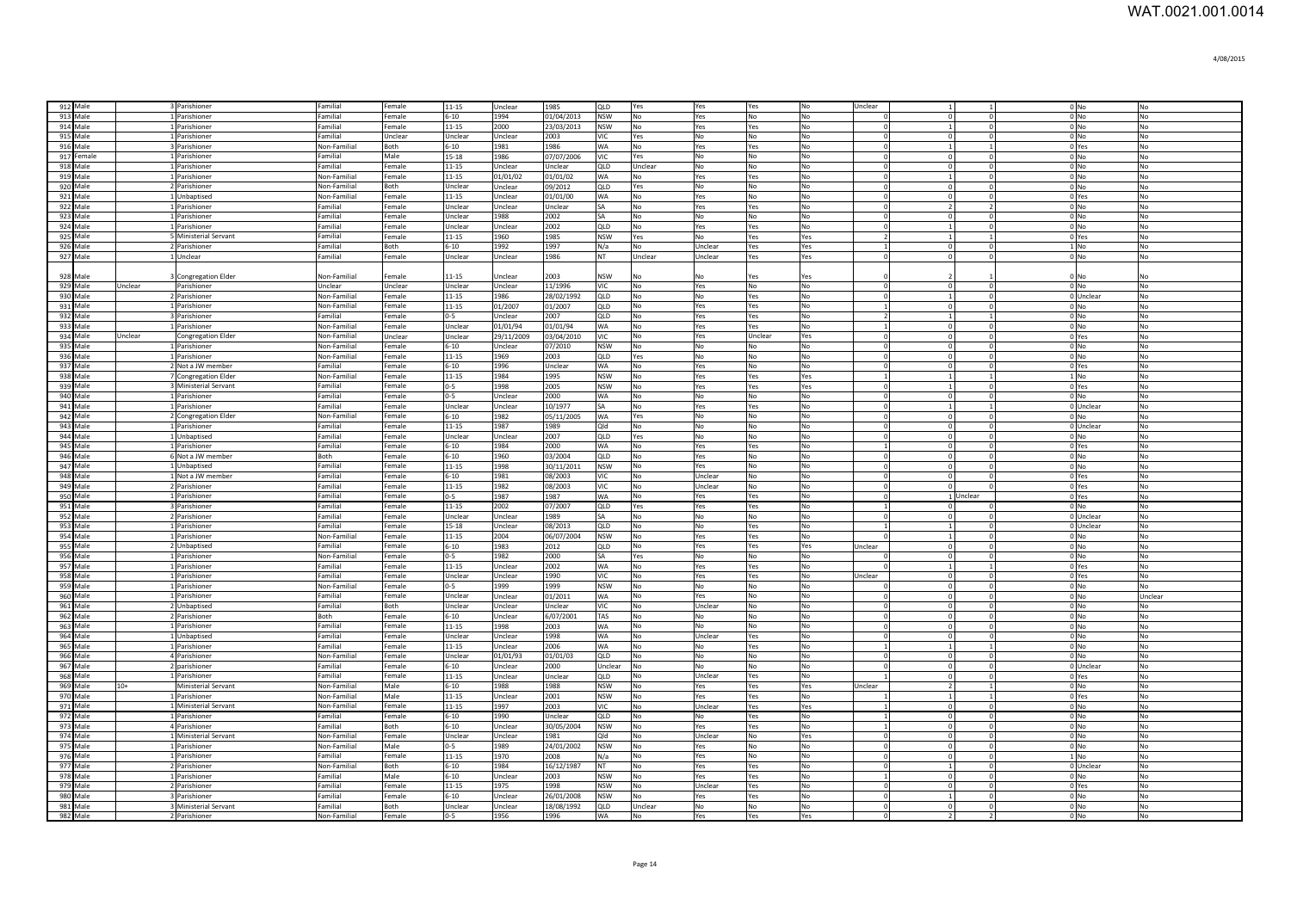| 912 Male             | 3 Parishioner                          | Familial             | Female           | 11-15              | Unclear         | 1985               | QLD               | Yes            | Yes            | Yes            | No        | Unclear        | $\vert$ 1      |                | 0 <sub>No</sub>     | No             |
|----------------------|----------------------------------------|----------------------|------------------|--------------------|-----------------|--------------------|-------------------|----------------|----------------|----------------|-----------|----------------|----------------|----------------|---------------------|----------------|
| 913 Male             | 1 Parishioner                          | Familial             | Female           | $6 - 10$           | 1994            | 01/04/2013         | <b>NSW</b>        | No             | Yes            | No             | No        |                | $\Omega$       | $\Omega$       | 0 <sub>No</sub>     | No             |
| 914 Male             | 1 Parishioner                          | Familial             | Female           | $11 - 15$          | 2000            | 23/03/2013         | <b>NSW</b>        | N <sub>o</sub> | Yes            | Yes            | <b>No</b> | $\Omega$       | $\vert$ 1      | $\circ$        | 0 <sub>No</sub>     | No             |
| 915 Male             | 1 Parishioner                          | Familial             | Unclear          | Unclear            | Unclear         | 2003               | VIC.              | Yes            | No             | <b>No</b>      | No        | $\Omega$       | $\Omega$       | $\Omega$       | 0 <sub>No</sub>     | No             |
| 916 Male             | 3 Parishioner                          | Non-Familial         | Both             | $6 - 10$           | 1981            | 1986               | <b>WA</b>         | No             | Yes            | Yes            | No        | $\Omega$       | $\vert$ 1      | $\mathbf{1}$   | 0 Yes               | No             |
| 917 Female           | 1 Parishioner                          | Familial             | Male             | 15-18              | 1986            | 07/07/2006         | <b>VIC</b>        | Yes            | No             | <b>No</b>      | No        | $\Omega$       | $\Omega$       | $\Omega$       | 0 <sub>No</sub>     | No             |
| 918 Male             | 1 Parishioner                          | Familial             | Female           | 11-15              | Unclear         | Unclear            | QLD               | Unclear        | No             | No             | <b>No</b> | $\Omega$       | $\Omega$       | $\Omega$       | $0$ No              | No             |
| 919 Male             | 1 Parishioner                          | Non-Familia          | Female           | 11-15              | 01/01/02        | 01/01/02           | WA                | No             | Yes            | Yes            | No        |                | $\mathbf{1}$   | $\Omega$       | $0$ No              | No             |
| 920 Male             | 2 Parishioner                          | Non-Familial         | Both             | Unclear            | Unclear         | 09/2012            | QLD               | Yes            | No             | <b>No</b>      | <b>No</b> |                | $\Omega$       | $\Omega$       | 0 <sub>No</sub>     | No             |
| 921 Male             | 1 Unbaptised                           | Non-Familial         | Female           | 11-15              | Unclear         | 01/01/00           | WA                | No             | Yes            | No             | No        |                | $\Omega$       | $\Omega$       | 0 Yes               | No             |
| 922 Male             | 1 Parishioner                          | Familial             | Female           | Unclear            | Unclear         | Unclear            | SA                | No             | Yes            | Yes            | No        |                | $\overline{2}$ | $\overline{2}$ | $0$ No              | No             |
| 923 Male             | 1 Parishioner                          | Familial             | Female           | Jnclear            | 1988            | 2002               | SA                | No             | No             | No             | No        |                | $\overline{0}$ | $\mathbf{0}$   | 0 <sub>No</sub>     | No             |
| 924 Male             | 1 Parishioner                          | Familial             | Female           | Jnclear            | Unclear         | 2002               | QLD               | No             | Yes            | Yes            | No        |                | 1              | $^{\circ}$     | $0$ No              | No             |
| 925 Male             | 5 Ministerial Servant                  | Familial             | Female           | 11-15              | 1960            | 1985               | <b>NSW</b>        | Yes            | No             | Yes            | Yes       |                |                |                | 0 Yes               | No             |
| 926 Male             | 2 Parishioner                          | Familial             | <b>Both</b>      | $5 - 10$           | 1992            | 1997               | N/a               | No             | Unclear        | Yes            | Yes       |                | $\overline{0}$ |                | $1$ No              | No             |
| 927 Male             | 1 Unclear                              | Familial             | Female           | Unclear            | Unclear         | 1986               | NT                | Unclear        | <b>Jnclear</b> | Yes            | Yes       |                | $\overline{0}$ | $\Omega$       | 0 <sub>No</sub>     | No             |
|                      |                                        |                      |                  |                    |                 |                    |                   |                |                |                |           |                |                |                |                     |                |
| 928 Male             | 3 Congregation Elder                   | Non-Familial         | Female           | $1 - 15$           | Jnclear         | 2003               | <b>NSW</b>        | No             | No             | Yes            | Yes       |                |                |                | $0$ No              | No             |
| 929 Male<br>Unclear  | Parishioner                            | Unclear              | Unclear          | Unclear            | Jnclear         | 11/1996            | VIC.              | No             | Yes            | No             | No        | $\Omega$       | $\overline{0}$ | $\overline{0}$ | 0 <sub>No</sub>     | No             |
| 930 Male             | 2 Parishioner                          | Non-Familial         | Female           | $11 - 15$          | 1986            | 28/02/1992         | QLD               | No             | No             | Yes            | No        | $\Omega$       | $\vert$ 1      | $\mathbf 0$    | 0 Unclear           | No             |
| 931 Male             | 1 Parishioner                          | Non-Familial         | Female           | $11 - 15$          | 01/2007         | 01/2007            | QLD               | N <sub>o</sub> | Yes            | Yes            | No        | $\mathbf{1}$   | $\overline{0}$ | $\mathbf 0$    | 0 <sub>No</sub>     | N <sub>o</sub> |
| 932 Male             | 3 Parishioner                          | Familial             | Female           | $0 - 5$            | Unclear         | 2007               | QLD               | No             | Yes            | Yes            | No        | $\overline{2}$ | $\mathbf{1}$   | $\mathbf{1}$   | 0 <sub>No</sub>     | No             |
| 933 Male             | 1 Parishioner                          | Non-Familial         | Female           | Unclear            | 01/01/94        | 01/01/94           | WA                | No             | Yes            | Yes            | No        | -1             | $\overline{0}$ | $\mathbf 0$    | $0$ No              | No             |
| 934 Male<br>Unclear  | <b>Congregation Elder</b>              | Non-Familial         | Unclear          | Unclear            | 29/11/2009      | 03/04/2010         | VIC               | No             | Yes            | Unclear        | Yes       | $\Omega$       | $\overline{0}$ | $\overline{0}$ | 0 Yes               | No             |
| 935 Male             | 1 Parishioner                          | Non-Familial         | Female           | $6 - 10$           | Unclear         | 07/2010            | <b>NSW</b>        | No             | No             | No             | No        | $\Omega$       | 0              | $\overline{0}$ | $0$ No              | No             |
| 936 Male             | 1 Parishioner                          | Non-Familial         | Female           | 11-15              | 1969            | 2003               | QLD               | Yes            | No             | No             | No        | $\Omega$       | 0              | $\mathbf{0}$   | $0$ No              | No             |
| 937 Male             | 2 Not a JW member                      | Familial             | Female           | $6 - 10$           | 1996            | Unclear            | WA                | No             | Yes            | No             | No        | $\Omega$       | $\overline{0}$ | $\overline{0}$ | 0 Yes               | No             |
| 938 Male             | 7 Congregation Elder                   | Non-Familial         | Female           | $11 - 15$          | 1984            | 1995               | <b>NSW</b>        | No             | Yes            | Yes            | Yes       | $\overline{1}$ | $\vert$ 1      | $\mathbf{1}$   | $1$ No              | No             |
| 939 Male             | 3 Ministerial Servant                  | Familial             | Female           | $0 - 5$            | 1998            | 2005               | <b>NSW</b>        | No             | Yes            | Yes            | Yes       | $\Omega$       | $\vert$ 1      | $^{\circ}$     | 0 Yes               | No             |
| 940 Male             | 1 Parishioner                          | Familial             | Female           | $0 - 5$            | Unclear         | 2000               | <b>WA</b>         | No             | No             | No             | No        | $\Omega$       | $\Omega$       | $\Omega$       | $0$ No              | No             |
| 941 Male             | 1 Parishioner                          | Familial             | Female           | Unclear            | Unclear         | 10/1977            | SA                | No             | Yes            | Yes            | No        |                |                |                | 0 Unclear           | No             |
| 942 Male             | 2 Congregation Elder                   | Non-Familial         | Female           | $5 - 10$           | 1982            | 05/11/2005         | WA                | Yes            | No             | No             | No        |                | $\Omega$       |                | $0$ No              | No             |
| 943 Male             | 1 Parishioner                          | Familial             | Female           | $11 - 15$          | 1987            | 1989               | Qld               | No             | No             | No             | No        |                | $\Omega$       |                | 0 Unclear           | No             |
| 944 Male             | 1 Unbaptised                           | Familial             | Female           | Unclear            | Unclear         | 2007               | QLD               | Yes            | No             | <b>No</b>      | No        |                | $\Omega$       |                | $0$ No              | No             |
| 945 Male             | 1 Parishioner                          | Familial             | Female           | $6 - 10$           | 1984            | 2000               | <b>WA</b>         | No             | Yes            |                | No        |                | $\Omega$       | $\Omega$       | 0 Yes               | No             |
|                      |                                        |                      |                  |                    |                 |                    |                   |                |                | Yes            |           |                |                |                |                     |                |
| 946 Male             | 6 Not a JW member                      | Both                 | Female           | $6 - 10$           | 1960            | 03/2004            | QLD               | No             | Yes            | <b>No</b>      | No        | $\Omega$       | $\Omega$       | $\Omega$       | 0 <sub>No</sub>     | No             |
| 947 Male             | 1 Unbaptised                           | Familial             | Female           | $11 - 15$          | 1998            | 30/11/2011         | <b>NSW</b>        | No             | Yes            | <b>No</b>      | No        | $\Omega$       | $\Omega$       | $\Omega$       | 0 <sub>No</sub>     | No             |
| 948 Male             |                                        | Familial             | Female           | $6 - 10$           | 1981            | 08/2003            | <b>VIC</b>        | No             | Unclear        | No             | No        | $\overline{0}$ | $\overline{0}$ | $\overline{0}$ | 0 Yes               | No             |
| 949 Male             | 1 Not a JW member                      | Familia              | Female           | $11 - 15$          | 1982            |                    | <b>VIC</b>        | No             | Unclear        | No             | No        | $\Omega$       | $\overline{0}$ | $\Omega$       |                     | No             |
| 950 Male             | 2 Parishioner                          | Familial             |                  | $0 - 5$            | 1987            | 08/2003<br>1987    | WA                | No             | Yes            | Yes            | No        | $\Omega$       |                | 1 Unclear      | 0 Yes<br>0 Yes      | No             |
|                      | 1 Parishioner                          |                      | Female           |                    |                 |                    |                   |                |                |                |           | $\overline{1}$ | $\overline{0}$ |                |                     |                |
| 951 Male<br>952 Male | 3 Parishioner                          | Familial<br>Familial | Female<br>Female | 11-15<br>Unclear   | 2002<br>Unclear | 07/2007<br>1989    | QLD<br>SA         | Yes<br>No      | Yes<br>No      | Yes<br>No      | No<br>No  | $\Omega$       | $\overline{0}$ | $\Omega$       | $0$ No<br>0 Unclear | No             |
| 953 Male             | 2 Parishioner                          | Familial             | Female           | 15-18              | Unclear         |                    |                   | No             | No             | Yes            | No        |                | $\mathbf{1}$   | $\Omega$       |                     | No             |
| 954 Male             | 1 Parishioner<br>1 Parishioner         | Non-Familial         | Female           |                    |                 | 08/2013            | QLD               | No             | Yes            | Yes            | No        |                |                |                | 0 Unclear           | No             |
| 955 Male             | 2 Unbaptised                           | Familial             | Female           | 11-15<br>$6 - 10$  | 2004<br>1983    | 06/07/2004<br>2012 | <b>NSW</b><br>QLD | No             | Yes            | Yes            | Yes       | Jnclear        | $\Omega$       |                | $0$ No<br>$0$ No    | No<br>No       |
| 956 Male             | 1 Parishioner                          | Non-Familial         | Female           | $0 - 5$            | 1982            | 2000               | SA                | Yes            | No             | No             | No        |                | $\overline{0}$ | $^{\circ}$     | $0$ No              | No             |
| 957 Male             | 1 Parishioner                          | Familial             | Female           | 11-15              | Jnclear         | 2002               | WA                | No             | Yes            | Yes            | No        |                |                |                | 0 Yes               | No             |
| 958 Male             | 1 Parishioner                          | Familial             | Female           | Jnclear            | Jnclear         | 1990               | VIC.              | No             | Yes            | Yes            | No        | Jnclear        | $\overline{0}$ | $\mathbf 0$    | 0 Yes               | No             |
| 959 Male             | 1 Parishioner                          | Non-Familial         | Female           | $-5$               | 1999            | 1999               | <b>NSW</b>        | No             | No             | <b>No</b>      | No        |                | $\overline{0}$ | $^{\circ}$     | 0 <sub>No</sub>     | No             |
| 960 Male             | 1 Parishioner                          | Familial             | Female           | Unclear            | Jnclear         | 01/2011            | WA                | No             | Yes            | N <sub>O</sub> | No        |                | $\overline{0}$ | $\Omega$       | 0 <sub>No</sub>     | Unclear        |
| 961 Male             | 2 Unbaptised                           | Familial             | Both             | Unclear            | Unclear         | Unclear            | VIC.              | N <sub>o</sub> | Unclear        | <b>No</b>      | No        | $\Omega$       | $\overline{0}$ | $\overline{0}$ | $0 \text{N}$        | <b>No</b>      |
| 962 Male             | 2 Parishioner                          | Both                 | Female           | $6 - 10$           | Unclear         | 6/07/2001          | TAS               | N <sub>0</sub> | <b>No</b>      | <b>No</b>      | No        | $\Omega$       | 0              | $\overline{0}$ | $0$ No              | No             |
| 963 Male             | 1 Parishioner                          | Familial             | Female           | $11 - 15$          | 1998            | 2003               | <b>WA</b>         | <b>No</b>      | lNo.           | <b>No</b>      | No        | $\Omega$       | $\overline{0}$ | $\mathbf 0$    | $0$ <sub>No</sub>   | No             |
| 964 Male             | 1 Unbaptised                           | Familial             | Female           | Unclear            | Unclear         | 1998               | <b>WA</b>         | No             | Unclear        | Yes            | No        | $\Omega$       | $\overline{0}$ | $\Omega$       | 0 <sub>No</sub>     | No             |
| 965 Male             | 1 Parishioner                          | Familial             | Female           | 11-15              | Unclear         | 2006               | WA                | No             | No             | Yes            | No        |                | $\vert$ 1      | $\mathbf{1}$   | $0$ No              | No             |
| 966 Male             | 4 Parishioner                          | Non-Familial         | Female           | Unclear            | 01/01/93        | 01/01/03           | QLD               | No             | No             | No             | No        | $\Omega$       | $\mathbf 0$    | $\overline{0}$ | $0$ No              | No             |
| 967 Male             | 2 parishioner                          | Familial             | Female           | $6 - 10$           | Unclear         | 2000               | Unclear           | No             | No             | No             | No        | $\Omega$       | $\overline{0}$ | $\overline{0}$ | 0 Unclear           | No             |
| 968 Male             | 1 Parishioner                          | Familial             | Female           | $11 - 15$          | Unclear         | Unclear            | QLD               | No             | Unclea         | Yes            | No        |                | $\overline{0}$ | $^{\circ}$     | 0 Yes               | No             |
| 969 Male<br>$10+$    | Ministerial Servant                    | Non-Familial         | Male             | $6 - 10$           | 1988            | 1988               | <b>NSW</b>        | No             | Yes            | Yes            | Yes       | Unclear        | $\overline{2}$ |                | $0$ No              | No             |
| 970 Male             | 1 Parishioner                          | Non-Familial         | Male             | $11 - 15$          | Unclear         | 2001               | <b>NSW</b>        | No             | Yes            | Yes            | No        |                | $\vert$ 1      |                | 0 Yes               | No             |
| 971 Male             | 1 Ministerial Servant                  | Non-Familial         | Female           | $11 - 15$          | 1997            | 2003               | VIC               | No             | Unclea         | Yes            | Yes       |                | $\overline{0}$ |                | $0$ No              | No             |
| 972 Male             | 1 Parishioner                          | Familial             | Female           | $6 - 10$           | 1990            | Unclear            | QLD               | No             | No             | Yes            | No        |                | $\Omega$       |                | $0$ No              | No             |
| 973 Male             | 4 Parishioner                          | Familial             | Both             | $6 - 10$           | Unclear         | 30/05/2004         | <b>NSW</b>        | No             | Yes            | Yes            | No        |                | $\Omega$       |                | $0$ No              | No             |
| 974 Male             | 1 Ministerial Servant                  | Non-Familial         | Female           | Unclear            | Unclear         | 1981               | Qld               | No             | Unclear        | No             | Yes       | $\Omega$       | $\Omega$       | $\Omega$       | $0$ No              | No             |
| 975 Male             | 1 Parishioner                          | Non-Familial         | Male             | $0-5$              | 1989            | 24/01/2002         | <b>NSW</b>        | No             | Yes            | N <sub>0</sub> | No        | $\Omega$       | $\Omega$       | $\Omega$       | $0$ No              | No             |
| 976 Male             | 1 Parishioner                          | Familial             | Female           | 11-15              | 1970            | 2008               | N/a               | <b>No</b>      | Yes            | No             | <b>No</b> | $\Omega$       | $\circ$        | $\Omega$       | $1$ <sub>No</sub>   | No             |
| 977 Male             | 2 Parishioner                          | Non-Familial         | Both             | $6 - 10$           | 1984            | 16/12/1987         | <b>NT</b>         | <b>No</b>      | Yes            | Yes            | No        | $\Omega$       | $\vert$ 1      | $\Omega$       | 0 Unclear           | No             |
| 978 Male             | 1 Parishioner                          | Familia              | Male             | $6 - 10$           | Unclear         | 2003               | <b>NSW</b>        | No             | Yes            | Yes            | No        | $\overline{1}$ | $\overline{0}$ | $\Omega$       | $0$ No              | No             |
| 979 Male             | 2 Parishioner                          | Familial             | Female           | 11-15              | 1975            | 1998               | <b>NSW</b>        | No             | Unclear        | Yes            | No        |                | $\overline{0}$ | $\Omega$       | 0 Yes               | No             |
| 980 Male             | 3 Parishioner                          | Familial             | Female           |                    | Unclear         |                    |                   | <b>No</b>      | Yes            |                | <b>No</b> | $\Omega$       | $\vert$ 1      | $\overline{0}$ | $0$ No              |                |
|                      |                                        | Familial             |                  | $6 - 10$           |                 | 26/01/2008         | <b>NSW</b>        |                |                | Yes            |           |                | $\overline{0}$ | $\overline{0}$ |                     | No             |
| 981 Male<br>982 Male | 3 Ministerial Servant<br>2 Parishioner | Non-Familial         | Both<br>Female   | Unclear<br>$0 - 5$ | Unclear<br>1956 | 18/08/1992<br>1996 | QLD<br><b>WA</b>  | Unclear<br>No  | No<br>Yes      | No<br>Yes      | No<br>Yes |                | $\overline{2}$ | $\overline{2}$ | $0$ No<br>$0$ No    | No<br>No       |